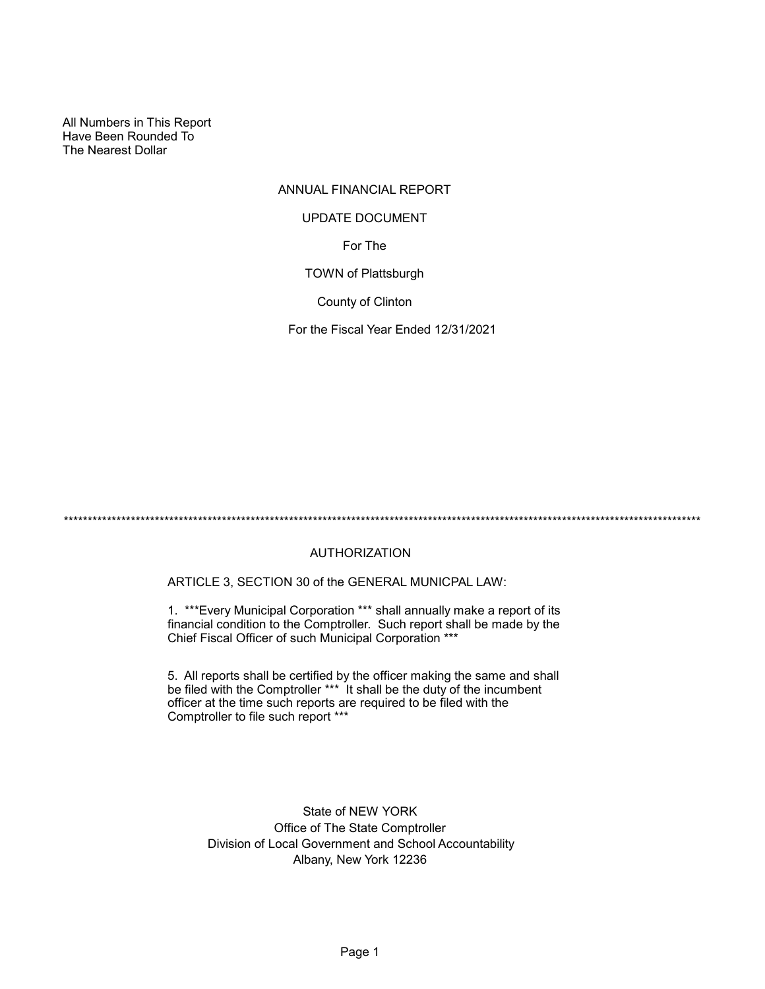All Numbers in This Report Have Been Rounded To The Nearest Dollar

# ANNUAL FINANCIAL REPORT

## UPDATE DOCUMENT

For The

TOWN of Plattsburgh

County of Clinton

For the Fiscal Year Ended 12/31/2021

\*\*\*\*\*\*\*\*\*\*\*\*\*\*\*\*\*\*\*\*\*\*\*\*\*\*\*\*\*\*\*\*\*\*\*\*\*\*\*\*\*\*\*\*\*\*\*\*\*\*\*\*\*\*\*\*\*\*\*\*\*\*\*\*\*\*\*\*\*\*\*\*\*\*\*\*\*\*\*\*\*\*\*\*\*\*\*\*\*\*\*\*\*\*\*\*\*\*\*\*\*\*\*\*\*\*\*\*\*\*\*\*\*\*\*\*\*\*\*\*\*\*\*\*\*\*\*\*\*\*\*\*\*

## AUTHORIZATION

ARTICLE 3, SECTION 30 of the GENERAL MUNICPAL LAW:

1. \*\*\*Every Municipal Corporation \*\*\* shall annually make a report of its financial condition to the Comptroller. Such report shall be made by the Chief Fiscal Officer of such Municipal Corporation \*\*\*

5. All reports shall be certified by the officer making the same and shall be filed with the Comptroller \*\*\* It shall be the duty of the incumbent officer at the time such reports are required to be filed with the Comptroller to file such report \*\*\*

> State of NEW YORK Office of The State Comptroller Division of Local Government and School Accountability Albany, New York 12236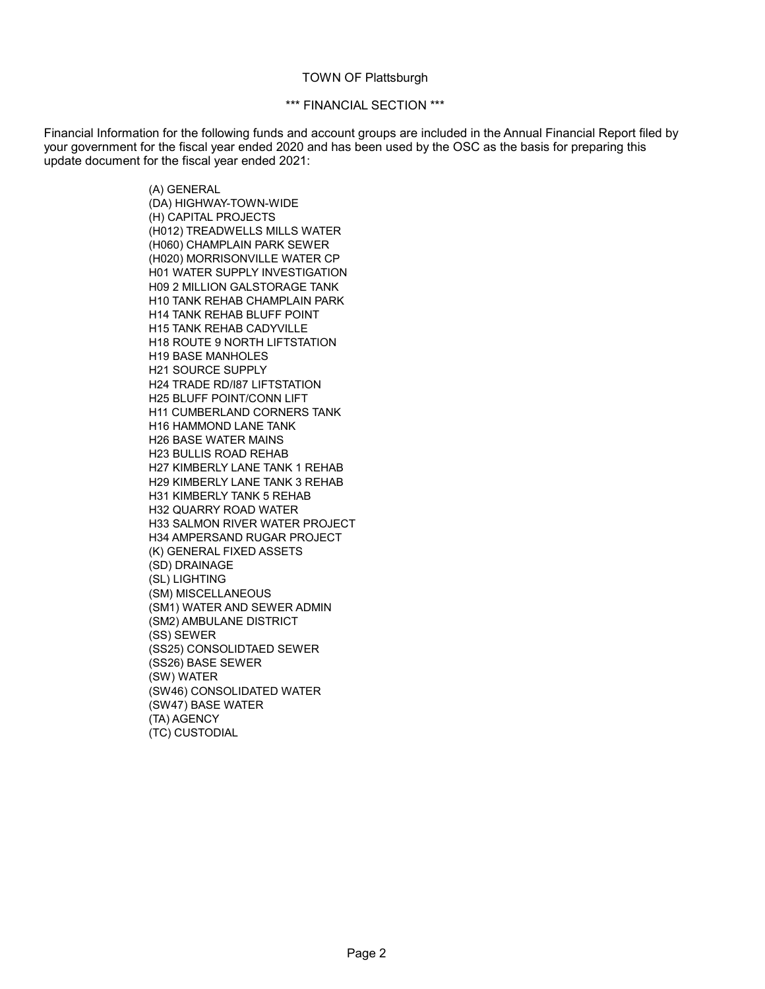#### TOWN OF Plattsburgh

### \*\*\* FINANCIAL SECTION \*\*\*

Financial Information for the following funds and account groups are included in the Annual Financial Report filed by your government for the fiscal year ended 2020 and has been used by the OSC as the basis for preparing this update document for the fiscal year ended 2021:

> (A) GENERAL (DA) HIGHWAY-TOWN-WIDE (H) CAPITAL PROJECTS (H012) TREADWELLS MILLS WATER (H060) CHAMPLAIN PARK SEWER (H020) MORRISONVILLE WATER CP H01 WATER SUPPLY INVESTIGATION H09 2 MILLION GALSTORAGE TANK H10 TANK REHAB CHAMPLAIN PARK H14 TANK REHAB BLUFF POINT H15 TANK REHAB CADYVILLE H18 ROUTE 9 NORTH LIFTSTATION H19 BASE MANHOLES H21 SOURCE SUPPLY H24 TRADE RD/I87 LIFTSTATION H25 BLUFF POINT/CONN LIFT H11 CUMBERLAND CORNERS TANK H16 HAMMOND LANE TANK H26 BASE WATER MAINS H23 BULLIS ROAD REHAB H27 KIMBERLY LANE TANK 1 REHAB H29 KIMBERLY LANE TANK 3 REHAB H31 KIMBERLY TANK 5 REHAB H32 QUARRY ROAD WATER H33 SALMON RIVER WATER PROJECT H34 AMPERSAND RUGAR PROJECT (K) GENERAL FIXED ASSETS (SD) DRAINAGE (SL) LIGHTING (SM) MISCELLANEOUS (SM1) WATER AND SEWER ADMIN (SM2) AMBULANE DISTRICT (SS) SEWER (SS25) CONSOLIDTAED SEWER (SS26) BASE SEWER (SW) WATER (SW46) CONSOLIDATED WATER (SW47) BASE WATER (TA) AGENCY (TC) CUSTODIAL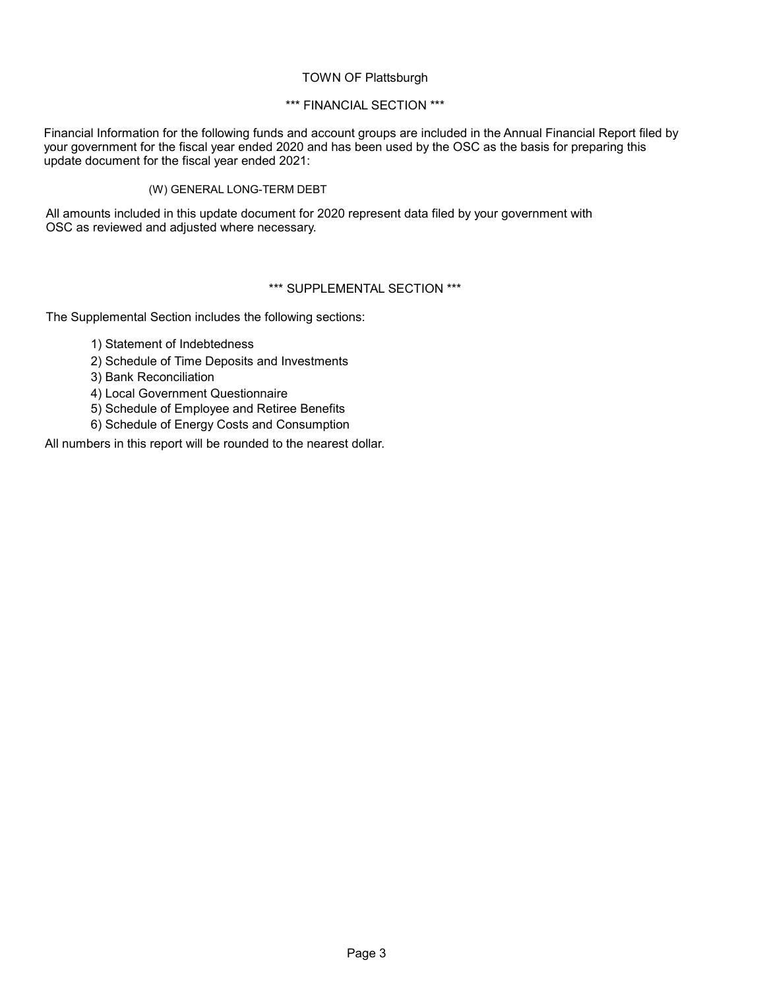## TOWN OF Plattsburgh

## \*\*\* FINANCIAL SECTION \*\*\*

Financial Information for the following funds and account groups are included in the Annual Financial Report filed by your government for the fiscal year ended 2020 and has been used by the OSC as the basis for preparing this update document for the fiscal year ended 2021:

## (W) GENERAL LONG-TERM DEBT

All amounts included in this update document for 2020 represent data filed by your government with OSC as reviewed and adjusted where necessary.

## \*\*\* SUPPLEMENTAL SECTION \*\*\*

The Supplemental Section includes the following sections:

- 1) Statement of Indebtedness
- 2) Schedule of Time Deposits and Investments
- 3) Bank Reconciliation
- 4) Local Government Questionnaire
- 5) Schedule of Employee and Retiree Benefits
- 6) Schedule of Energy Costs and Consumption

All numbers in this report will be rounded to the nearest dollar.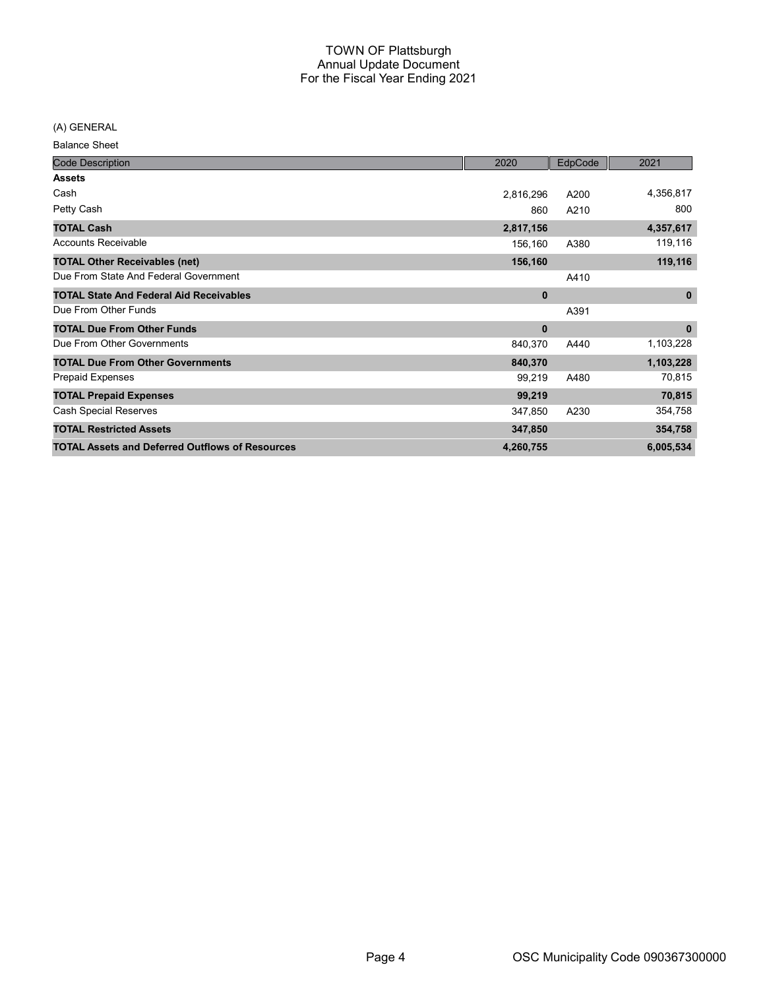(A) GENERAL

Balance Sheet

| <b>Code Description</b>                                | 2020         | EdpCode | 2021        |
|--------------------------------------------------------|--------------|---------|-------------|
| <b>Assets</b>                                          |              |         |             |
| Cash                                                   | 2,816,296    | A200    | 4,356,817   |
| Petty Cash                                             | 860          | A210    | 800         |
| <b>TOTAL Cash</b>                                      | 2,817,156    |         | 4,357,617   |
| <b>Accounts Receivable</b>                             | 156,160      | A380    | 119,116     |
| <b>TOTAL Other Receivables (net)</b>                   | 156,160      |         | 119,116     |
| Due From State And Federal Government                  |              | A410    |             |
| <b>TOTAL State And Federal Aid Receivables</b>         | $\mathbf{0}$ |         | $\mathbf 0$ |
| Due From Other Funds                                   |              | A391    |             |
| <b>TOTAL Due From Other Funds</b>                      | $\bf{0}$     |         | $\mathbf 0$ |
| Due From Other Governments                             | 840,370      | A440    | 1,103,228   |
| <b>TOTAL Due From Other Governments</b>                | 840,370      |         | 1,103,228   |
| Prepaid Expenses                                       | 99,219       | A480    | 70,815      |
| <b>TOTAL Prepaid Expenses</b>                          | 99,219       |         | 70,815      |
| <b>Cash Special Reserves</b>                           | 347,850      | A230    | 354,758     |
| <b>TOTAL Restricted Assets</b>                         | 347,850      |         | 354,758     |
| <b>TOTAL Assets and Deferred Outflows of Resources</b> | 4,260,755    |         | 6,005,534   |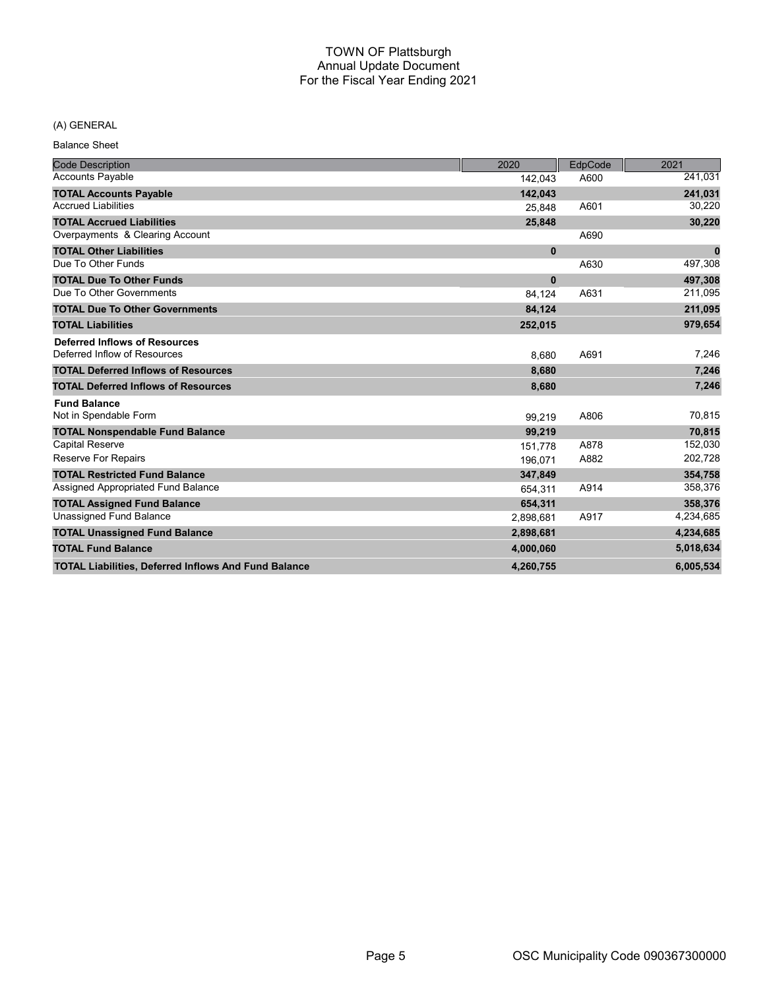## (A) GENERAL

Balance Sheet

| <b>Code Description</b>                                     | 2020         | EdpCode | 2021      |
|-------------------------------------------------------------|--------------|---------|-----------|
| <b>Accounts Payable</b>                                     | 142,043      | A600    | 241,031   |
| <b>TOTAL Accounts Payable</b>                               | 142,043      |         | 241,031   |
| <b>Accrued Liabilities</b>                                  | 25,848       | A601    | 30,220    |
| <b>TOTAL Accrued Liabilities</b>                            | 25,848       |         | 30,220    |
| Overpayments & Clearing Account                             |              | A690    |           |
| <b>TOTAL Other Liabilities</b>                              | $\mathbf 0$  |         | $\bf{0}$  |
| Due To Other Funds                                          |              | A630    | 497,308   |
| <b>TOTAL Due To Other Funds</b>                             | $\mathbf{0}$ |         | 497,308   |
| Due To Other Governments                                    | 84,124       | A631    | 211,095   |
| <b>TOTAL Due To Other Governments</b>                       | 84,124       |         | 211,095   |
| <b>TOTAL Liabilities</b>                                    | 252,015      |         | 979,654   |
| <b>Deferred Inflows of Resources</b>                        |              |         |           |
| Deferred Inflow of Resources                                | 8.680        | A691    | 7,246     |
| <b>TOTAL Deferred Inflows of Resources</b>                  | 8,680        |         | 7,246     |
| <b>TOTAL Deferred Inflows of Resources</b>                  | 8,680        |         | 7,246     |
| <b>Fund Balance</b>                                         |              |         |           |
| Not in Spendable Form                                       | 99,219       | A806    | 70,815    |
| <b>TOTAL Nonspendable Fund Balance</b>                      | 99,219       |         | 70,815    |
| <b>Capital Reserve</b>                                      | 151,778      | A878    | 152,030   |
| Reserve For Repairs                                         | 196,071      | A882    | 202,728   |
| <b>TOTAL Restricted Fund Balance</b>                        | 347,849      |         | 354.758   |
| Assigned Appropriated Fund Balance                          | 654,311      | A914    | 358,376   |
| <b>TOTAL Assigned Fund Balance</b>                          | 654,311      |         | 358,376   |
| <b>Unassigned Fund Balance</b>                              | 2,898,681    | A917    | 4,234,685 |
| <b>TOTAL Unassigned Fund Balance</b>                        | 2,898,681    |         | 4,234,685 |
| <b>TOTAL Fund Balance</b>                                   | 4,000,060    |         | 5,018,634 |
| <b>TOTAL Liabilities, Deferred Inflows And Fund Balance</b> | 4.260.755    |         | 6,005,534 |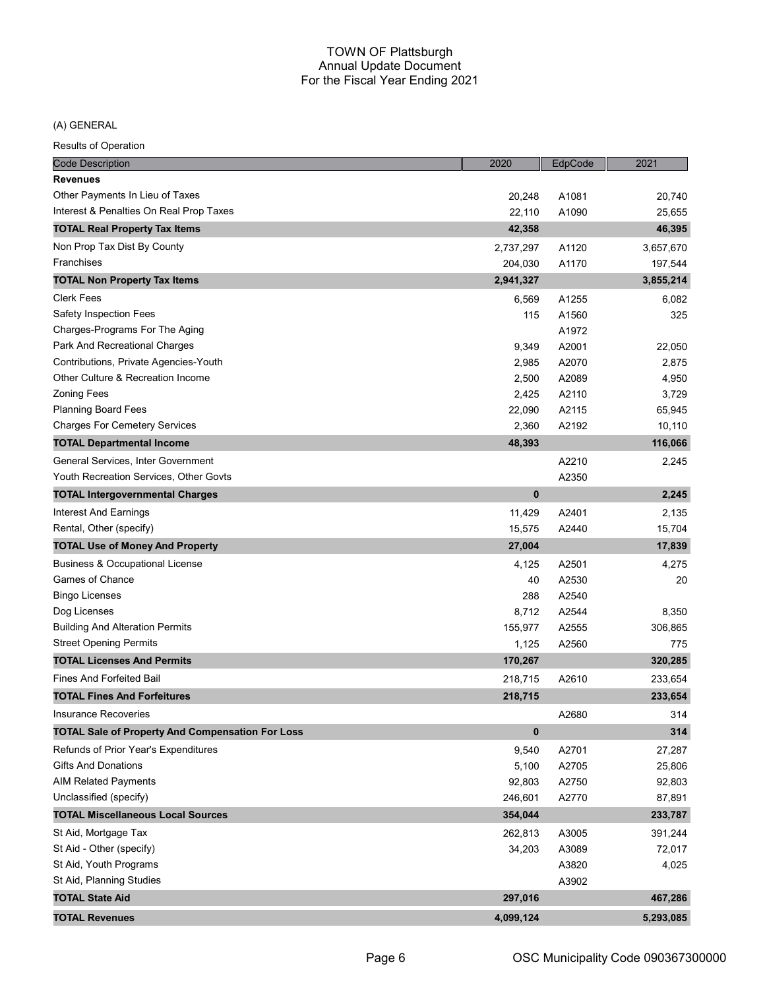(A) GENERAL

| <b>Results of Operation</b>                             |           |         |           |
|---------------------------------------------------------|-----------|---------|-----------|
| <b>Code Description</b>                                 | 2020      | EdpCode | 2021      |
| <b>Revenues</b>                                         |           |         |           |
| Other Payments In Lieu of Taxes                         | 20,248    | A1081   | 20,740    |
| Interest & Penalties On Real Prop Taxes                 | 22,110    | A1090   | 25,655    |
| <b>TOTAL Real Property Tax Items</b>                    | 42,358    |         | 46,395    |
| Non Prop Tax Dist By County                             | 2,737,297 | A1120   | 3,657,670 |
| Franchises                                              | 204,030   | A1170   | 197,544   |
| <b>TOTAL Non Property Tax Items</b>                     | 2,941,327 |         | 3,855,214 |
| <b>Clerk Fees</b>                                       | 6,569     | A1255   | 6,082     |
| Safety Inspection Fees                                  | 115       | A1560   | 325       |
| Charges-Programs For The Aging                          |           | A1972   |           |
| Park And Recreational Charges                           | 9,349     | A2001   | 22,050    |
| Contributions, Private Agencies-Youth                   | 2,985     | A2070   | 2,875     |
| Other Culture & Recreation Income                       | 2,500     | A2089   | 4,950     |
| <b>Zoning Fees</b>                                      | 2,425     | A2110   | 3,729     |
| <b>Planning Board Fees</b>                              | 22,090    | A2115   | 65,945    |
| <b>Charges For Cemetery Services</b>                    | 2,360     | A2192   | 10,110    |
| <b>TOTAL Departmental Income</b>                        | 48,393    |         | 116,066   |
| General Services, Inter Government                      |           | A2210   | 2,245     |
| Youth Recreation Services, Other Govts                  |           | A2350   |           |
| <b>TOTAL Intergovernmental Charges</b>                  | 0         |         | 2,245     |
| Interest And Earnings                                   | 11,429    | A2401   | 2,135     |
| Rental, Other (specify)                                 | 15,575    | A2440   | 15,704    |
| <b>TOTAL Use of Money And Property</b>                  | 27,004    |         | 17,839    |
| <b>Business &amp; Occupational License</b>              | 4,125     | A2501   | 4,275     |
| Games of Chance                                         | 40        | A2530   | 20        |
| <b>Bingo Licenses</b>                                   | 288       | A2540   |           |
| Dog Licenses                                            | 8,712     | A2544   | 8,350     |
| <b>Building And Alteration Permits</b>                  | 155,977   | A2555   | 306,865   |
| <b>Street Opening Permits</b>                           | 1,125     | A2560   | 775       |
| <b>TOTAL Licenses And Permits</b>                       | 170,267   |         | 320,285   |
| <b>Fines And Forfeited Bail</b>                         | 218,715   | A2610   | 233,654   |
| <b>TOTAL Fines And Forfeitures</b>                      | 218,715   |         | 233,654   |
| <b>Insurance Recoveries</b>                             |           | A2680   | 314       |
| <b>TOTAL Sale of Property And Compensation For Loss</b> | $\bf{0}$  |         | 314       |
| Refunds of Prior Year's Expenditures                    | 9,540     | A2701   | 27,287    |
| <b>Gifts And Donations</b>                              | 5,100     | A2705   | 25,806    |
| <b>AIM Related Payments</b>                             | 92,803    | A2750   | 92,803    |
| Unclassified (specify)                                  | 246,601   | A2770   | 87,891    |
| <b>TOTAL Miscellaneous Local Sources</b>                | 354,044   |         | 233,787   |
| St Aid, Mortgage Tax                                    | 262,813   | A3005   | 391,244   |
| St Aid - Other (specify)                                | 34,203    | A3089   | 72,017    |
| St Aid, Youth Programs                                  |           | A3820   | 4,025     |
| St Aid, Planning Studies                                |           | A3902   |           |
| <b>TOTAL State Aid</b>                                  | 297,016   |         | 467,286   |
| <b>TOTAL Revenues</b>                                   | 4,099,124 |         | 5,293,085 |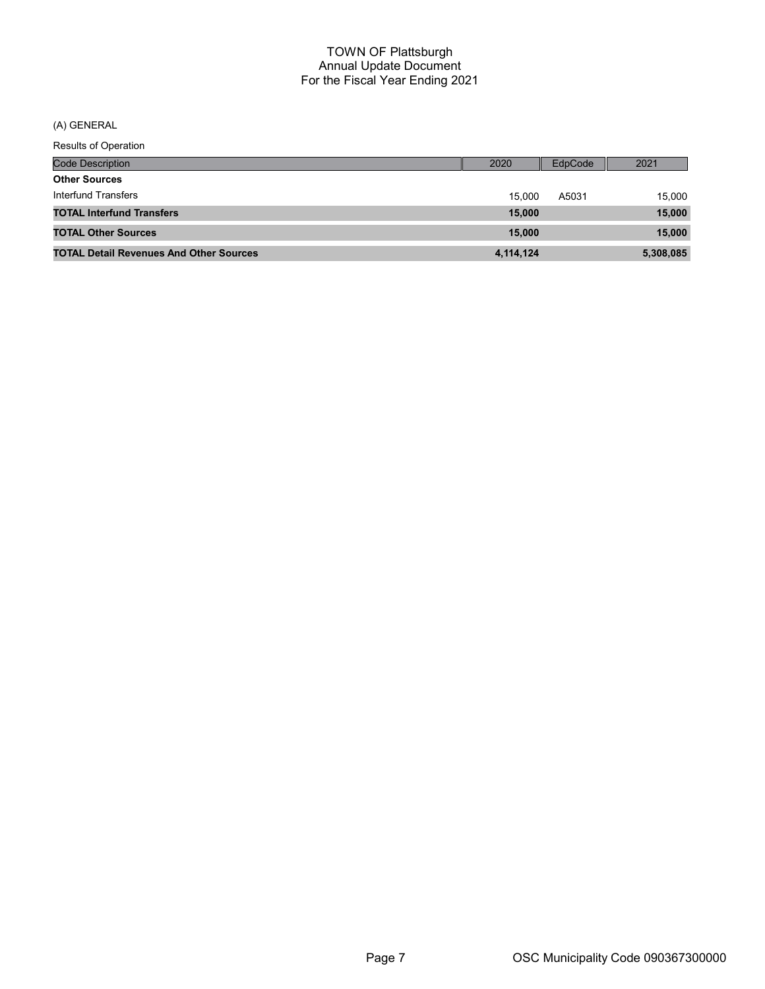(A) GENERAL

| <b>Results of Operation</b>                    |           |         |           |
|------------------------------------------------|-----------|---------|-----------|
| <b>Code Description</b>                        | 2020      | EdpCode | 2021      |
| <b>Other Sources</b>                           |           |         |           |
| Interfund Transfers                            | 15.000    | A5031   | 15,000    |
| <b>TOTAL Interfund Transfers</b>               | 15,000    |         | 15,000    |
| <b>TOTAL Other Sources</b>                     | 15,000    |         | 15,000    |
| <b>TOTAL Detail Revenues And Other Sources</b> | 4,114,124 |         | 5,308,085 |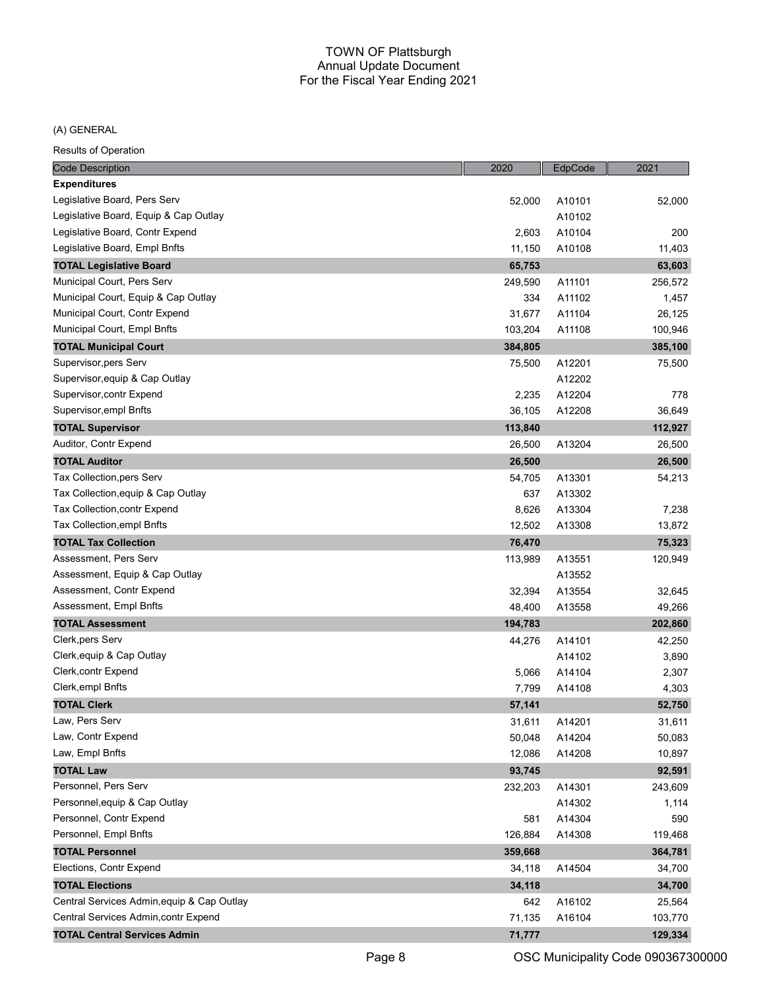#### (A) GENERAL

| <b>Code Description</b>                   | 2020    | EdpCode | 2021    |
|-------------------------------------------|---------|---------|---------|
| <b>Expenditures</b>                       |         |         |         |
| Legislative Board, Pers Serv              | 52,000  | A10101  | 52,000  |
| Legislative Board, Equip & Cap Outlay     |         | A10102  |         |
| Legislative Board, Contr Expend           | 2,603   | A10104  | 200     |
| Legislative Board, Empl Bnfts             | 11,150  | A10108  | 11,403  |
| <b>TOTAL Legislative Board</b>            | 65,753  |         | 63,603  |
| Municipal Court, Pers Serv                | 249,590 | A11101  | 256,572 |
| Municipal Court, Equip & Cap Outlay       | 334     | A11102  | 1,457   |
| Municipal Court, Contr Expend             | 31,677  | A11104  | 26,125  |
| Municipal Court, Empl Bnfts               | 103,204 | A11108  | 100,946 |
| <b>TOTAL Municipal Court</b>              | 384,805 |         | 385,100 |
| Supervisor, pers Serv                     | 75,500  | A12201  | 75,500  |
| Supervisor, equip & Cap Outlay            |         | A12202  |         |
| Supervisor,contr Expend                   | 2,235   | A12204  | 778     |
| Supervisor, empl Bnfts                    | 36,105  | A12208  | 36,649  |
| <b>TOTAL Supervisor</b>                   | 113,840 |         | 112,927 |
| Auditor, Contr Expend                     | 26,500  | A13204  | 26,500  |
| <b>TOTAL Auditor</b>                      | 26,500  |         | 26,500  |
| Tax Collection, pers Serv                 | 54,705  | A13301  | 54,213  |
| Tax Collection, equip & Cap Outlay        | 637     | A13302  |         |
| Tax Collection, contr Expend              | 8,626   | A13304  | 7,238   |
| Tax Collection, empl Bnfts                | 12,502  | A13308  | 13,872  |
| <b>TOTAL Tax Collection</b>               | 76,470  |         | 75,323  |
| Assessment, Pers Serv                     | 113,989 | A13551  | 120,949 |
| Assessment, Equip & Cap Outlay            |         | A13552  |         |
| Assessment, Contr Expend                  | 32,394  | A13554  | 32,645  |
| Assessment, Empl Bnfts                    | 48,400  | A13558  | 49,266  |
| <b>TOTAL Assessment</b>                   | 194,783 |         | 202,860 |
| Clerk, pers Serv                          | 44,276  | A14101  | 42,250  |
| Clerk, equip & Cap Outlay                 |         | A14102  | 3,890   |
| Clerk, contr Expend                       | 5,066   | A14104  | 2,307   |
| Clerk, empl Bnfts                         | 7,799   | A14108  | 4,303   |
| <b>TOTAL Clerk</b>                        | 57,141  |         | 52,750  |
| Law, Pers Serv                            | 31,611  | A14201  | 31,611  |
| Law, Contr Expend                         | 50,048  | A14204  | 50,083  |
| Law, Empl Bnfts                           | 12,086  | A14208  | 10,897  |
| <b>TOTAL Law</b>                          | 93,745  |         | 92,591  |
| Personnel, Pers Serv                      | 232,203 | A14301  | 243,609 |
| Personnel, equip & Cap Outlay             |         | A14302  | 1,114   |
| Personnel, Contr Expend                   | 581     | A14304  | 590     |
| Personnel, Empl Bnfts                     | 126,884 | A14308  | 119,468 |
| <b>TOTAL Personnel</b>                    | 359,668 |         | 364,781 |
| Elections, Contr Expend                   | 34,118  | A14504  | 34,700  |
| <b>TOTAL Elections</b>                    | 34,118  |         | 34,700  |
| Central Services Admin,equip & Cap Outlay | 642     | A16102  | 25,564  |
| Central Services Admin,contr Expend       | 71,135  | A16104  | 103,770 |
| <b>TOTAL Central Services Admin</b>       | 71,777  |         | 129,334 |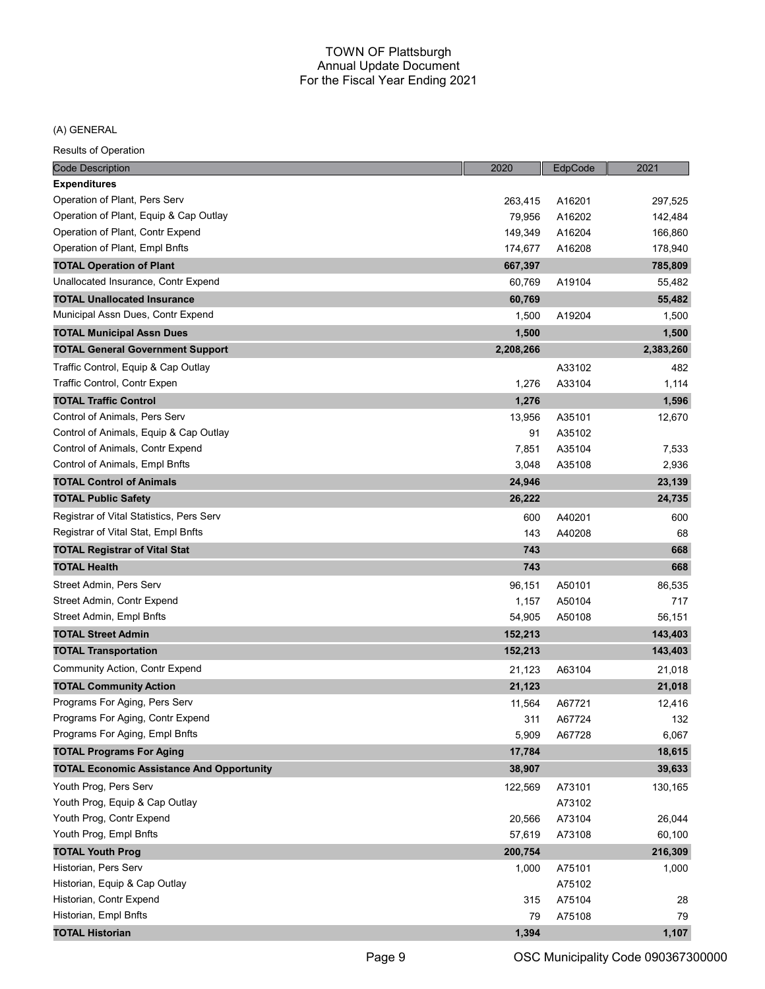## (A) GENERAL

| <b>Code Description</b>                          | 2020      | EdpCode | 2021      |
|--------------------------------------------------|-----------|---------|-----------|
| <b>Expenditures</b>                              |           |         |           |
| Operation of Plant, Pers Serv                    | 263,415   | A16201  | 297,525   |
| Operation of Plant, Equip & Cap Outlay           | 79,956    | A16202  | 142,484   |
| Operation of Plant, Contr Expend                 | 149,349   | A16204  | 166,860   |
| Operation of Plant, Empl Bnfts                   | 174,677   | A16208  | 178,940   |
| <b>TOTAL Operation of Plant</b>                  | 667,397   |         | 785,809   |
| Unallocated Insurance, Contr Expend              | 60,769    | A19104  | 55,482    |
| <b>TOTAL Unallocated Insurance</b>               | 60,769    |         | 55,482    |
| Municipal Assn Dues, Contr Expend                | 1,500     | A19204  | 1,500     |
| <b>TOTAL Municipal Assn Dues</b>                 | 1,500     |         | 1,500     |
| <b>TOTAL General Government Support</b>          | 2,208,266 |         | 2,383,260 |
| Traffic Control, Equip & Cap Outlay              |           | A33102  | 482       |
| Traffic Control, Contr Expen                     | 1,276     | A33104  | 1,114     |
| <b>TOTAL Traffic Control</b>                     | 1,276     |         | 1,596     |
| Control of Animals, Pers Serv                    | 13,956    | A35101  | 12,670    |
| Control of Animals, Equip & Cap Outlay           | 91        | A35102  |           |
| Control of Animals, Contr Expend                 | 7,851     | A35104  | 7,533     |
| Control of Animals, Empl Bnfts                   | 3,048     | A35108  | 2,936     |
| <b>TOTAL Control of Animals</b>                  | 24,946    |         | 23,139    |
| <b>TOTAL Public Safety</b>                       | 26,222    |         | 24,735    |
| Registrar of Vital Statistics, Pers Serv         | 600       | A40201  | 600       |
| Registrar of Vital Stat, Empl Bnfts              | 143       | A40208  | 68        |
| <b>TOTAL Registrar of Vital Stat</b>             | 743       |         | 668       |
| TOTAL Health                                     | 743       |         | 668       |
| Street Admin, Pers Serv                          | 96,151    | A50101  | 86,535    |
| Street Admin, Contr Expend                       | 1,157     | A50104  | 717       |
| Street Admin, Empl Bnfts                         | 54,905    | A50108  | 56,151    |
| <b>TOTAL Street Admin</b>                        | 152,213   |         | 143,403   |
| <b>TOTAL Transportation</b>                      | 152,213   |         | 143,403   |
| Community Action, Contr Expend                   | 21,123    | A63104  | 21,018    |
| <b>TOTAL Community Action</b>                    | 21,123    |         | 21,018    |
| Programs For Aging, Pers Serv                    | 11,564    | A67721  | 12,416    |
| Programs For Aging, Contr Expend                 | 311       | A67724  | 132       |
| Programs For Aging, Empl Bnfts                   | 5,909     | A67728  | 6,067     |
| <b>TOTAL Programs For Aging</b>                  | 17,784    |         | 18,615    |
| <b>TOTAL Economic Assistance And Opportunity</b> | 38,907    |         | 39,633    |
| Youth Prog, Pers Serv                            | 122,569   | A73101  | 130,165   |
| Youth Prog, Equip & Cap Outlay                   |           | A73102  |           |
| Youth Prog, Contr Expend                         | 20,566    | A73104  | 26,044    |
| Youth Prog, Empl Bnfts                           | 57,619    | A73108  | 60,100    |
| <b>TOTAL Youth Prog</b>                          | 200,754   |         | 216,309   |
| Historian, Pers Serv                             | 1,000     | A75101  | 1,000     |
| Historian, Equip & Cap Outlay                    |           | A75102  |           |
| Historian, Contr Expend                          | 315       | A75104  | 28        |
| Historian, Empl Bnfts                            | 79        | A75108  | 79        |
| <b>TOTAL Historian</b>                           | 1,394     |         | 1,107     |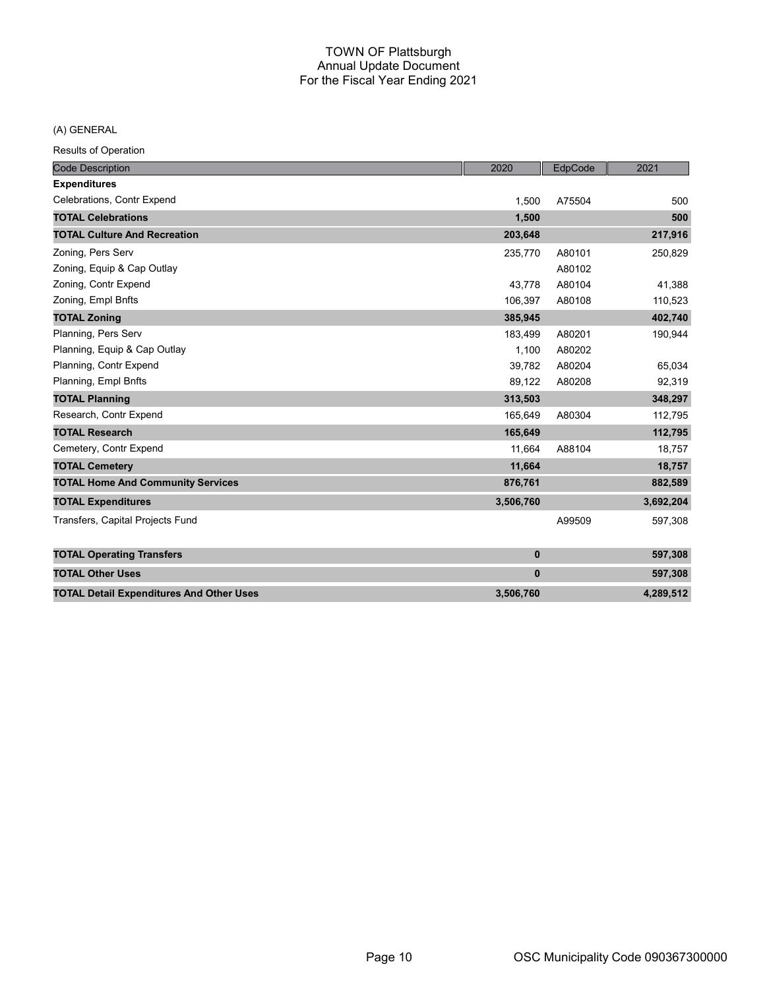(A) GENERAL

| <b>Code Description</b>                         | 2020        | EdpCode | 2021      |
|-------------------------------------------------|-------------|---------|-----------|
| <b>Expenditures</b>                             |             |         |           |
| Celebrations, Contr Expend                      | 1,500       | A75504  | 500       |
| <b>TOTAL Celebrations</b>                       | 1,500       |         | 500       |
| <b>TOTAL Culture And Recreation</b>             | 203,648     |         | 217,916   |
| Zoning, Pers Serv                               | 235,770     | A80101  | 250,829   |
| Zoning, Equip & Cap Outlay                      |             | A80102  |           |
| Zoning, Contr Expend                            | 43.778      | A80104  | 41,388    |
| Zoning, Empl Bnfts                              | 106,397     | A80108  | 110,523   |
| <b>TOTAL Zoning</b>                             | 385,945     |         | 402,740   |
| Planning, Pers Serv                             | 183,499     | A80201  | 190,944   |
| Planning, Equip & Cap Outlay                    | 1.100       | A80202  |           |
| Planning, Contr Expend                          | 39,782      | A80204  | 65,034    |
| Planning, Empl Bnfts                            | 89,122      | A80208  | 92,319    |
| <b>TOTAL Planning</b>                           | 313,503     |         | 348,297   |
| Research, Contr Expend                          | 165,649     | A80304  | 112,795   |
| <b>TOTAL Research</b>                           | 165,649     |         | 112,795   |
| Cemetery, Contr Expend                          | 11,664      | A88104  | 18,757    |
| <b>TOTAL Cemetery</b>                           | 11,664      |         | 18,757    |
| <b>TOTAL Home And Community Services</b>        | 876,761     |         | 882,589   |
| <b>TOTAL Expenditures</b>                       | 3,506,760   |         | 3,692,204 |
| Transfers, Capital Projects Fund                |             | A99509  | 597,308   |
| <b>TOTAL Operating Transfers</b>                | $\bf{0}$    |         | 597,308   |
| <b>TOTAL Other Uses</b>                         | $\mathbf 0$ |         | 597,308   |
| <b>TOTAL Detail Expenditures And Other Uses</b> | 3,506,760   |         | 4,289,512 |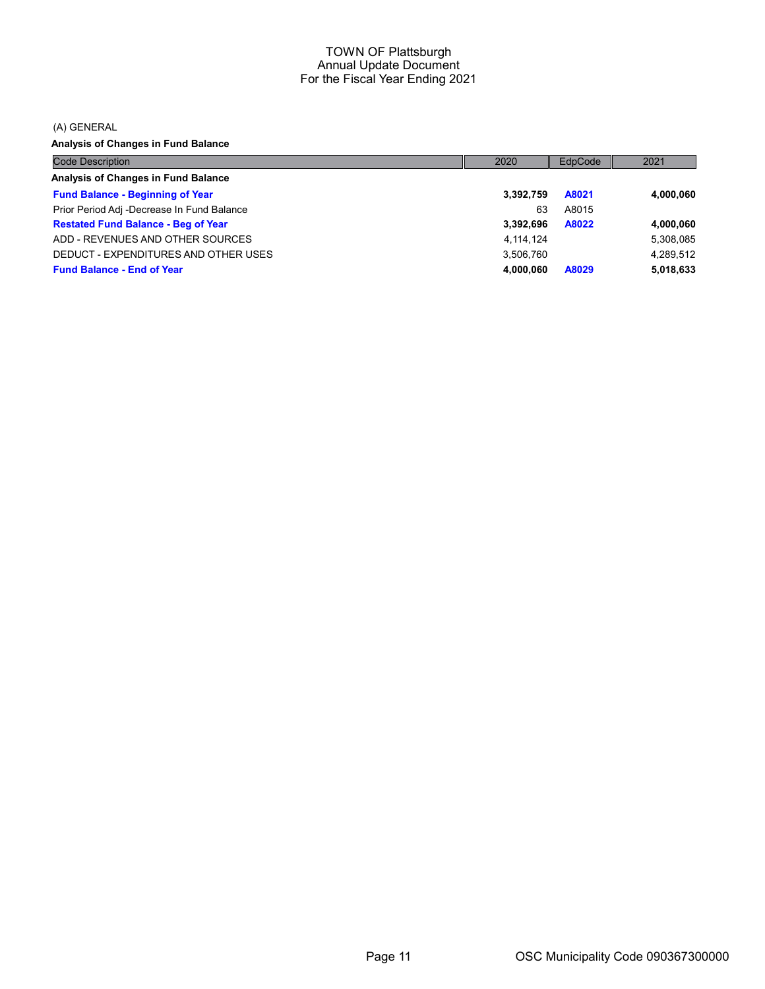(A) GENERAL

Analysis of Changes in Fund Balance

| <b>Code Description</b>                    | 2020      | EdpCode | 2021      |
|--------------------------------------------|-----------|---------|-----------|
| Analysis of Changes in Fund Balance        |           |         |           |
| <b>Fund Balance - Beginning of Year</b>    | 3,392,759 | A8021   | 4,000,060 |
| Prior Period Adj -Decrease In Fund Balance | 63        | A8015   |           |
| <b>Restated Fund Balance - Beg of Year</b> | 3,392,696 | A8022   | 4,000,060 |
| ADD - REVENUES AND OTHER SOURCES           | 4,114,124 |         | 5,308,085 |
| DEDUCT - EXPENDITURES AND OTHER USES       | 3,506,760 |         | 4.289.512 |
| <b>Fund Balance - End of Year</b>          | 4.000.060 | A8029   | 5,018,633 |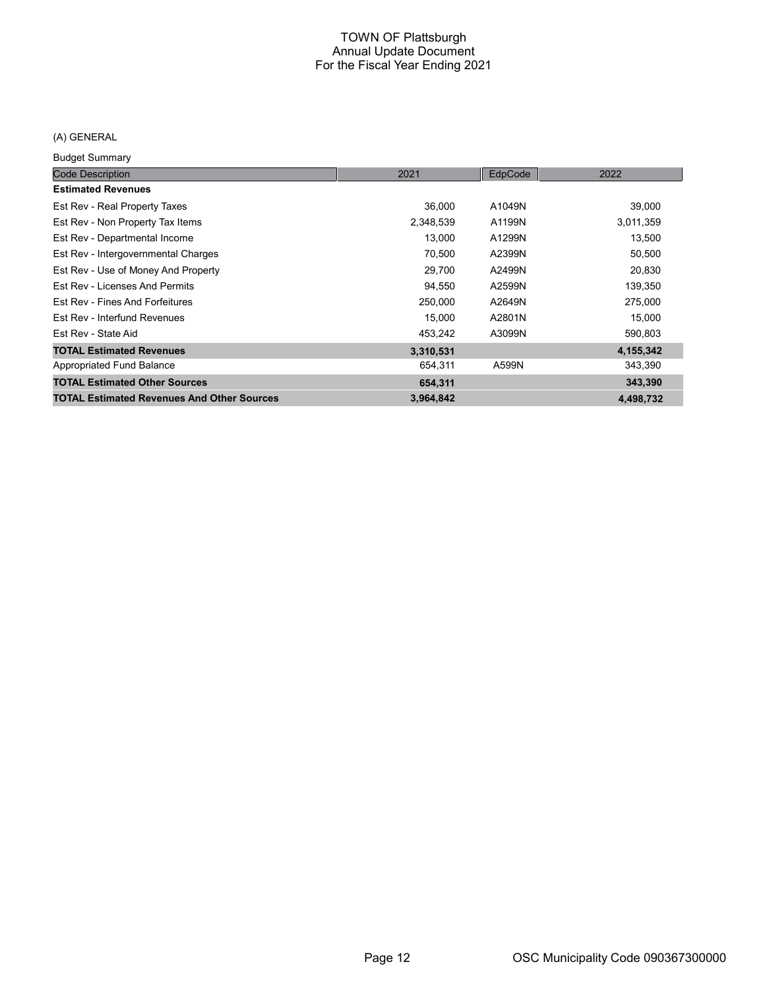## (A) GENERAL

Budget Summary

| <b>Code Description</b>                           | 2021      | EdpCode | 2022      |
|---------------------------------------------------|-----------|---------|-----------|
| <b>Estimated Revenues</b>                         |           |         |           |
| Est Rev - Real Property Taxes                     | 36,000    | A1049N  | 39,000    |
| Est Rev - Non Property Tax Items                  | 2,348,539 | A1199N  | 3,011,359 |
| Est Rev - Departmental Income                     | 13,000    | A1299N  | 13,500    |
| Est Rev - Intergovernmental Charges               | 70,500    | A2399N  | 50,500    |
| Est Rev - Use of Money And Property               | 29,700    | A2499N  | 20,830    |
| Est Rev - Licenses And Permits                    | 94,550    | A2599N  | 139,350   |
| Est Rev - Fines And Forfeitures                   | 250,000   | A2649N  | 275,000   |
| Est Rev - Interfund Revenues                      | 15,000    | A2801N  | 15,000    |
| Est Rev - State Aid                               | 453,242   | A3099N  | 590,803   |
| <b>TOTAL Estimated Revenues</b>                   | 3,310,531 |         | 4,155,342 |
| Appropriated Fund Balance                         | 654,311   | A599N   | 343,390   |
| <b>TOTAL Estimated Other Sources</b>              | 654,311   |         | 343,390   |
| <b>TOTAL Estimated Revenues And Other Sources</b> | 3,964,842 |         | 4,498,732 |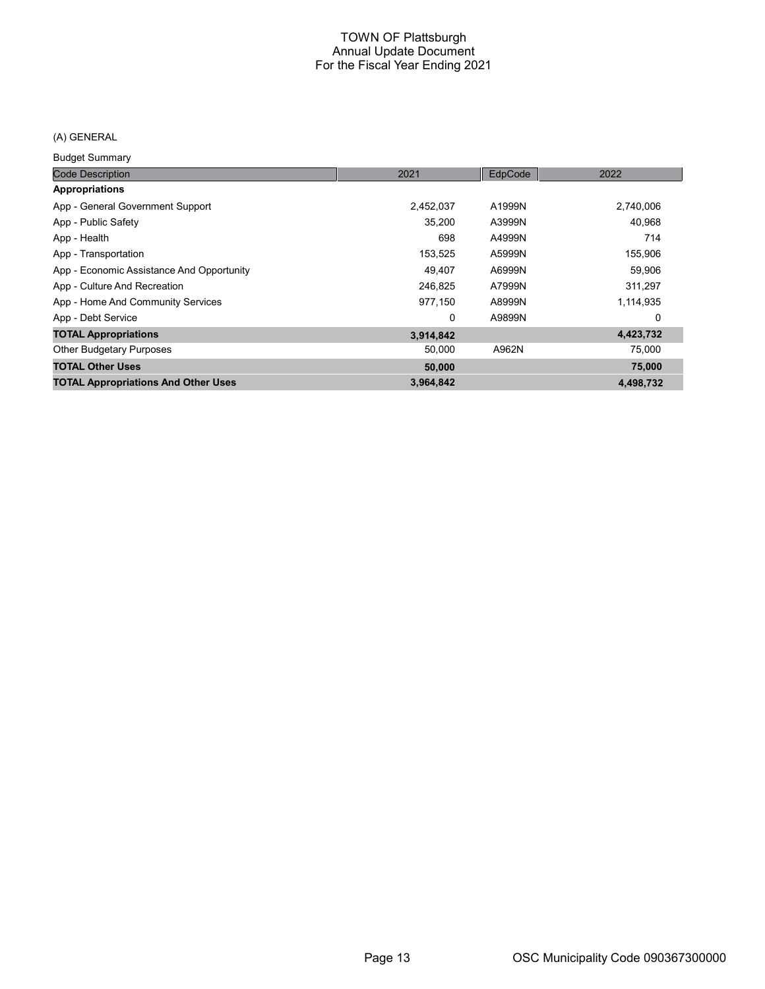## (A) GENERAL

Budget Summary

| <b>Code Description</b>                    | 2021      | EdpCode | 2022      |
|--------------------------------------------|-----------|---------|-----------|
| Appropriations                             |           |         |           |
| App - General Government Support           | 2,452,037 | A1999N  | 2,740,006 |
| App - Public Safety                        | 35.200    | A3999N  | 40,968    |
| App - Health                               | 698       | A4999N  | 714       |
| App - Transportation                       | 153,525   | A5999N  | 155,906   |
| App - Economic Assistance And Opportunity  | 49.407    | A6999N  | 59,906    |
| App - Culture And Recreation               | 246.825   | A7999N  | 311,297   |
| App - Home And Community Services          | 977,150   | A8999N  | 1,114,935 |
| App - Debt Service                         | 0         | A9899N  | 0         |
| <b>TOTAL Appropriations</b>                | 3,914,842 |         | 4,423,732 |
| <b>Other Budgetary Purposes</b>            | 50,000    | A962N   | 75,000    |
| <b>TOTAL Other Uses</b>                    | 50,000    |         | 75,000    |
| <b>TOTAL Appropriations And Other Uses</b> | 3,964,842 |         | 4,498,732 |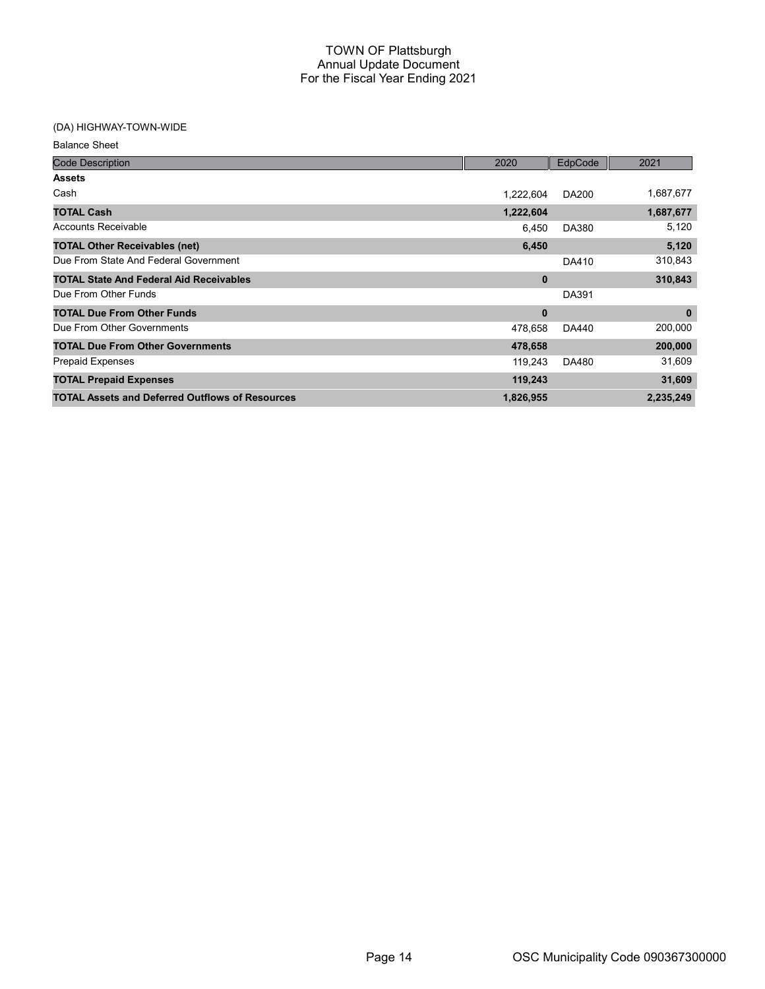| <b>Code Description</b>                                | 2020      | EdpCode      | 2021      |
|--------------------------------------------------------|-----------|--------------|-----------|
| <b>Assets</b>                                          |           |              |           |
| Cash                                                   | 1,222,604 | <b>DA200</b> | 1,687,677 |
| <b>TOTAL Cash</b>                                      | 1,222,604 |              | 1,687,677 |
| <b>Accounts Receivable</b>                             | 6,450     | DA380        | 5,120     |
| <b>TOTAL Other Receivables (net)</b>                   | 6,450     |              | 5,120     |
| Due From State And Federal Government                  |           | DA410        | 310,843   |
| <b>TOTAL State And Federal Aid Receivables</b>         | 0         |              | 310,843   |
| Due From Other Funds                                   |           | DA391        |           |
| <b>TOTAL Due From Other Funds</b>                      | 0         |              | $\bf{0}$  |
| Due From Other Governments                             | 478,658   | DA440        | 200,000   |
| <b>TOTAL Due From Other Governments</b>                | 478,658   |              | 200,000   |
| <b>Prepaid Expenses</b>                                | 119,243   | DA480        | 31,609    |
| <b>TOTAL Prepaid Expenses</b>                          | 119,243   |              | 31,609    |
| <b>TOTAL Assets and Deferred Outflows of Resources</b> | 1,826,955 |              | 2,235,249 |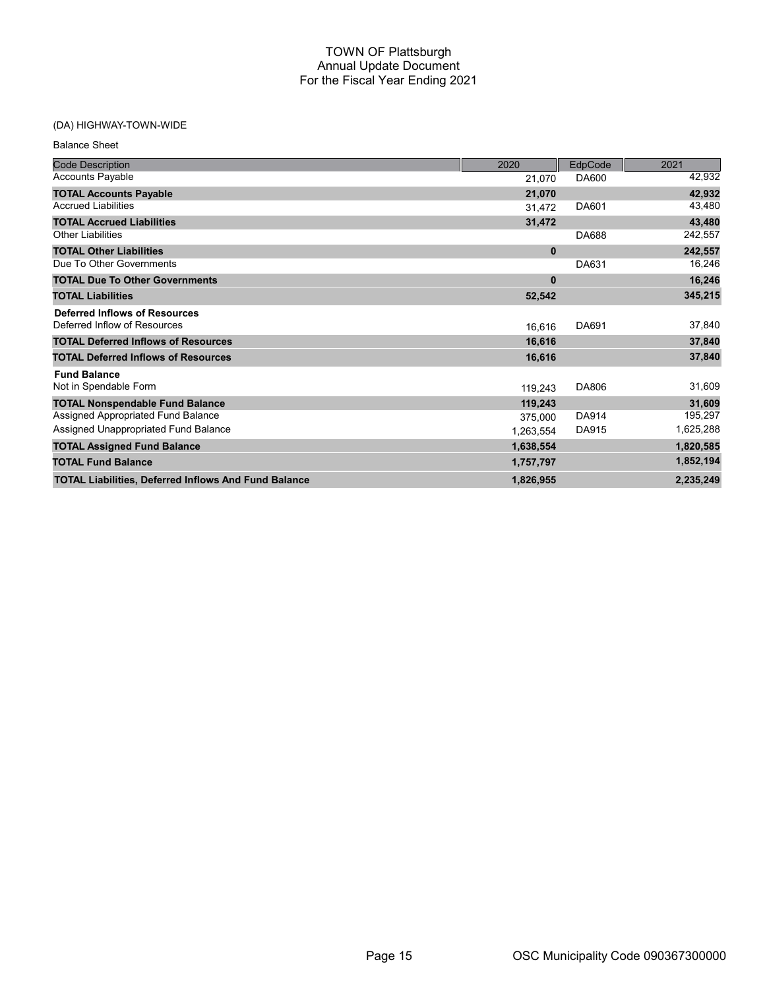| <b>Balance Sheet</b>                                        |              |              |           |
|-------------------------------------------------------------|--------------|--------------|-----------|
| <b>Code Description</b>                                     | 2020         | EdpCode      | 2021      |
| <b>Accounts Payable</b>                                     | 21.070       | DA600        | 42,932    |
| <b>TOTAL Accounts Payable</b>                               | 21,070       |              | 42,932    |
| <b>Accrued Liabilities</b>                                  | 31,472       | DA601        | 43,480    |
| <b>TOTAL Accrued Liabilities</b>                            | 31,472       |              | 43,480    |
| <b>Other Liabilities</b>                                    |              | DA688        | 242,557   |
| <b>TOTAL Other Liabilities</b>                              | $\mathbf{0}$ |              | 242,557   |
| Due To Other Governments                                    |              | DA631        | 16,246    |
| <b>TOTAL Due To Other Governments</b>                       | $\mathbf{0}$ |              | 16,246    |
| <b>TOTAL Liabilities</b>                                    | 52,542       |              | 345,215   |
| <b>Deferred Inflows of Resources</b>                        |              |              |           |
| Deferred Inflow of Resources                                | 16.616       | DA691        | 37,840    |
| <b>TOTAL Deferred Inflows of Resources</b>                  | 16,616       |              | 37,840    |
| <b>TOTAL Deferred Inflows of Resources</b>                  | 16,616       |              | 37,840    |
| <b>Fund Balance</b>                                         |              |              |           |
| Not in Spendable Form                                       | 119,243      | DA806        | 31,609    |
| <b>TOTAL Nonspendable Fund Balance</b>                      | 119,243      |              | 31,609    |
| Assigned Appropriated Fund Balance                          | 375.000      | <b>DA914</b> | 195,297   |
| Assigned Unappropriated Fund Balance                        | 1,263,554    | DA915        | 1,625,288 |
| <b>TOTAL Assigned Fund Balance</b>                          | 1,638,554    |              | 1,820,585 |
| <b>TOTAL Fund Balance</b>                                   | 1,757,797    |              | 1,852,194 |
| <b>TOTAL Liabilities, Deferred Inflows And Fund Balance</b> | 1,826,955    |              | 2,235,249 |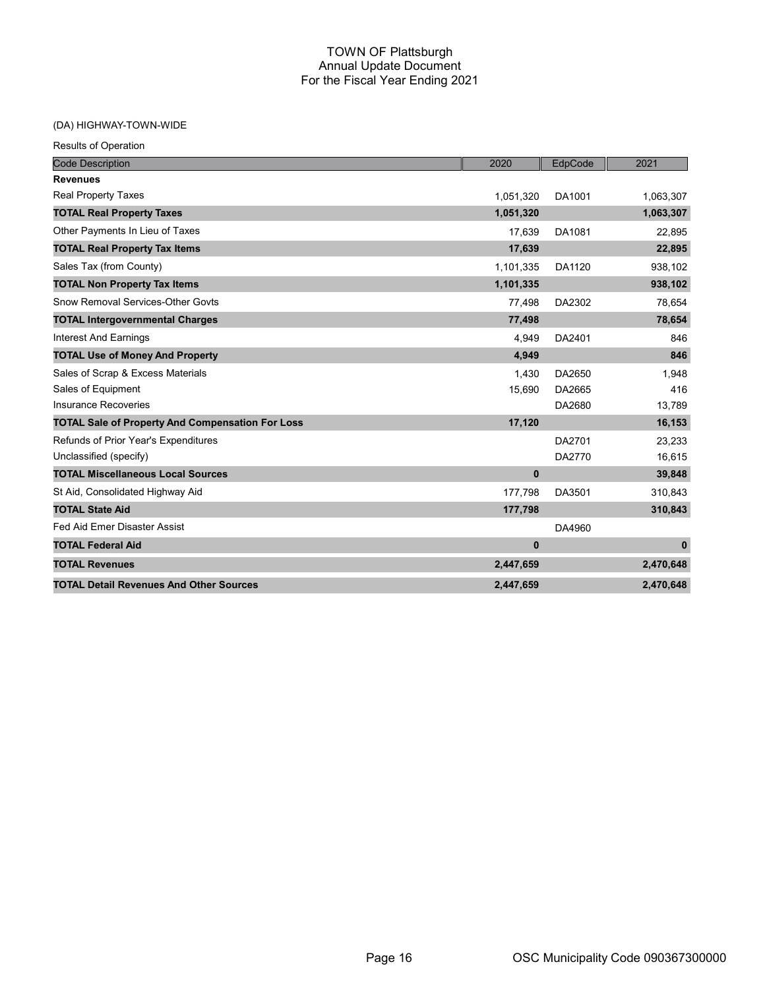| <b>Results of Operation</b>                             |              |         |              |
|---------------------------------------------------------|--------------|---------|--------------|
| <b>Code Description</b>                                 | 2020         | EdpCode | 2021         |
| <b>Revenues</b>                                         |              |         |              |
| <b>Real Property Taxes</b>                              | 1,051,320    | DA1001  | 1,063,307    |
| <b>TOTAL Real Property Taxes</b>                        | 1,051,320    |         | 1,063,307    |
| Other Payments In Lieu of Taxes                         | 17.639       | DA1081  | 22,895       |
| <b>TOTAL Real Property Tax Items</b>                    | 17,639       |         | 22,895       |
| Sales Tax (from County)                                 | 1,101,335    | DA1120  | 938,102      |
| <b>TOTAL Non Property Tax Items</b>                     | 1,101,335    |         | 938,102      |
| Snow Removal Services-Other Govts                       | 77,498       | DA2302  | 78,654       |
| <b>TOTAL Intergovernmental Charges</b>                  | 77,498       |         | 78,654       |
| <b>Interest And Earnings</b>                            | 4.949        | DA2401  | 846          |
| <b>TOTAL Use of Money And Property</b>                  | 4,949        |         | 846          |
| Sales of Scrap & Excess Materials                       | 1,430        | DA2650  | 1.948        |
| Sales of Equipment                                      | 15,690       | DA2665  | 416          |
| <b>Insurance Recoveries</b>                             |              | DA2680  | 13,789       |
| <b>TOTAL Sale of Property And Compensation For Loss</b> | 17,120       |         | 16,153       |
| Refunds of Prior Year's Expenditures                    |              | DA2701  | 23,233       |
| Unclassified (specify)                                  |              | DA2770  | 16,615       |
| <b>TOTAL Miscellaneous Local Sources</b>                | $\mathbf 0$  |         | 39,848       |
| St Aid, Consolidated Highway Aid                        | 177,798      | DA3501  | 310,843      |
| <b>TOTAL State Aid</b>                                  | 177,798      |         | 310,843      |
| Fed Aid Emer Disaster Assist                            |              | DA4960  |              |
| <b>TOTAL Federal Aid</b>                                | $\mathbf{0}$ |         | $\mathbf{0}$ |
| <b>TOTAL Revenues</b>                                   | 2,447,659    |         | 2,470,648    |
| <b>TOTAL Detail Revenues And Other Sources</b>          | 2,447,659    |         | 2,470,648    |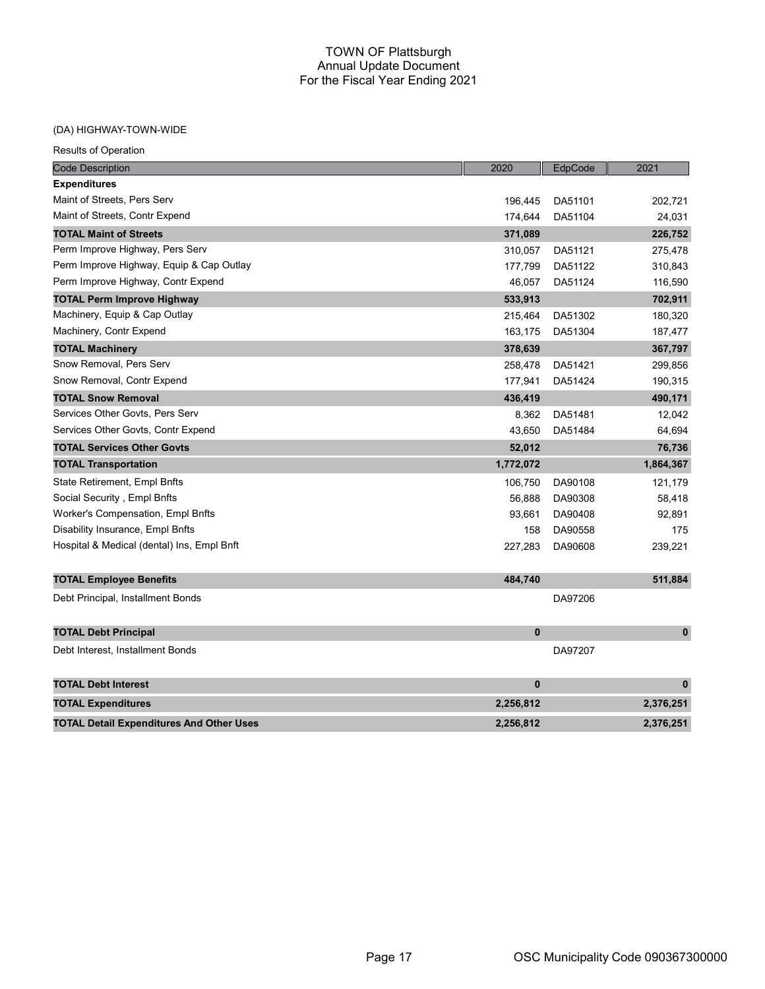## (DA) HIGHWAY-TOWN-WIDE

| <b>Code Description</b>                         | 2020         | EdpCode | 2021         |
|-------------------------------------------------|--------------|---------|--------------|
| <b>Expenditures</b>                             |              |         |              |
| Maint of Streets, Pers Serv                     | 196,445      | DA51101 | 202,721      |
| Maint of Streets, Contr Expend                  | 174,644      | DA51104 | 24,031       |
| <b>TOTAL Maint of Streets</b>                   | 371,089      |         | 226,752      |
| Perm Improve Highway, Pers Serv                 | 310,057      | DA51121 | 275,478      |
| Perm Improve Highway, Equip & Cap Outlay        | 177,799      | DA51122 | 310,843      |
| Perm Improve Highway, Contr Expend              | 46,057       | DA51124 | 116,590      |
| <b>TOTAL Perm Improve Highway</b>               | 533,913      |         | 702,911      |
| Machinery, Equip & Cap Outlay                   | 215,464      | DA51302 | 180,320      |
| Machinery, Contr Expend                         | 163,175      | DA51304 | 187,477      |
| <b>TOTAL Machinery</b>                          | 378,639      |         | 367,797      |
| Snow Removal, Pers Serv                         | 258,478      | DA51421 | 299,856      |
| Snow Removal, Contr Expend                      | 177,941      | DA51424 | 190,315      |
| <b>TOTAL Snow Removal</b>                       | 436,419      |         | 490,171      |
| Services Other Govts, Pers Serv                 | 8,362        | DA51481 | 12,042       |
| Services Other Govts, Contr Expend              | 43,650       | DA51484 | 64,694       |
| <b>TOTAL Services Other Govts</b>               | 52,012       |         | 76,736       |
| <b>TOTAL Transportation</b>                     | 1,772,072    |         | 1,864,367    |
| State Retirement, Empl Bnfts                    | 106,750      | DA90108 | 121,179      |
| Social Security, Empl Bnfts                     | 56,888       | DA90308 | 58,418       |
| Worker's Compensation, Empl Bnfts               | 93,661       | DA90408 | 92,891       |
| Disability Insurance, Empl Bnfts                | 158          | DA90558 | 175          |
| Hospital & Medical (dental) Ins, Empl Bnft      | 227,283      | DA90608 | 239,221      |
| <b>TOTAL Employee Benefits</b>                  | 484,740      |         | 511,884      |
| Debt Principal, Installment Bonds               |              | DA97206 |              |
| <b>TOTAL Debt Principal</b>                     | $\mathbf{0}$ |         | $\mathbf 0$  |
| Debt Interest, Installment Bonds                |              | DA97207 |              |
| <b>TOTAL Debt Interest</b>                      | $\bf{0}$     |         | $\mathbf{0}$ |
| <b>TOTAL Expenditures</b>                       | 2,256,812    |         | 2,376,251    |
| <b>TOTAL Detail Expenditures And Other Uses</b> | 2,256,812    |         | 2,376,251    |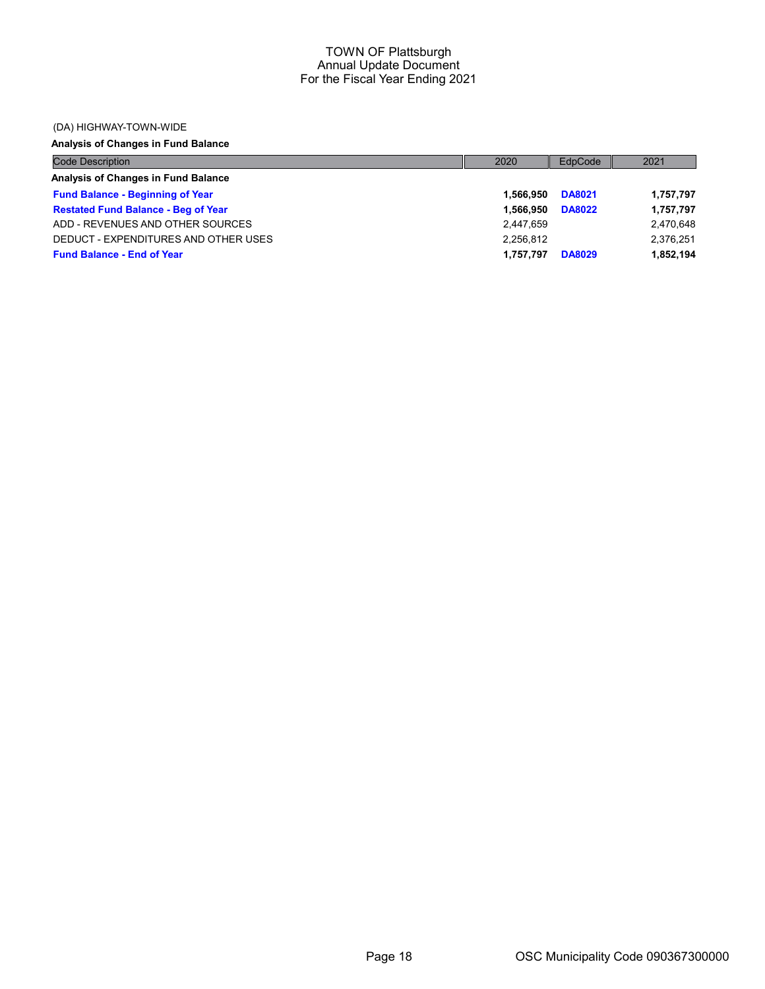### (DA) HIGHWAY-TOWN-WIDE

## Analysis of Changes in Fund Balance

| <b>Code Description</b>                    | 2020      | EdpCode       | 2021      |
|--------------------------------------------|-----------|---------------|-----------|
| Analysis of Changes in Fund Balance        |           |               |           |
| <b>Fund Balance - Beginning of Year</b>    | 1.566.950 | <b>DA8021</b> | 1,757,797 |
| <b>Restated Fund Balance - Beg of Year</b> | 1.566.950 | <b>DA8022</b> | 1,757,797 |
| ADD - REVENUES AND OTHER SOURCES           | 2,447,659 |               | 2,470,648 |
| DEDUCT - EXPENDITURES AND OTHER USES       | 2.256.812 |               | 2,376,251 |
| <b>Fund Balance - End of Year</b>          | 1.757.797 | <b>DA8029</b> | 1,852,194 |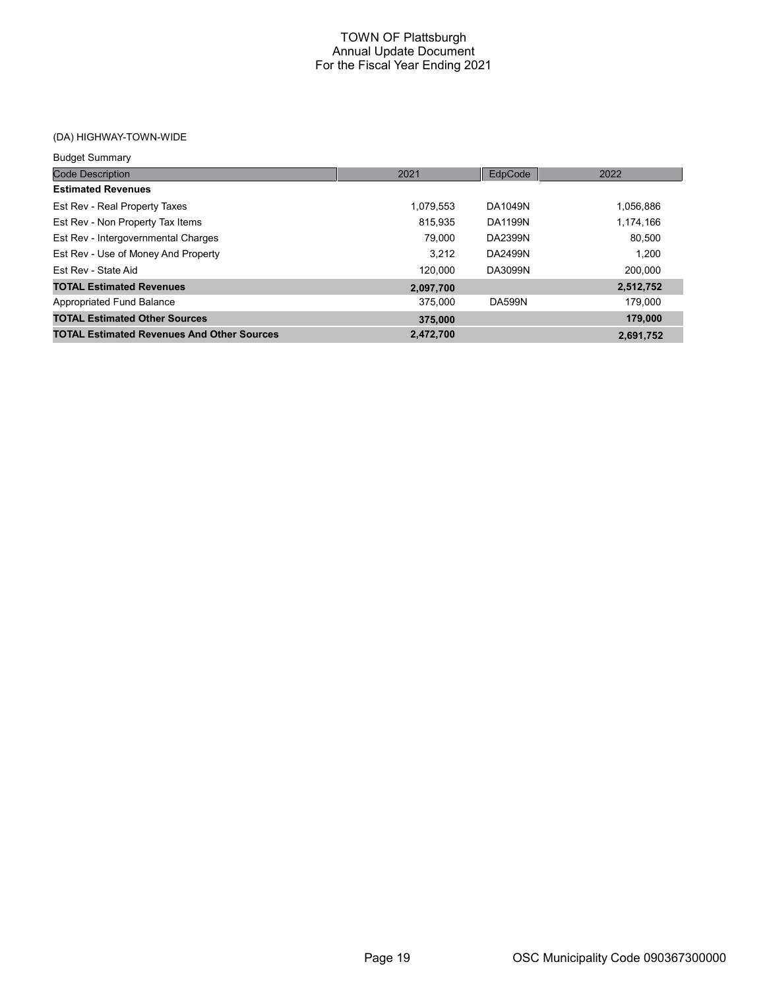| <b>Budget Summary</b>                             |           |               |           |
|---------------------------------------------------|-----------|---------------|-----------|
| <b>Code Description</b>                           | 2021      | EdpCode       | 2022      |
| <b>Estimated Revenues</b>                         |           |               |           |
| Est Rev - Real Property Taxes                     | 1,079,553 | DA1049N       | 1,056,886 |
| Est Rev - Non Property Tax Items                  | 815.935   | DA1199N       | 1,174,166 |
| Est Rev - Intergovernmental Charges               | 79.000    | DA2399N       | 80.500    |
| Est Rev - Use of Money And Property               | 3.212     | DA2499N       | 1.200     |
| Est Rev - State Aid                               | 120.000   | DA3099N       | 200.000   |
| <b>TOTAL Estimated Revenues</b>                   | 2,097,700 |               | 2,512,752 |
| Appropriated Fund Balance                         | 375,000   | <b>DA599N</b> | 179.000   |
| <b>TOTAL Estimated Other Sources</b>              | 375,000   |               | 179,000   |
| <b>TOTAL Estimated Revenues And Other Sources</b> | 2,472,700 |               | 2,691,752 |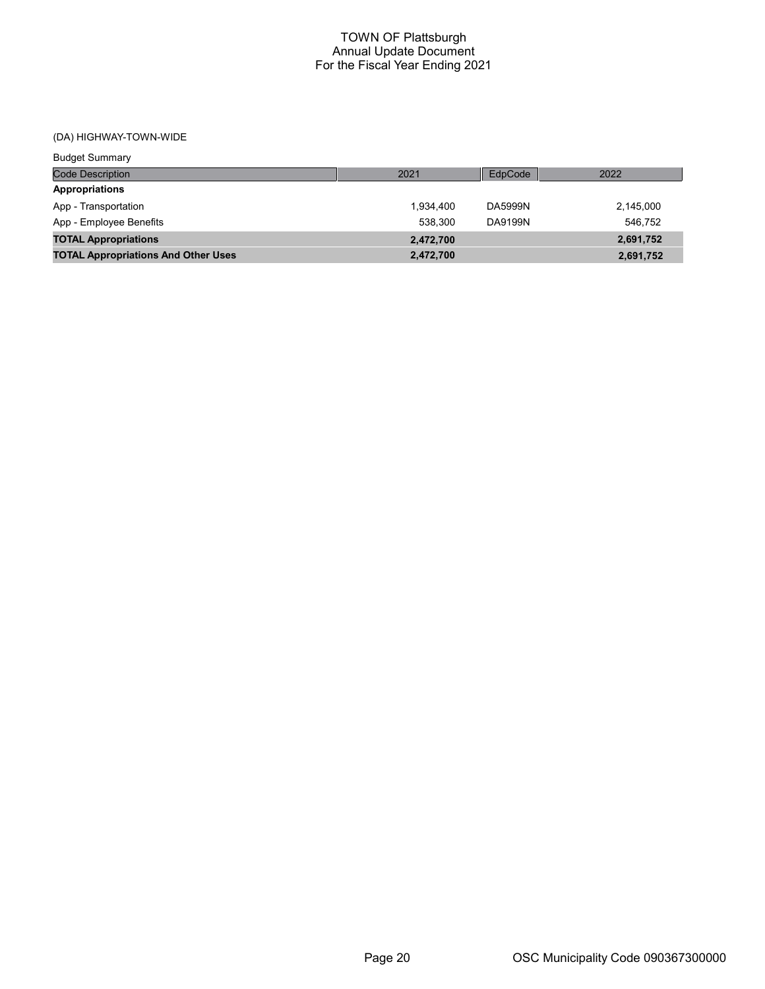| <b>Budget Summary</b>                      |           |         |           |
|--------------------------------------------|-----------|---------|-----------|
| <b>Code Description</b>                    | 2021      | EdpCode | 2022      |
| Appropriations                             |           |         |           |
| App - Transportation                       | 1.934.400 | DA5999N | 2,145,000 |
| App - Employee Benefits                    | 538.300   | DA9199N | 546.752   |
| <b>TOTAL Appropriations</b>                | 2,472,700 |         | 2,691,752 |
| <b>TOTAL Appropriations And Other Uses</b> | 2,472,700 |         | 2,691,752 |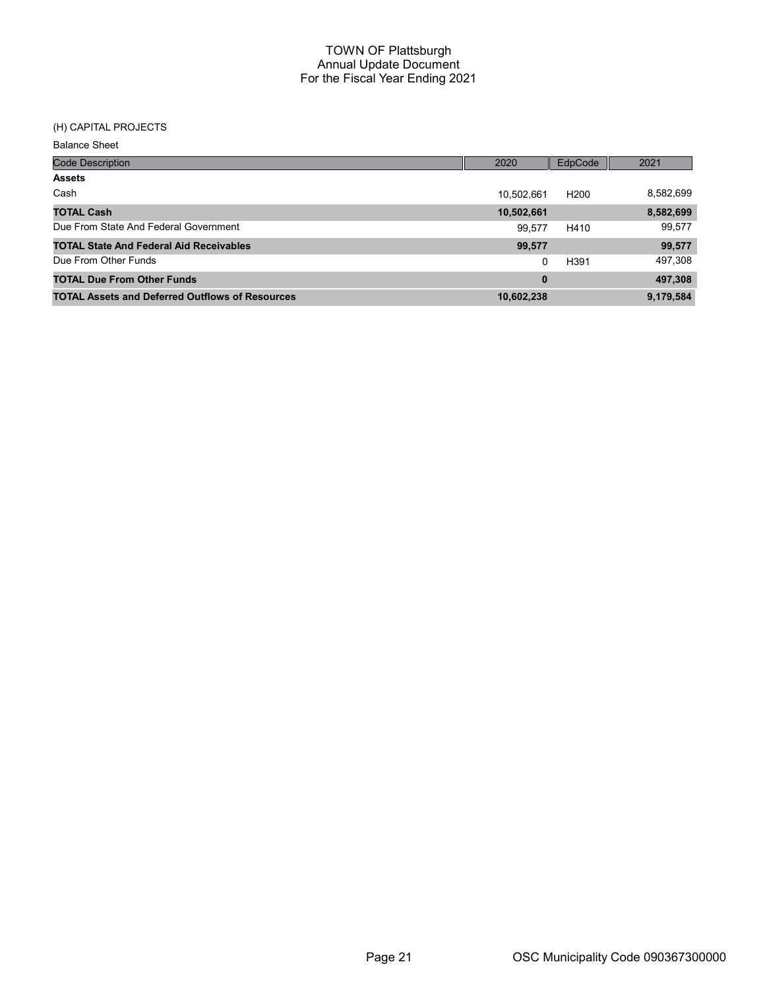## (H) CAPITAL PROJECTS

Balance Sheet

| <b>Code Description</b>                                | 2020       | EdpCode          | 2021      |
|--------------------------------------------------------|------------|------------------|-----------|
| <b>Assets</b>                                          |            |                  |           |
| Cash                                                   | 10,502,661 | H <sub>200</sub> | 8,582,699 |
| <b>TOTAL Cash</b>                                      | 10,502,661 |                  | 8,582,699 |
| Due From State And Federal Government                  | 99.577     | H410             | 99,577    |
| <b>TOTAL State And Federal Aid Receivables</b>         | 99,577     |                  | 99,577    |
| Due From Other Funds                                   | 0          | H391             | 497,308   |
| <b>TOTAL Due From Other Funds</b>                      | $\bf{0}$   |                  | 497,308   |
| <b>TOTAL Assets and Deferred Outflows of Resources</b> | 10,602,238 |                  | 9,179,584 |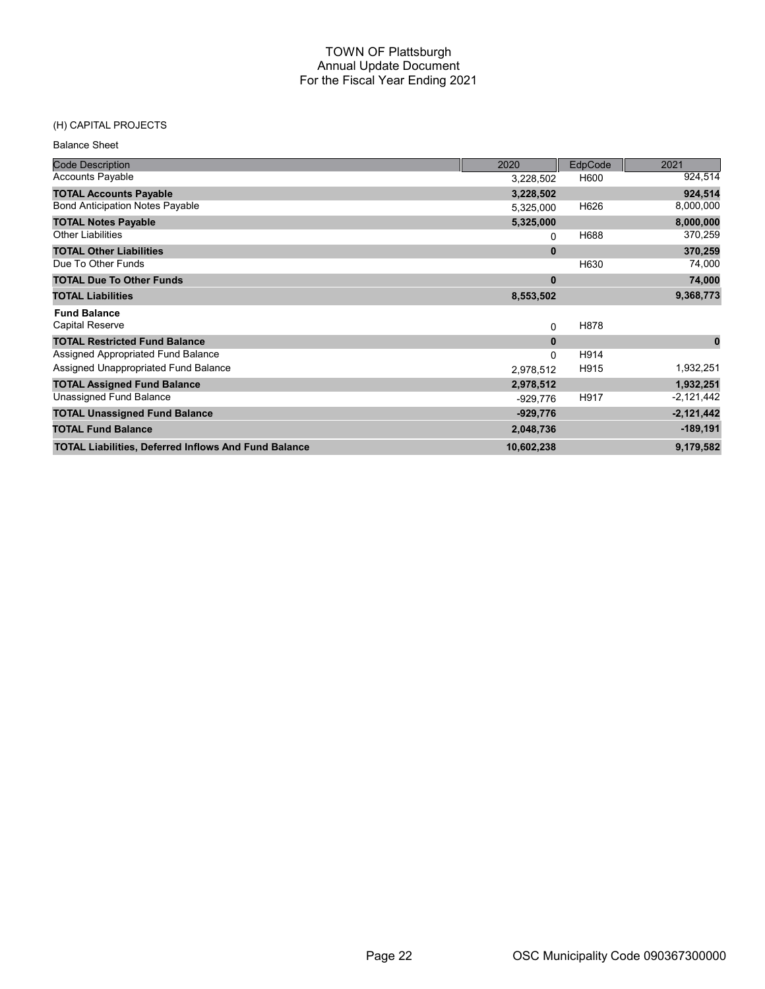### (H) CAPITAL PROJECTS

| <b>Balance Sheet</b>                                        |             |         |              |
|-------------------------------------------------------------|-------------|---------|--------------|
| <b>Code Description</b>                                     | 2020        | EdpCode | 2021         |
| <b>Accounts Payable</b>                                     | 3,228,502   | H600    | 924,514      |
| <b>TOTAL Accounts Payable</b>                               | 3,228,502   |         | 924,514      |
| <b>Bond Anticipation Notes Payable</b>                      | 5,325,000   | H626    | 8,000,000    |
| <b>TOTAL Notes Payable</b>                                  | 5,325,000   |         | 8,000,000    |
| <b>Other Liabilities</b>                                    | 0           | H688    | 370,259      |
| <b>TOTAL Other Liabilities</b>                              | $\bf{0}$    |         | 370,259      |
| Due To Other Funds                                          |             | H630    | 74,000       |
| <b>TOTAL Due To Other Funds</b>                             | $\bf{0}$    |         | 74,000       |
| <b>TOTAL Liabilities</b>                                    | 8,553,502   |         | 9,368,773    |
| <b>Fund Balance</b>                                         |             |         |              |
| <b>Capital Reserve</b>                                      | $\mathbf 0$ | H878    |              |
| <b>TOTAL Restricted Fund Balance</b>                        | $\bf{0}$    |         | $\bf{0}$     |
| Assigned Appropriated Fund Balance                          | $\Omega$    | H914    |              |
| Assigned Unappropriated Fund Balance                        | 2,978,512   | H915    | 1,932,251    |
| <b>TOTAL Assigned Fund Balance</b>                          | 2,978,512   |         | 1,932,251    |
| Unassigned Fund Balance                                     | $-929,776$  | H917    | $-2,121,442$ |
| <b>TOTAL Unassigned Fund Balance</b>                        | $-929,776$  |         | $-2,121,442$ |
| <b>TOTAL Fund Balance</b>                                   | 2,048,736   |         | $-189,191$   |
| <b>TOTAL Liabilities, Deferred Inflows And Fund Balance</b> | 10,602,238  |         | 9,179,582    |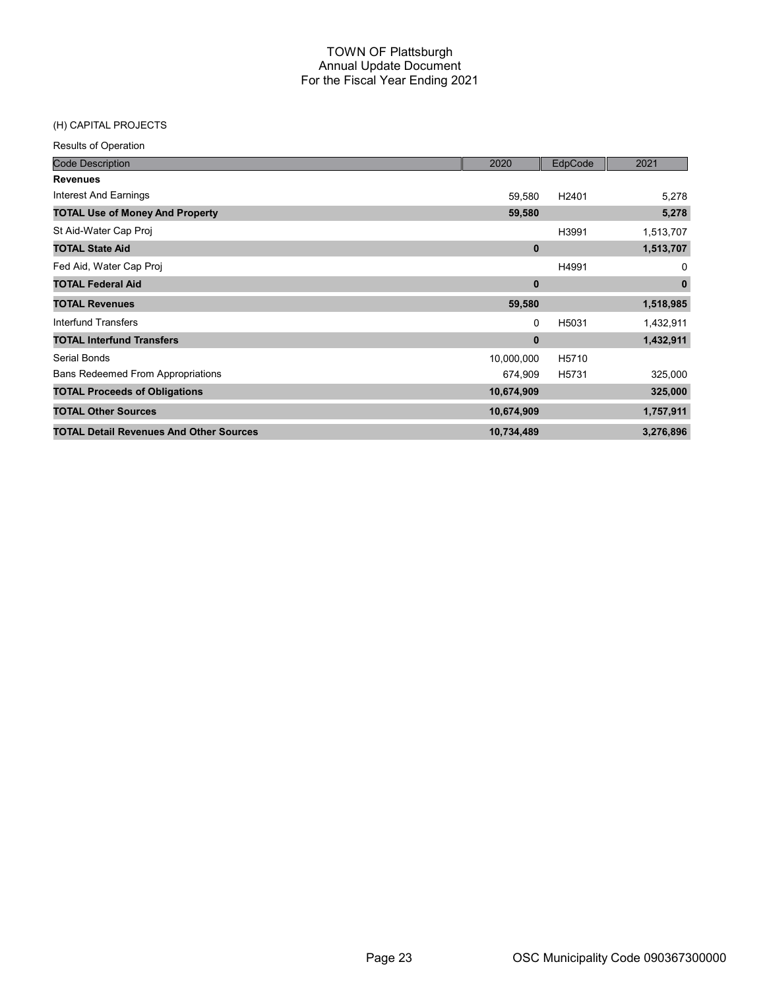## (H) CAPITAL PROJECTS

| <b>Code Description</b>                        | 2020         | EdpCode | 2021         |
|------------------------------------------------|--------------|---------|--------------|
| <b>Revenues</b>                                |              |         |              |
| Interest And Earnings                          | 59,580       | H2401   | 5,278        |
| <b>TOTAL Use of Money And Property</b>         | 59,580       |         | 5,278        |
| St Aid-Water Cap Proj                          |              | H3991   | 1,513,707    |
| <b>TOTAL State Aid</b>                         | $\bf{0}$     |         | 1,513,707    |
| Fed Aid, Water Cap Proj                        |              | H4991   | 0            |
| <b>TOTAL Federal Aid</b>                       | $\mathbf 0$  |         | $\mathbf{0}$ |
| <b>TOTAL Revenues</b>                          | 59,580       |         | 1,518,985    |
| <b>Interfund Transfers</b>                     | 0            | H5031   | 1,432,911    |
| <b>TOTAL Interfund Transfers</b>               | $\mathbf{0}$ |         | 1,432,911    |
| Serial Bonds                                   | 10,000,000   | H5710   |              |
| <b>Bans Redeemed From Appropriations</b>       | 674,909      | H5731   | 325,000      |
| <b>TOTAL Proceeds of Obligations</b>           | 10,674,909   |         | 325,000      |
| <b>TOTAL Other Sources</b>                     | 10,674,909   |         | 1,757,911    |
| <b>TOTAL Detail Revenues And Other Sources</b> | 10,734,489   |         | 3,276,896    |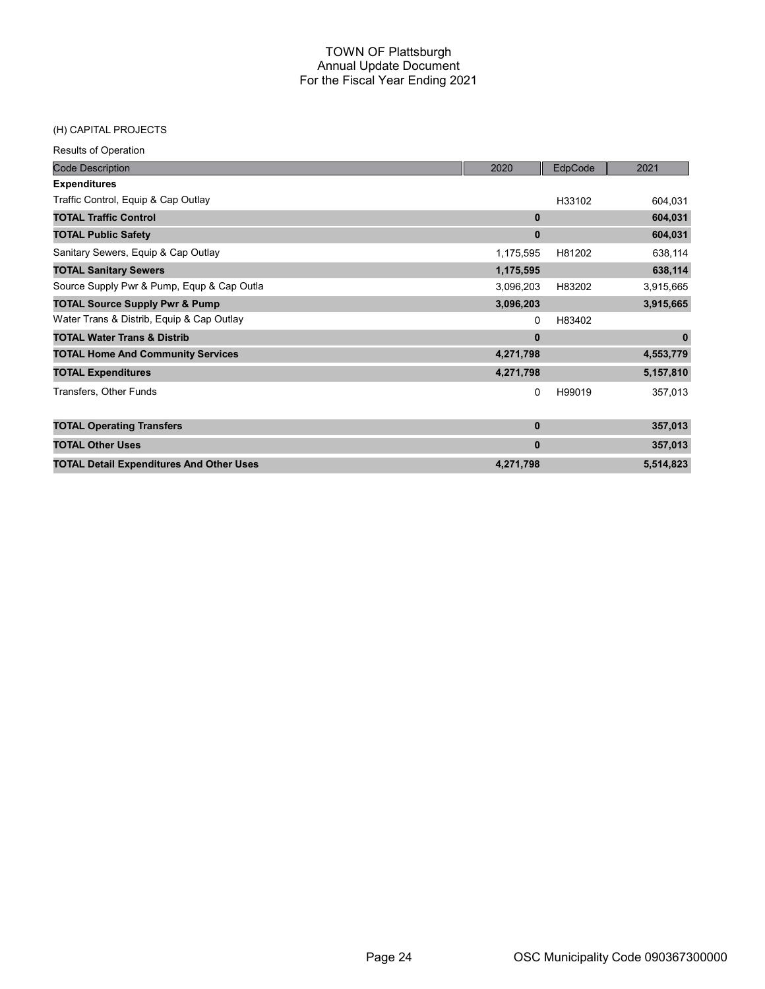#### (H) CAPITAL PROJECTS

| <b>Code Description</b>                         | 2020         | EdpCode | 2021         |
|-------------------------------------------------|--------------|---------|--------------|
| <b>Expenditures</b>                             |              |         |              |
| Traffic Control, Equip & Cap Outlay             |              | H33102  | 604,031      |
| <b>TOTAL Traffic Control</b>                    | 0            |         | 604,031      |
| <b>TOTAL Public Safety</b>                      | $\mathbf{0}$ |         | 604,031      |
| Sanitary Sewers, Equip & Cap Outlay             | 1,175,595    | H81202  | 638,114      |
| <b>TOTAL Sanitary Sewers</b>                    | 1,175,595    |         | 638,114      |
| Source Supply Pwr & Pump, Equp & Cap Outla      | 3,096,203    | H83202  | 3,915,665    |
| <b>TOTAL Source Supply Pwr &amp; Pump</b>       | 3,096,203    |         | 3,915,665    |
| Water Trans & Distrib, Equip & Cap Outlay       | 0            | H83402  |              |
| <b>TOTAL Water Trans &amp; Distrib</b>          | $\mathbf{0}$ |         | $\mathbf{0}$ |
| <b>TOTAL Home And Community Services</b>        | 4,271,798    |         | 4,553,779    |
| <b>TOTAL Expenditures</b>                       | 4,271,798    |         | 5,157,810    |
| Transfers, Other Funds                          | 0            | H99019  | 357,013      |
| <b>TOTAL Operating Transfers</b>                | $\mathbf{0}$ |         | 357,013      |
| <b>TOTAL Other Uses</b>                         | $\mathbf{0}$ |         | 357,013      |
| <b>TOTAL Detail Expenditures And Other Uses</b> | 4,271,798    |         | 5,514,823    |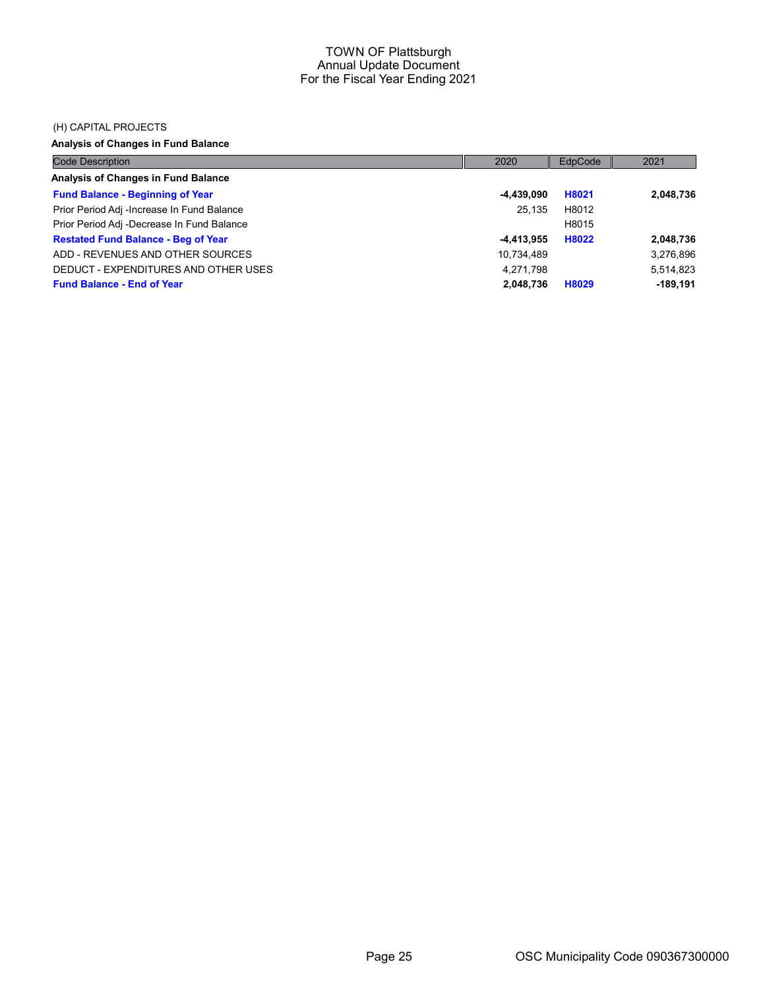### (H) CAPITAL PROJECTS

## Analysis of Changes in Fund Balance

| <b>Code Description</b>                    | 2020       | EdpCode | 2021       |
|--------------------------------------------|------------|---------|------------|
| Analysis of Changes in Fund Balance        |            |         |            |
| <b>Fund Balance - Beginning of Year</b>    | -4,439,090 | H8021   | 2,048,736  |
| Prior Period Adj -Increase In Fund Balance | 25.135     | H8012   |            |
| Prior Period Adj -Decrease In Fund Balance |            | H8015   |            |
| <b>Restated Fund Balance - Beg of Year</b> | -4,413,955 | H8022   | 2,048,736  |
| ADD - REVENUES AND OTHER SOURCES           | 10,734,489 |         | 3,276,896  |
| DEDUCT - EXPENDITURES AND OTHER USES       | 4,271,798  |         | 5,514,823  |
| <b>Fund Balance - End of Year</b>          | 2,048,736  | H8029   | $-189,191$ |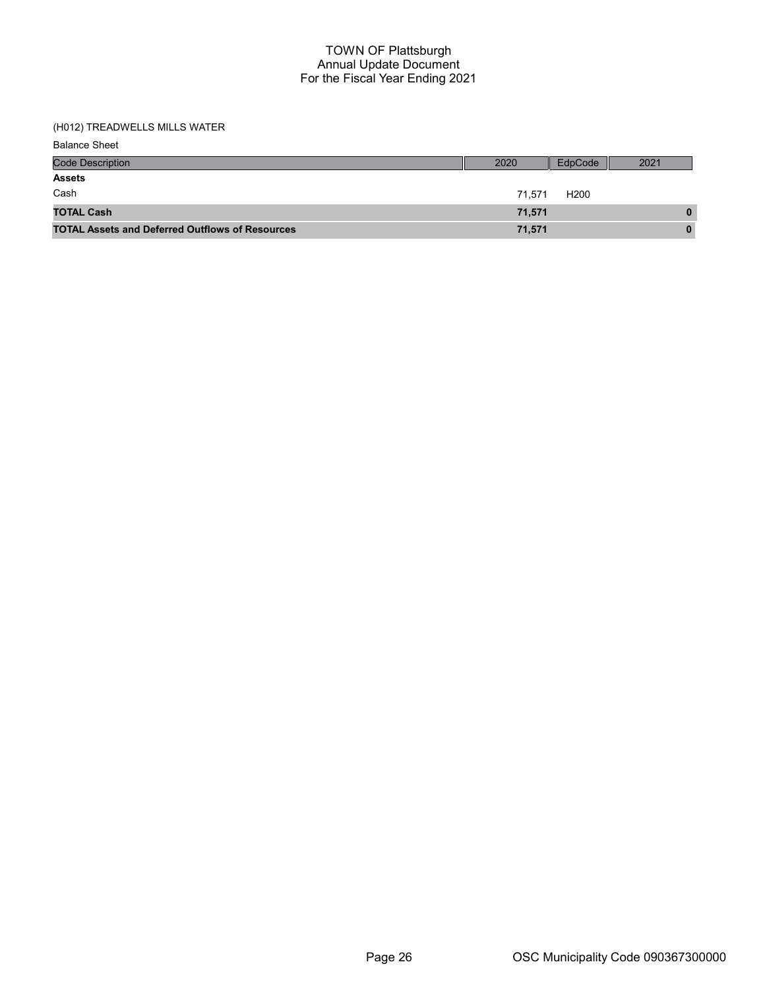## (H012) TREADWELLS MILLS WATER

Balance Sheet

| <b>Code Description</b>                                | 2020   | EdpCode          | 2021 |
|--------------------------------------------------------|--------|------------------|------|
| <b>Assets</b>                                          |        |                  |      |
| Cash                                                   | 71.571 | H <sub>200</sub> |      |
| <b>TOTAL Cash</b>                                      | 71.571 |                  | 0    |
| <b>TOTAL Assets and Deferred Outflows of Resources</b> | 71,571 |                  | 0    |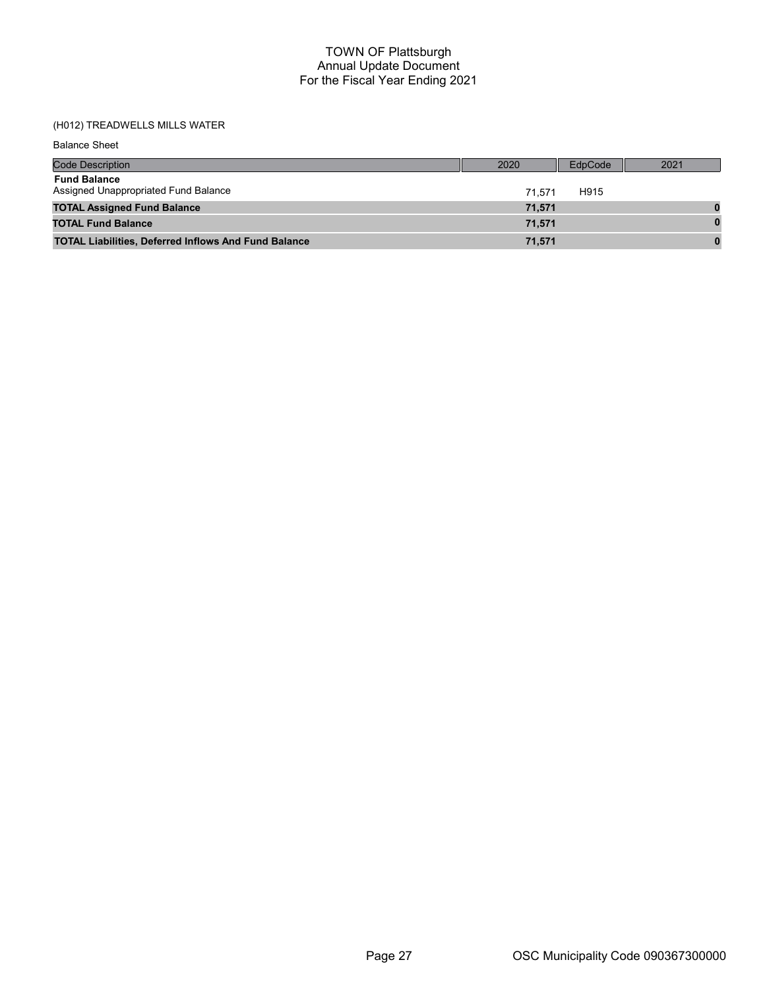## (H012) TREADWELLS MILLS WATER

Balance Sheet

| <b>Code Description</b>                                     | 2020   | EdpCode | 2021 |
|-------------------------------------------------------------|--------|---------|------|
| <b>Fund Balance</b><br>Assigned Unappropriated Fund Balance | 71.571 | H915    |      |
| <b>TOTAL Assigned Fund Balance</b>                          | 71,571 |         |      |
| <b>TOTAL Fund Balance</b>                                   | 71.571 |         |      |
| <b>TOTAL Liabilities, Deferred Inflows And Fund Balance</b> | 71,571 |         |      |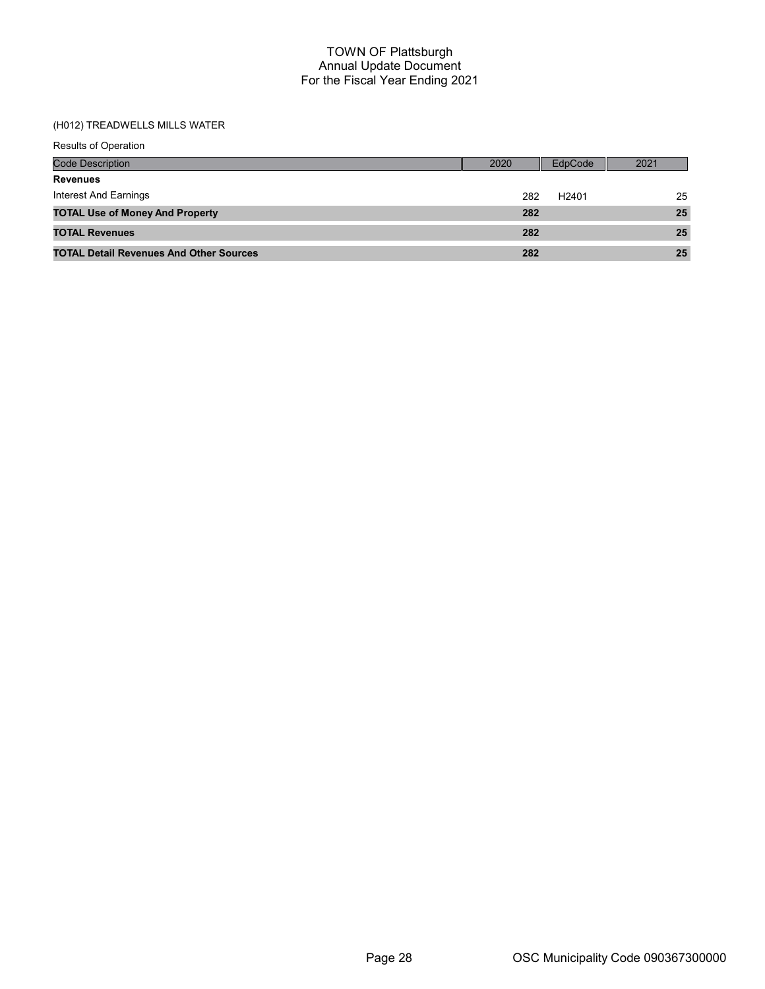## (H012) TREADWELLS MILLS WATER

| <b>Results of Operation</b>                    |      |                   |      |
|------------------------------------------------|------|-------------------|------|
| <b>Code Description</b>                        | 2020 | EdpCode           | 2021 |
| <b>Revenues</b>                                |      |                   |      |
| Interest And Earnings                          | 282  | H <sub>2401</sub> | 25   |
| <b>TOTAL Use of Money And Property</b>         | 282  |                   | 25   |
| <b>TOTAL Revenues</b>                          | 282  |                   | 25   |
| <b>TOTAL Detail Revenues And Other Sources</b> | 282  |                   | 25   |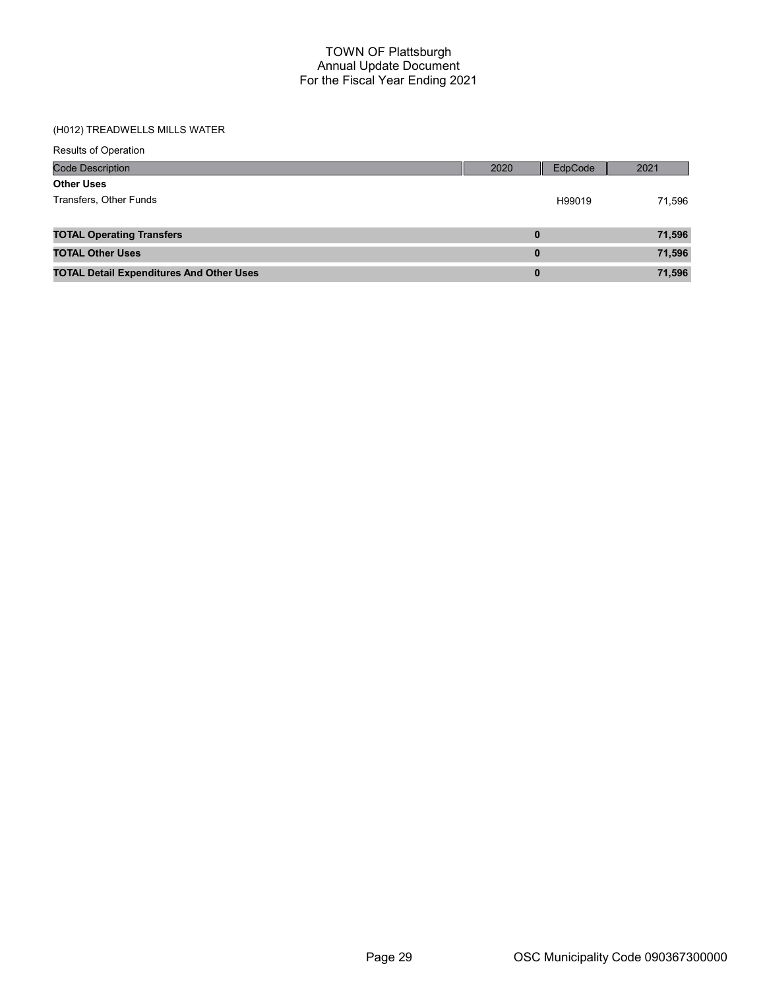## (H012) TREADWELLS MILLS WATER

| <b>Code Description</b>                         | 2020     | EdpCode | 2021   |
|-------------------------------------------------|----------|---------|--------|
| <b>Other Uses</b>                               |          |         |        |
| Transfers, Other Funds                          |          | H99019  | 71,596 |
|                                                 |          |         |        |
| <b>TOTAL Operating Transfers</b>                | $\bf{0}$ |         | 71,596 |
| <b>TOTAL Other Uses</b>                         | $\bf{0}$ |         | 71,596 |
| <b>TOTAL Detail Expenditures And Other Uses</b> | $\bf{0}$ |         | 71,596 |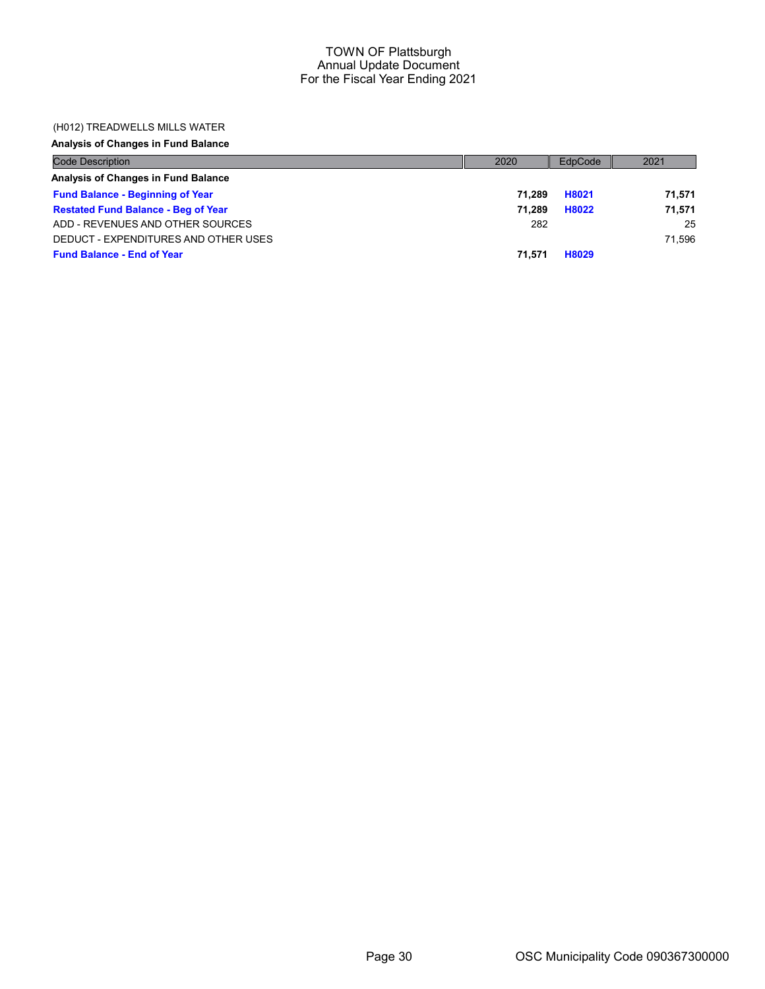## (H012) TREADWELLS MILLS WATER

## Analysis of Changes in Fund Balance

| <b>Code Description</b>                    | 2020   | EdpCode | 2021   |
|--------------------------------------------|--------|---------|--------|
| Analysis of Changes in Fund Balance        |        |         |        |
| <b>Fund Balance - Beginning of Year</b>    | 71.289 | H8021   | 71.571 |
| <b>Restated Fund Balance - Beg of Year</b> | 71.289 | H8022   | 71.571 |
| ADD - REVENUES AND OTHER SOURCES           | 282    |         | 25     |
| DEDUCT - EXPENDITURES AND OTHER USES       |        |         | 71.596 |
| <b>Fund Balance - End of Year</b>          | 71.571 | H8029   |        |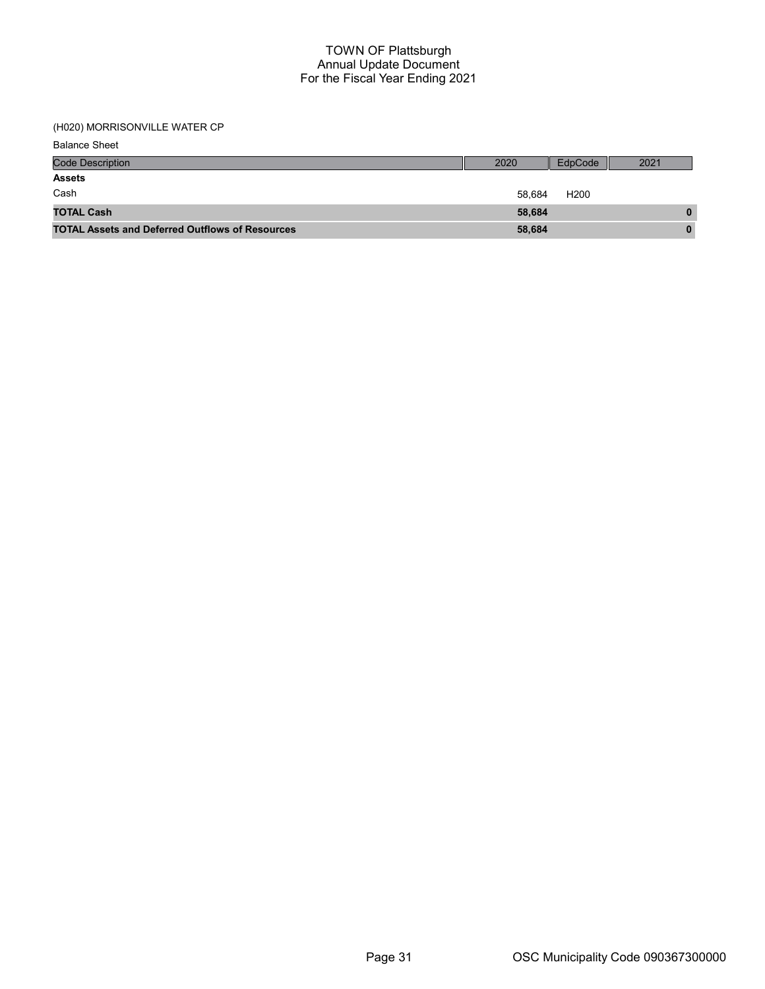## (H020) MORRISONVILLE WATER CP

| <b>Balance Sheet</b>                                   |        |                  |              |
|--------------------------------------------------------|--------|------------------|--------------|
| <b>Code Description</b>                                | 2020   | EdpCode          | 2021         |
| <b>Assets</b>                                          |        |                  |              |
| Cash                                                   | 58,684 | H <sub>200</sub> |              |
| <b>TOTAL Cash</b>                                      | 58,684 |                  | 0            |
| <b>TOTAL Assets and Deferred Outflows of Resources</b> | 58,684 |                  | $\mathbf{0}$ |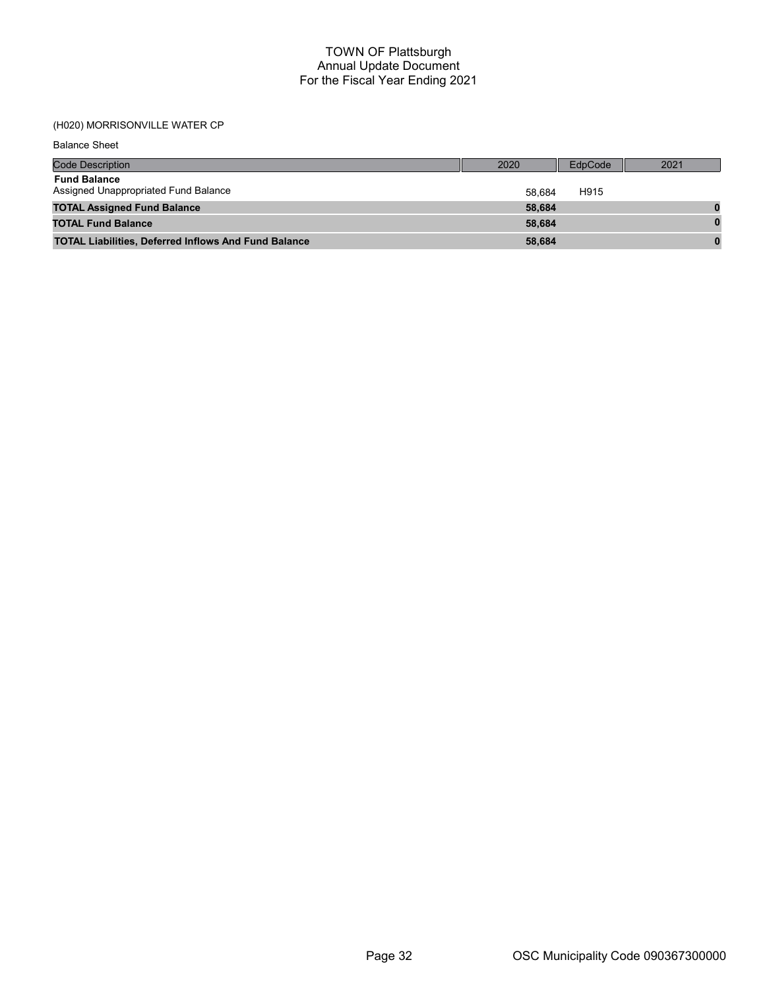## (H020) MORRISONVILLE WATER CP

Balance Sheet

| <b>Code Description</b>                                     | 2020   | EdpCode | 2021 |
|-------------------------------------------------------------|--------|---------|------|
| <b>Fund Balance</b><br>Assigned Unappropriated Fund Balance | 58.684 | H915    |      |
| <b>TOTAL Assigned Fund Balance</b>                          | 58,684 |         |      |
| <b>TOTAL Fund Balance</b>                                   | 58.684 |         |      |
| <b>TOTAL Liabilities, Deferred Inflows And Fund Balance</b> | 58,684 |         |      |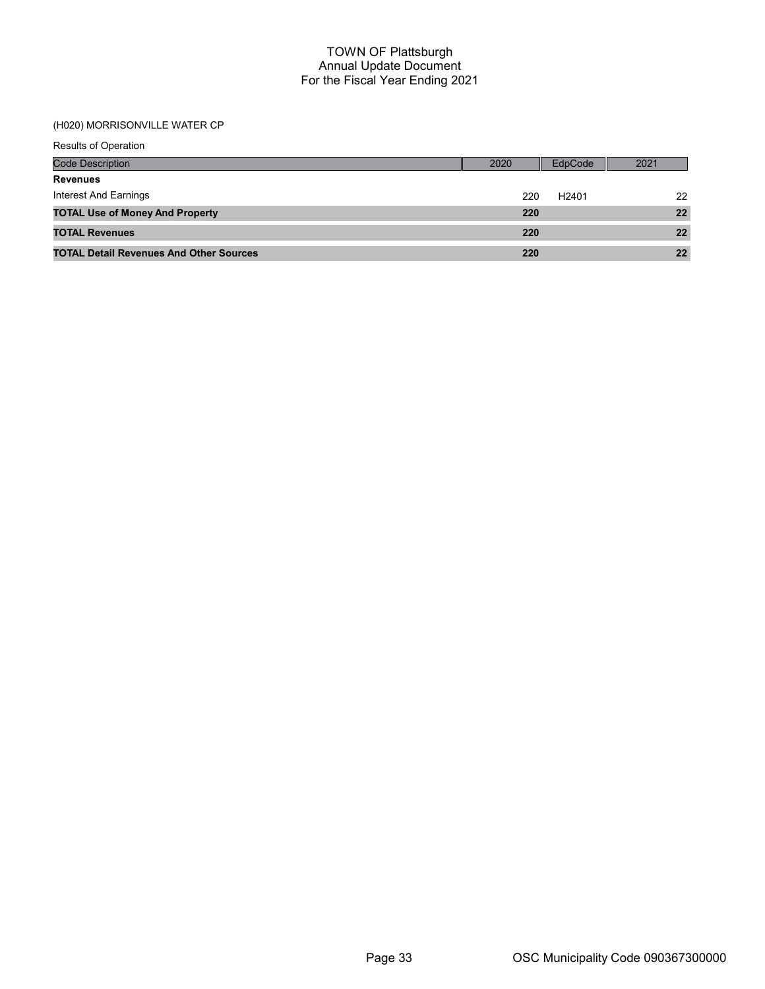## (H020) MORRISONVILLE WATER CP

| <b>Results of Operation</b>                    |      |                   |      |
|------------------------------------------------|------|-------------------|------|
| <b>Code Description</b>                        | 2020 | EdpCode           | 2021 |
| <b>Revenues</b>                                |      |                   |      |
| Interest And Earnings                          | 220  | H <sub>2401</sub> | 22   |
| <b>TOTAL Use of Money And Property</b>         | 220  |                   | 22   |
| <b>TOTAL Revenues</b>                          | 220  |                   | 22   |
| <b>TOTAL Detail Revenues And Other Sources</b> | 220  |                   | 22   |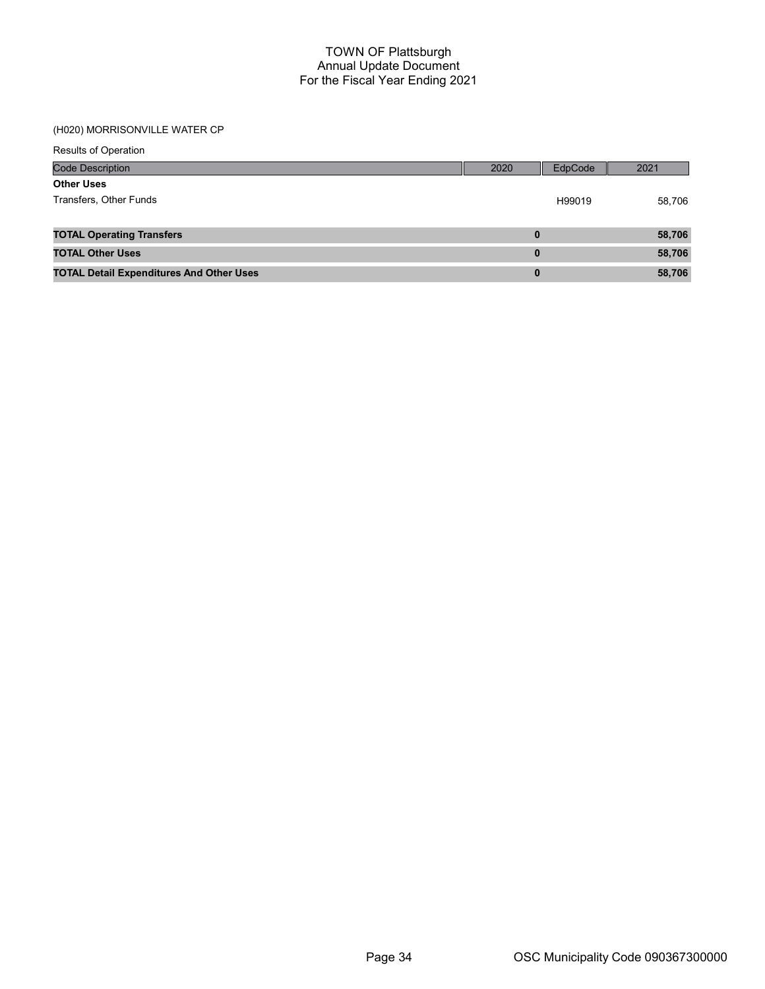## (H020) MORRISONVILLE WATER CP

| <b>Code Description</b>                         | 2020     | EdpCode | 2021   |
|-------------------------------------------------|----------|---------|--------|
| <b>Other Uses</b>                               |          |         |        |
| Transfers, Other Funds                          |          | H99019  | 58,706 |
|                                                 |          |         |        |
| <b>TOTAL Operating Transfers</b>                | 0        |         | 58,706 |
| <b>TOTAL Other Uses</b>                         | $\bf{0}$ |         | 58,706 |
| <b>TOTAL Detail Expenditures And Other Uses</b> | $\bf{0}$ |         | 58,706 |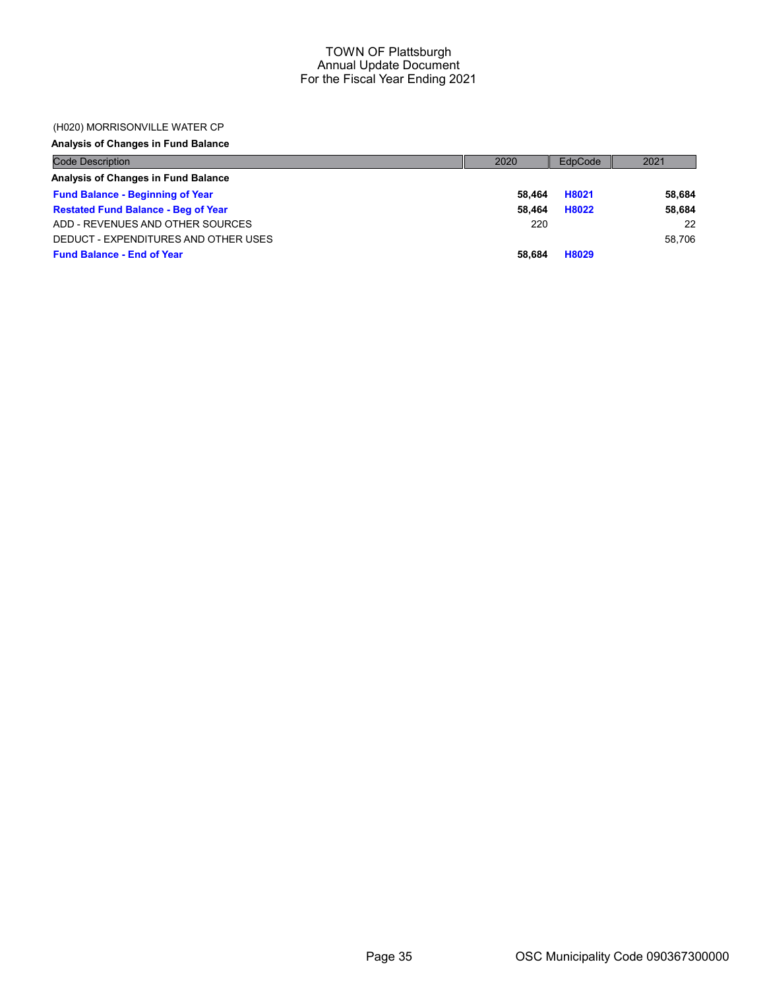### (H020) MORRISONVILLE WATER CP

## Analysis of Changes in Fund Balance

| <b>Code Description</b>                    | 2020   | EdpCode | 2021   |
|--------------------------------------------|--------|---------|--------|
| Analysis of Changes in Fund Balance        |        |         |        |
| <b>Fund Balance - Beginning of Year</b>    | 58.464 | H8021   | 58,684 |
| <b>Restated Fund Balance - Beg of Year</b> | 58.464 | H8022   | 58,684 |
| ADD - REVENUES AND OTHER SOURCES           | 220    |         | 22     |
| DEDUCT - EXPENDITURES AND OTHER USES       |        |         | 58.706 |
| <b>Fund Balance - End of Year</b>          | 58.684 | H8029   |        |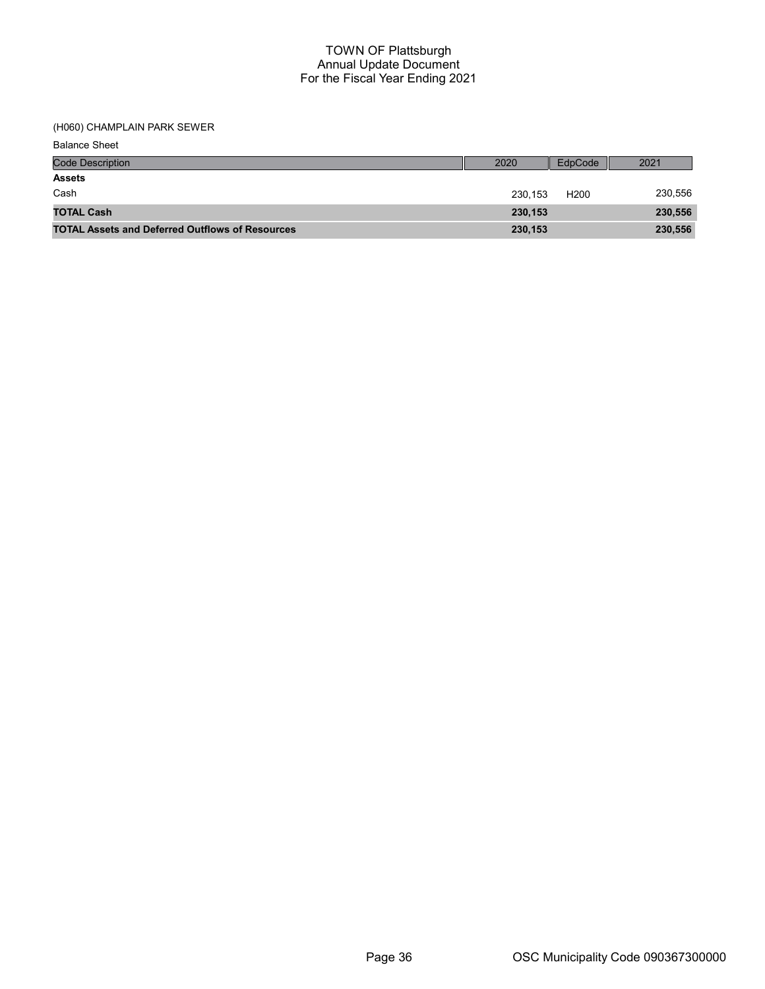(H060) CHAMPLAIN PARK SEWER

| <b>Balance Sheet</b>                                   |         |                  |         |
|--------------------------------------------------------|---------|------------------|---------|
| <b>Code Description</b>                                | 2020    | EdpCode          | 2021    |
| <b>Assets</b>                                          |         |                  |         |
| Cash                                                   | 230.153 | H <sub>200</sub> | 230,556 |
| <b>TOTAL Cash</b>                                      | 230,153 |                  | 230,556 |
| <b>TOTAL Assets and Deferred Outflows of Resources</b> | 230,153 |                  | 230,556 |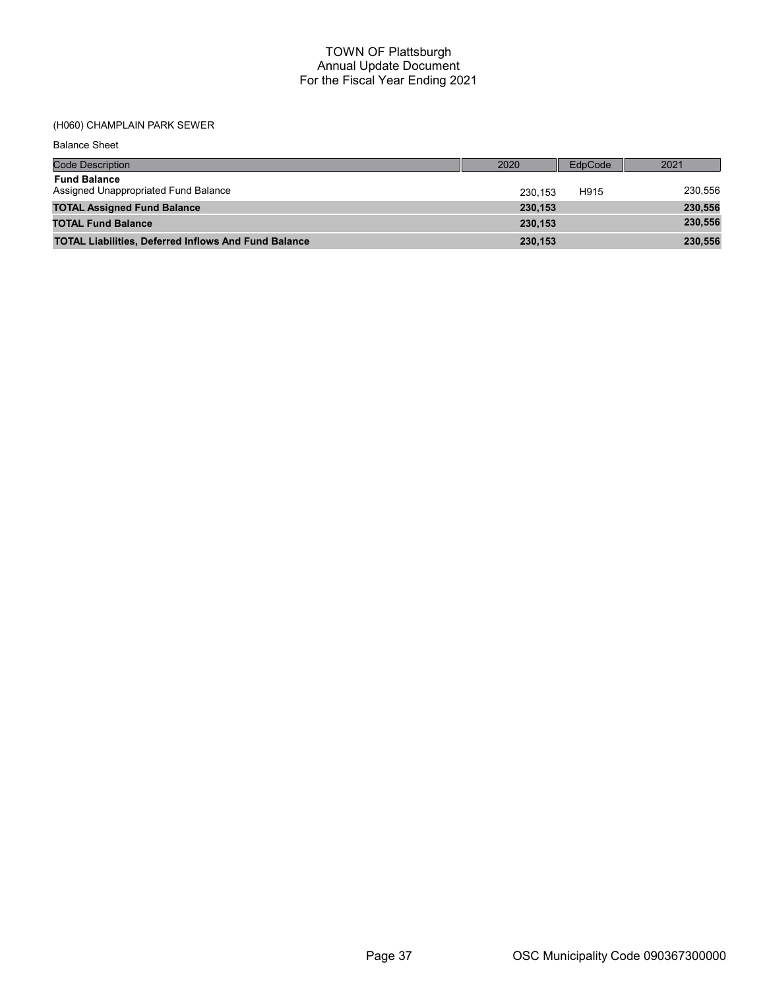# (H060) CHAMPLAIN PARK SEWER

Balance Sheet

| <b>Code Description</b>                                     | 2020    | EdpCode | 2021    |
|-------------------------------------------------------------|---------|---------|---------|
| <b>Fund Balance</b><br>Assigned Unappropriated Fund Balance | 230.153 | H915    | 230,556 |
| <b>TOTAL Assigned Fund Balance</b>                          | 230.153 |         | 230,556 |
| <b>TOTAL Fund Balance</b>                                   | 230.153 |         | 230,556 |
| <b>TOTAL Liabilities, Deferred Inflows And Fund Balance</b> | 230,153 |         | 230,556 |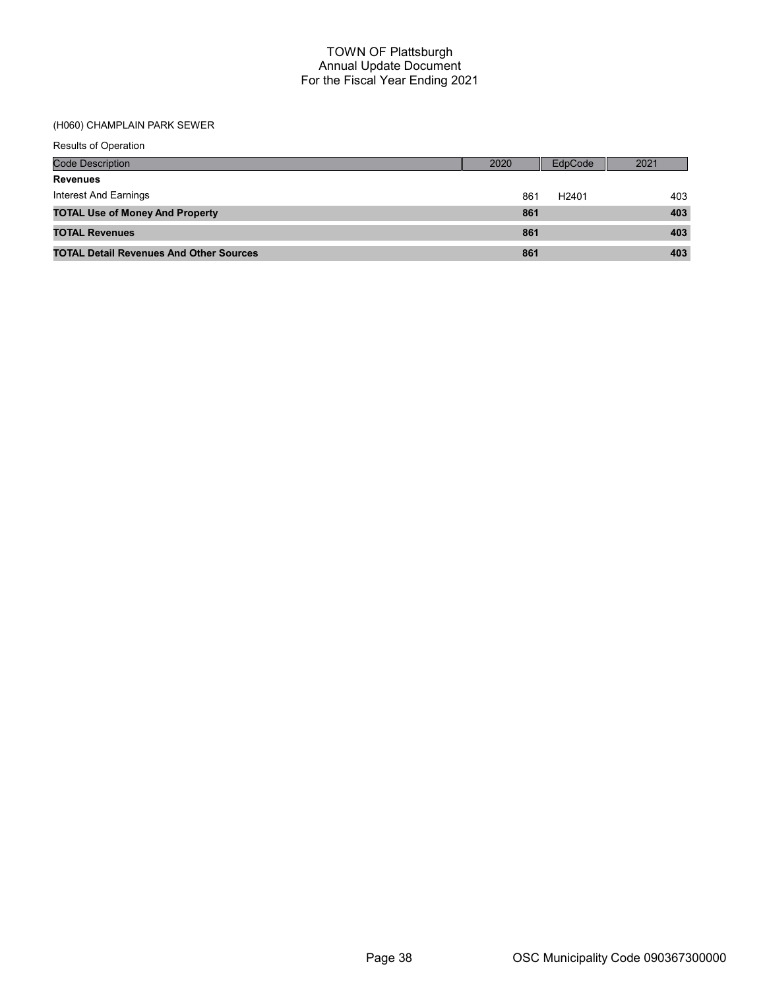## (H060) CHAMPLAIN PARK SEWER

| Results of Operation                           |      |                   |      |
|------------------------------------------------|------|-------------------|------|
| <b>Code Description</b>                        | 2020 | EdpCode           | 2021 |
| <b>Revenues</b>                                |      |                   |      |
| Interest And Earnings                          | 861  | H <sub>2401</sub> | 403  |
| <b>TOTAL Use of Money And Property</b>         | 861  |                   | 403  |
| <b>TOTAL Revenues</b>                          | 861  |                   | 403  |
| <b>TOTAL Detail Revenues And Other Sources</b> | 861  |                   | 403  |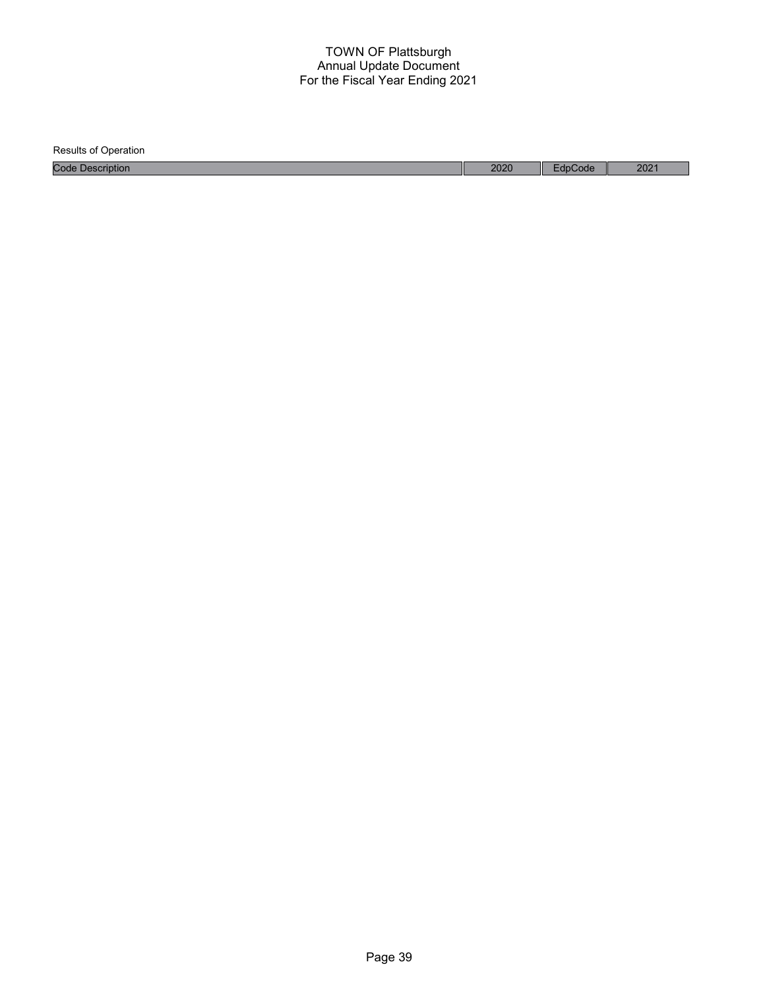| <b>Results of Operation</b> |      |         |      |
|-----------------------------|------|---------|------|
| <b>Code Description</b>     | 2020 | EdpCode | 2021 |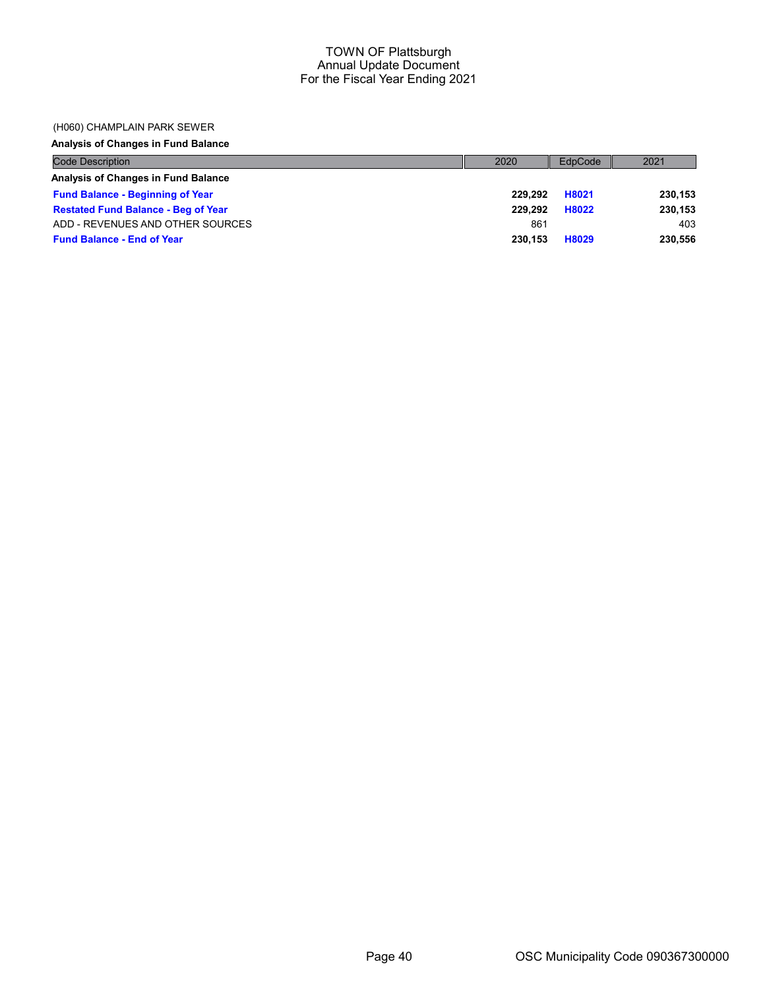#### (H060) CHAMPLAIN PARK SEWER

# Analysis of Changes in Fund Balance

| <b>Code Description</b>                    | 2020    | EdpCode | 2021    |
|--------------------------------------------|---------|---------|---------|
| Analysis of Changes in Fund Balance        |         |         |         |
| <b>Fund Balance - Beginning of Year</b>    | 229.292 | H8021   | 230,153 |
| <b>Restated Fund Balance - Beg of Year</b> | 229.292 | H8022   | 230,153 |
| ADD - REVENUES AND OTHER SOURCES           | 861     |         | 403     |
| <b>Fund Balance - End of Year</b>          | 230.153 | H8029   | 230,556 |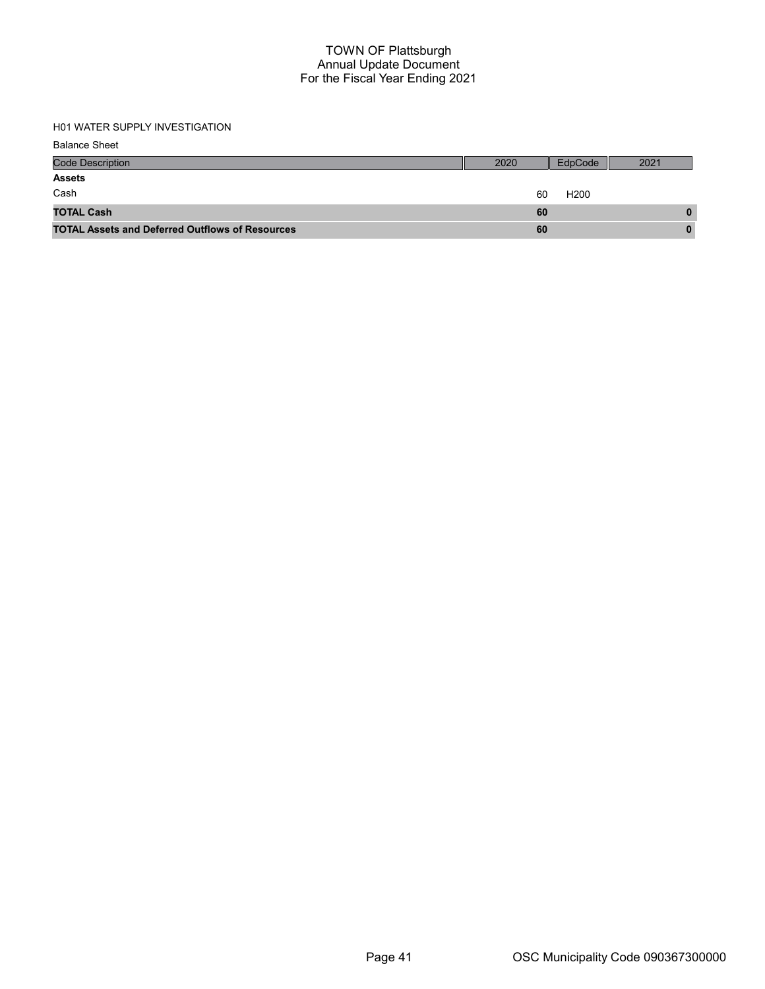# H01 WATER SUPPLY INVESTIGATION

| <b>Balance Sheet</b>                                   |      |                  |      |
|--------------------------------------------------------|------|------------------|------|
| <b>Code Description</b>                                | 2020 | EdpCode          | 2021 |
| <b>Assets</b>                                          |      |                  |      |
| Cash                                                   | 60   | H <sub>200</sub> |      |
| <b>TOTAL Cash</b>                                      | 60   |                  | 0    |
| <b>TOTAL Assets and Deferred Outflows of Resources</b> | 60   |                  | 0    |
|                                                        |      |                  |      |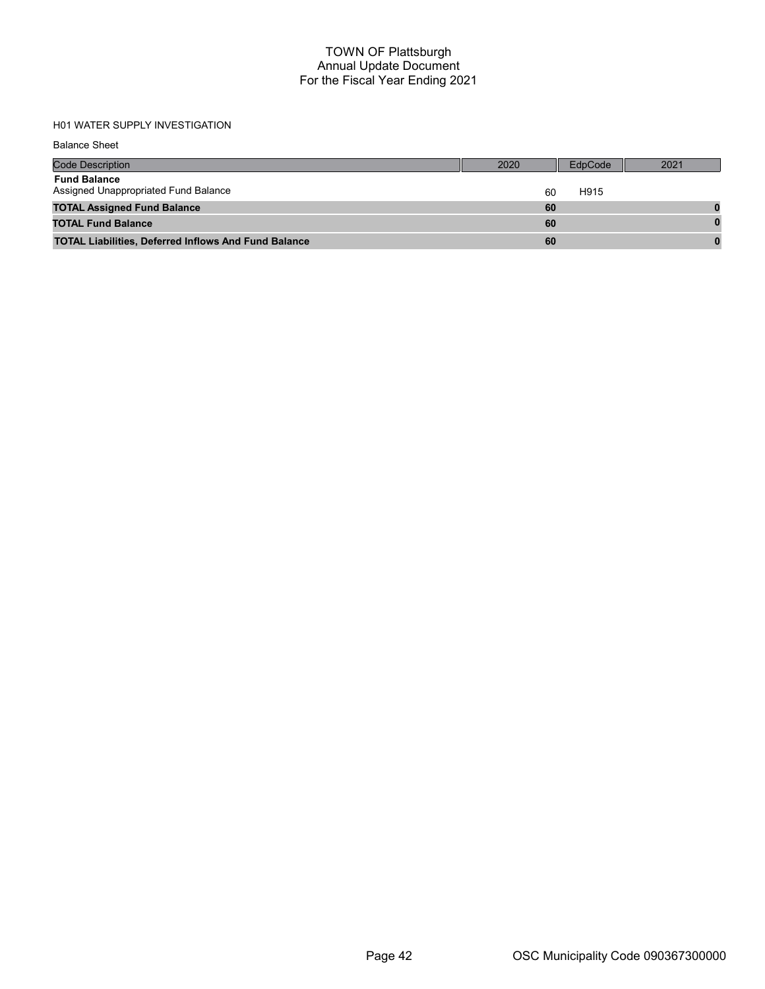# H01 WATER SUPPLY INVESTIGATION

Balance Sheet

| <b>Code Description</b>                                     | 2020 | EdpCode | 2021 |
|-------------------------------------------------------------|------|---------|------|
| <b>Fund Balance</b><br>Assigned Unappropriated Fund Balance | 60   | H915    |      |
| <b>TOTAL Assigned Fund Balance</b>                          | 60   |         |      |
| <b>TOTAL Fund Balance</b>                                   | 60   |         |      |
| <b>TOTAL Liabilities, Deferred Inflows And Fund Balance</b> | 60   |         |      |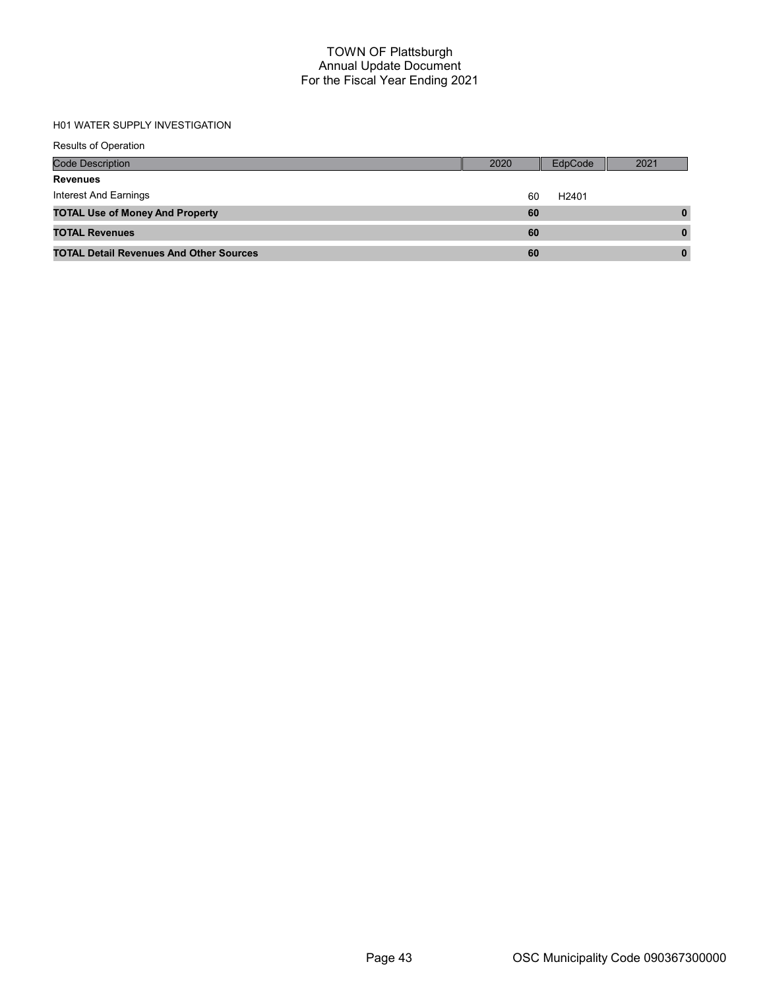# H01 WATER SUPPLY INVESTIGATION

| <b>Results of Operation</b>                    |      |                   |      |
|------------------------------------------------|------|-------------------|------|
| <b>Code Description</b>                        | 2020 | EdpCode           | 2021 |
| <b>Revenues</b>                                |      |                   |      |
| Interest And Earnings                          | 60   | H <sub>2401</sub> |      |
| <b>TOTAL Use of Money And Property</b>         | 60   |                   | 0    |
| <b>TOTAL Revenues</b>                          | 60   |                   | 0    |
| <b>TOTAL Detail Revenues And Other Sources</b> | 60   |                   | 0    |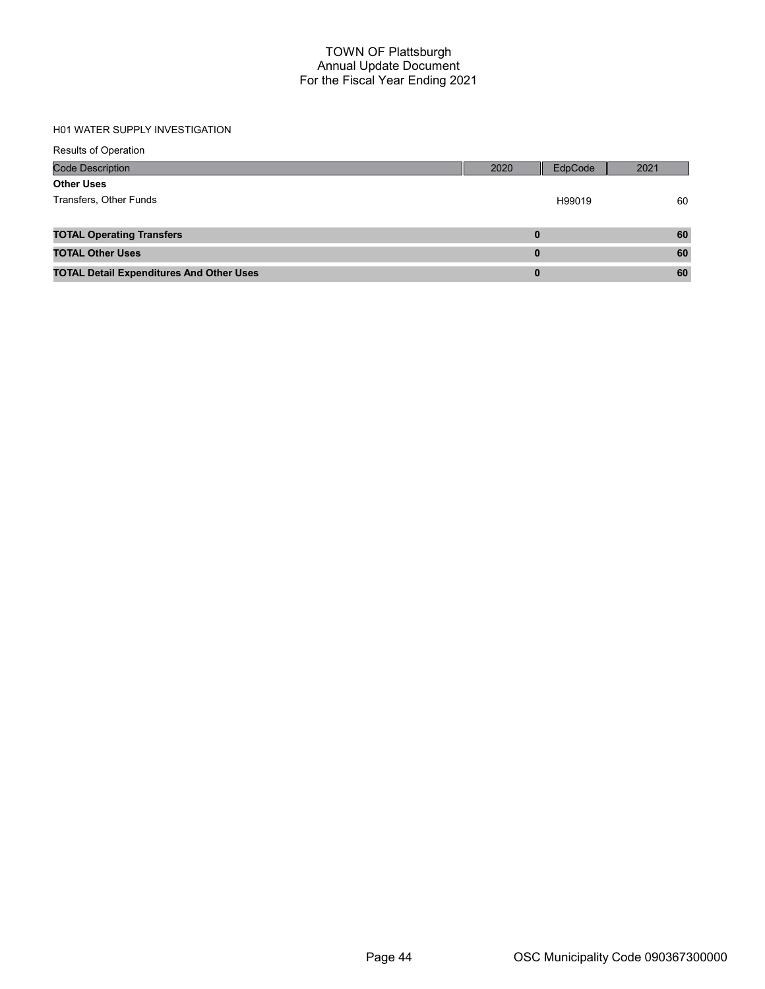#### H01 WATER SUPPLY INVESTIGATION

| <b>Results of Operation</b>                     |          |         |      |
|-------------------------------------------------|----------|---------|------|
| <b>Code Description</b>                         | 2020     | EdpCode | 2021 |
| <b>Other Uses</b>                               |          |         |      |
| Transfers, Other Funds                          |          | H99019  | 60   |
|                                                 |          |         |      |
| <b>TOTAL Operating Transfers</b>                | 0        |         | 60   |
| <b>TOTAL Other Uses</b>                         | 0        |         | 60   |
| <b>TOTAL Detail Expenditures And Other Uses</b> | $\bf{0}$ |         | 60   |
|                                                 |          |         |      |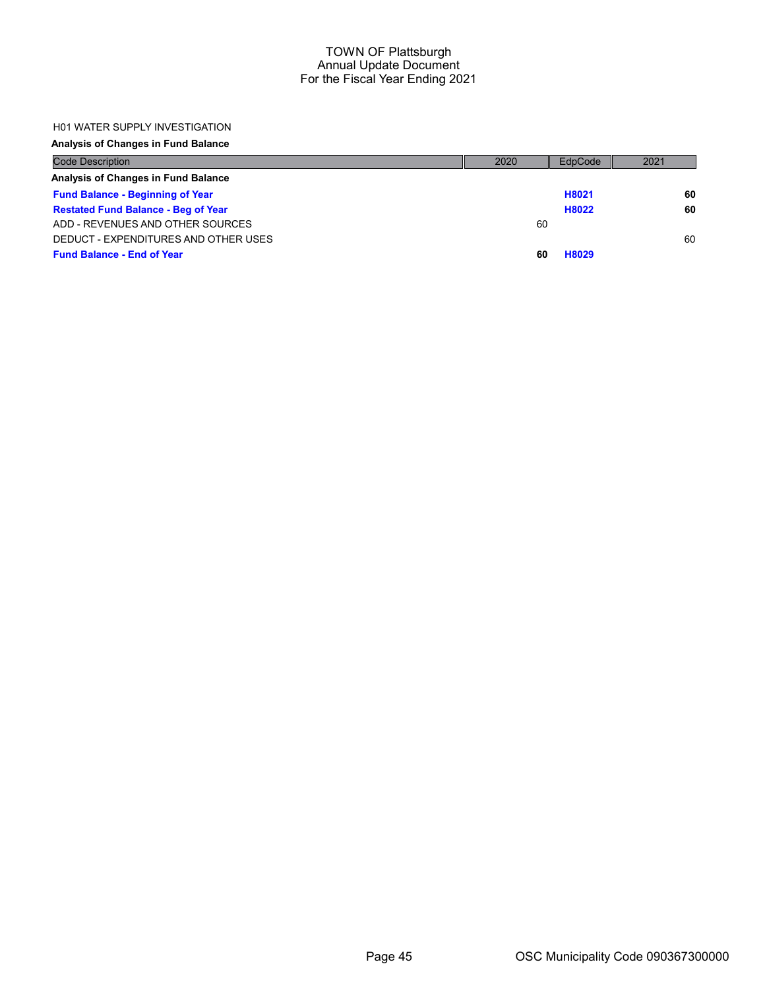#### H01 WATER SUPPLY INVESTIGATION

## Analysis of Changes in Fund Balance

| <b>Code Description</b>                    | 2020 | EdpCode | 2021 |
|--------------------------------------------|------|---------|------|
| Analysis of Changes in Fund Balance        |      |         |      |
| <b>Fund Balance - Beginning of Year</b>    |      | H8021   | 60   |
| <b>Restated Fund Balance - Beg of Year</b> |      | H8022   | 60   |
| ADD - REVENUES AND OTHER SOURCES           | 60   |         |      |
| DEDUCT - EXPENDITURES AND OTHER USES       |      |         | 60   |
| <b>Fund Balance - End of Year</b>          | 60   | H8029   |      |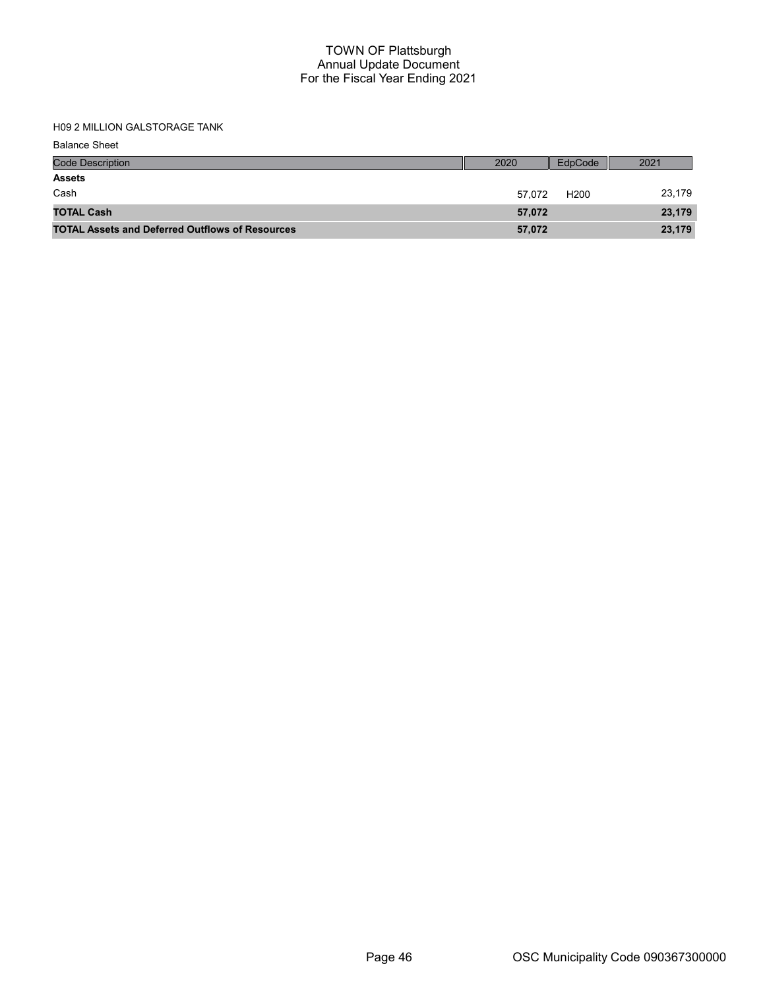H09 2 MILLION GALSTORAGE TANK

Balance Sheet

| <b>Code Description</b>                                | 2020   | EdpCode          | 2021   |
|--------------------------------------------------------|--------|------------------|--------|
| <b>Assets</b>                                          |        |                  |        |
| Cash                                                   | 57.072 | H <sub>200</sub> | 23,179 |
| <b>TOTAL Cash</b>                                      | 57,072 |                  | 23,179 |
| <b>TOTAL Assets and Deferred Outflows of Resources</b> | 57,072 |                  | 23,179 |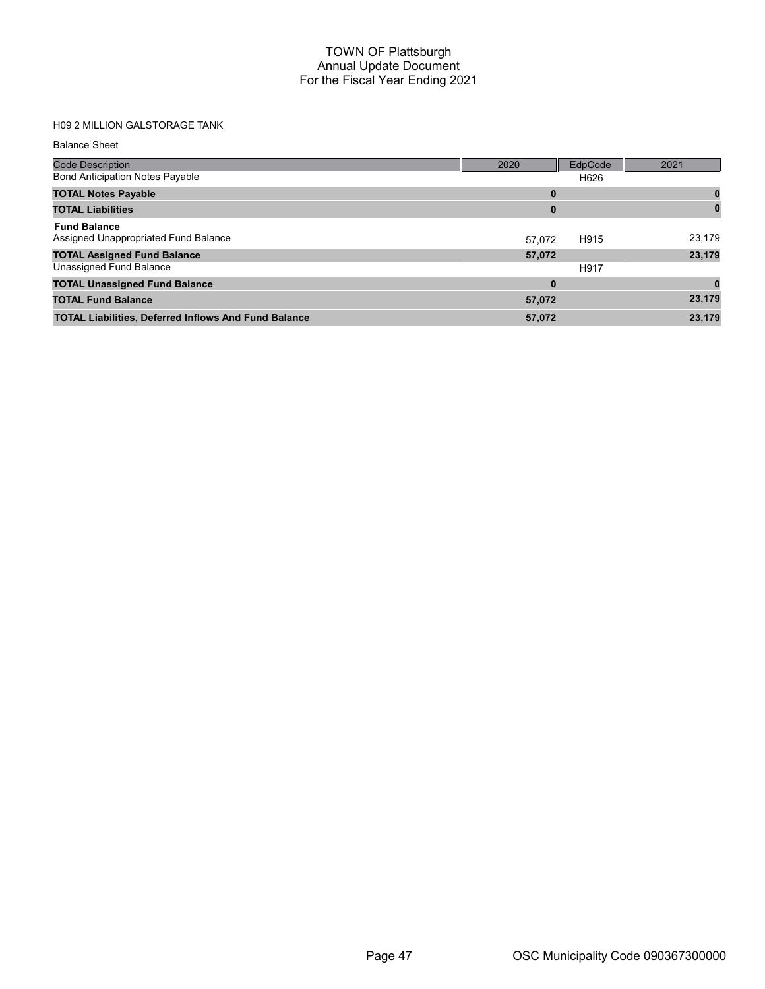# H09 2 MILLION GALSTORAGE TANK

| <b>Balance Sheet</b>                                        |          |         |        |
|-------------------------------------------------------------|----------|---------|--------|
| <b>Code Description</b>                                     | 2020     | EdpCode | 2021   |
| <b>Bond Anticipation Notes Payable</b>                      |          | H626    |        |
| <b>TOTAL Notes Payable</b>                                  | 0        |         | 0      |
| <b>TOTAL Liabilities</b>                                    | $\bf{0}$ |         |        |
| <b>Fund Balance</b><br>Assigned Unappropriated Fund Balance | 57.072   | H915    | 23,179 |
| <b>TOTAL Assigned Fund Balance</b>                          | 57,072   |         | 23,179 |
| Unassigned Fund Balance                                     |          | H917    |        |
| <b>TOTAL Unassigned Fund Balance</b>                        | $\bf{0}$ |         |        |
| <b>TOTAL Fund Balance</b>                                   | 57,072   |         | 23,179 |
| <b>TOTAL Liabilities, Deferred Inflows And Fund Balance</b> | 57,072   |         | 23,179 |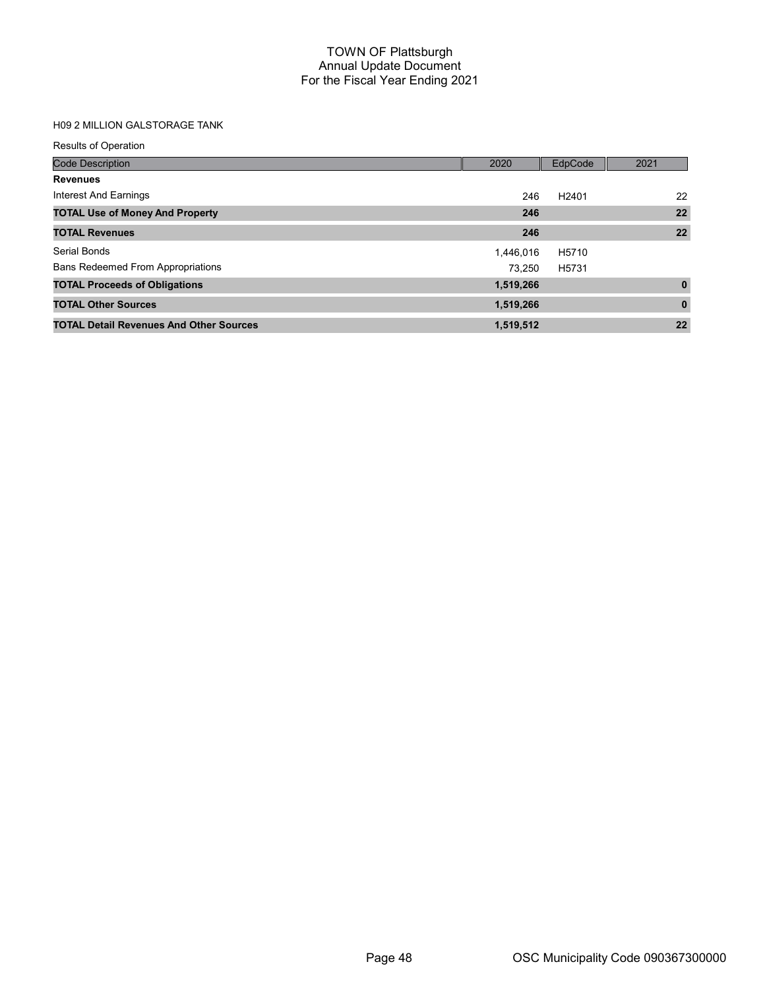## H09 2 MILLION GALSTORAGE TANK

| <b>Results of Operation</b>                    |           |                   |              |
|------------------------------------------------|-----------|-------------------|--------------|
| <b>Code Description</b>                        | 2020      | EdpCode           | 2021         |
| <b>Revenues</b>                                |           |                   |              |
| Interest And Earnings                          | 246       | H <sub>2401</sub> | 22           |
| <b>TOTAL Use of Money And Property</b>         | 246       |                   | 22           |
| <b>TOTAL Revenues</b>                          | 246       |                   | 22           |
| Serial Bonds                                   | 1,446,016 | H5710             |              |
| <b>Bans Redeemed From Appropriations</b>       | 73.250    | H5731             |              |
| <b>TOTAL Proceeds of Obligations</b>           | 1,519,266 |                   | $\mathbf{0}$ |
| <b>TOTAL Other Sources</b>                     | 1,519,266 |                   | $\mathbf{0}$ |
| <b>TOTAL Detail Revenues And Other Sources</b> | 1,519,512 |                   | 22           |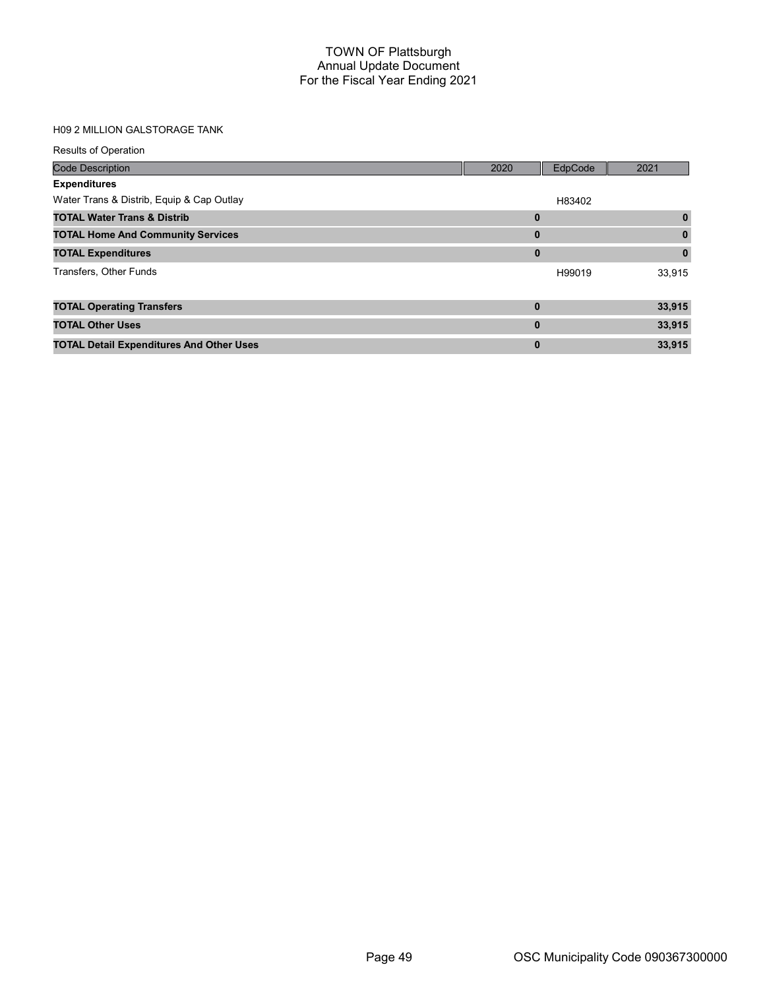## H09 2 MILLION GALSTORAGE TANK

| <b>Results of Operation</b>                     |              |         |          |
|-------------------------------------------------|--------------|---------|----------|
| <b>Code Description</b>                         | 2020         | EdpCode | 2021     |
| <b>Expenditures</b>                             |              |         |          |
| Water Trans & Distrib, Equip & Cap Outlay       |              | H83402  |          |
| <b>TOTAL Water Trans &amp; Distrib</b>          | $\bf{0}$     |         | $\bf{0}$ |
| <b>TOTAL Home And Community Services</b>        | $\bf{0}$     |         | 0        |
| <b>TOTAL Expenditures</b>                       | $\mathbf{0}$ |         | 0        |
| Transfers, Other Funds                          |              | H99019  | 33,915   |
| <b>TOTAL Operating Transfers</b>                | $\bf{0}$     |         | 33,915   |
| <b>TOTAL Other Uses</b>                         | $\bf{0}$     |         | 33,915   |
| <b>TOTAL Detail Expenditures And Other Uses</b> | $\bf{0}$     |         | 33,915   |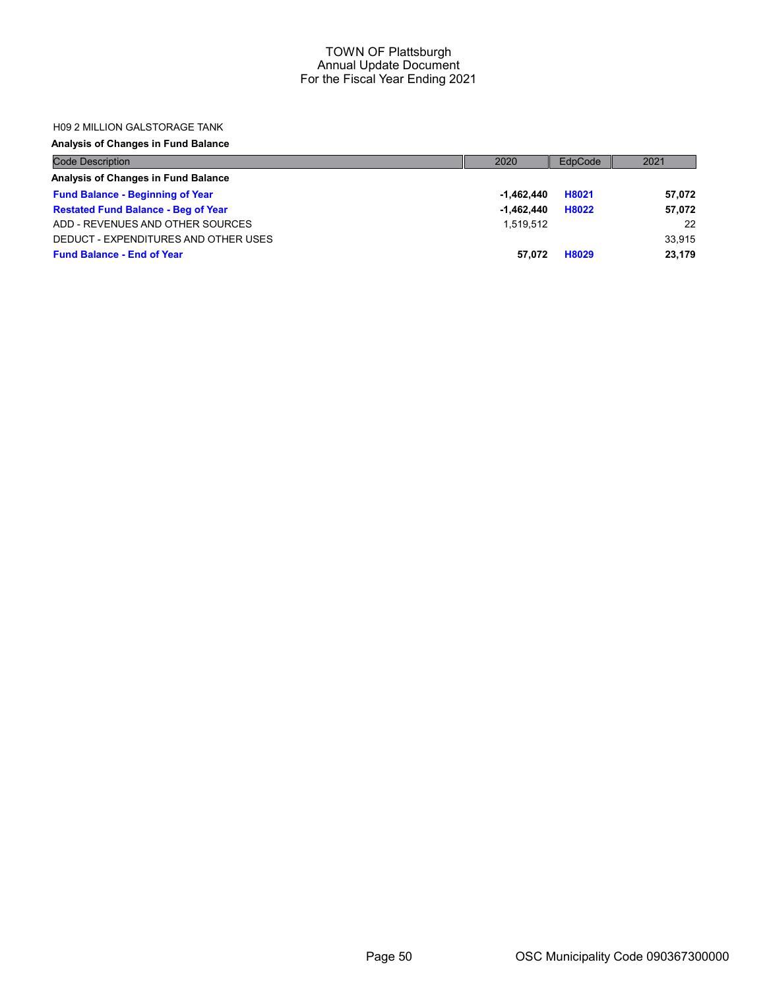#### H09 2 MILLION GALSTORAGE TANK

## Analysis of Changes in Fund Balance

| <b>Code Description</b>                    | 2020         | EdpCode | 2021   |
|--------------------------------------------|--------------|---------|--------|
| Analysis of Changes in Fund Balance        |              |         |        |
| <b>Fund Balance - Beginning of Year</b>    | $-1.462.440$ | H8021   | 57,072 |
| <b>Restated Fund Balance - Beg of Year</b> | $-1.462.440$ | H8022   | 57,072 |
| ADD - REVENUES AND OTHER SOURCES           | 1.519.512    |         | 22     |
| DEDUCT - EXPENDITURES AND OTHER USES       |              |         | 33,915 |
| <b>Fund Balance - End of Year</b>          | 57.072       | H8029   | 23.179 |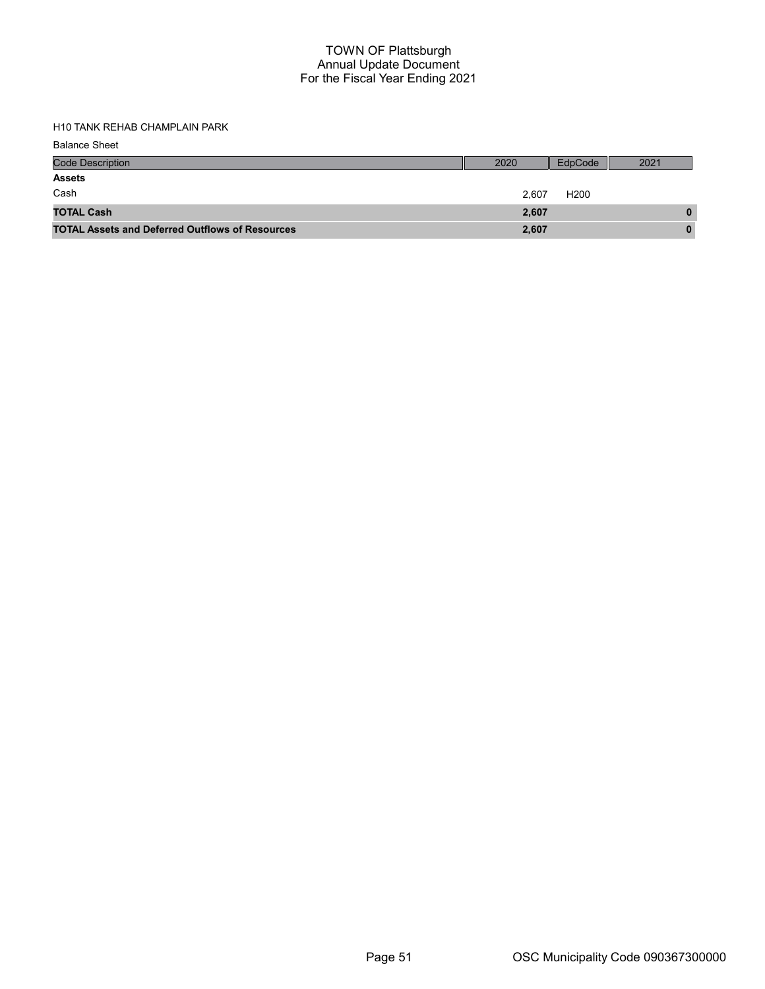H10 TANK REHAB CHAMPLAIN PARK

| <b>Balance Sheet</b>                                   |       |                  |      |
|--------------------------------------------------------|-------|------------------|------|
| <b>Code Description</b>                                | 2020  | EdpCode          | 2021 |
| <b>Assets</b>                                          |       |                  |      |
| Cash                                                   | 2.607 | H <sub>200</sub> |      |
| <b>TOTAL Cash</b>                                      | 2,607 |                  | 0    |
| <b>TOTAL Assets and Deferred Outflows of Resources</b> | 2,607 |                  | 0    |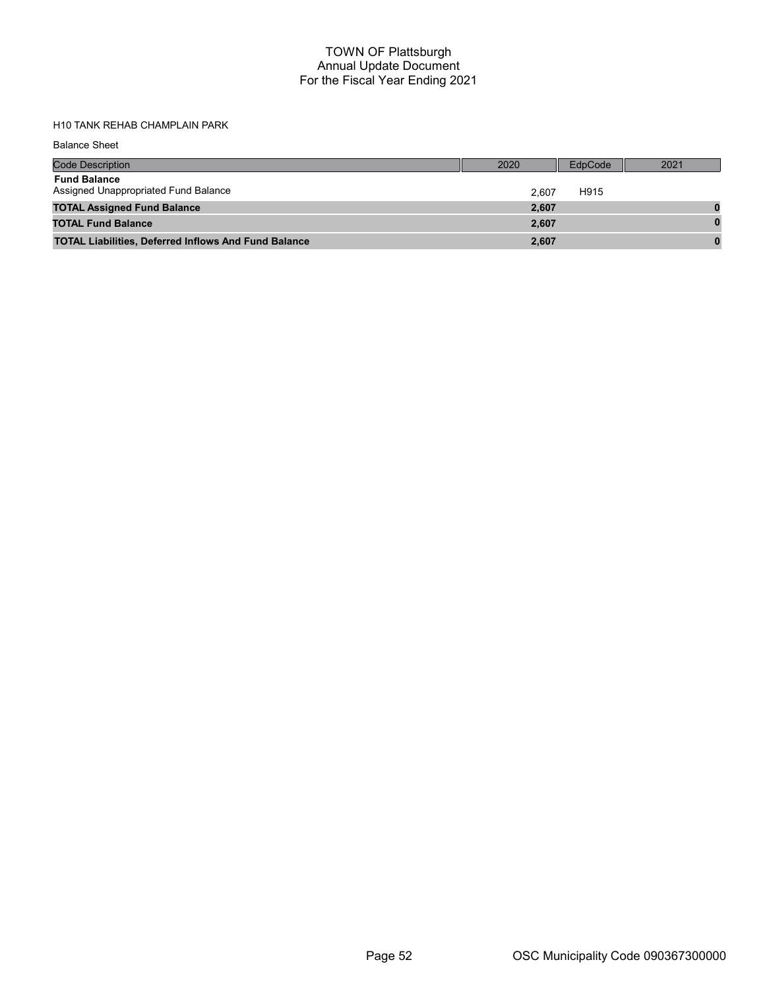# H10 TANK REHAB CHAMPLAIN PARK

Balance Sheet

| <b>Code Description</b>                                     | 2020  | EdpCode | 2021 |
|-------------------------------------------------------------|-------|---------|------|
| <b>Fund Balance</b><br>Assigned Unappropriated Fund Balance | 2.607 | H915    |      |
| <b>TOTAL Assigned Fund Balance</b>                          | 2,607 |         |      |
| <b>TOTAL Fund Balance</b>                                   | 2,607 |         |      |
| <b>TOTAL Liabilities, Deferred Inflows And Fund Balance</b> | 2,607 |         |      |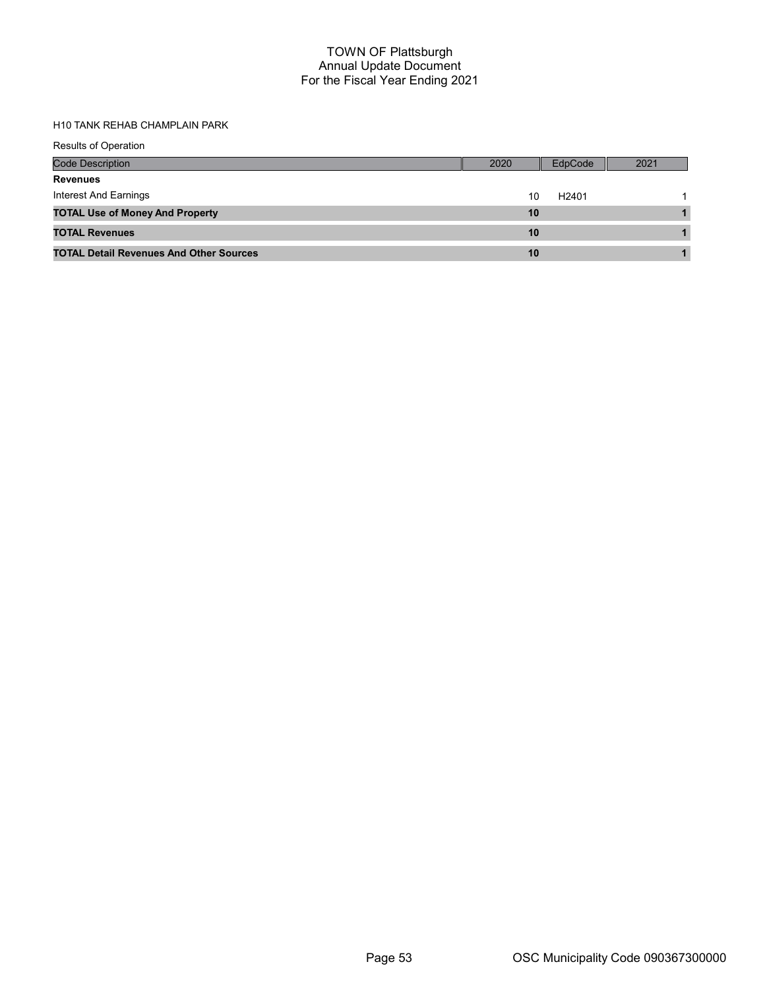# H10 TANK REHAB CHAMPLAIN PARK

| <b>Results of Operation</b>                    |      |                   |      |
|------------------------------------------------|------|-------------------|------|
| <b>Code Description</b>                        | 2020 | EdpCode           | 2021 |
| <b>Revenues</b>                                |      |                   |      |
| Interest And Earnings                          | 10   | H <sub>2401</sub> |      |
| <b>TOTAL Use of Money And Property</b>         | 10   |                   |      |
| <b>TOTAL Revenues</b>                          | 10   |                   |      |
| <b>TOTAL Detail Revenues And Other Sources</b> | 10   |                   |      |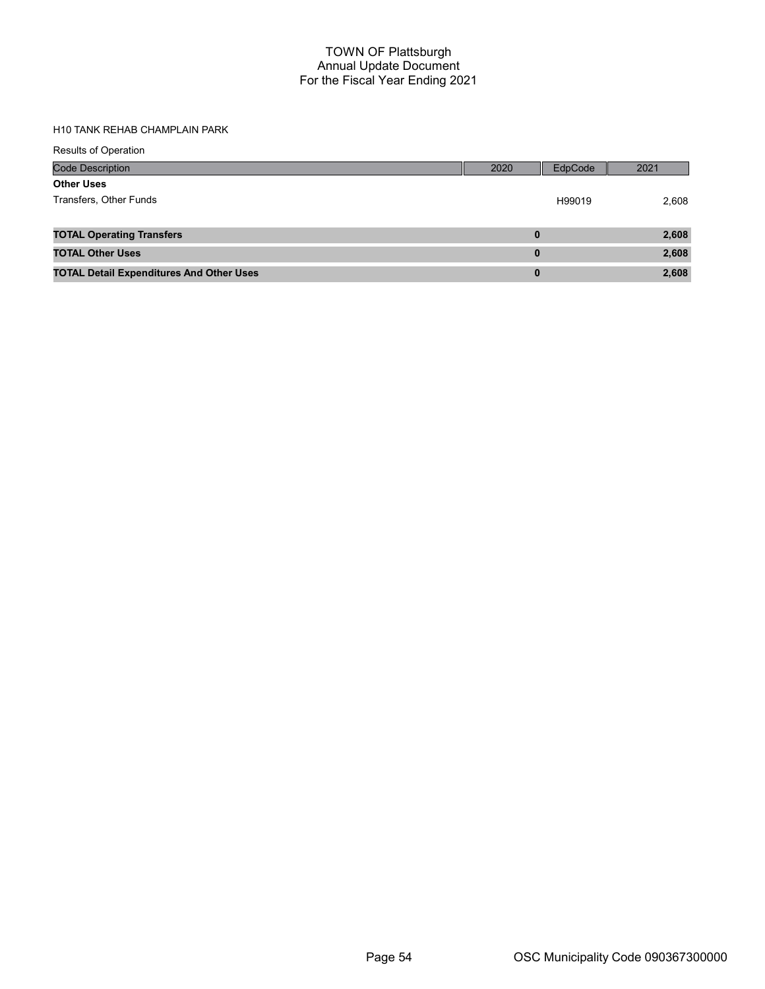#### H10 TANK REHAB CHAMPLAIN PARK

| <b>Results of Operation</b>                     |          |         |       |
|-------------------------------------------------|----------|---------|-------|
| Code Description                                | 2020     | EdpCode | 2021  |
| <b>Other Uses</b>                               |          |         |       |
| Transfers, Other Funds                          |          | H99019  | 2,608 |
| <b>TOTAL Operating Transfers</b>                | $\bf{0}$ |         | 2,608 |
| <b>TOTAL Other Uses</b>                         | $\bf{0}$ |         | 2,608 |
| <b>TOTAL Detail Expenditures And Other Uses</b> | $\bf{0}$ |         | 2,608 |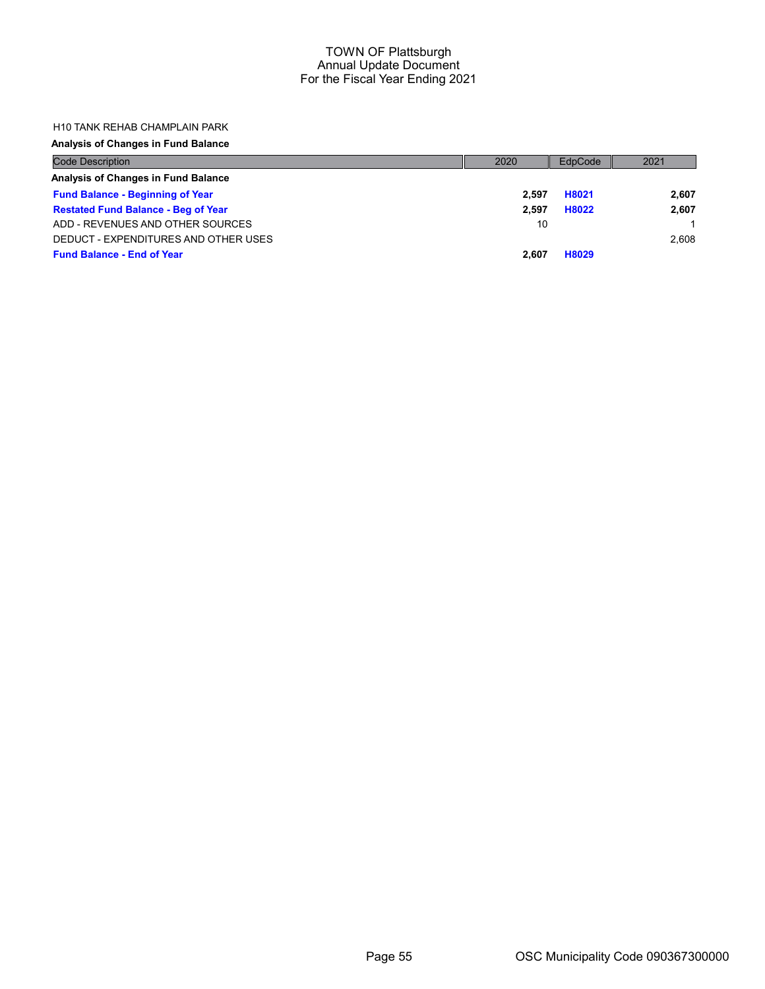#### H10 TANK REHAB CHAMPLAIN PARK

#### Analysis of Changes in Fund Balance

| <b>Code Description</b>                    | 2020  | EdpCode | 2021  |
|--------------------------------------------|-------|---------|-------|
| Analysis of Changes in Fund Balance        |       |         |       |
| <b>Fund Balance - Beginning of Year</b>    | 2.597 | H8021   | 2,607 |
| <b>Restated Fund Balance - Beg of Year</b> | 2.597 | H8022   | 2,607 |
| ADD - REVENUES AND OTHER SOURCES           | 10    |         |       |
| DEDUCT - EXPENDITURES AND OTHER USES       |       |         | 2.608 |
| <b>Fund Balance - End of Year</b>          | 2.607 | H8029   |       |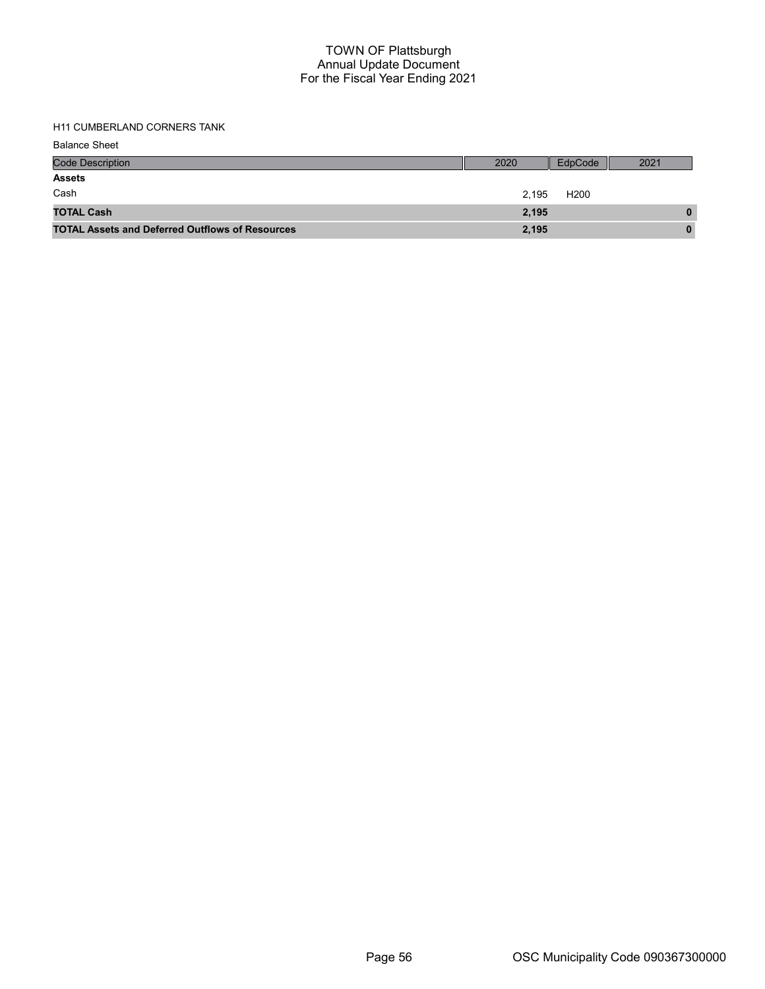## H11 CUMBERLAND CORNERS TANK

Balance Sheet

| <b>Code Description</b>                                | 2020  | EdpCode          | 2021 |
|--------------------------------------------------------|-------|------------------|------|
| <b>Assets</b>                                          |       |                  |      |
| Cash                                                   | 2.195 | H <sub>200</sub> |      |
| <b>TOTAL Cash</b>                                      | 2,195 |                  | 0    |
| <b>TOTAL Assets and Deferred Outflows of Resources</b> | 2,195 |                  | 0    |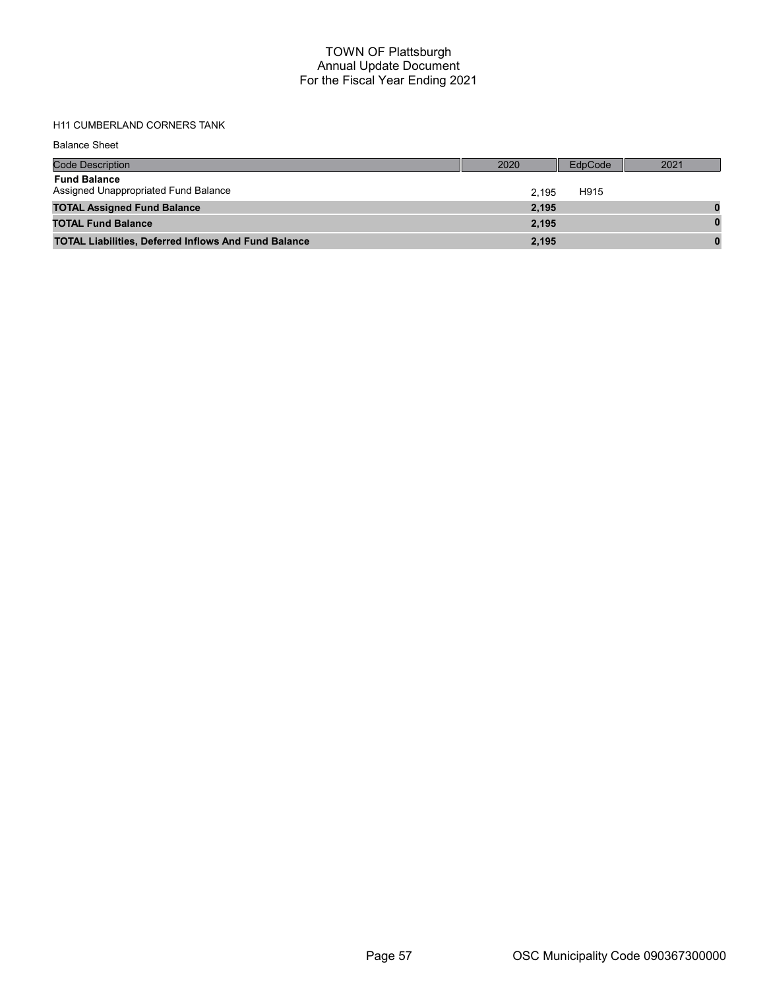# H11 CUMBERLAND CORNERS TANK

Balance Sheet

| <b>Code Description</b>                                     | 2020  | EdpCode | 2021 |
|-------------------------------------------------------------|-------|---------|------|
| <b>Fund Balance</b><br>Assigned Unappropriated Fund Balance | 2.195 | H915    |      |
| <b>TOTAL Assigned Fund Balance</b>                          | 2,195 |         |      |
| <b>TOTAL Fund Balance</b>                                   | 2.195 |         |      |
| <b>TOTAL Liabilities, Deferred Inflows And Fund Balance</b> | 2,195 |         |      |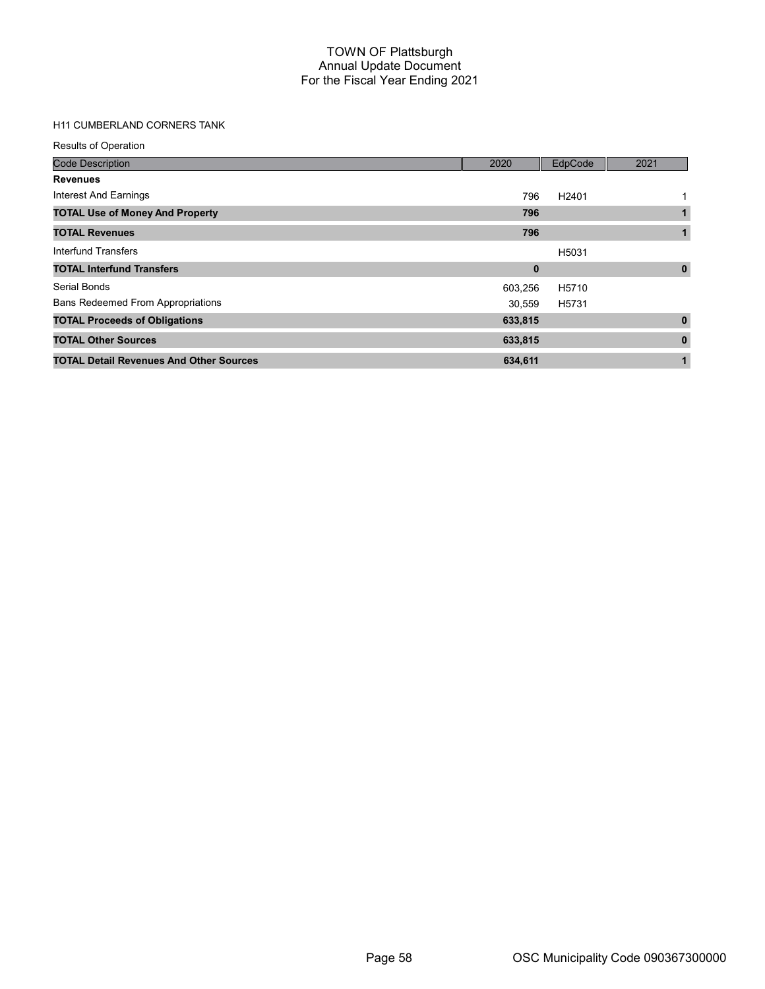# H11 CUMBERLAND CORNERS TANK

| <b>Results of Operation</b>                    |             |                   |              |
|------------------------------------------------|-------------|-------------------|--------------|
| <b>Code Description</b>                        | 2020        | EdpCode           | 2021         |
| <b>Revenues</b>                                |             |                   |              |
| Interest And Earnings                          | 796         | H <sub>2401</sub> |              |
| <b>TOTAL Use of Money And Property</b>         | 796         |                   | 1            |
| <b>TOTAL Revenues</b>                          | 796         |                   | $\mathbf{1}$ |
| Interfund Transfers                            |             | H5031             |              |
| <b>TOTAL Interfund Transfers</b>               | $\mathbf 0$ |                   | $\mathbf 0$  |
| Serial Bonds                                   | 603,256     | H5710             |              |
| <b>Bans Redeemed From Appropriations</b>       | 30,559      | H5731             |              |
| <b>TOTAL Proceeds of Obligations</b>           | 633,815     |                   | $\mathbf{0}$ |
| <b>TOTAL Other Sources</b>                     | 633,815     |                   | $\bf{0}$     |
| <b>TOTAL Detail Revenues And Other Sources</b> | 634,611     |                   | $\mathbf{1}$ |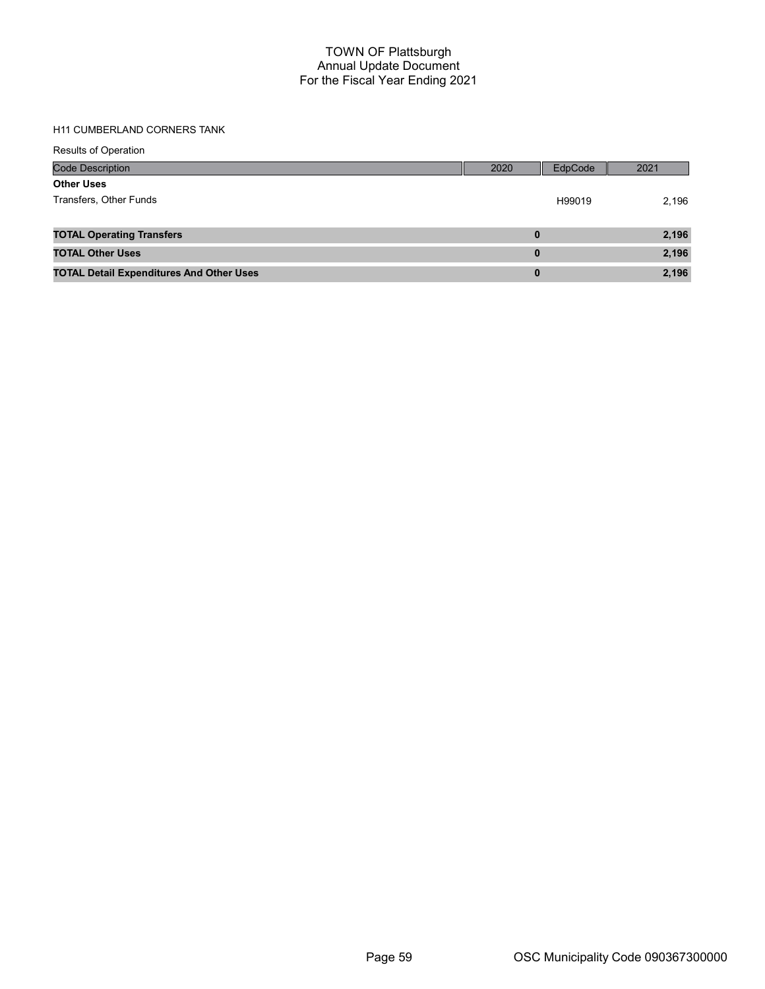#### H11 CUMBERLAND CORNERS TANK

|  |  |  | <b>Results of Operation</b> |  |
|--|--|--|-----------------------------|--|
|--|--|--|-----------------------------|--|

| <b>Code Description</b>                         | 2020 | EdpCode | 2021  |
|-------------------------------------------------|------|---------|-------|
| <b>Other Uses</b>                               |      |         |       |
| Transfers, Other Funds                          |      | H99019  | 2,196 |
|                                                 |      |         |       |
| <b>TOTAL Operating Transfers</b>                | 0    |         | 2,196 |
| <b>TOTAL Other Uses</b>                         | 0    |         | 2,196 |
| <b>TOTAL Detail Expenditures And Other Uses</b> | 0    |         | 2,196 |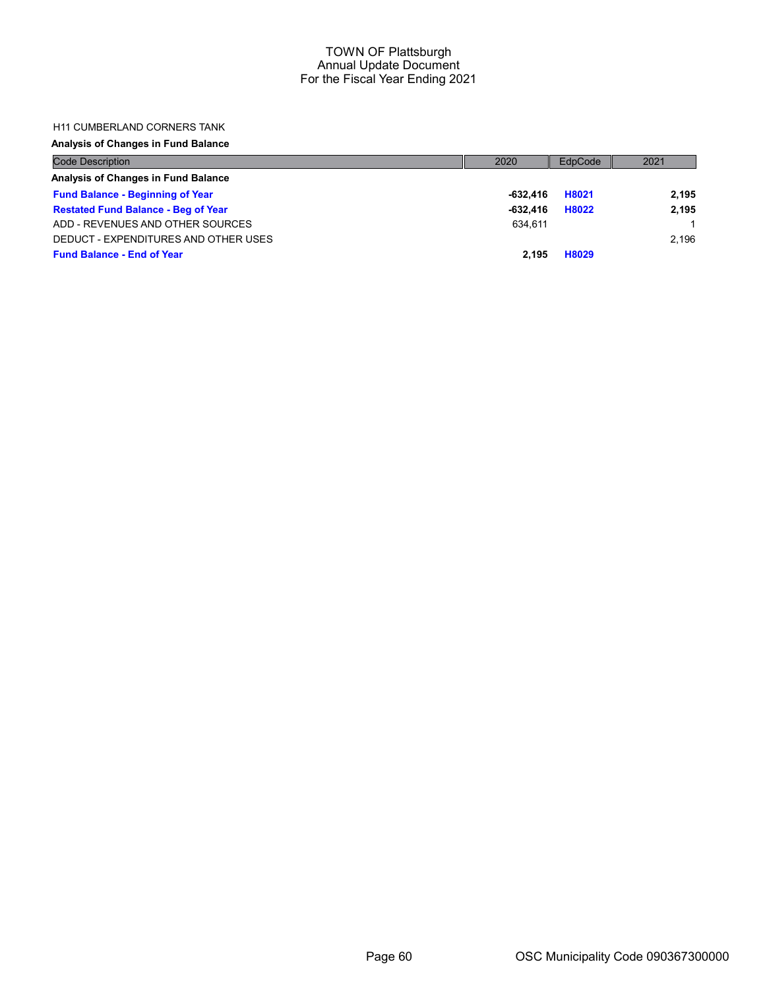### H11 CUMBERLAND CORNERS TANK

# Analysis of Changes in Fund Balance

| <b>Code Description</b>                    | 2020       | EdpCode | 2021  |
|--------------------------------------------|------------|---------|-------|
| Analysis of Changes in Fund Balance        |            |         |       |
| <b>Fund Balance - Beginning of Year</b>    | -632.416   | H8021   | 2.195 |
| <b>Restated Fund Balance - Beg of Year</b> | $-632.416$ | H8022   | 2.195 |
| ADD - REVENUES AND OTHER SOURCES           | 634.611    |         |       |
| DEDUCT - EXPENDITURES AND OTHER USES       |            |         | 2.196 |
| <b>Fund Balance - End of Year</b>          | 2.195      | H8029   |       |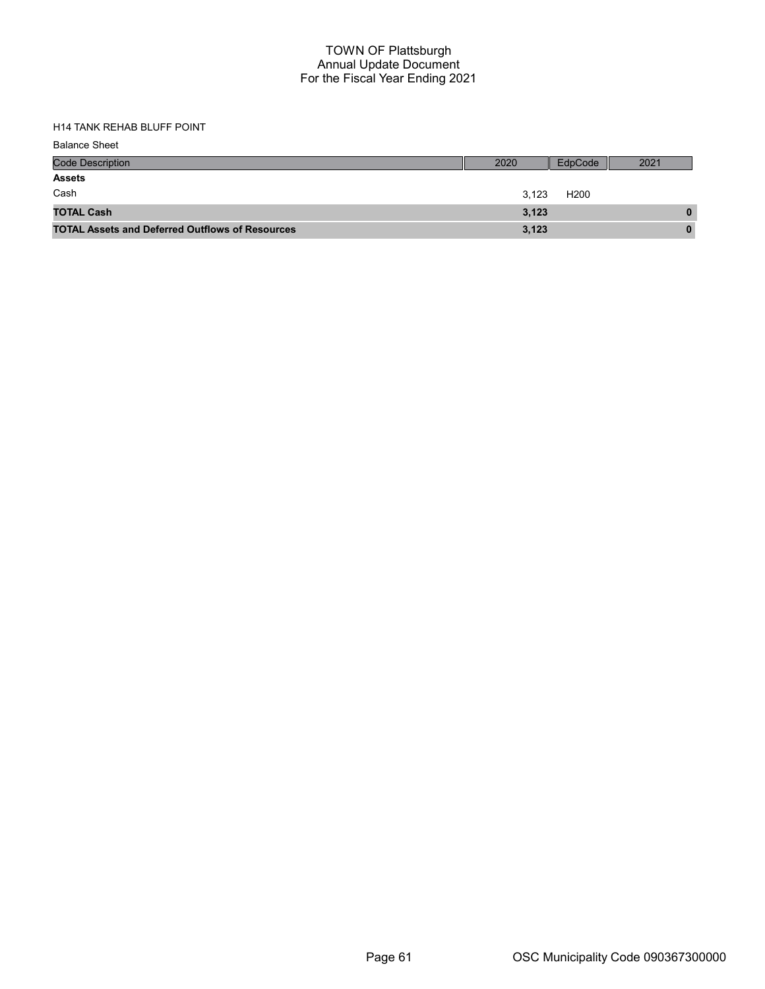| <b>Balance Sheet</b>                                   |       |                  |      |
|--------------------------------------------------------|-------|------------------|------|
| <b>Code Description</b>                                | 2020  | EdpCode          | 2021 |
| <b>Assets</b>                                          |       |                  |      |
| Cash                                                   | 3,123 | H <sub>200</sub> |      |
| <b>TOTAL Cash</b>                                      | 3,123 |                  | 0    |
| <b>TOTAL Assets and Deferred Outflows of Resources</b> | 3,123 |                  | 0    |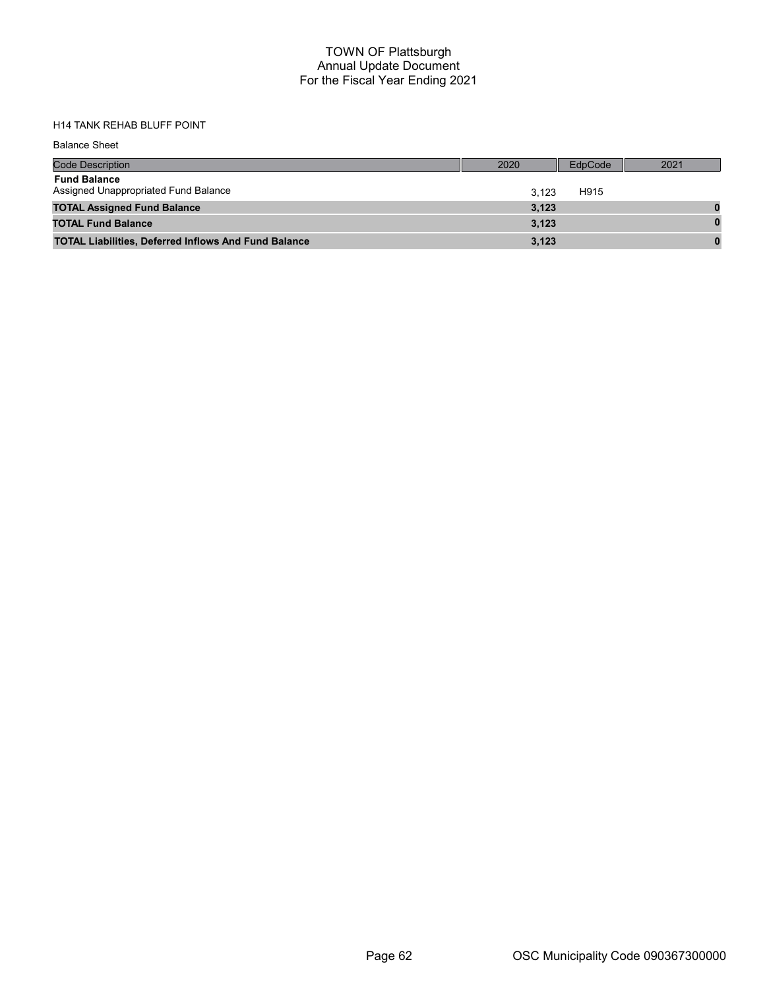| <b>Balance Sheet</b>                                        |       |         |          |
|-------------------------------------------------------------|-------|---------|----------|
| <b>Code Description</b>                                     | 2020  | EdpCode | 2021     |
| <b>Fund Balance</b><br>Assigned Unappropriated Fund Balance | 3.123 | H915    |          |
| <b>TOTAL Assigned Fund Balance</b>                          | 3,123 |         |          |
| <b>TOTAL Fund Balance</b>                                   | 3,123 |         |          |
| <b>TOTAL Liabilities, Deferred Inflows And Fund Balance</b> | 3,123 |         | $\bf{0}$ |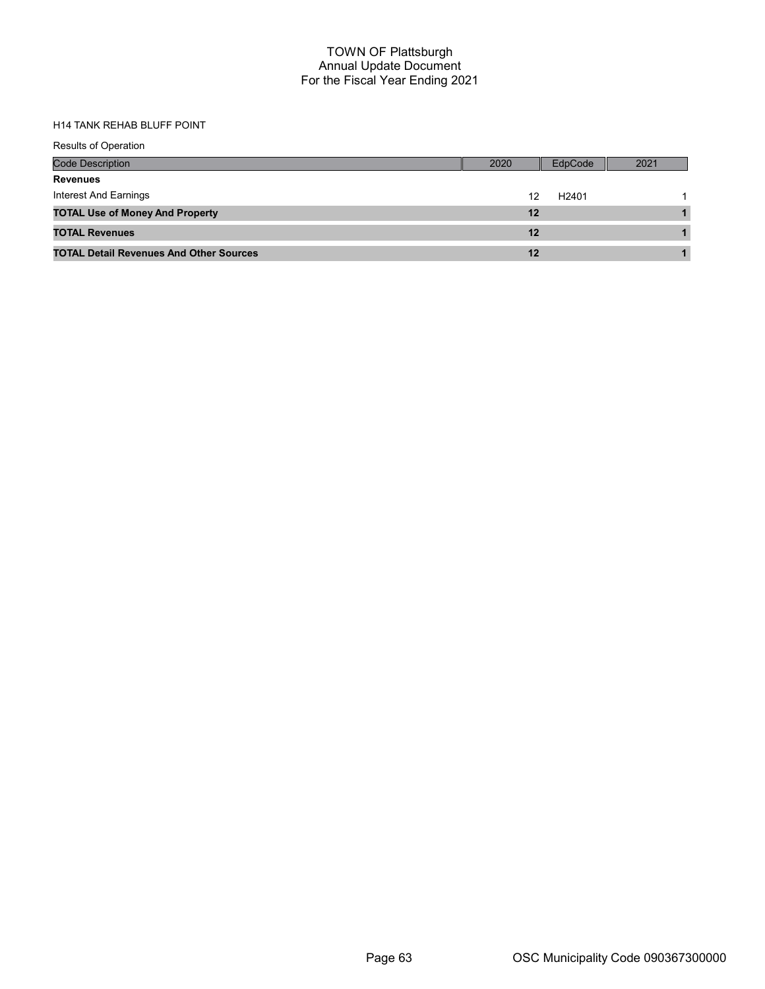| <b>Results of Operation</b>                    |         |                   |      |
|------------------------------------------------|---------|-------------------|------|
| <b>Code Description</b>                        | 2020    | EdpCode           | 2021 |
| <b>Revenues</b>                                |         |                   |      |
| Interest And Earnings                          | 12      | H <sub>2401</sub> |      |
| <b>TOTAL Use of Money And Property</b>         | $12 \,$ |                   |      |
| <b>TOTAL Revenues</b>                          | $12 \$  |                   |      |
| <b>TOTAL Detail Revenues And Other Sources</b> | 12      |                   |      |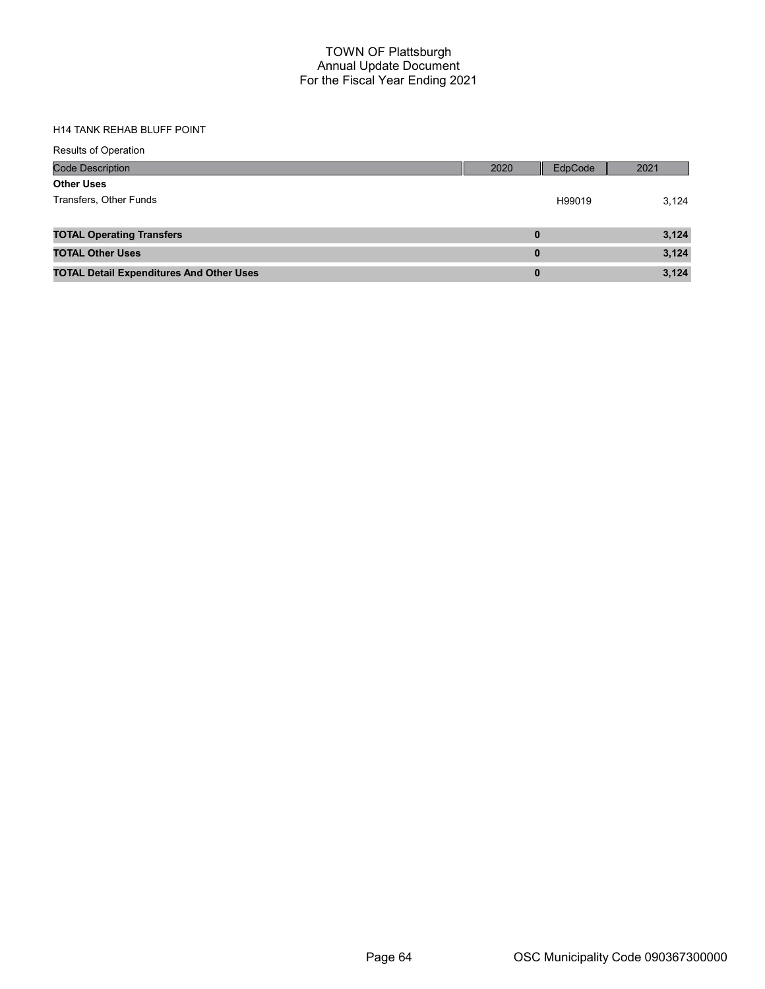| <b>Results of Operation</b>                     |          |         |       |
|-------------------------------------------------|----------|---------|-------|
| <b>Code Description</b>                         | 2020     | EdpCode | 2021  |
| <b>Other Uses</b>                               |          |         |       |
| Transfers, Other Funds                          |          | H99019  | 3,124 |
| <b>TOTAL Operating Transfers</b>                | $\bf{0}$ |         | 3,124 |
| <b>TOTAL Other Uses</b>                         | $\bf{0}$ |         | 3,124 |
| <b>TOTAL Detail Expenditures And Other Uses</b> | $\bf{0}$ |         | 3,124 |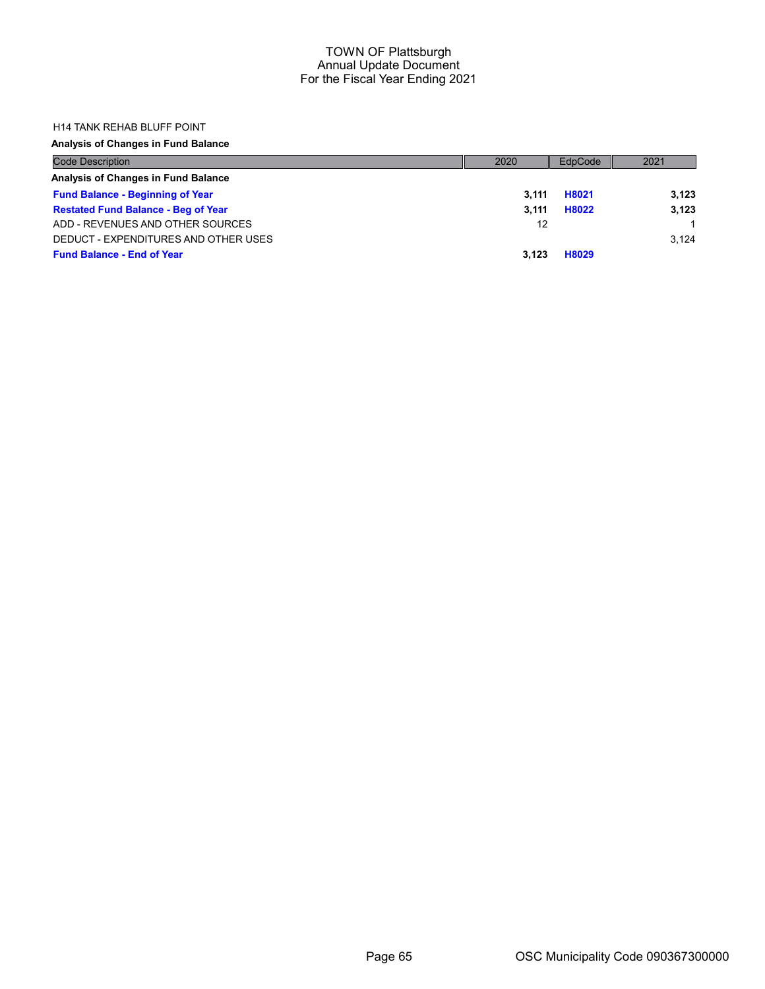#### H14 TANK REHAB BLUFF POINT

## Analysis of Changes in Fund Balance

| <b>Code Description</b>                    | 2020  | EdpCode | 2021  |
|--------------------------------------------|-------|---------|-------|
| Analysis of Changes in Fund Balance        |       |         |       |
| <b>Fund Balance - Beginning of Year</b>    | 3.111 | H8021   | 3.123 |
| <b>Restated Fund Balance - Beg of Year</b> | 3.111 | H8022   | 3.123 |
| ADD - REVENUES AND OTHER SOURCES           | 12    |         |       |
| DEDUCT - EXPENDITURES AND OTHER USES       |       |         | 3.124 |
| <b>Fund Balance - End of Year</b>          | 3.123 | H8029   |       |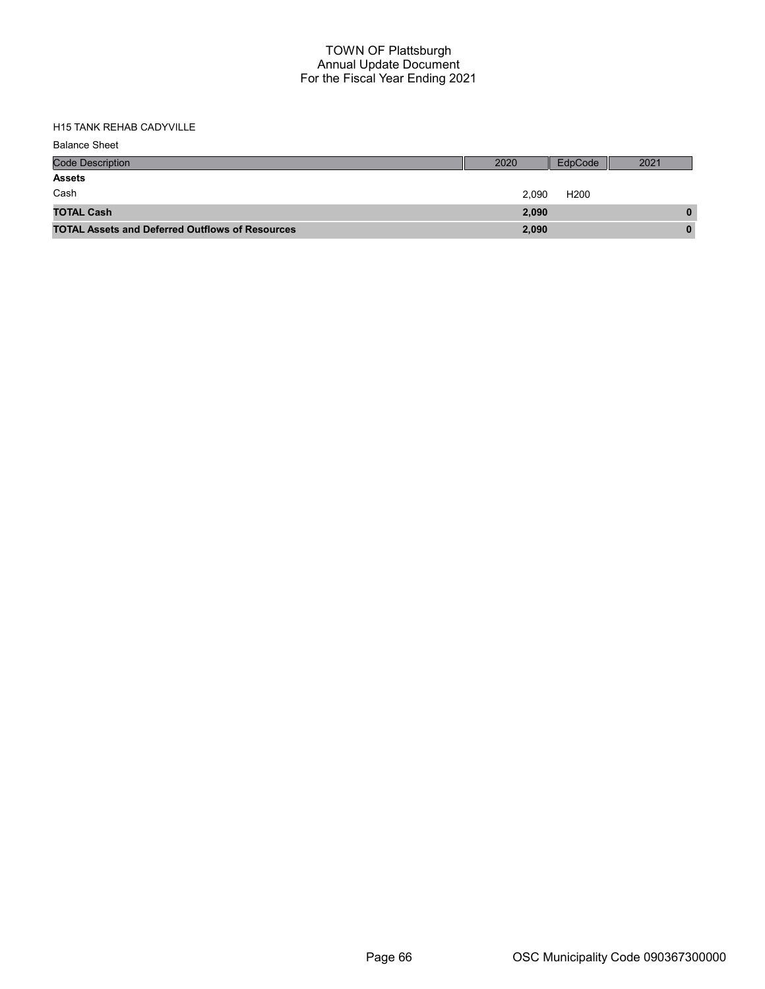| <b>Balance Sheet</b>                                   |       |                  |      |
|--------------------------------------------------------|-------|------------------|------|
| <b>Code Description</b>                                | 2020  | EdpCode          | 2021 |
| <b>Assets</b>                                          |       |                  |      |
| Cash                                                   | 2,090 | H <sub>200</sub> |      |
| <b>TOTAL Cash</b>                                      | 2,090 |                  | 0    |
| <b>TOTAL Assets and Deferred Outflows of Resources</b> | 2,090 |                  | 0    |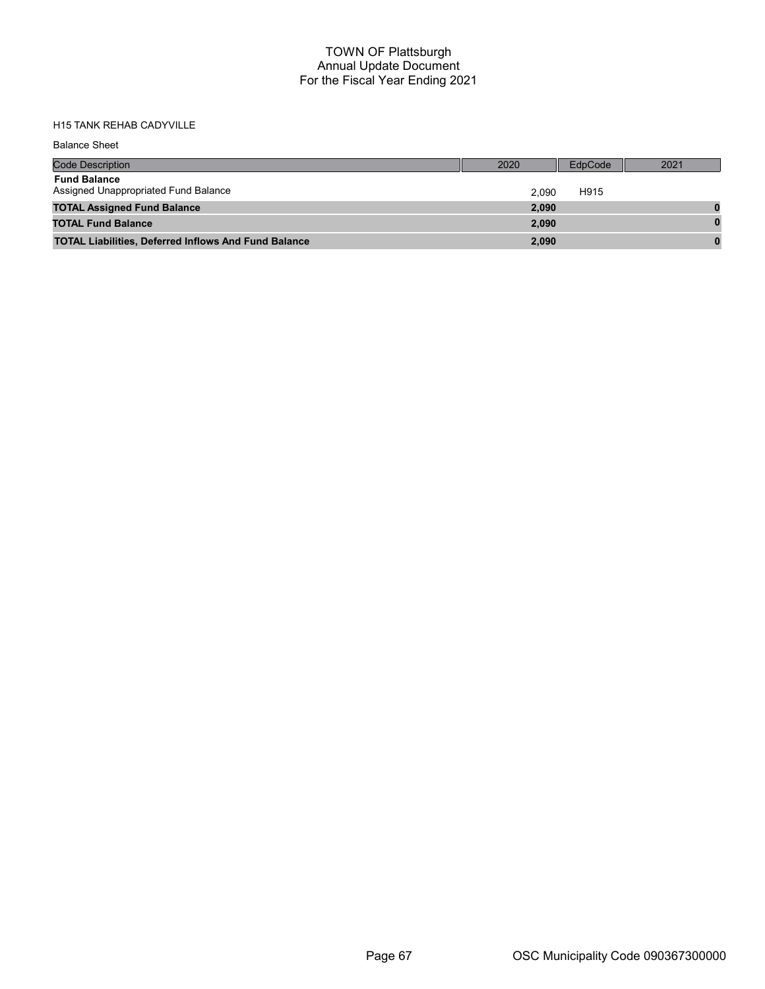| <b>Balance Sheet</b>                                        |       |         |      |
|-------------------------------------------------------------|-------|---------|------|
| <b>Code Description</b>                                     | 2020  | EdpCode | 2021 |
| <b>Fund Balance</b><br>Assigned Unappropriated Fund Balance | 2.090 | H915    |      |
| <b>TOTAL Assigned Fund Balance</b>                          | 2,090 |         |      |
| <b>TOTAL Fund Balance</b>                                   | 2,090 |         |      |
| <b>TOTAL Liabilities, Deferred Inflows And Fund Balance</b> | 2,090 |         |      |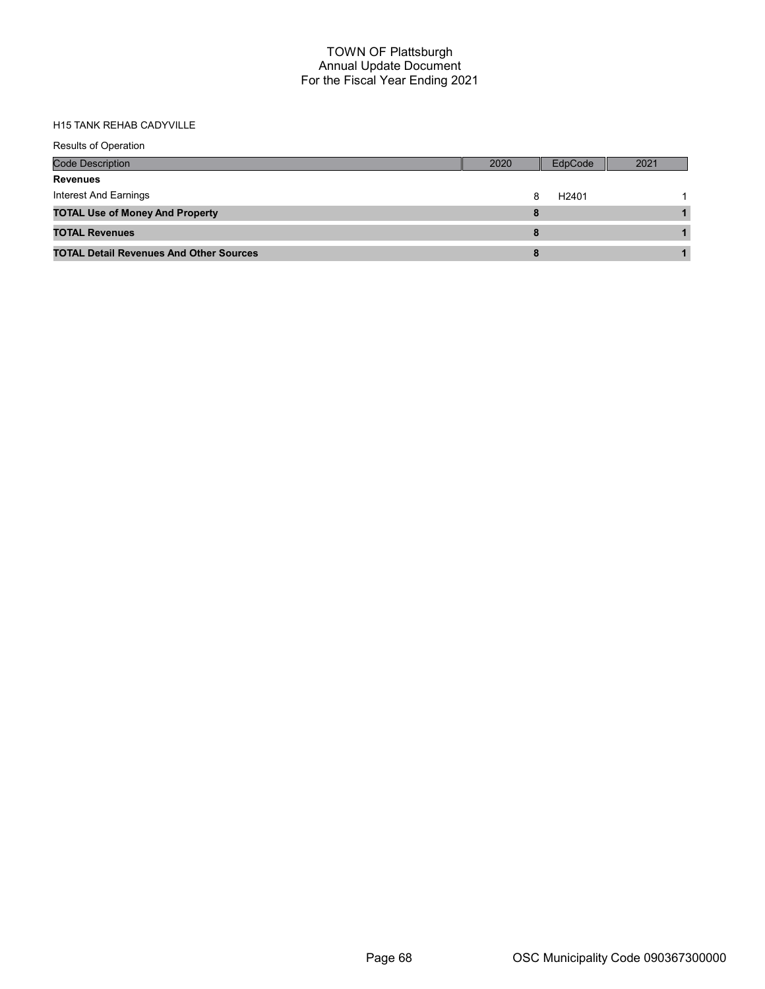| <b>Results of Operation</b>                    |      |                   |      |
|------------------------------------------------|------|-------------------|------|
| <b>Code Description</b>                        | 2020 | EdpCode           | 2021 |
| <b>Revenues</b>                                |      |                   |      |
| Interest And Earnings                          | 8    | H <sub>2401</sub> |      |
| <b>TOTAL Use of Money And Property</b>         | 8    |                   |      |
| <b>TOTAL Revenues</b>                          |      |                   |      |
| <b>TOTAL Detail Revenues And Other Sources</b> | 8    |                   |      |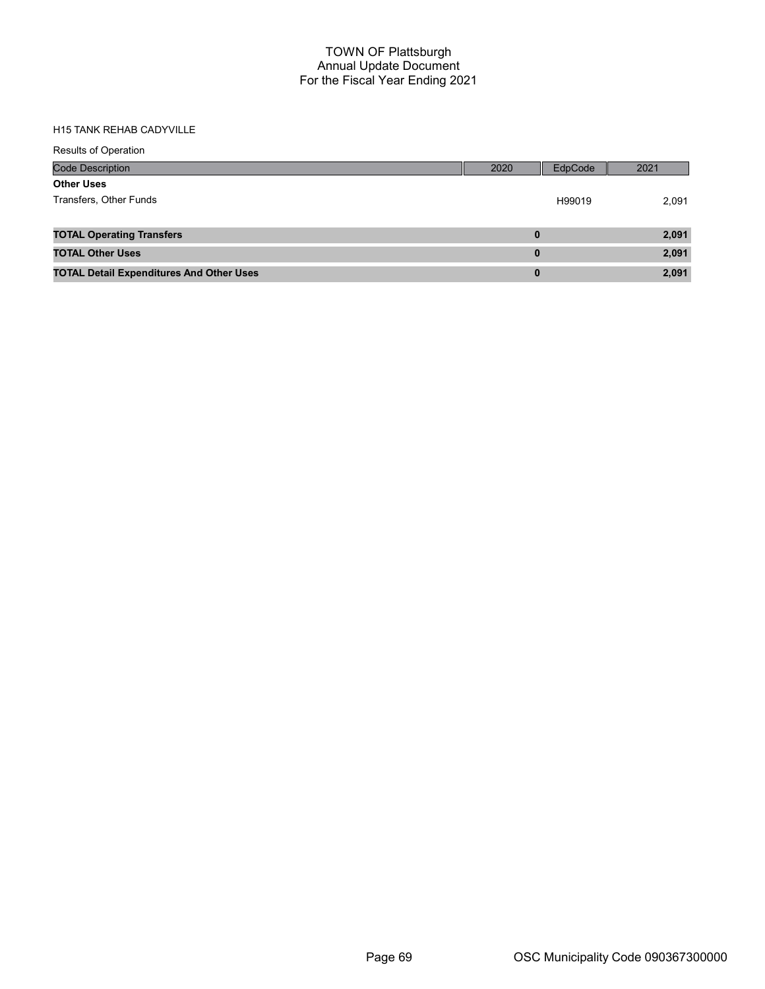| <b>Results of Operation</b>                     |          |         |       |
|-------------------------------------------------|----------|---------|-------|
| <b>Code Description</b>                         | 2020     | EdpCode | 2021  |
| <b>Other Uses</b>                               |          |         |       |
| Transfers, Other Funds                          |          | H99019  | 2,091 |
|                                                 |          |         |       |
| <b>TOTAL Operating Transfers</b>                | $\bf{0}$ |         | 2,091 |
| <b>TOTAL Other Uses</b>                         | $\bf{0}$ |         | 2,091 |
| <b>TOTAL Detail Expenditures And Other Uses</b> | $\bf{0}$ |         | 2,091 |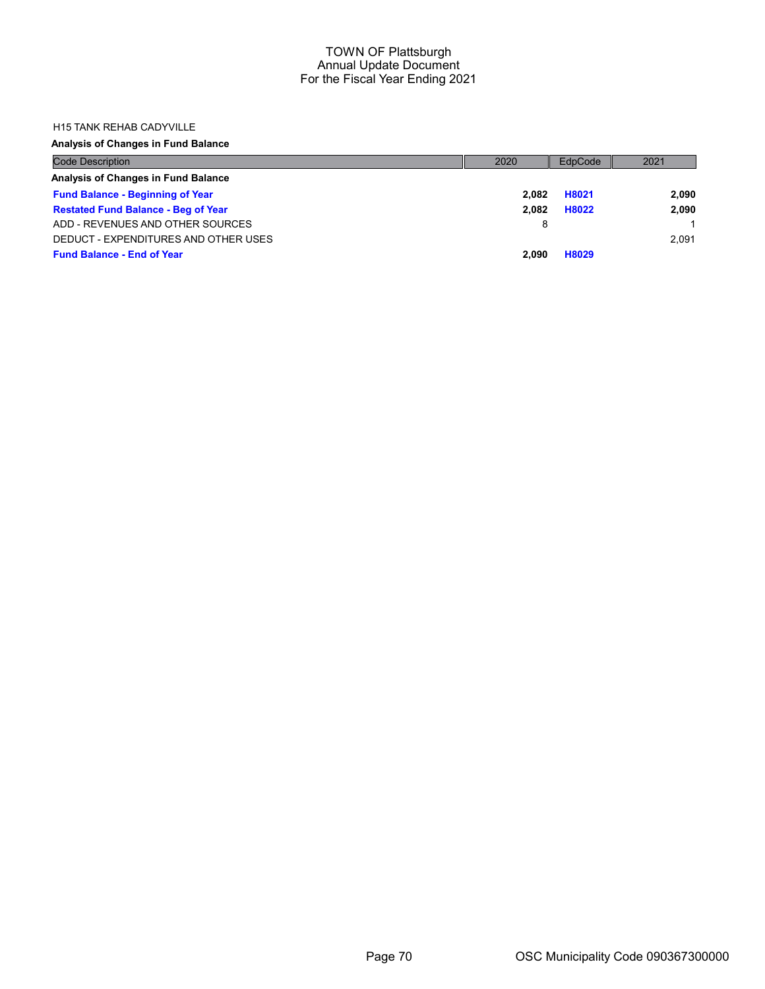#### H15 TANK REHAB CADYVILLE

## Analysis of Changes in Fund Balance

| <b>Code Description</b>                    | 2020  | EdpCode | 2021  |
|--------------------------------------------|-------|---------|-------|
| Analysis of Changes in Fund Balance        |       |         |       |
| <b>Fund Balance - Beginning of Year</b>    | 2.082 | H8021   | 2,090 |
| <b>Restated Fund Balance - Beg of Year</b> | 2.082 | H8022   | 2,090 |
| ADD - REVENUES AND OTHER SOURCES           | 8     |         |       |
| DEDUCT - EXPENDITURES AND OTHER USES       |       |         | 2.091 |
| <b>Fund Balance - End of Year</b>          | 2.090 | H8029   |       |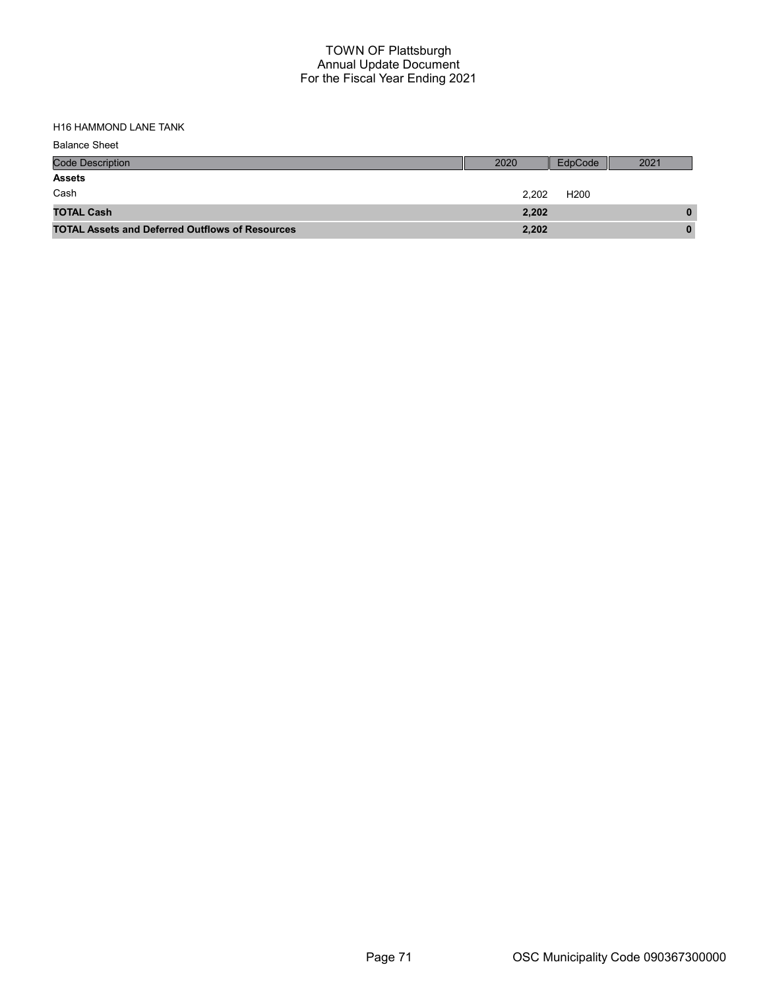H16 HAMMOND LANE TANK

| <b>Balance Sheet</b>                                   |       |                  |      |
|--------------------------------------------------------|-------|------------------|------|
| <b>Code Description</b>                                | 2020  | EdpCode          | 2021 |
| <b>Assets</b>                                          |       |                  |      |
| Cash                                                   | 2,202 | H <sub>200</sub> |      |
| <b>TOTAL Cash</b>                                      | 2,202 |                  | 0    |
| <b>TOTAL Assets and Deferred Outflows of Resources</b> | 2,202 |                  | 0    |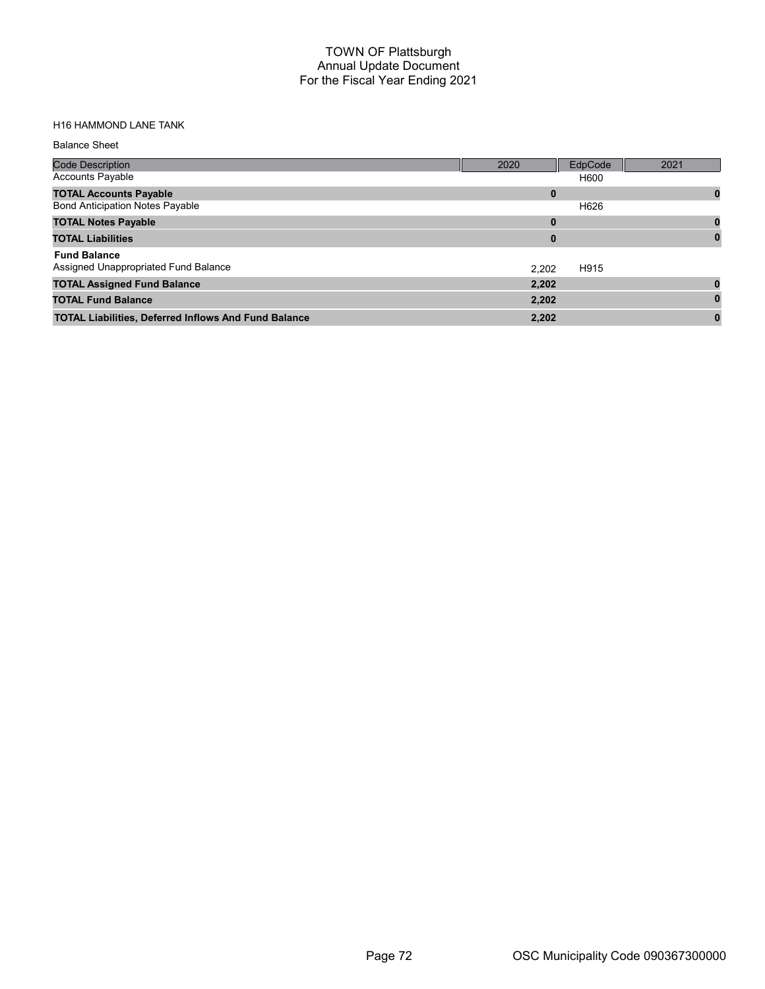# H16 HAMMOND LANE TANK

| <b>Code Description</b>                                     | 2020  | EdpCode | 2021 |
|-------------------------------------------------------------|-------|---------|------|
| <b>Accounts Payable</b>                                     |       | H600    |      |
| <b>TOTAL Accounts Payable</b>                               | 0     |         | 0    |
| <b>Bond Anticipation Notes Payable</b>                      |       | H626    |      |
| <b>TOTAL Notes Payable</b>                                  | 0     |         |      |
| <b>TOTAL Liabilities</b>                                    | 0     |         |      |
| <b>Fund Balance</b>                                         |       |         |      |
| Assigned Unappropriated Fund Balance                        | 2.202 | H915    |      |
| <b>TOTAL Assigned Fund Balance</b>                          | 2,202 |         |      |
| <b>TOTAL Fund Balance</b>                                   | 2,202 |         |      |
| <b>TOTAL Liabilities, Deferred Inflows And Fund Balance</b> | 2,202 |         |      |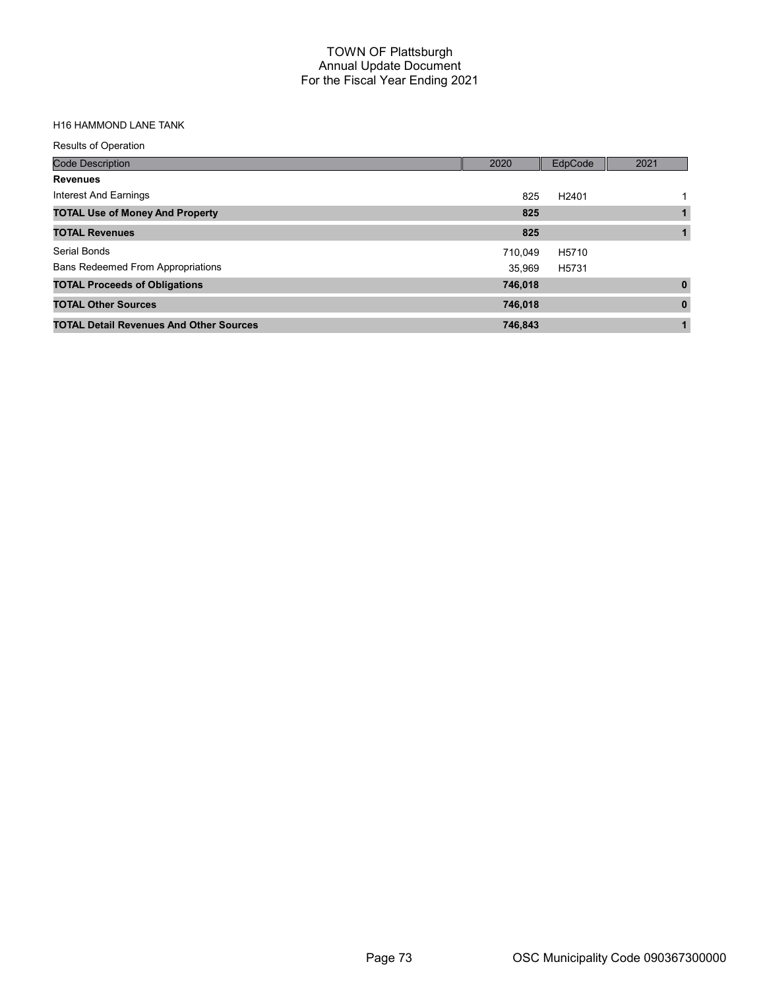# H16 HAMMOND LANE TANK

| <b>Results of Operation</b>                    |         |                   |              |
|------------------------------------------------|---------|-------------------|--------------|
| <b>Code Description</b>                        | 2020    | EdpCode           | 2021         |
| <b>Revenues</b>                                |         |                   |              |
| Interest And Earnings                          | 825     | H <sub>2401</sub> |              |
| <b>TOTAL Use of Money And Property</b>         | 825     |                   |              |
| <b>TOTAL Revenues</b>                          | 825     |                   |              |
| Serial Bonds                                   | 710.049 | H5710             |              |
| <b>Bans Redeemed From Appropriations</b>       | 35.969  | H5731             |              |
| <b>TOTAL Proceeds of Obligations</b>           | 746,018 |                   | $\mathbf{0}$ |
| <b>TOTAL Other Sources</b>                     | 746,018 |                   | $\bf{0}$     |
| <b>TOTAL Detail Revenues And Other Sources</b> | 746,843 |                   | 1            |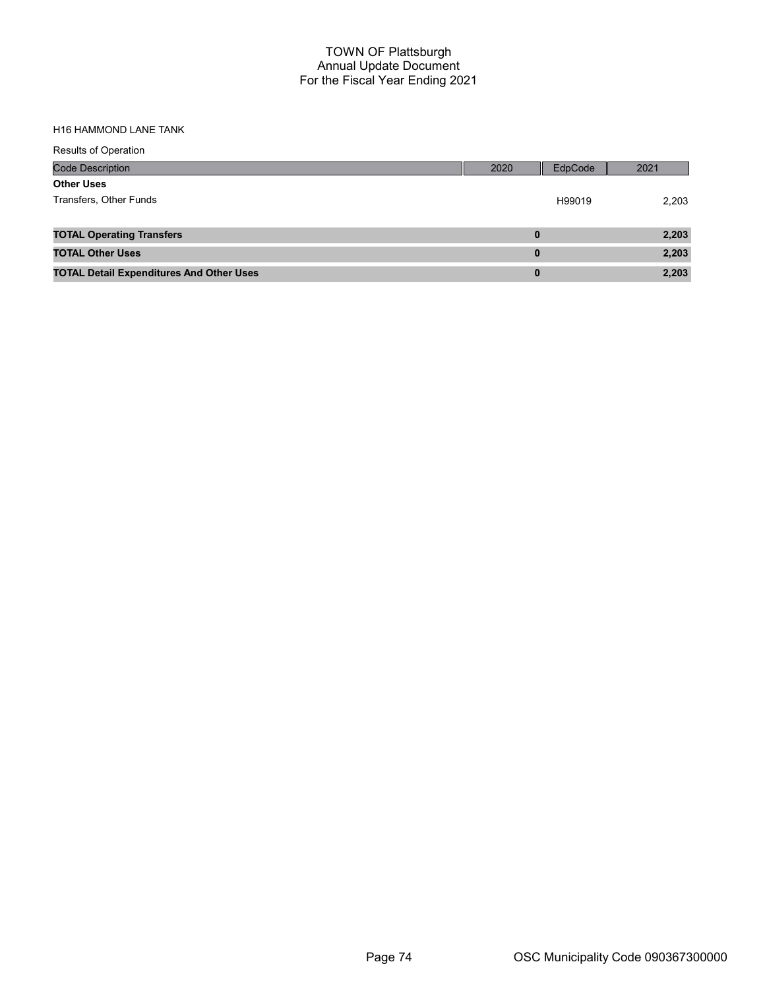#### H16 HAMMOND LANE TANK

| <b>Results of Operation</b>                     |          |         |       |
|-------------------------------------------------|----------|---------|-------|
| <b>Code Description</b>                         | 2020     | EdpCode | 2021  |
| <b>Other Uses</b>                               |          |         |       |
| Transfers, Other Funds                          |          | H99019  | 2,203 |
|                                                 |          |         |       |
| <b>TOTAL Operating Transfers</b>                | $\bf{0}$ |         | 2,203 |
| <b>TOTAL Other Uses</b>                         | $\bf{0}$ |         | 2,203 |
| <b>TOTAL Detail Expenditures And Other Uses</b> | $\bf{0}$ |         | 2,203 |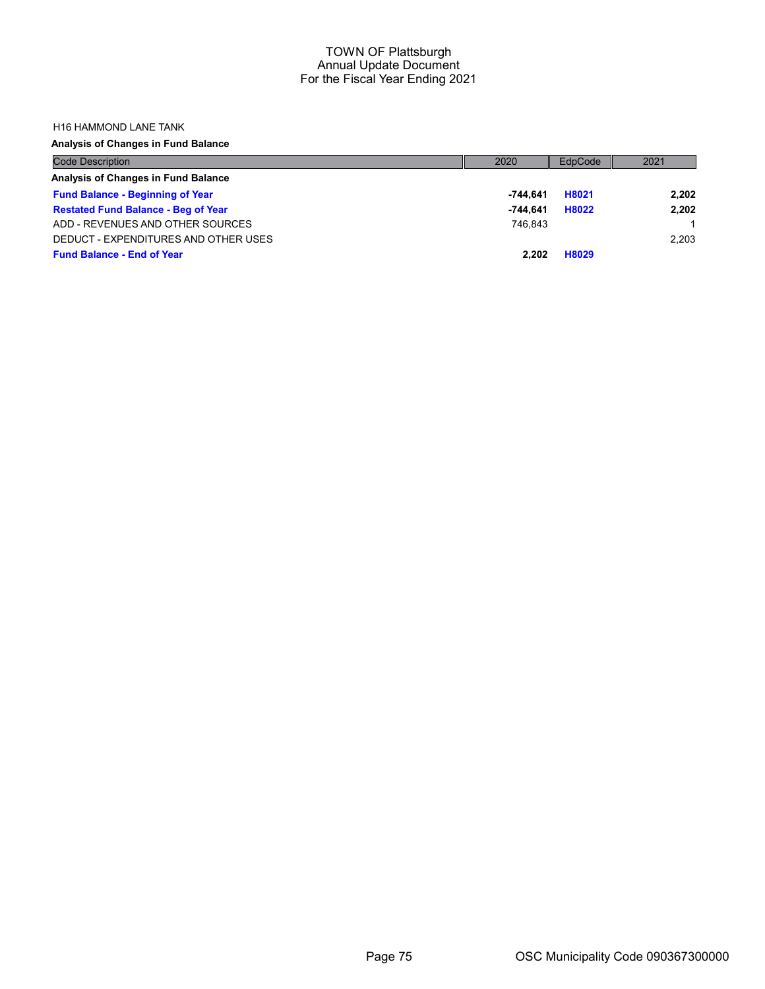#### H16 HAMMOND LANE TANK

# Analysis of Changes in Fund Balance

| <b>Code Description</b>                    | 2020       | EdpCode | 2021  |
|--------------------------------------------|------------|---------|-------|
| Analysis of Changes in Fund Balance        |            |         |       |
| <b>Fund Balance - Beginning of Year</b>    | $-744.641$ | H8021   | 2.202 |
| <b>Restated Fund Balance - Beg of Year</b> | $-744.641$ | H8022   | 2,202 |
| ADD - REVENUES AND OTHER SOURCES           | 746.843    |         |       |
| DEDUCT - EXPENDITURES AND OTHER USES       |            |         | 2.203 |
| <b>Fund Balance - End of Year</b>          | 2.202      | H8029   |       |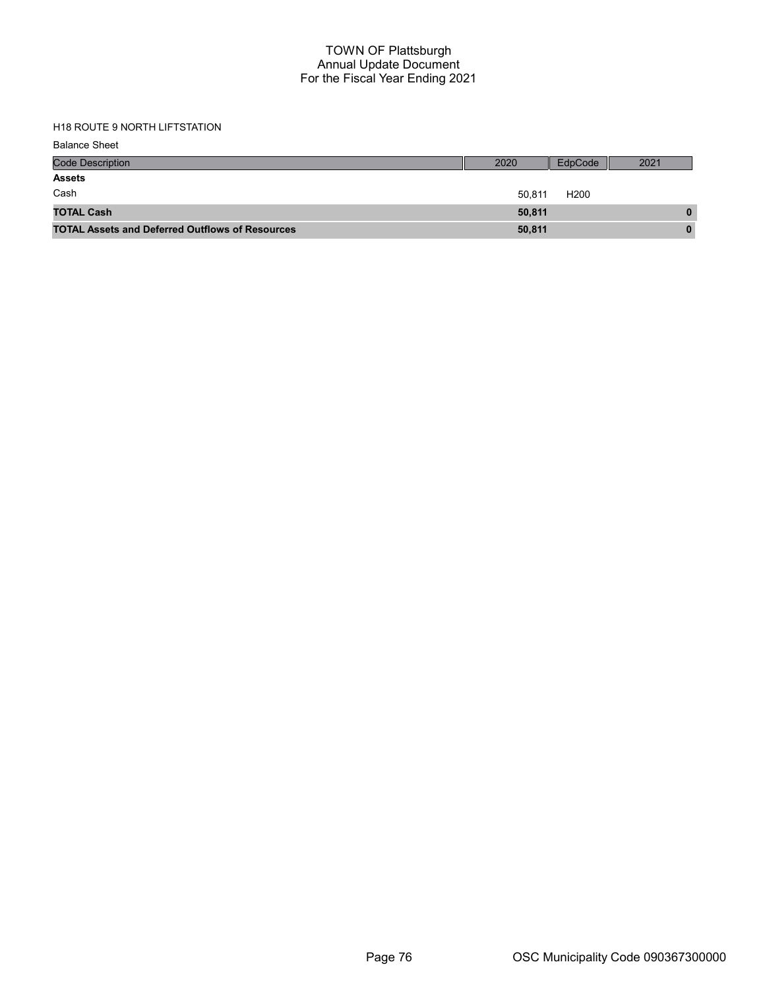# H18 ROUTE 9 NORTH LIFTSTATION

| <b>Balance Sheet</b>                                   |        |                  |      |
|--------------------------------------------------------|--------|------------------|------|
| <b>Code Description</b>                                | 2020   | EdpCode          | 2021 |
| <b>Assets</b>                                          |        |                  |      |
| Cash                                                   | 50.811 | H <sub>200</sub> |      |
| <b>TOTAL Cash</b>                                      | 50,811 |                  | 0    |
| <b>TOTAL Assets and Deferred Outflows of Resources</b> | 50,811 |                  | 0    |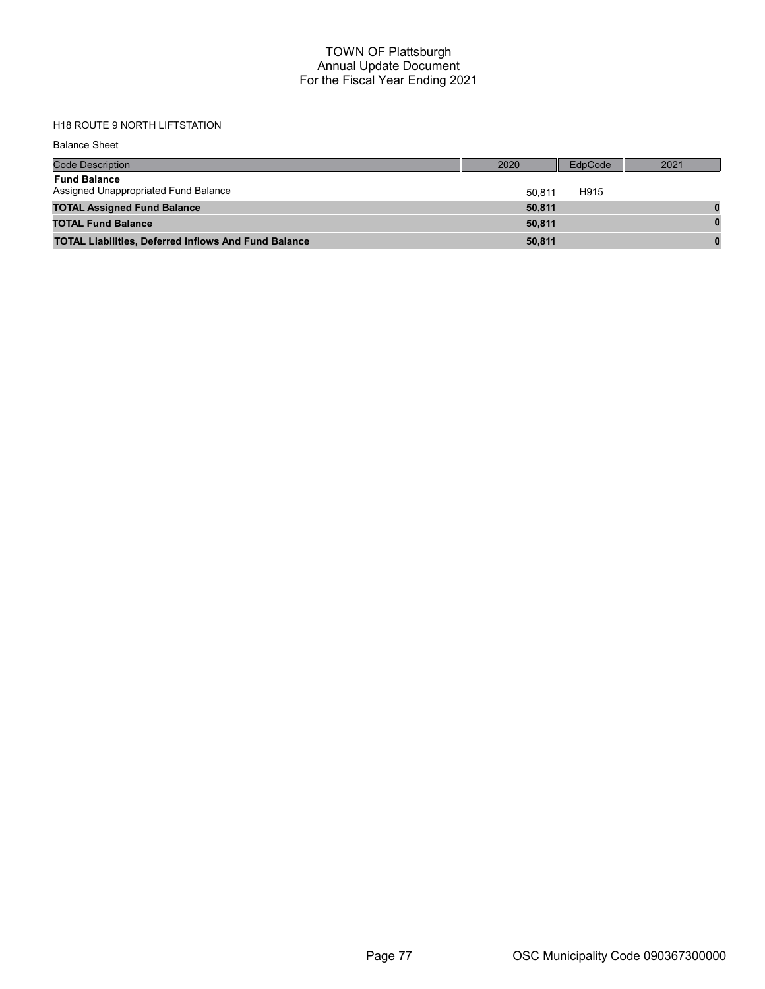# H18 ROUTE 9 NORTH LIFTSTATION

Balance Sheet

| <b>Code Description</b>                                     | 2020   | EdpCode | 2021 |
|-------------------------------------------------------------|--------|---------|------|
| <b>Fund Balance</b><br>Assigned Unappropriated Fund Balance | 50.811 | H915    |      |
| <b>TOTAL Assigned Fund Balance</b>                          | 50,811 |         |      |
| <b>TOTAL Fund Balance</b>                                   | 50.811 |         |      |
| <b>TOTAL Liabilities, Deferred Inflows And Fund Balance</b> | 50,811 |         |      |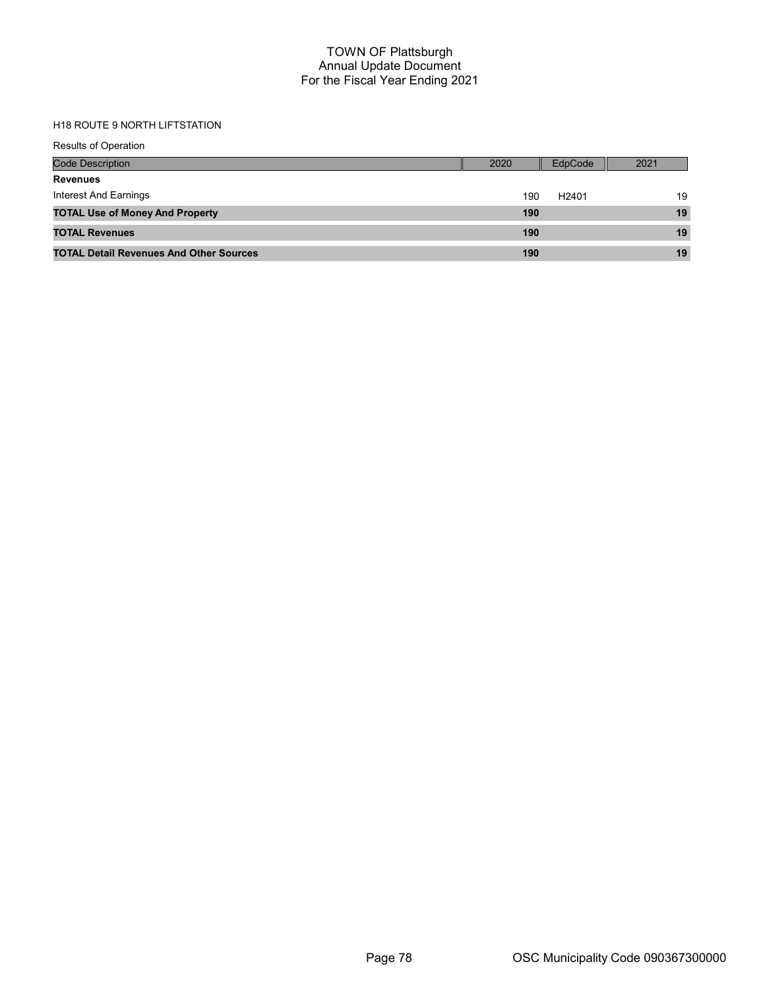# H18 ROUTE 9 NORTH LIFTSTATION

| <b>Results of Operation</b>                    |      |                   |      |
|------------------------------------------------|------|-------------------|------|
| Code Description                               | 2020 | EdpCode           | 2021 |
| <b>Revenues</b>                                |      |                   |      |
| Interest And Earnings                          | 190  | H <sub>2401</sub> | 19   |
| <b>TOTAL Use of Money And Property</b>         | 190  |                   | 19   |
| <b>TOTAL Revenues</b>                          | 190  |                   | 19   |
| <b>TOTAL Detail Revenues And Other Sources</b> | 190  |                   | 19   |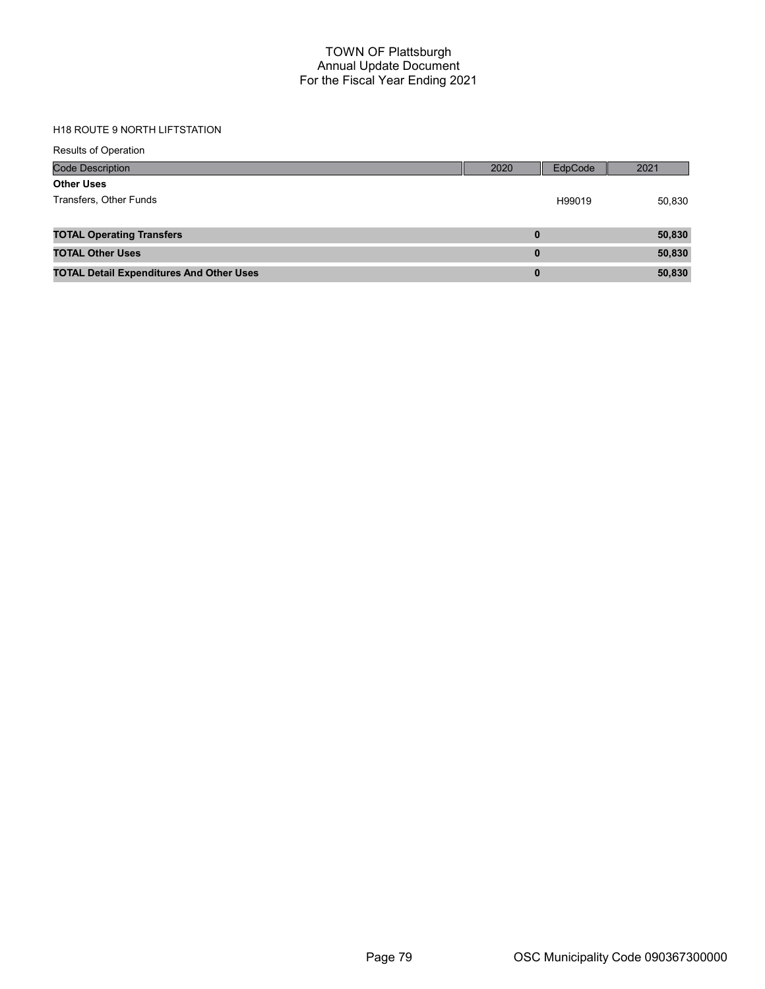# H18 ROUTE 9 NORTH LIFTSTATION

| <b>Results of Operation</b>                     |          |         |        |
|-------------------------------------------------|----------|---------|--------|
| <b>Code Description</b>                         | 2020     | EdpCode | 2021   |
| <b>Other Uses</b>                               |          |         |        |
| Transfers, Other Funds                          |          | H99019  | 50,830 |
|                                                 |          |         |        |
| <b>TOTAL Operating Transfers</b>                | $\bf{0}$ |         | 50,830 |
| <b>TOTAL Other Uses</b>                         | $\bf{0}$ |         | 50,830 |
| <b>TOTAL Detail Expenditures And Other Uses</b> | $\bf{0}$ |         | 50,830 |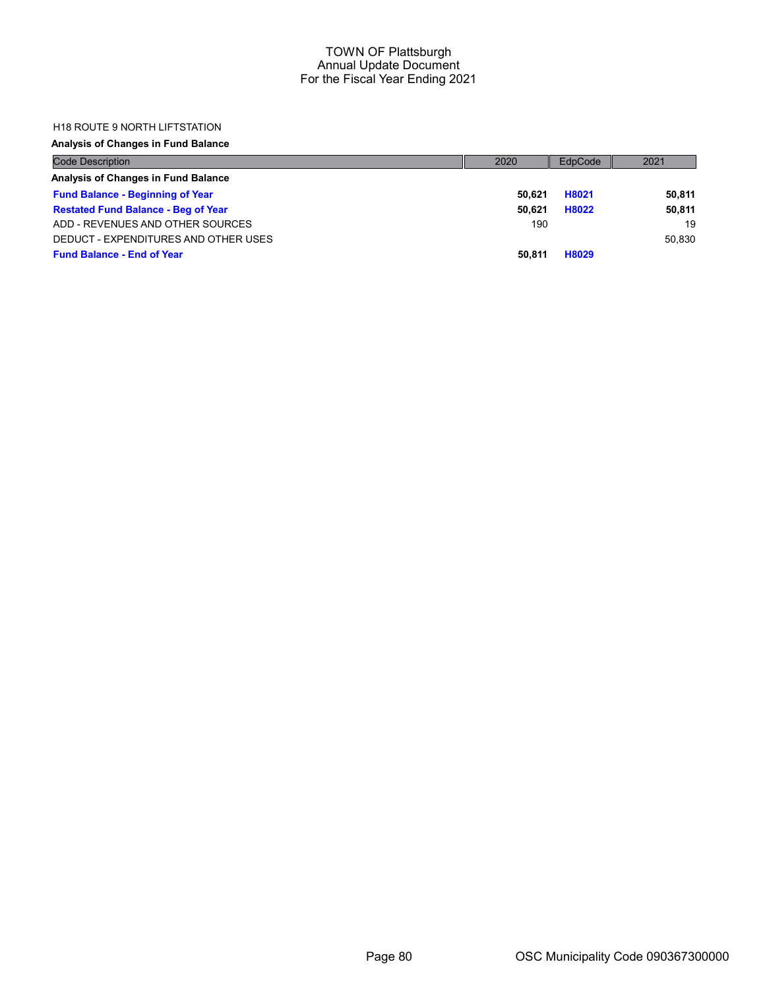#### H18 ROUTE 9 NORTH LIFTSTATION

## Analysis of Changes in Fund Balance

| <b>Code Description</b>                    | 2020   | EdpCode | 2021   |
|--------------------------------------------|--------|---------|--------|
| Analysis of Changes in Fund Balance        |        |         |        |
| <b>Fund Balance - Beginning of Year</b>    | 50.621 | H8021   | 50,811 |
| <b>Restated Fund Balance - Beg of Year</b> | 50.621 | H8022   | 50.811 |
| ADD - REVENUES AND OTHER SOURCES           | 190    |         | 19     |
| DEDUCT - EXPENDITURES AND OTHER USES       |        |         | 50.830 |
| <b>Fund Balance - End of Year</b>          | 50.811 | H8029   |        |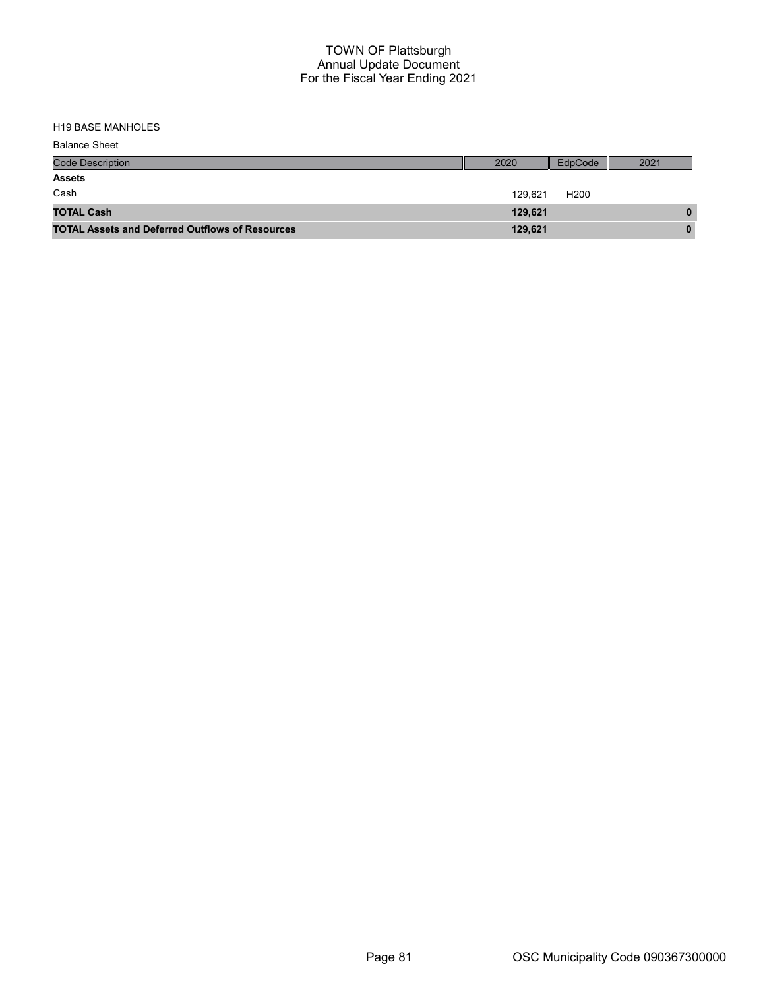| <b>Balance Sheet</b>                                   |         |                  |      |
|--------------------------------------------------------|---------|------------------|------|
| <b>Code Description</b>                                | 2020    | EdpCode          | 2021 |
| <b>Assets</b>                                          |         |                  |      |
| Cash                                                   | 129.621 | H <sub>200</sub> |      |
| <b>TOTAL Cash</b>                                      | 129.621 |                  | 0    |
| <b>TOTAL Assets and Deferred Outflows of Resources</b> | 129,621 |                  | 0    |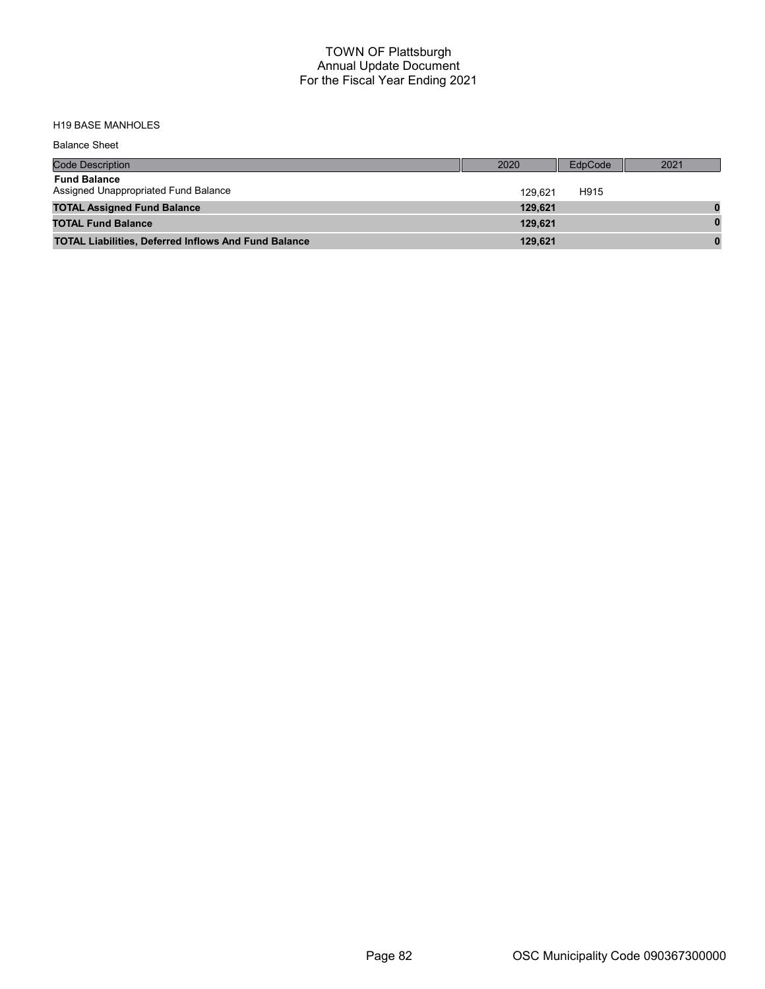| <b>Balance Sheet</b>                                        |         |         |      |
|-------------------------------------------------------------|---------|---------|------|
| <b>Code Description</b>                                     | 2020    | EdpCode | 2021 |
| <b>Fund Balance</b><br>Assigned Unappropriated Fund Balance | 129.621 | H915    |      |
| <b>TOTAL Assigned Fund Balance</b>                          | 129,621 |         |      |
| <b>TOTAL Fund Balance</b>                                   | 129.621 |         | 0    |
| <b>TOTAL Liabilities, Deferred Inflows And Fund Balance</b> | 129.621 |         | 0    |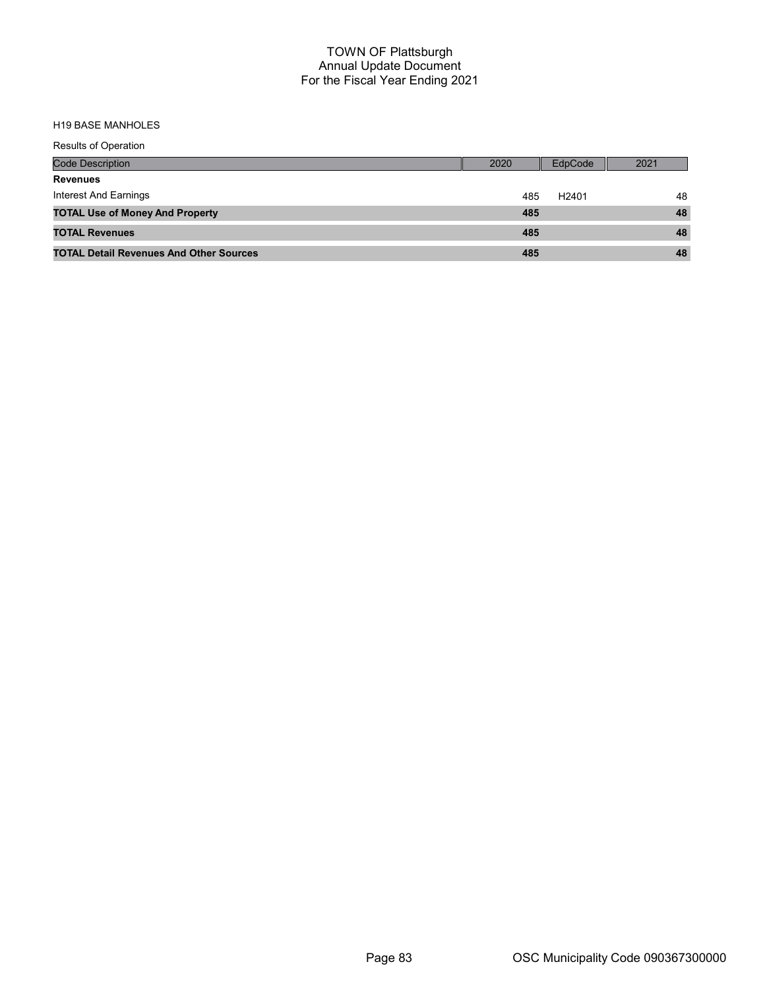| Results of Operation                           |                          |      |
|------------------------------------------------|--------------------------|------|
| <b>Code Description</b>                        | EdpCode<br>2020          | 2021 |
| <b>Revenues</b>                                |                          |      |
| Interest And Earnings                          | H <sub>2401</sub><br>485 | 48   |
| <b>TOTAL Use of Money And Property</b>         | 485                      | 48   |
| <b>TOTAL Revenues</b>                          | 485                      | 48   |
| <b>TOTAL Detail Revenues And Other Sources</b> | 485                      | 48   |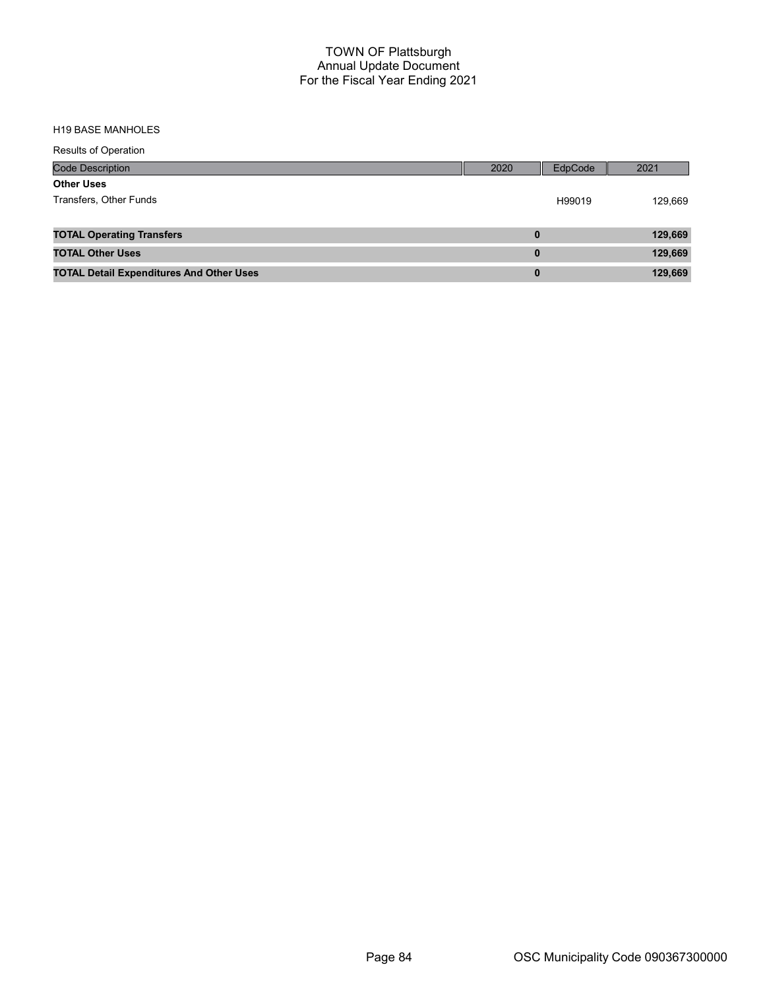| <b>Results of Operation</b>                     |          |         |         |
|-------------------------------------------------|----------|---------|---------|
| <b>Code Description</b>                         | 2020     | EdpCode | 2021    |
| <b>Other Uses</b>                               |          |         |         |
| Transfers, Other Funds                          |          | H99019  | 129,669 |
|                                                 |          |         |         |
| <b>TOTAL Operating Transfers</b>                | $\bf{0}$ |         | 129,669 |
| <b>TOTAL Other Uses</b>                         | $\bf{0}$ |         | 129,669 |
| <b>TOTAL Detail Expenditures And Other Uses</b> | $\bf{0}$ |         | 129,669 |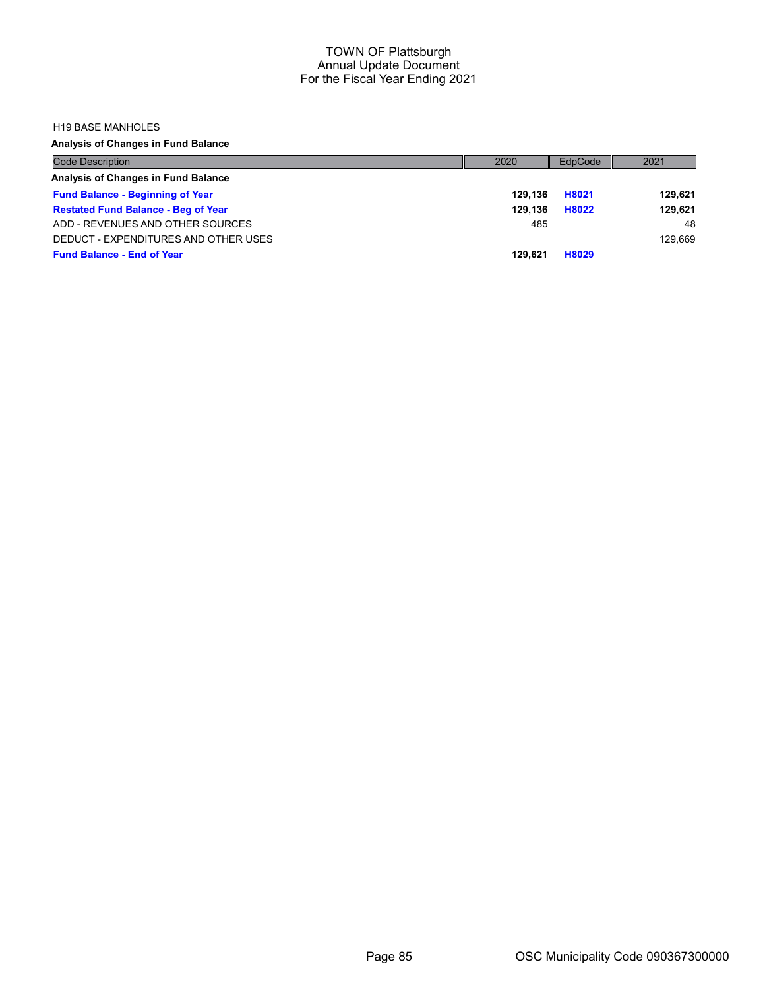#### H19 BASE MANHOLES

Analysis of Changes in Fund Balance

| <b>Code Description</b>                    | 2020    | EdpCode | 2021    |
|--------------------------------------------|---------|---------|---------|
| Analysis of Changes in Fund Balance        |         |         |         |
| <b>Fund Balance - Beginning of Year</b>    | 129.136 | H8021   | 129.621 |
| <b>Restated Fund Balance - Beg of Year</b> | 129.136 | H8022   | 129.621 |
| ADD - REVENUES AND OTHER SOURCES           | 485     |         | 48      |
| DEDUCT - EXPENDITURES AND OTHER USES       |         |         | 129.669 |
| <b>Fund Balance - End of Year</b>          | 129.621 | H8029   |         |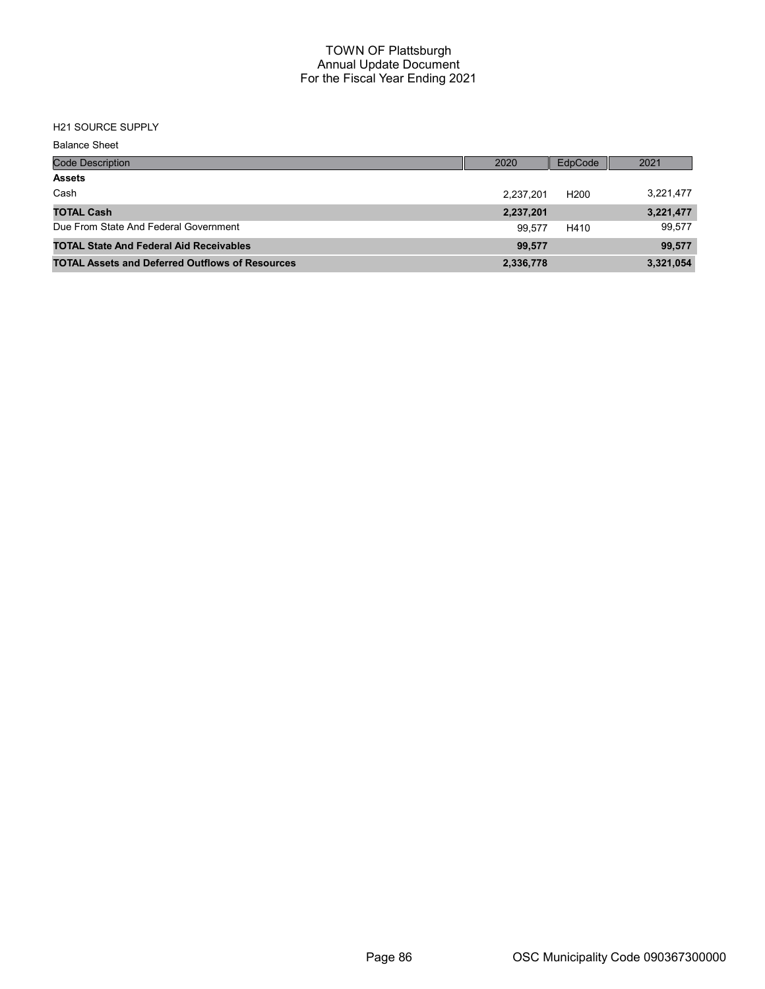# H21 SOURCE SUPPLY

| <b>Balance Sheet</b>                                   |           |                  |           |
|--------------------------------------------------------|-----------|------------------|-----------|
| <b>Code Description</b>                                | 2020      | EdpCode          | 2021      |
| <b>Assets</b>                                          |           |                  |           |
| Cash                                                   | 2,237,201 | H <sub>200</sub> | 3,221,477 |
| <b>TOTAL Cash</b>                                      | 2,237,201 |                  | 3,221,477 |
| Due From State And Federal Government                  | 99.577    | H410             | 99,577    |
| <b>TOTAL State And Federal Aid Receivables</b>         | 99.577    |                  | 99,577    |
| <b>TOTAL Assets and Deferred Outflows of Resources</b> | 2,336,778 |                  | 3,321,054 |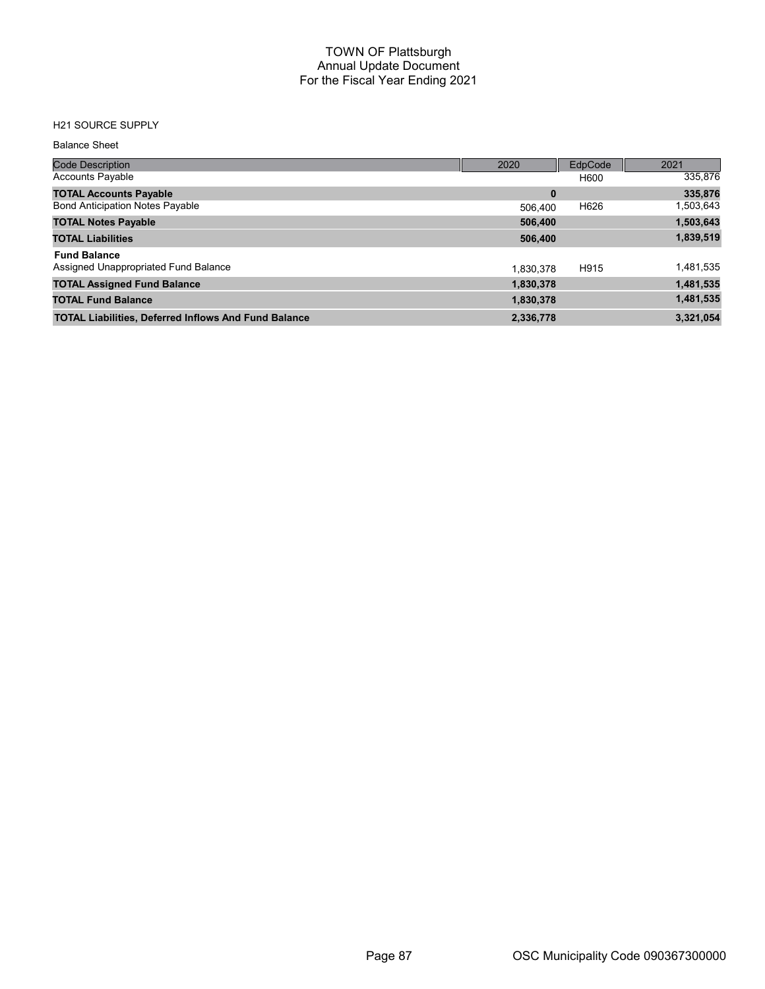## H21 SOURCE SUPPLY

#### Balance Sheet

| <b>Code Description</b>                                     | 2020      | EdpCode | 2021      |
|-------------------------------------------------------------|-----------|---------|-----------|
| Accounts Payable                                            |           | H600    | 335,876   |
| <b>TOTAL Accounts Payable</b>                               | $\bf{0}$  |         | 335,876   |
| <b>Bond Anticipation Notes Payable</b>                      | 506.400   | H626    | 1,503,643 |
| <b>TOTAL Notes Payable</b>                                  | 506,400   |         | 1,503,643 |
| <b>TOTAL Liabilities</b>                                    | 506,400   |         | 1,839,519 |
| <b>Fund Balance</b>                                         |           |         |           |
| Assigned Unappropriated Fund Balance                        | 1.830.378 | H915    | 1,481,535 |
| <b>TOTAL Assigned Fund Balance</b>                          | 1,830,378 |         | 1,481,535 |
| <b>TOTAL Fund Balance</b>                                   | 1,830,378 |         | 1,481,535 |
| <b>TOTAL Liabilities, Deferred Inflows And Fund Balance</b> | 2,336,778 |         | 3,321,054 |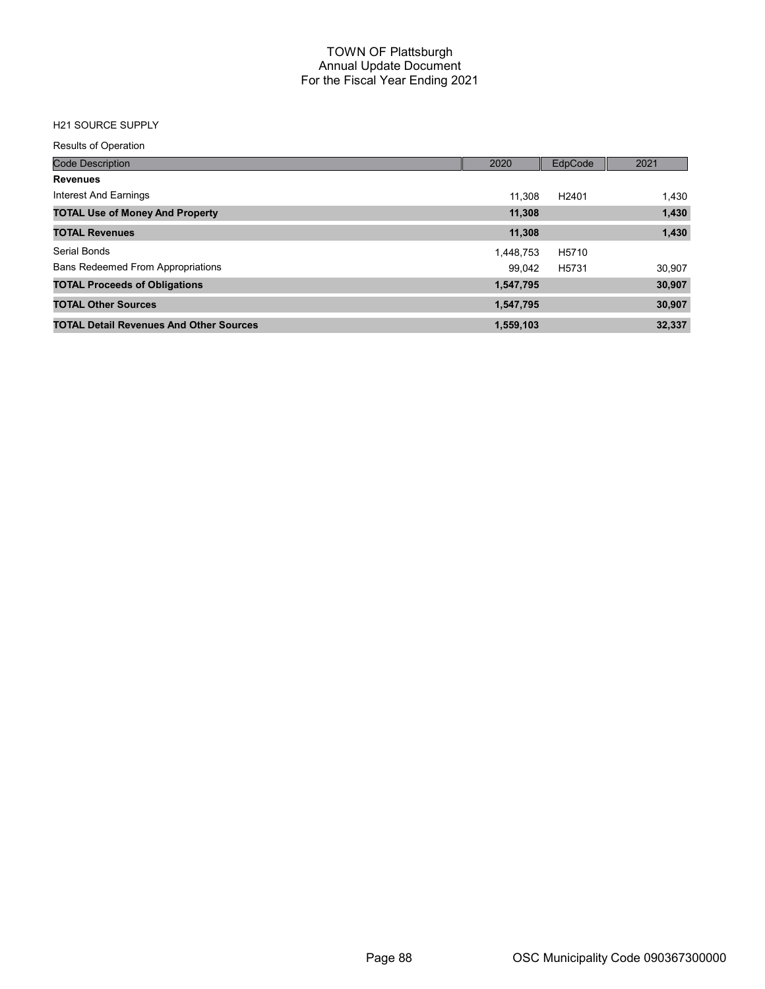## H21 SOURCE SUPPLY

Results of Operation

| <b>Code Description</b>                        | 2020      | EdpCode           | 2021   |
|------------------------------------------------|-----------|-------------------|--------|
| <b>Revenues</b>                                |           |                   |        |
| Interest And Earnings                          | 11.308    | H <sub>2401</sub> | 1,430  |
| <b>TOTAL Use of Money And Property</b>         | 11,308    |                   | 1,430  |
| <b>TOTAL Revenues</b>                          | 11,308    |                   | 1,430  |
| <b>Serial Bonds</b>                            | 1,448,753 | H5710             |        |
| <b>Bans Redeemed From Appropriations</b>       | 99.042    | H5731             | 30,907 |
| <b>TOTAL Proceeds of Obligations</b>           | 1,547,795 |                   | 30,907 |
| <b>TOTAL Other Sources</b>                     | 1,547,795 |                   | 30,907 |
| <b>TOTAL Detail Revenues And Other Sources</b> | 1,559,103 |                   | 32,337 |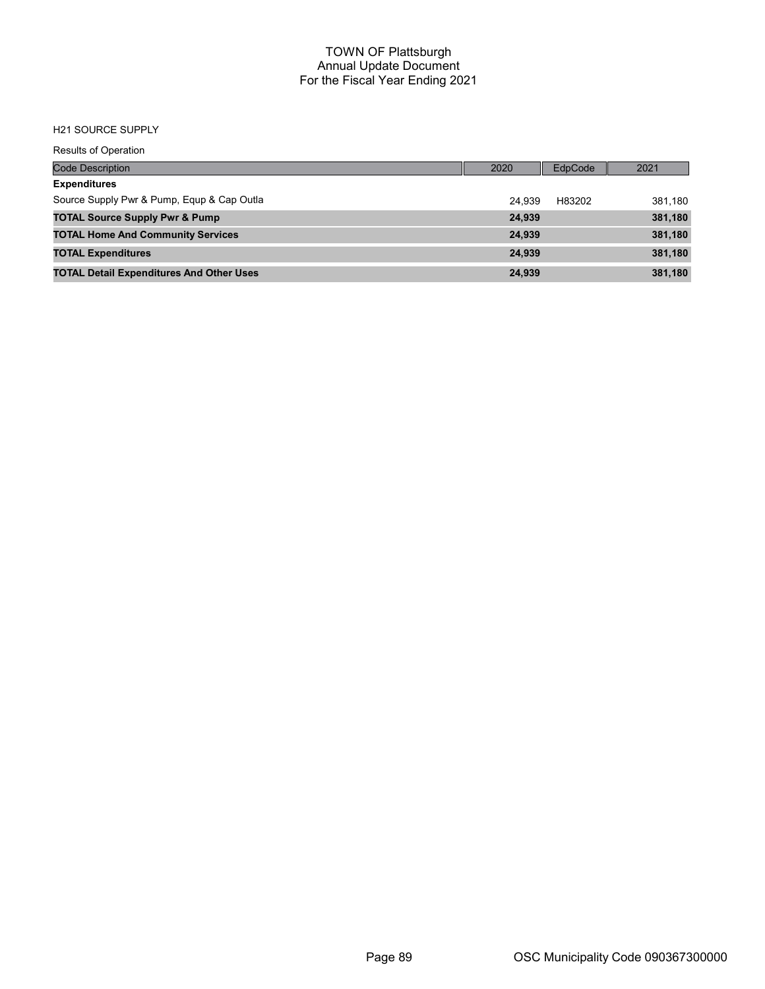#### H21 SOURCE SUPPLY

Results of Operation

| <b>Code Description</b>                         | 2020   | EdpCode | 2021    |
|-------------------------------------------------|--------|---------|---------|
| <b>Expenditures</b>                             |        |         |         |
| Source Supply Pwr & Pump, Equp & Cap Outla      | 24.939 | H83202  | 381.180 |
| <b>TOTAL Source Supply Pwr &amp; Pump</b>       | 24.939 |         | 381,180 |
| <b>TOTAL Home And Community Services</b>        | 24,939 |         | 381,180 |
| <b>TOTAL Expenditures</b>                       | 24.939 |         | 381,180 |
| <b>TOTAL Detail Expenditures And Other Uses</b> | 24,939 |         | 381,180 |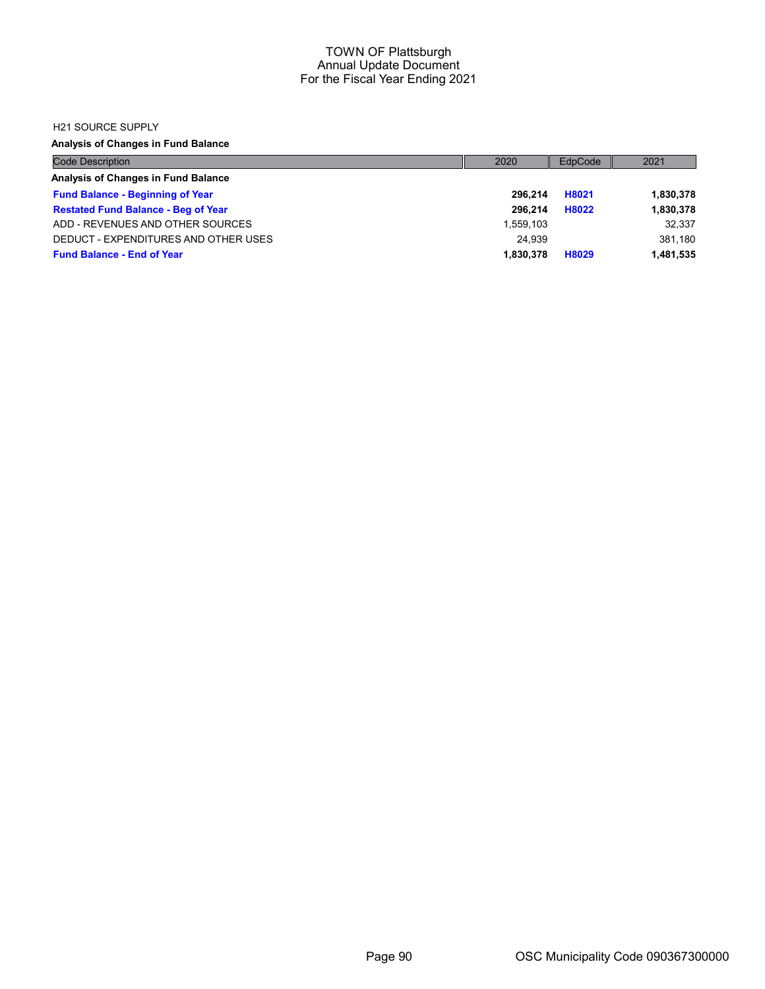#### H21 SOURCE SUPPLY

Analysis of Changes in Fund Balance

| <b>Code Description</b>                    | 2020      | EdpCode | 2021      |
|--------------------------------------------|-----------|---------|-----------|
| Analysis of Changes in Fund Balance        |           |         |           |
| <b>Fund Balance - Beginning of Year</b>    | 296.214   | H8021   | 1,830,378 |
| <b>Restated Fund Balance - Beg of Year</b> | 296.214   | H8022   | 1,830,378 |
| ADD - REVENUES AND OTHER SOURCES           | 1.559.103 |         | 32.337    |
| DEDUCT - EXPENDITURES AND OTHER USES       | 24.939    |         | 381,180   |
| <b>Fund Balance - End of Year</b>          | 1.830.378 | H8029   | 1,481,535 |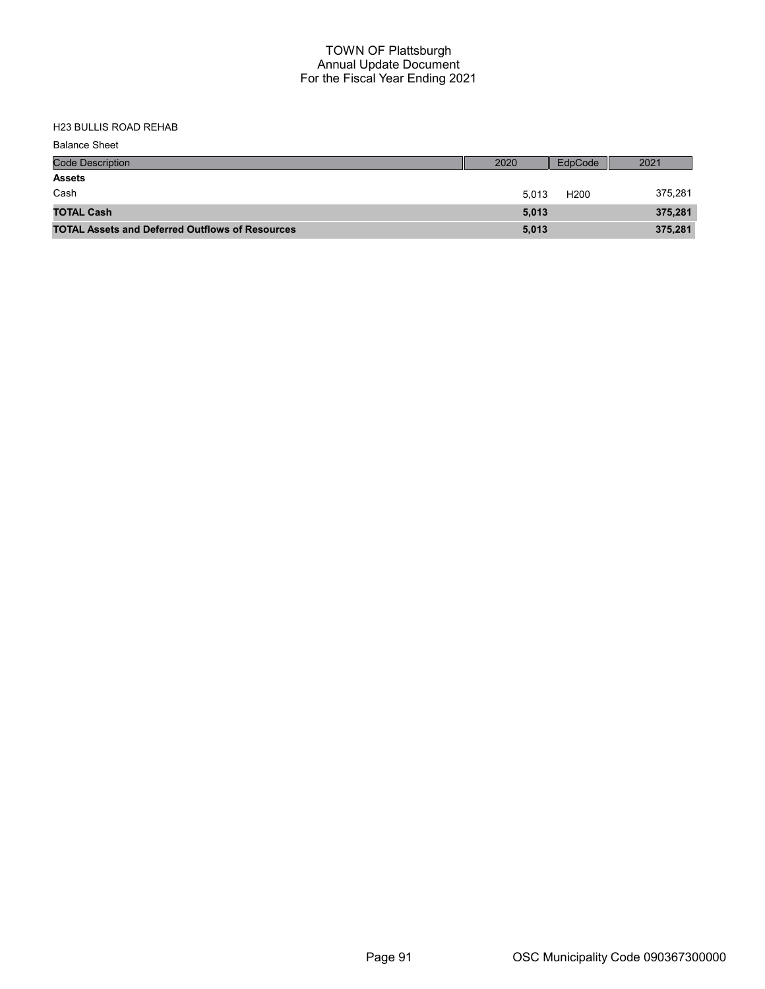| <b>Balance Sheet</b>                                   |       |                  |         |
|--------------------------------------------------------|-------|------------------|---------|
| <b>Code Description</b>                                | 2020  | EdpCode          | 2021    |
| <b>Assets</b>                                          |       |                  |         |
| Cash                                                   | 5.013 | H <sub>200</sub> | 375,281 |
| <b>TOTAL Cash</b>                                      | 5,013 |                  | 375,281 |
| <b>TOTAL Assets and Deferred Outflows of Resources</b> | 5,013 |                  | 375,281 |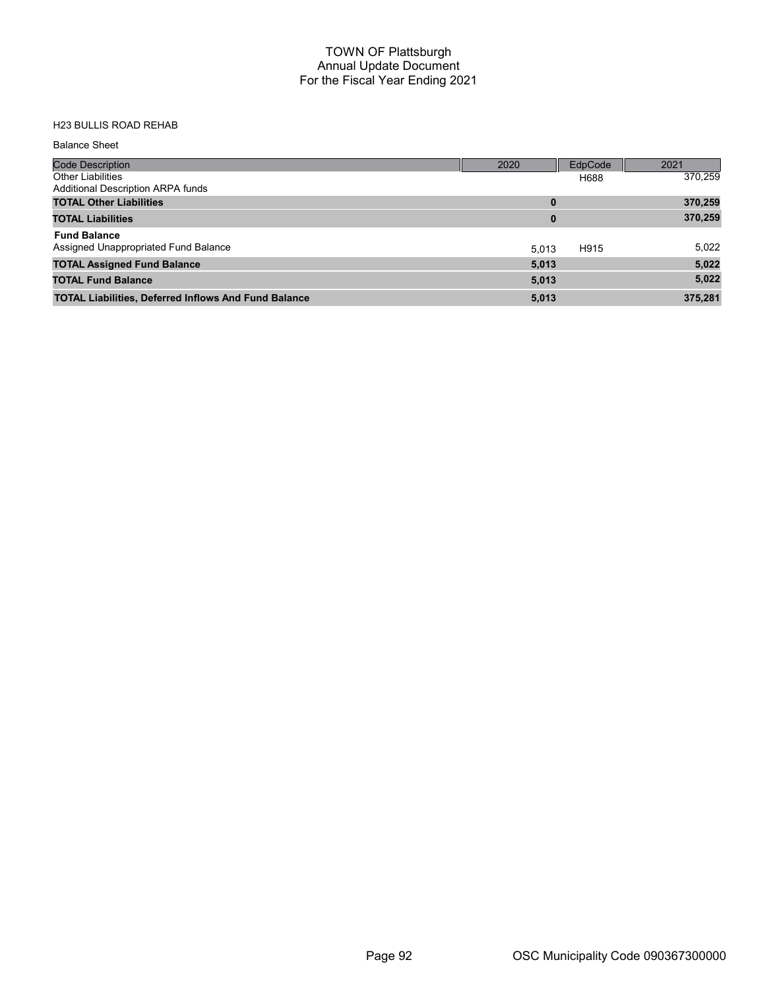| <b>Balance Sheet</b>                                        |          |         |         |
|-------------------------------------------------------------|----------|---------|---------|
| <b>Code Description</b>                                     | 2020     | EdpCode | 2021    |
| <b>Other Liabilities</b>                                    |          | H688    | 370,259 |
| Additional Description ARPA funds                           |          |         |         |
| <b>TOTAL Other Liabilities</b>                              | $\bf{0}$ |         | 370,259 |
| <b>TOTAL Liabilities</b>                                    | $\bf{0}$ |         | 370,259 |
| <b>Fund Balance</b>                                         |          |         |         |
| Assigned Unappropriated Fund Balance                        | 5.013    | H915    | 5,022   |
| <b>TOTAL Assigned Fund Balance</b>                          | 5,013    |         | 5,022   |
| <b>TOTAL Fund Balance</b>                                   | 5,013    |         | 5,022   |
| <b>TOTAL Liabilities, Deferred Inflows And Fund Balance</b> | 5,013    |         | 375,281 |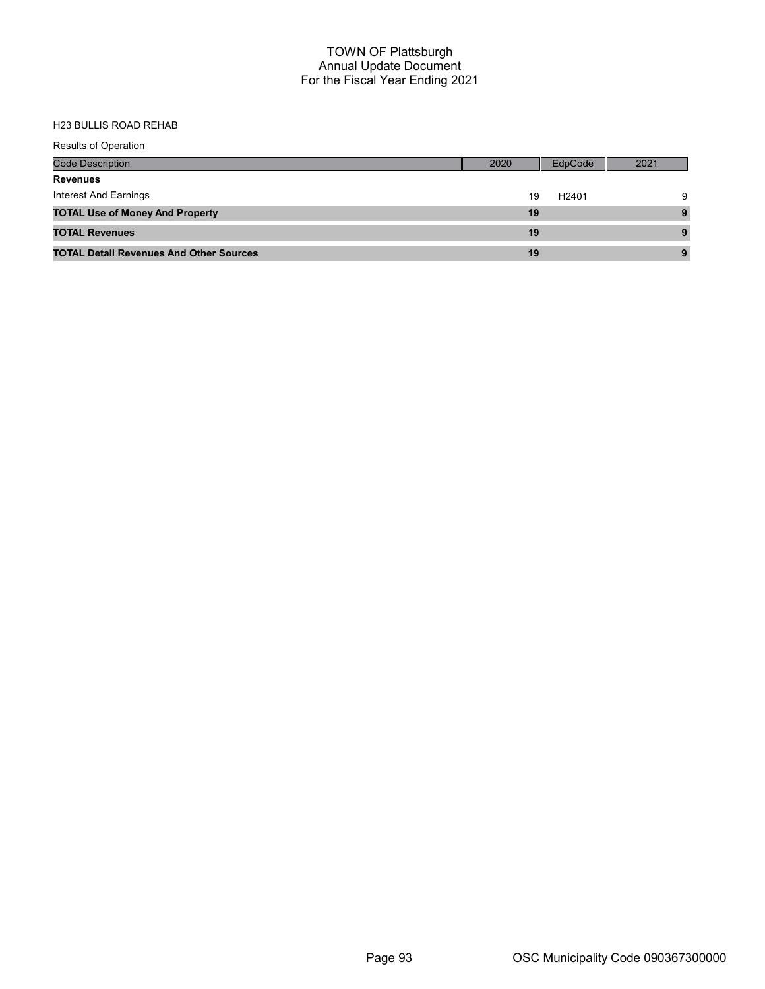| <b>Results of Operation</b>                    |      |                   |      |
|------------------------------------------------|------|-------------------|------|
| <b>Code Description</b>                        | 2020 | EdpCode           | 2021 |
| <b>Revenues</b>                                |      |                   |      |
| Interest And Earnings                          | 19   | H <sub>2401</sub> | 9    |
| <b>TOTAL Use of Money And Property</b>         | 19   |                   | 9    |
| <b>TOTAL Revenues</b>                          | 19   |                   |      |
| <b>TOTAL Detail Revenues And Other Sources</b> | 19   |                   |      |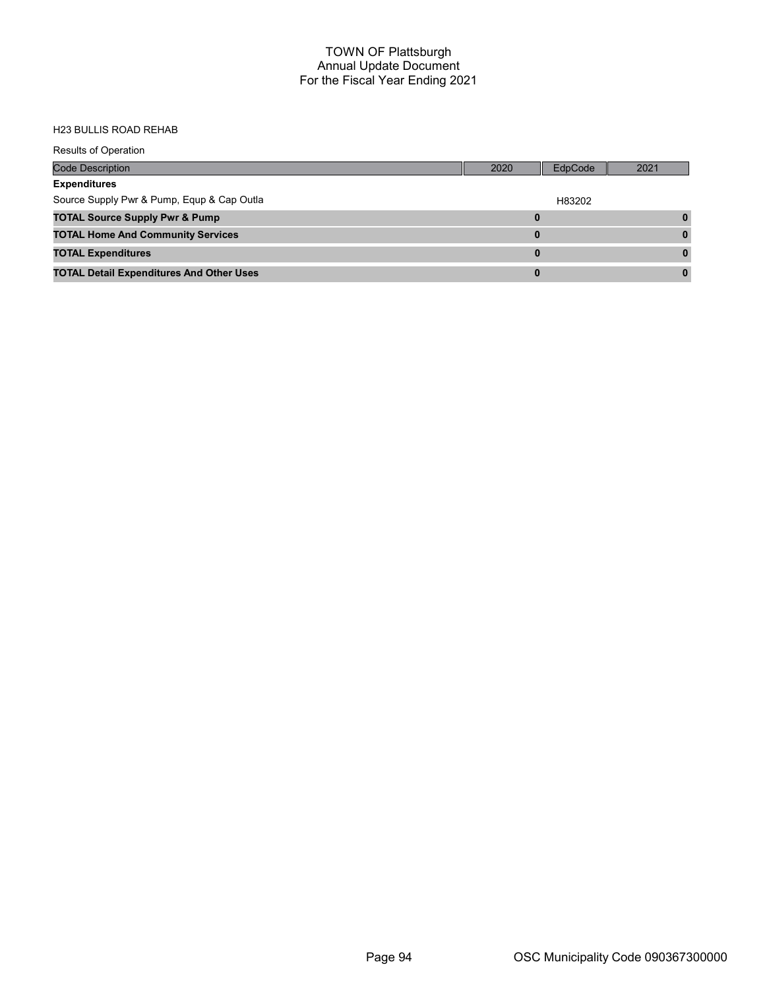| <b>Results of Operation</b>                     |      |         |      |
|-------------------------------------------------|------|---------|------|
| <b>Code Description</b>                         | 2020 | EdpCode | 2021 |
| <b>Expenditures</b>                             |      |         |      |
| Source Supply Pwr & Pump, Equp & Cap Outla      |      | H83202  |      |
| <b>TOTAL Source Supply Pwr &amp; Pump</b>       | 0    |         |      |
| <b>TOTAL Home And Community Services</b>        | 0    |         |      |
| <b>TOTAL Expenditures</b>                       | 0    |         |      |
| <b>TOTAL Detail Expenditures And Other Uses</b> | 0    |         |      |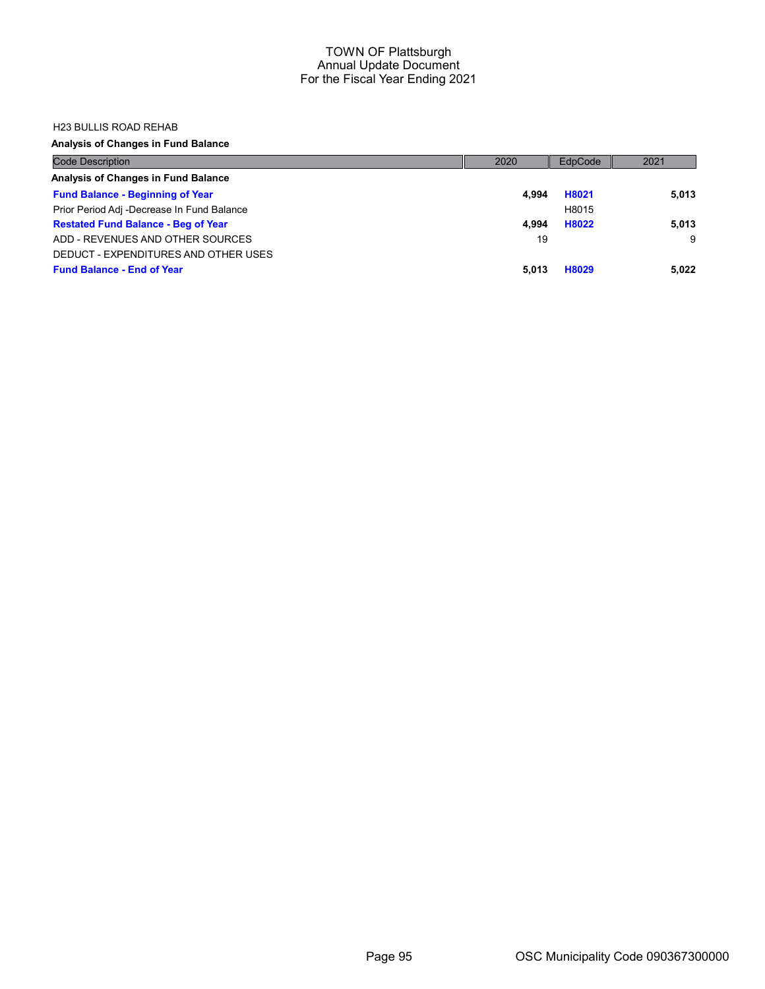#### H23 BULLIS ROAD REHAB

## Analysis of Changes in Fund Balance

| <b>Code Description</b>                    | 2020  | EdpCode | 2021  |
|--------------------------------------------|-------|---------|-------|
| Analysis of Changes in Fund Balance        |       |         |       |
| <b>Fund Balance - Beginning of Year</b>    | 4.994 | H8021   | 5,013 |
| Prior Period Adj -Decrease In Fund Balance |       | H8015   |       |
| <b>Restated Fund Balance - Beg of Year</b> | 4.994 | H8022   | 5.013 |
| ADD - REVENUES AND OTHER SOURCES           | 19    |         | 9     |
| DEDUCT - EXPENDITURES AND OTHER USES       |       |         |       |
| <b>Fund Balance - End of Year</b>          | 5.013 | H8029   | 5,022 |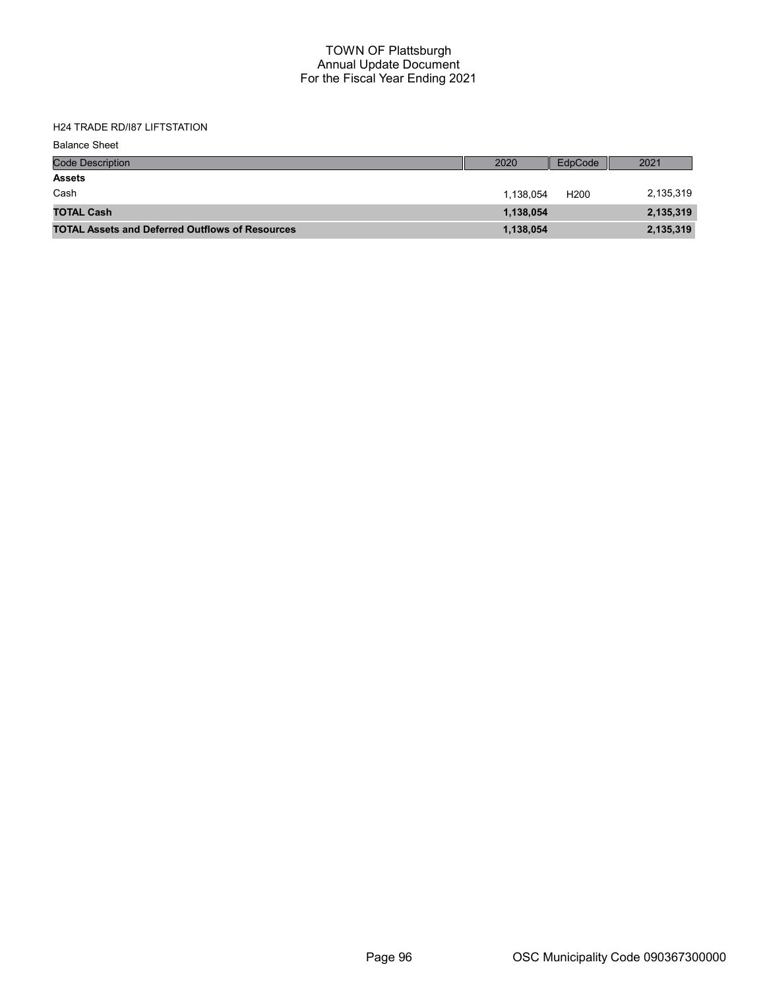H24 TRADE RD/I87 LIFTSTATION

| <b>Balance Sheet</b>                                   |           |                  |           |
|--------------------------------------------------------|-----------|------------------|-----------|
| <b>Code Description</b>                                | 2020      | EdpCode          | 2021      |
| <b>Assets</b>                                          |           |                  |           |
| Cash                                                   | 1,138,054 | H <sub>200</sub> | 2,135,319 |
| <b>TOTAL Cash</b>                                      | 1,138,054 |                  | 2,135,319 |
| <b>TOTAL Assets and Deferred Outflows of Resources</b> | 1,138,054 |                  | 2,135,319 |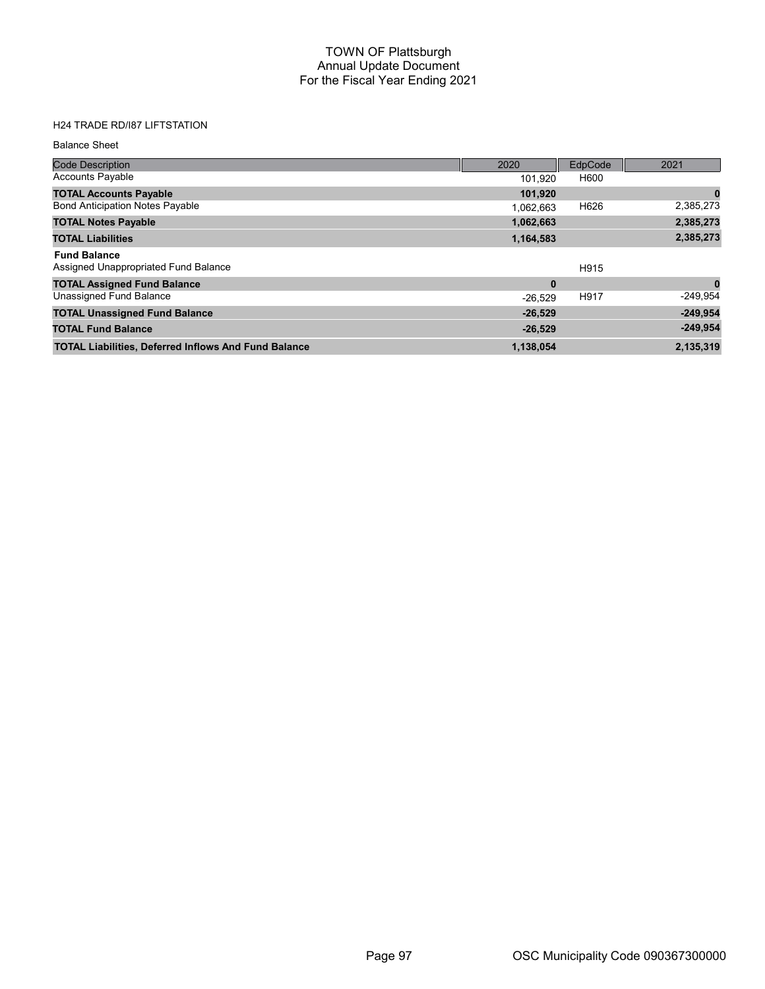# H24 TRADE RD/I87 LIFTSTATION

#### Balance Sheet

| <b>Code Description</b>                                     | 2020      | EdpCode | 2021       |
|-------------------------------------------------------------|-----------|---------|------------|
| <b>Accounts Payable</b>                                     | 101,920   | H600    |            |
| <b>TOTAL Accounts Payable</b>                               | 101,920   |         | 0          |
| <b>Bond Anticipation Notes Payable</b>                      | 1.062.663 | H626    | 2,385,273  |
| <b>TOTAL Notes Payable</b>                                  | 1,062,663 |         | 2,385,273  |
| <b>TOTAL Liabilities</b>                                    | 1,164,583 |         | 2,385,273  |
| <b>Fund Balance</b><br>Assigned Unappropriated Fund Balance |           | H915    |            |
| <b>TOTAL Assigned Fund Balance</b>                          | $\bf{0}$  |         | $\bf{0}$   |
| Unassigned Fund Balance                                     | $-26.529$ | H917    | $-249.954$ |
| <b>TOTAL Unassigned Fund Balance</b>                        | $-26,529$ |         | $-249,954$ |
| <b>TOTAL Fund Balance</b>                                   | $-26,529$ |         | $-249,954$ |
| <b>TOTAL Liabilities, Deferred Inflows And Fund Balance</b> | 1,138,054 |         | 2,135,319  |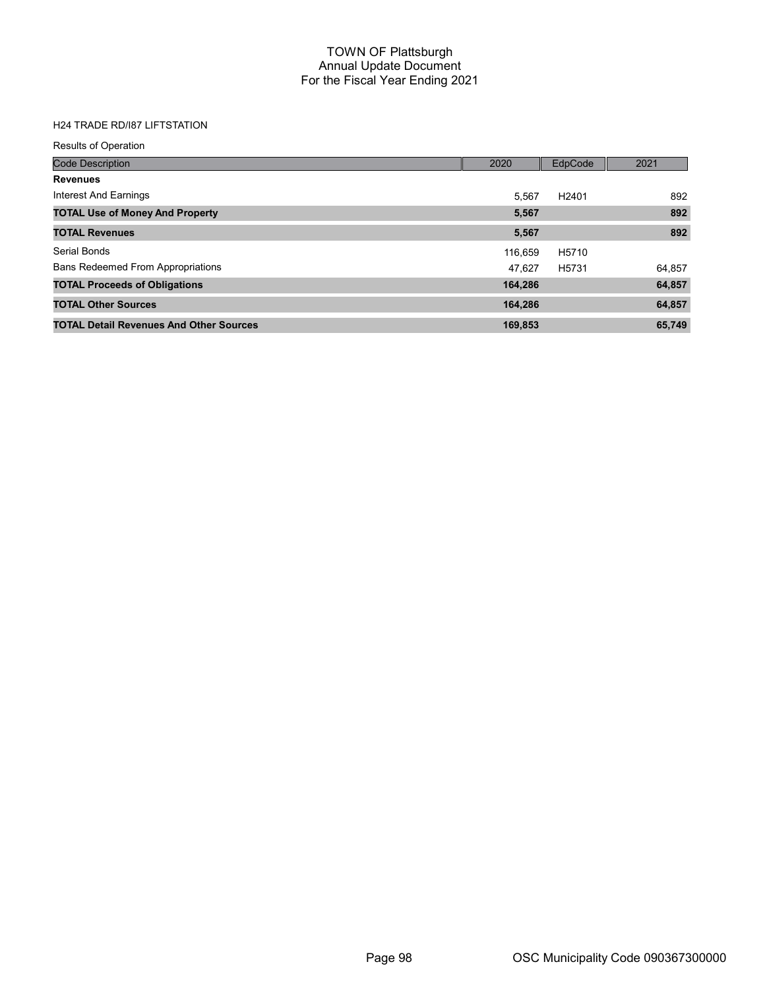## H24 TRADE RD/I87 LIFTSTATION

| <b>Results of Operation</b>                    |         |                   |        |
|------------------------------------------------|---------|-------------------|--------|
| <b>Code Description</b>                        | 2020    | EdpCode           | 2021   |
| <b>Revenues</b>                                |         |                   |        |
| Interest And Earnings                          | 5.567   | H <sub>2401</sub> | 892    |
| <b>TOTAL Use of Money And Property</b>         | 5,567   |                   | 892    |
| <b>TOTAL Revenues</b>                          | 5,567   |                   | 892    |
| Serial Bonds                                   | 116.659 | H5710             |        |
| <b>Bans Redeemed From Appropriations</b>       | 47.627  | H5731             | 64,857 |
| <b>TOTAL Proceeds of Obligations</b>           | 164,286 |                   | 64,857 |
| <b>TOTAL Other Sources</b>                     | 164,286 |                   | 64,857 |
| <b>TOTAL Detail Revenues And Other Sources</b> | 169,853 |                   | 65,749 |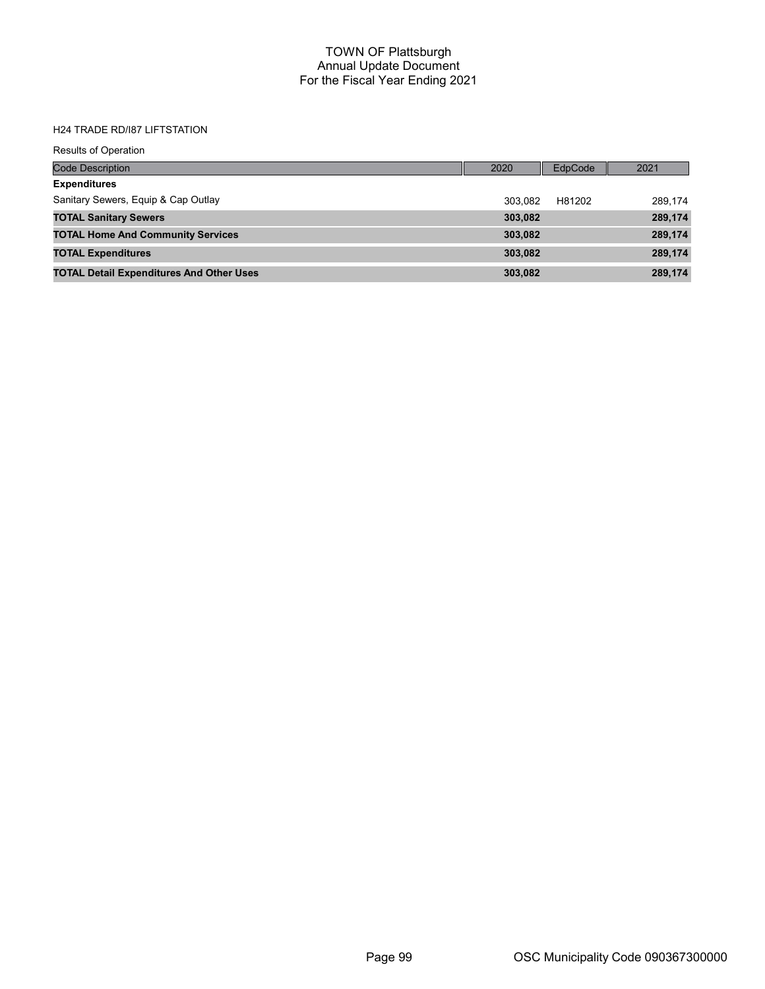#### H24 TRADE RD/I87 LIFTSTATION

| <b>Results of Operation</b>                     |         |                |         |
|-------------------------------------------------|---------|----------------|---------|
| <b>Code Description</b>                         | 2020    | <b>EdpCode</b> | 2021    |
| <b>Expenditures</b>                             |         |                |         |
| Sanitary Sewers, Equip & Cap Outlay             | 303.082 | H81202         | 289,174 |
| <b>TOTAL Sanitary Sewers</b>                    | 303,082 |                | 289,174 |
| <b>TOTAL Home And Community Services</b>        | 303,082 |                | 289,174 |
| <b>TOTAL Expenditures</b>                       | 303.082 |                | 289,174 |
| <b>TOTAL Detail Expenditures And Other Uses</b> | 303,082 |                | 289,174 |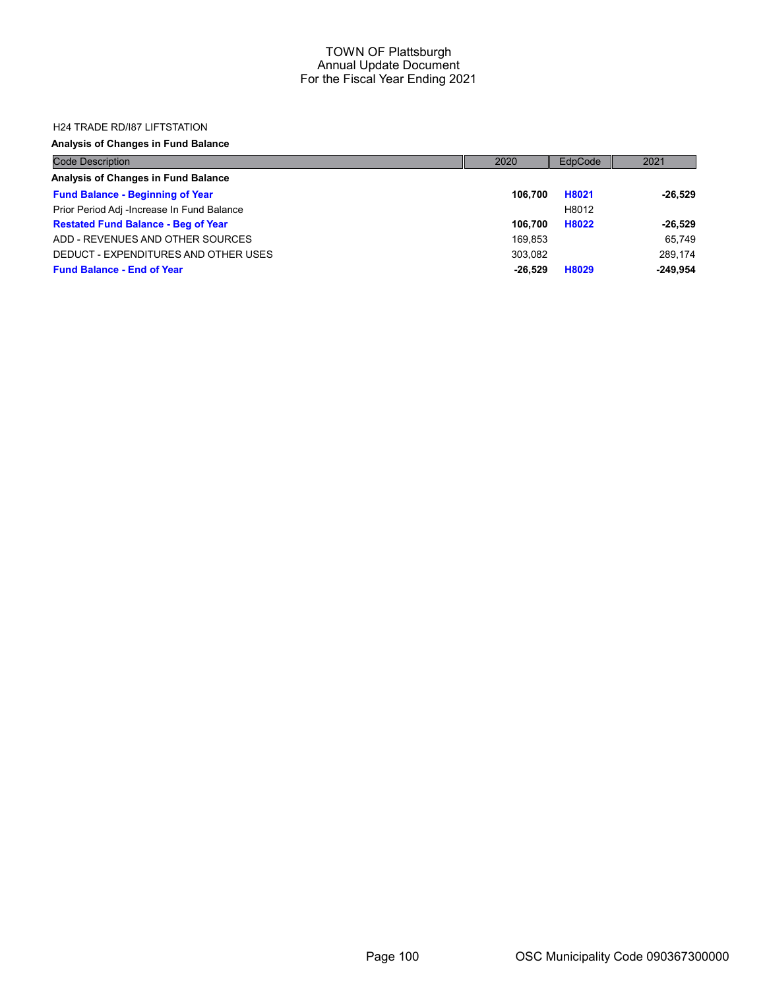#### H24 TRADE RD/I87 LIFTSTATION

## Analysis of Changes in Fund Balance

| <b>Code Description</b>                    | 2020      | EdpCode | 2021       |
|--------------------------------------------|-----------|---------|------------|
| Analysis of Changes in Fund Balance        |           |         |            |
| <b>Fund Balance - Beginning of Year</b>    | 106.700   | H8021   | $-26.529$  |
| Prior Period Adj -Increase In Fund Balance |           | H8012   |            |
| <b>Restated Fund Balance - Beg of Year</b> | 106.700   | H8022   | $-26.529$  |
| ADD - REVENUES AND OTHER SOURCES           | 169.853   |         | 65.749     |
| DEDUCT - EXPENDITURES AND OTHER USES       | 303.082   |         | 289.174    |
| <b>Fund Balance - End of Year</b>          | $-26.529$ | H8029   | $-249.954$ |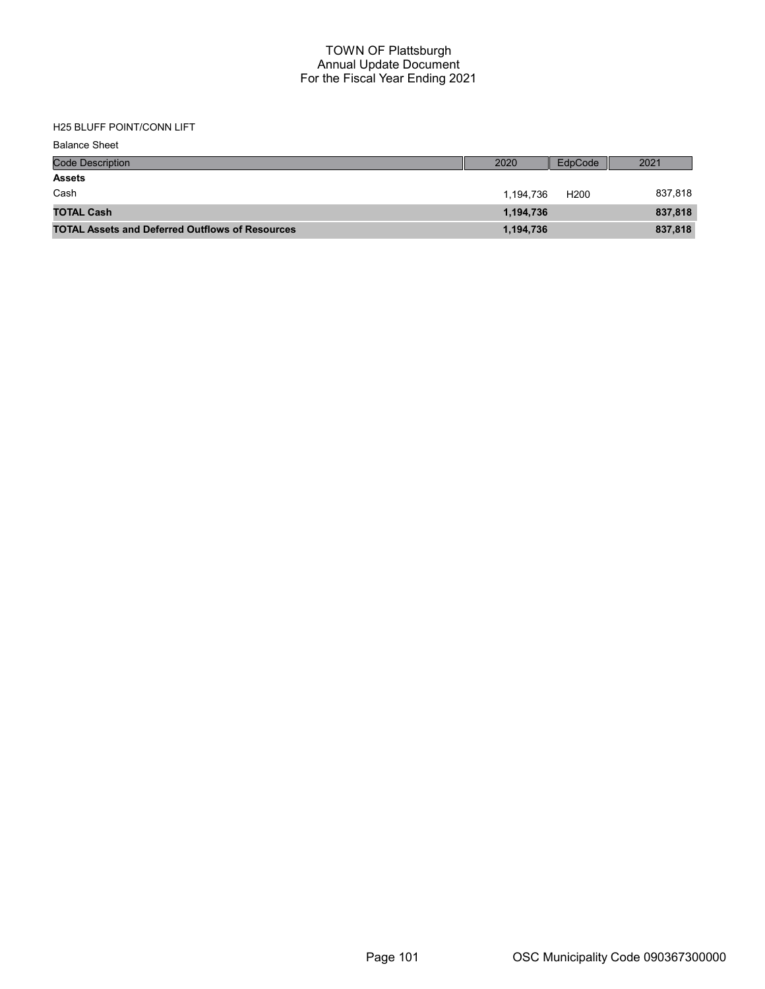# H25 BLUFF POINT/CONN LIFT

| <b>Balance Sheet</b>                                   |           |                  |         |
|--------------------------------------------------------|-----------|------------------|---------|
| <b>Code Description</b>                                | 2020      | EdpCode          | 2021    |
| <b>Assets</b>                                          |           |                  |         |
| Cash                                                   | 1,194,736 | H <sub>200</sub> | 837,818 |
| <b>TOTAL Cash</b>                                      | 1,194,736 |                  | 837,818 |
| <b>TOTAL Assets and Deferred Outflows of Resources</b> | 1,194,736 |                  | 837,818 |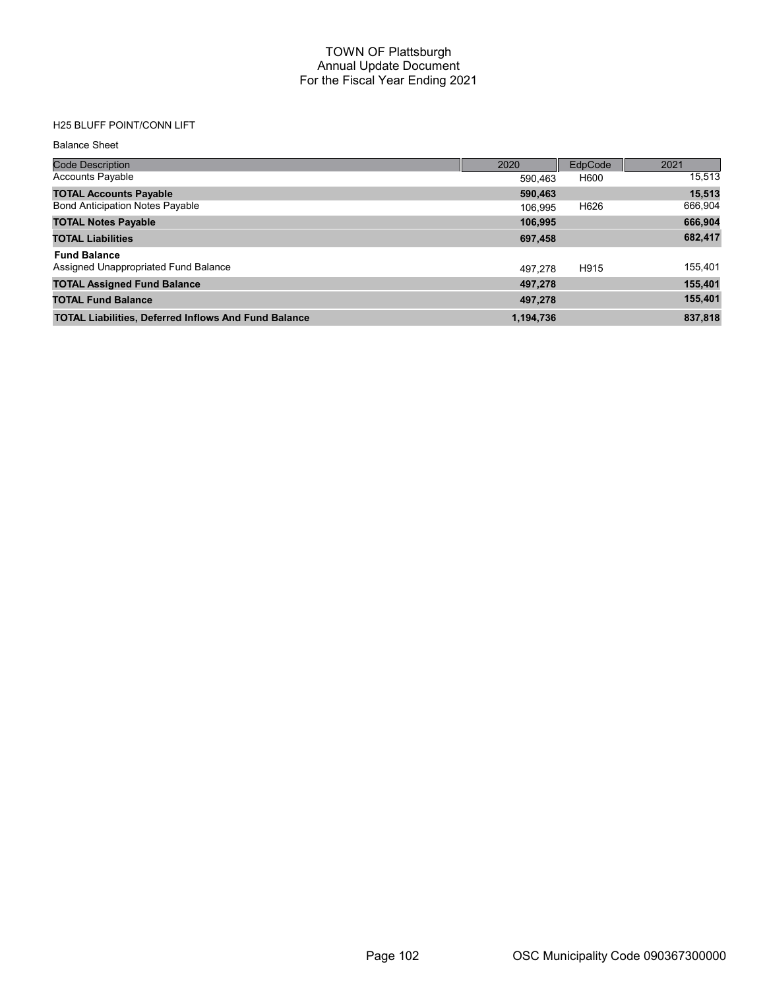# H25 BLUFF POINT/CONN LIFT

#### Balance Sheet

| <b>Code Description</b>                                     | 2020      | EdpCode | 2021    |
|-------------------------------------------------------------|-----------|---------|---------|
| <b>Accounts Payable</b>                                     | 590.463   | H600    | 15,513  |
| <b>TOTAL Accounts Payable</b>                               | 590,463   |         | 15,513  |
| <b>Bond Anticipation Notes Payable</b>                      | 106.995   | H626    | 666,904 |
| <b>TOTAL Notes Payable</b>                                  | 106,995   |         | 666,904 |
| <b>TOTAL Liabilities</b>                                    | 697,458   |         | 682,417 |
| <b>Fund Balance</b>                                         |           |         |         |
| Assigned Unappropriated Fund Balance                        | 497.278   | H915    | 155,401 |
| <b>TOTAL Assigned Fund Balance</b>                          | 497.278   |         | 155,401 |
| <b>TOTAL Fund Balance</b>                                   | 497,278   |         | 155,401 |
| <b>TOTAL Liabilities, Deferred Inflows And Fund Balance</b> | 1,194,736 |         | 837,818 |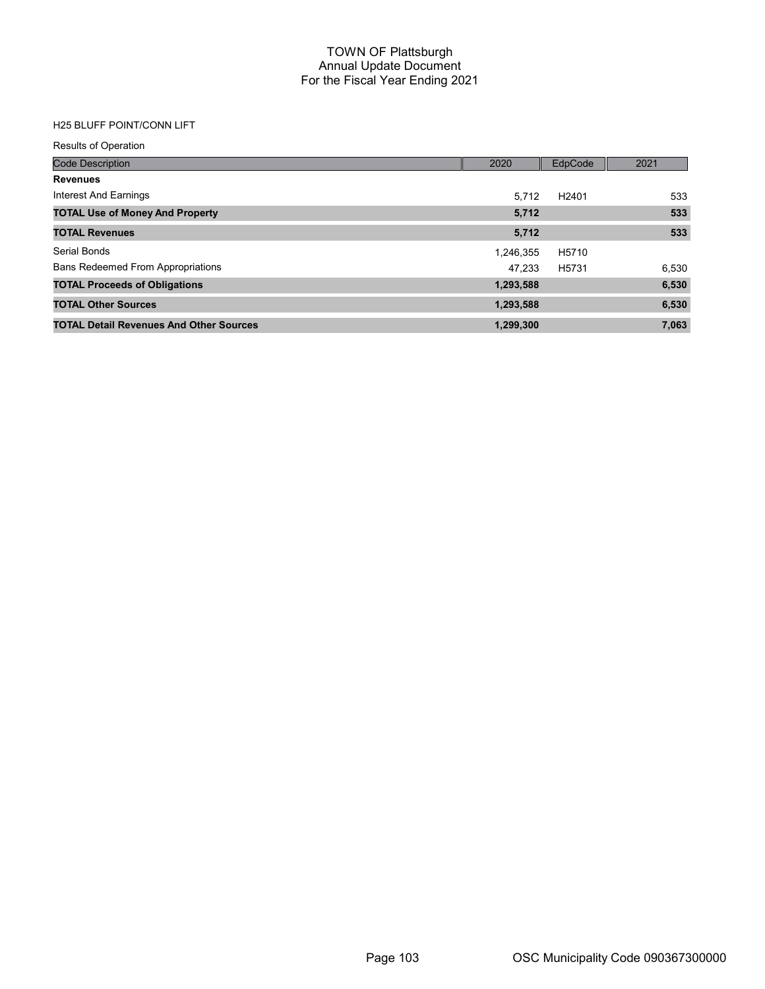# H25 BLUFF POINT/CONN LIFT

| <b>Results of Operation</b>                    |           |                   |       |
|------------------------------------------------|-----------|-------------------|-------|
| <b>Code Description</b>                        | 2020      | EdpCode           | 2021  |
| <b>Revenues</b>                                |           |                   |       |
| Interest And Earnings                          | 5.712     | H <sub>2401</sub> | 533   |
| <b>TOTAL Use of Money And Property</b>         | 5,712     |                   | 533   |
| <b>TOTAL Revenues</b>                          | 5,712     |                   | 533   |
| Serial Bonds                                   | 1,246,355 | H5710             |       |
| <b>Bans Redeemed From Appropriations</b>       | 47.233    | H5731             | 6,530 |
| <b>TOTAL Proceeds of Obligations</b>           | 1,293,588 |                   | 6,530 |
| <b>TOTAL Other Sources</b>                     | 1,293,588 |                   | 6,530 |
| <b>TOTAL Detail Revenues And Other Sources</b> | 1,299,300 |                   | 7,063 |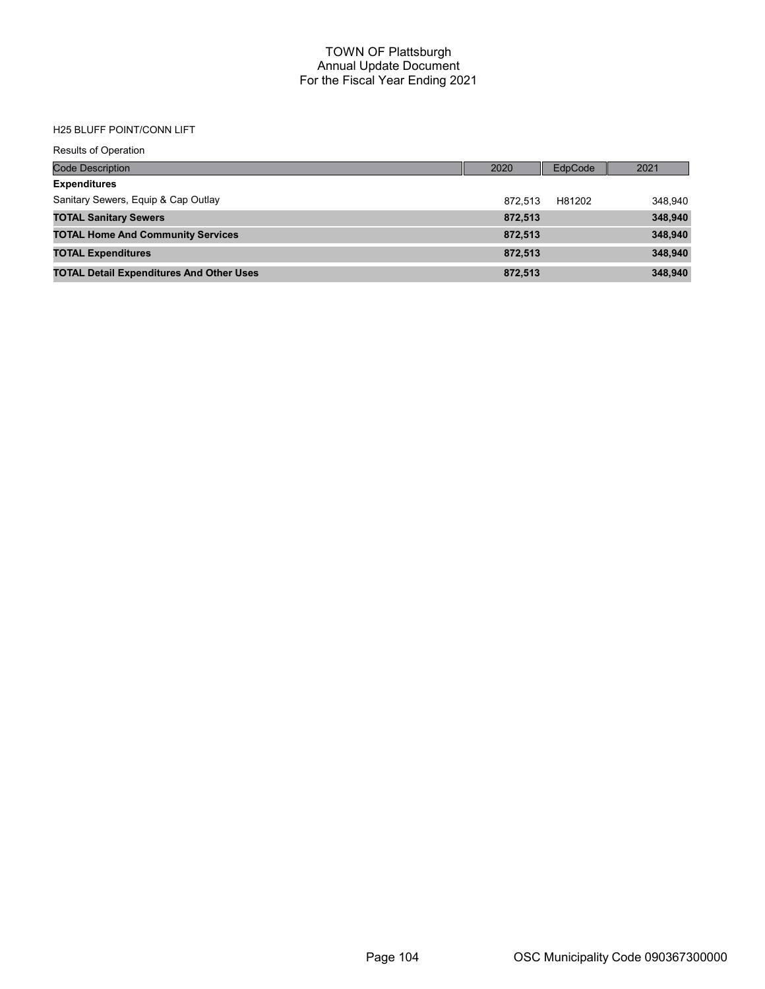#### H25 BLUFF POINT/CONN LIFT

| <b>Results of Operation</b>                     |         |         |         |
|-------------------------------------------------|---------|---------|---------|
| <b>Code Description</b>                         | 2020    | EdpCode | 2021    |
| <b>Expenditures</b>                             |         |         |         |
| Sanitary Sewers, Equip & Cap Outlay             | 872.513 | H81202  | 348,940 |
| <b>TOTAL Sanitary Sewers</b>                    | 872,513 |         | 348,940 |
| <b>TOTAL Home And Community Services</b>        | 872,513 |         | 348,940 |
| <b>TOTAL Expenditures</b>                       | 872,513 |         | 348,940 |
| <b>TOTAL Detail Expenditures And Other Uses</b> | 872.513 |         | 348,940 |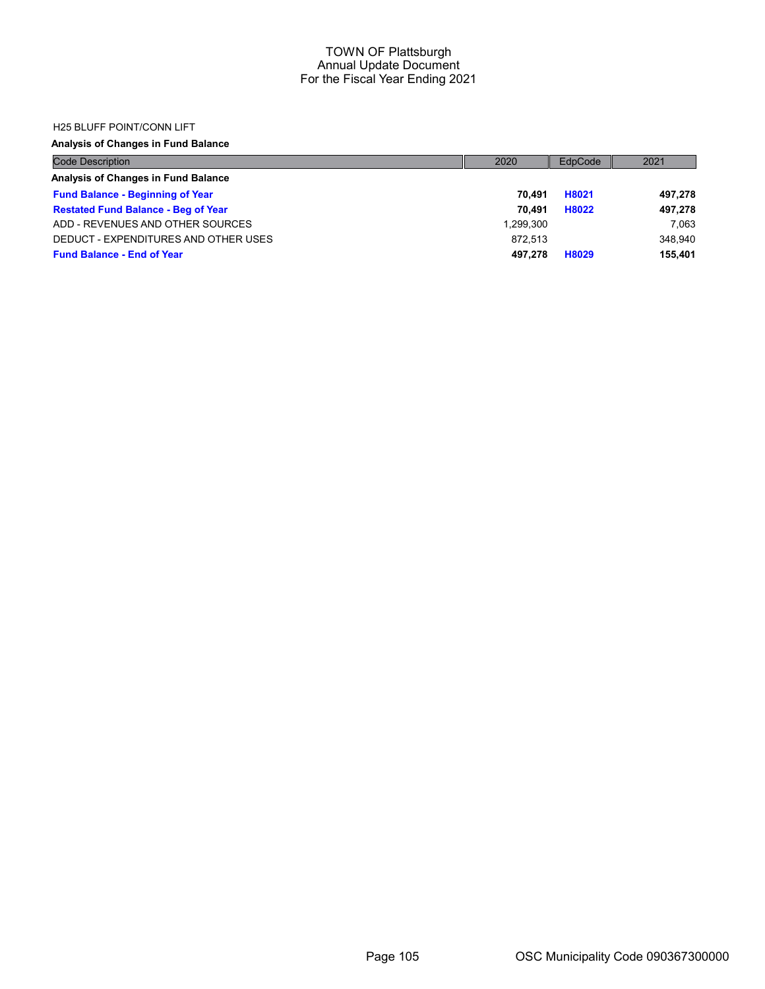#### H25 BLUFF POINT/CONN LIFT

## Analysis of Changes in Fund Balance

| <b>Code Description</b>                    | 2020      | EdpCode | 2021    |
|--------------------------------------------|-----------|---------|---------|
| Analysis of Changes in Fund Balance        |           |         |         |
| <b>Fund Balance - Beginning of Year</b>    | 70.491    | H8021   | 497,278 |
| <b>Restated Fund Balance - Beg of Year</b> | 70.491    | H8022   | 497,278 |
| ADD - REVENUES AND OTHER SOURCES           | 1.299.300 |         | 7.063   |
| DEDUCT - EXPENDITURES AND OTHER USES       | 872.513   |         | 348.940 |
| <b>Fund Balance - End of Year</b>          | 497.278   | H8029   | 155,401 |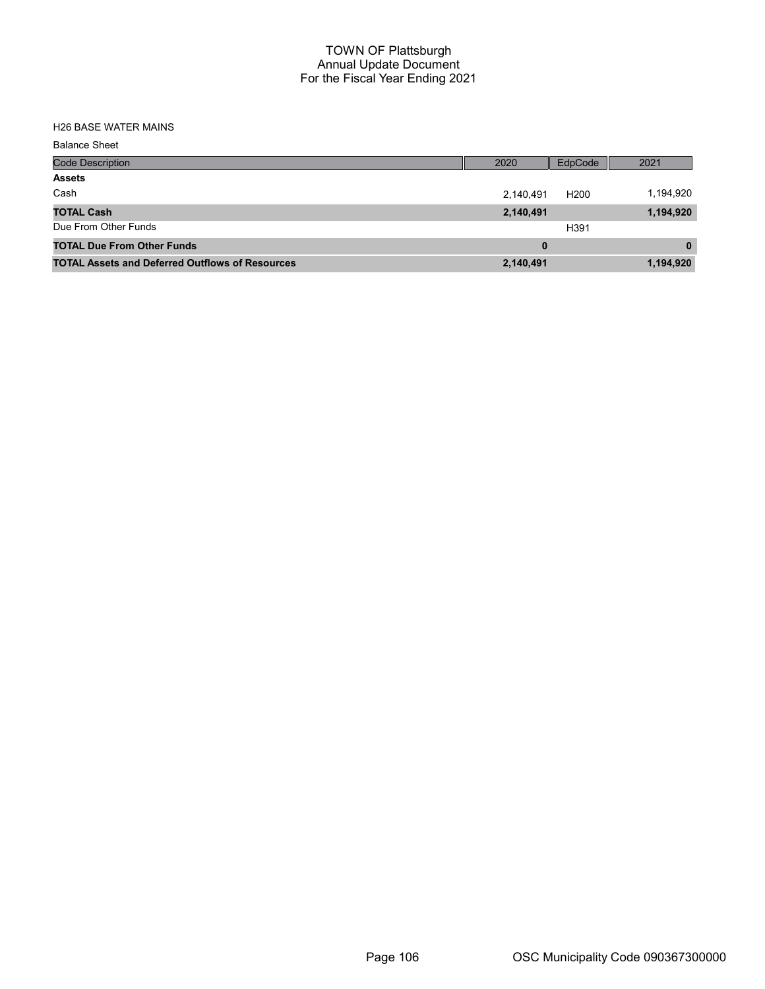#### H26 BASE WATER MAINS

| <b>Balance Sheet</b>                                   |           |                  |              |
|--------------------------------------------------------|-----------|------------------|--------------|
| <b>Code Description</b>                                | 2020      | EdpCode          | 2021         |
| <b>Assets</b>                                          |           |                  |              |
| Cash                                                   | 2,140,491 | H <sub>200</sub> | 1,194,920    |
| <b>TOTAL Cash</b>                                      | 2,140,491 |                  | 1,194,920    |
| Due From Other Funds                                   |           | H391             |              |
| <b>TOTAL Due From Other Funds</b>                      | 0         |                  | $\mathbf{0}$ |
| <b>TOTAL Assets and Deferred Outflows of Resources</b> | 2,140,491 |                  | 1,194,920    |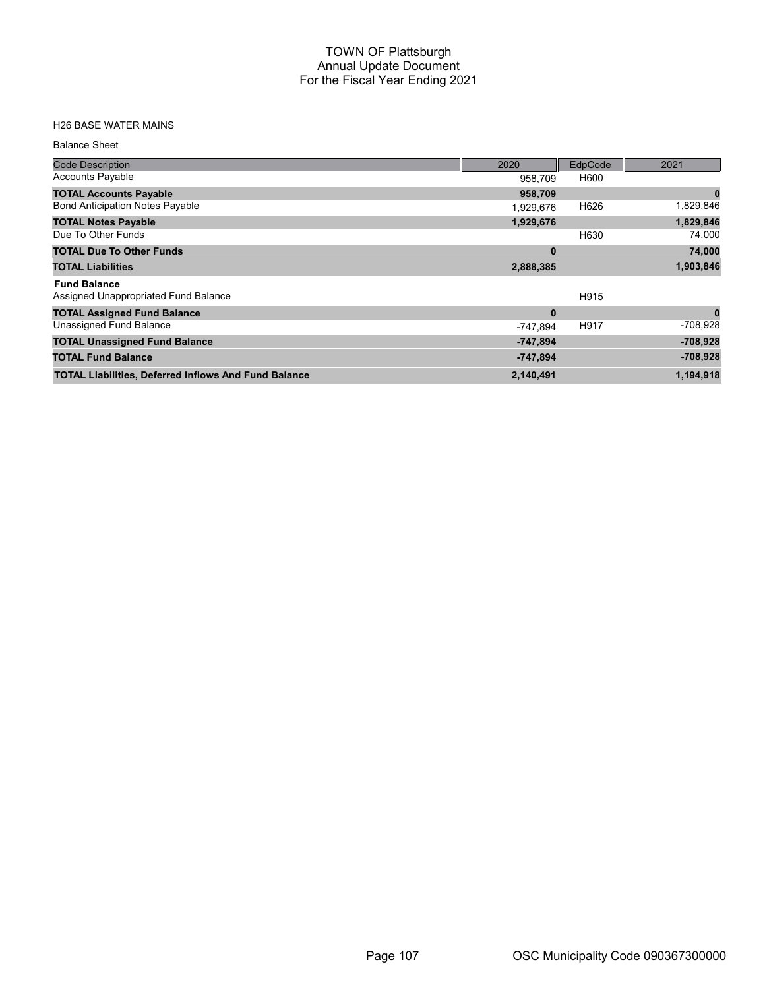# H26 BASE WATER MAINS

#### Balance Sheet

| <b>Code Description</b>                                     | 2020       | EdpCode | 2021       |
|-------------------------------------------------------------|------------|---------|------------|
| <b>Accounts Payable</b>                                     | 958,709    | H600    |            |
| <b>TOTAL Accounts Payable</b>                               | 958,709    |         | 0          |
| <b>Bond Anticipation Notes Payable</b>                      | 1,929,676  | H626    | 1,829,846  |
| <b>TOTAL Notes Payable</b>                                  | 1,929,676  |         | 1,829,846  |
| Due To Other Funds                                          |            | H630    | 74,000     |
| <b>TOTAL Due To Other Funds</b>                             | $\bf{0}$   |         | 74,000     |
| <b>TOTAL Liabilities</b>                                    | 2,888,385  |         | 1,903,846  |
| <b>Fund Balance</b>                                         |            |         |            |
| Assigned Unappropriated Fund Balance                        |            | H915    |            |
| <b>TOTAL Assigned Fund Balance</b>                          | $\bf{0}$   |         | $\bf{0}$   |
| Unassigned Fund Balance                                     | -747.894   | H917    | $-708,928$ |
| <b>TOTAL Unassigned Fund Balance</b>                        | $-747,894$ |         | $-708,928$ |
| <b>TOTAL Fund Balance</b>                                   | $-747,894$ |         | $-708,928$ |
| <b>TOTAL Liabilities, Deferred Inflows And Fund Balance</b> | 2,140,491  |         | 1,194,918  |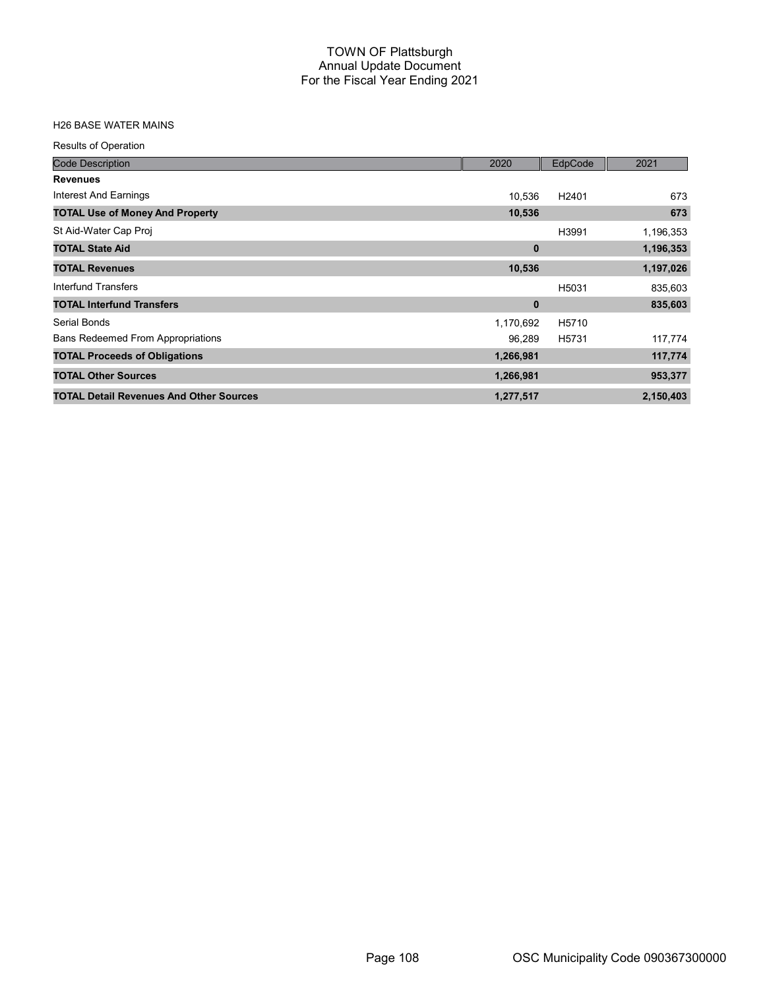# H26 BASE WATER MAINS

| <b>Results of Operation</b>                    |           |                   |           |
|------------------------------------------------|-----------|-------------------|-----------|
| <b>Code Description</b>                        | 2020      | EdpCode           | 2021      |
| <b>Revenues</b>                                |           |                   |           |
| Interest And Earnings                          | 10,536    | H2401             | 673       |
| <b>TOTAL Use of Money And Property</b>         | 10,536    |                   | 673       |
| St Aid-Water Cap Proj                          |           | H3991             | 1,196,353 |
| <b>TOTAL State Aid</b>                         | $\bf{0}$  |                   | 1,196,353 |
| <b>TOTAL Revenues</b>                          | 10,536    |                   | 1,197,026 |
| Interfund Transfers                            |           | H5031             | 835,603   |
| <b>TOTAL Interfund Transfers</b>               | 0         |                   | 835,603   |
| Serial Bonds                                   | 1,170,692 | H <sub>5710</sub> |           |
| <b>Bans Redeemed From Appropriations</b>       | 96,289    | H <sub>5731</sub> | 117,774   |
| <b>TOTAL Proceeds of Obligations</b>           | 1,266,981 |                   | 117,774   |
| <b>TOTAL Other Sources</b>                     | 1,266,981 |                   | 953,377   |
| <b>TOTAL Detail Revenues And Other Sources</b> | 1,277,517 |                   | 2,150,403 |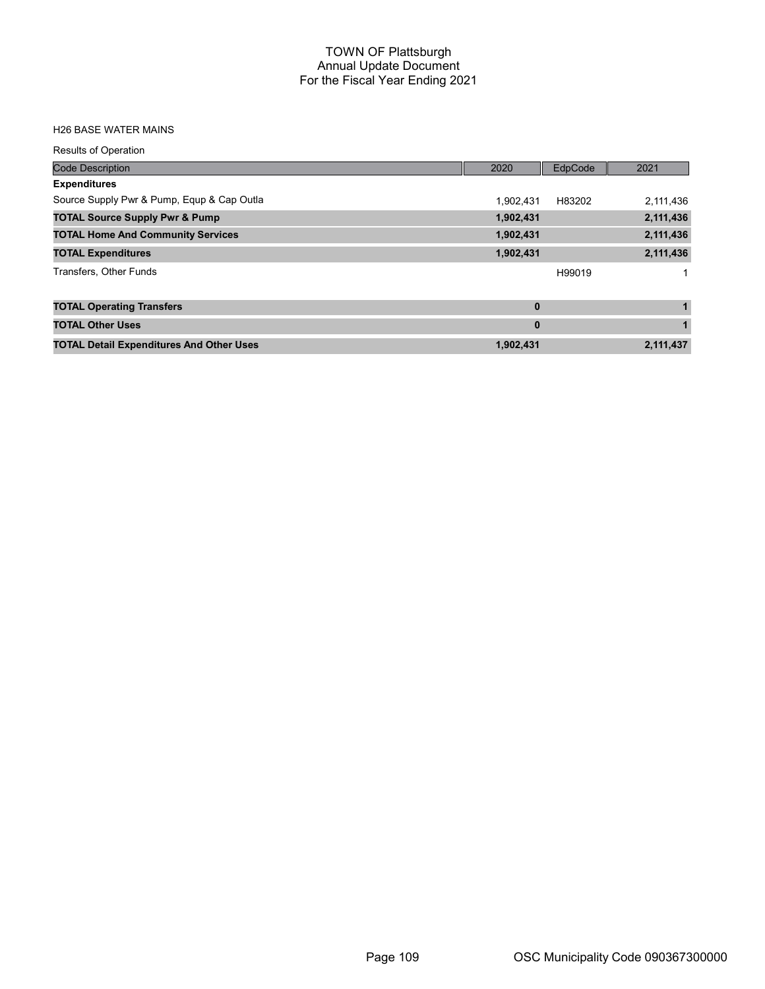#### H26 BASE WATER MAINS

| <b>Results of Operation</b>                     |              |                |           |
|-------------------------------------------------|--------------|----------------|-----------|
| <b>Code Description</b>                         | 2020         | <b>EdpCode</b> | 2021      |
| <b>Expenditures</b>                             |              |                |           |
| Source Supply Pwr & Pump, Equp & Cap Outla      | 1.902.431    | H83202         | 2,111,436 |
| <b>TOTAL Source Supply Pwr &amp; Pump</b>       | 1,902,431    |                | 2,111,436 |
| <b>TOTAL Home And Community Services</b>        | 1,902,431    |                | 2,111,436 |
| <b>TOTAL Expenditures</b>                       | 1,902,431    |                | 2,111,436 |
| Transfers, Other Funds                          |              | H99019         |           |
| <b>TOTAL Operating Transfers</b>                | $\mathbf{0}$ |                | 1         |
| <b>TOTAL Other Uses</b>                         | $\mathbf{0}$ |                |           |
| <b>TOTAL Detail Expenditures And Other Uses</b> | 1,902,431    |                | 2,111,437 |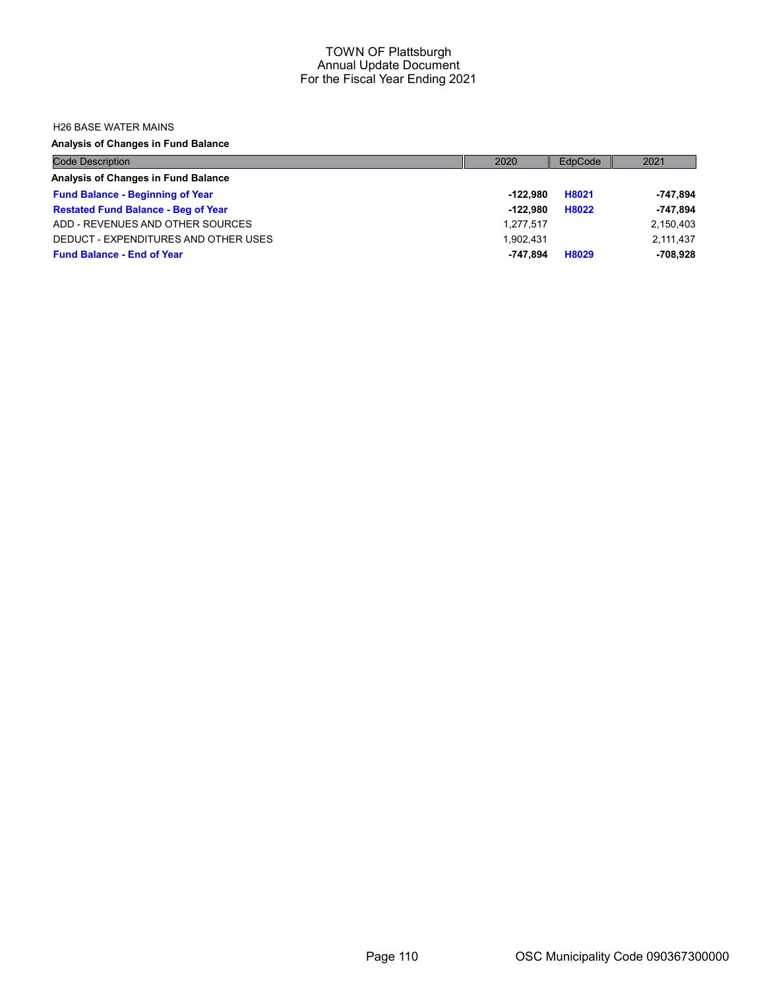#### H26 BASE WATER MAINS

## Analysis of Changes in Fund Balance

| <b>Code Description</b>                    | 2020       | EdpCode | 2021       |
|--------------------------------------------|------------|---------|------------|
| Analysis of Changes in Fund Balance        |            |         |            |
| <b>Fund Balance - Beginning of Year</b>    | -122.980   | H8021   | $-747,894$ |
| <b>Restated Fund Balance - Beg of Year</b> | $-122.980$ | H8022   | $-747.894$ |
| ADD - REVENUES AND OTHER SOURCES           | 1.277.517  |         | 2,150,403  |
| DEDUCT - EXPENDITURES AND OTHER USES       | 1.902.431  |         | 2,111,437  |
| <b>Fund Balance - End of Year</b>          | -747.894   | H8029   | $-708.928$ |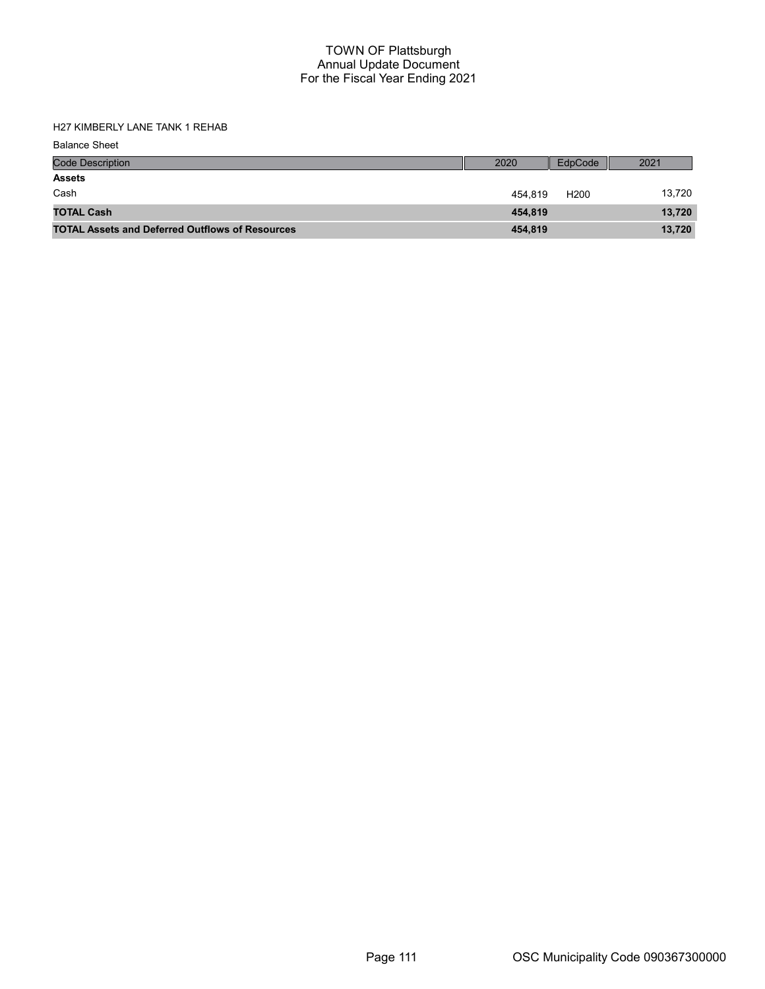H27 KIMBERLY LANE TANK 1 REHAB

| <b>Code Description</b>                                | 2020    | EdpCode          | 2021   |
|--------------------------------------------------------|---------|------------------|--------|
| <b>Assets</b>                                          |         |                  |        |
| Cash                                                   | 454.819 | H <sub>200</sub> | 13,720 |
| <b>TOTAL Cash</b>                                      | 454.819 |                  | 13,720 |
| <b>TOTAL Assets and Deferred Outflows of Resources</b> | 454,819 |                  | 13,720 |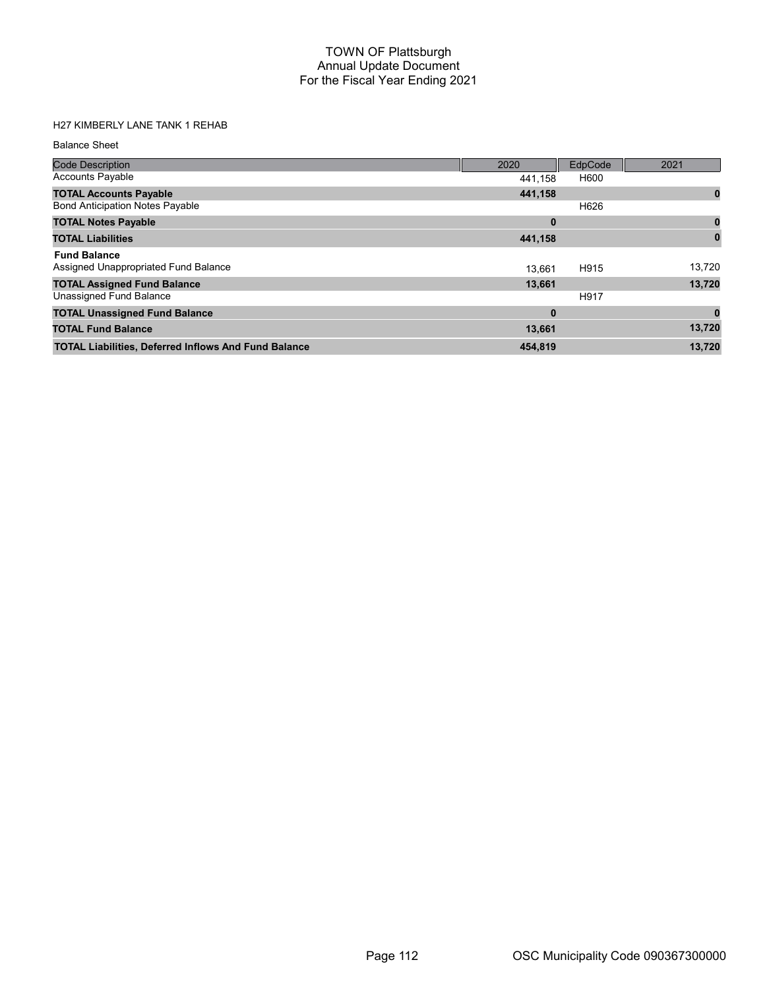# H27 KIMBERLY LANE TANK 1 REHAB

| <b>Code Description</b>                                     | 2020     | EdpCode | 2021   |
|-------------------------------------------------------------|----------|---------|--------|
| <b>Accounts Payable</b>                                     | 441,158  | H600    |        |
| <b>TOTAL Accounts Payable</b>                               | 441,158  |         | 0      |
| <b>Bond Anticipation Notes Payable</b>                      |          | H626    |        |
| <b>TOTAL Notes Payable</b>                                  | 0        |         | 0      |
| <b>TOTAL Liabilities</b>                                    | 441,158  |         | 0      |
| <b>Fund Balance</b>                                         |          |         |        |
| Assigned Unappropriated Fund Balance                        | 13.661   | H915    | 13.720 |
| <b>TOTAL Assigned Fund Balance</b>                          | 13,661   |         | 13,720 |
| Unassigned Fund Balance                                     |          | H917    |        |
| <b>TOTAL Unassigned Fund Balance</b>                        | $\bf{0}$ |         |        |
| <b>TOTAL Fund Balance</b>                                   | 13,661   |         | 13,720 |
| <b>TOTAL Liabilities, Deferred Inflows And Fund Balance</b> | 454,819  |         | 13.720 |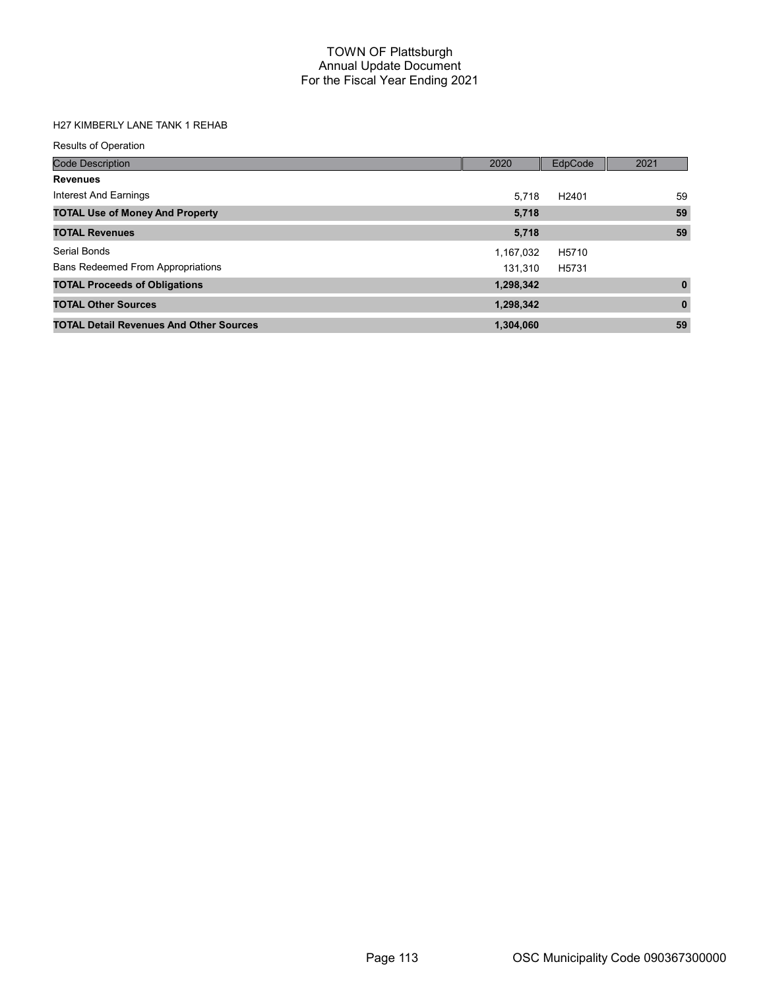# H27 KIMBERLY LANE TANK 1 REHAB

| <b>Results of Operation</b>                    |           |                   |              |
|------------------------------------------------|-----------|-------------------|--------------|
| <b>Code Description</b>                        | 2020      | EdpCode           | 2021         |
| <b>Revenues</b>                                |           |                   |              |
| Interest And Earnings                          | 5.718     | H <sub>2401</sub> | 59           |
| <b>TOTAL Use of Money And Property</b>         | 5,718     |                   | 59           |
| <b>TOTAL Revenues</b>                          | 5,718     |                   | 59           |
| Serial Bonds                                   | 1,167,032 | H5710             |              |
| <b>Bans Redeemed From Appropriations</b>       | 131.310   | H5731             |              |
| <b>TOTAL Proceeds of Obligations</b>           | 1,298,342 |                   | $\mathbf{0}$ |
| <b>TOTAL Other Sources</b>                     | 1,298,342 |                   | $\mathbf{0}$ |
| <b>TOTAL Detail Revenues And Other Sources</b> | 1,304,060 |                   | 59           |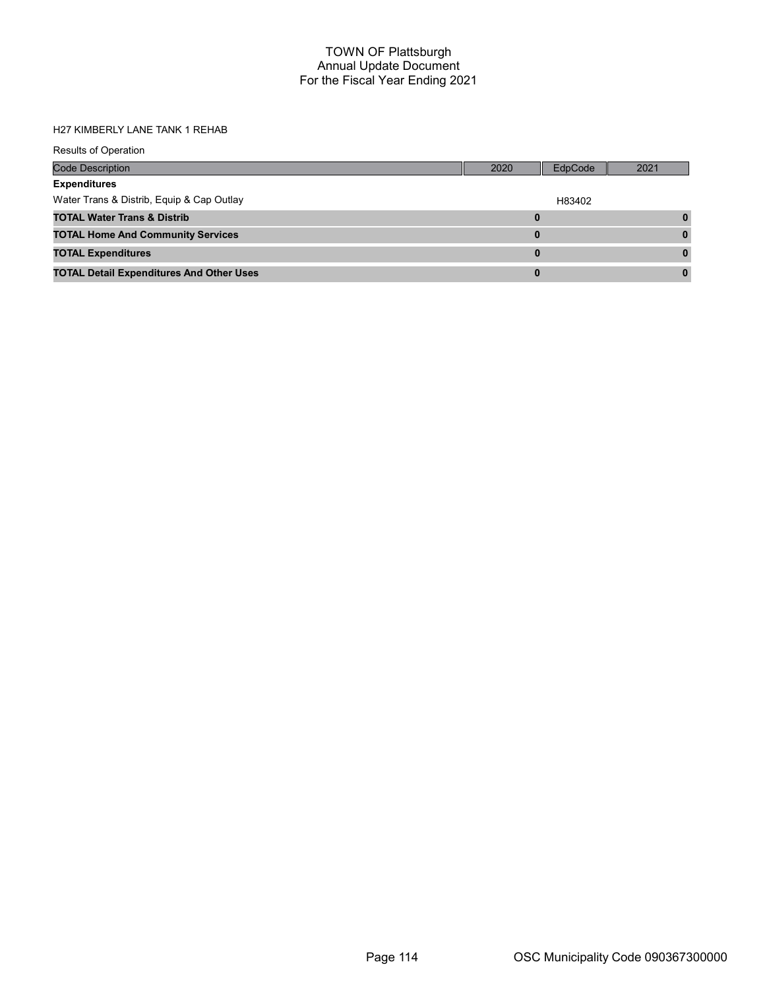### H27 KIMBERLY LANE TANK 1 REHAB

| <b>Results of Operation</b>                     |      |         |      |
|-------------------------------------------------|------|---------|------|
| <b>Code Description</b>                         | 2020 | EdpCode | 2021 |
| <b>Expenditures</b>                             |      |         |      |
| Water Trans & Distrib, Equip & Cap Outlay       |      | H83402  |      |
| <b>TOTAL Water Trans &amp; Distrib</b>          | 0    |         |      |
| <b>TOTAL Home And Community Services</b>        | 0    |         | 0    |
| <b>TOTAL Expenditures</b>                       | 0    |         |      |
| <b>TOTAL Detail Expenditures And Other Uses</b> | 0    |         |      |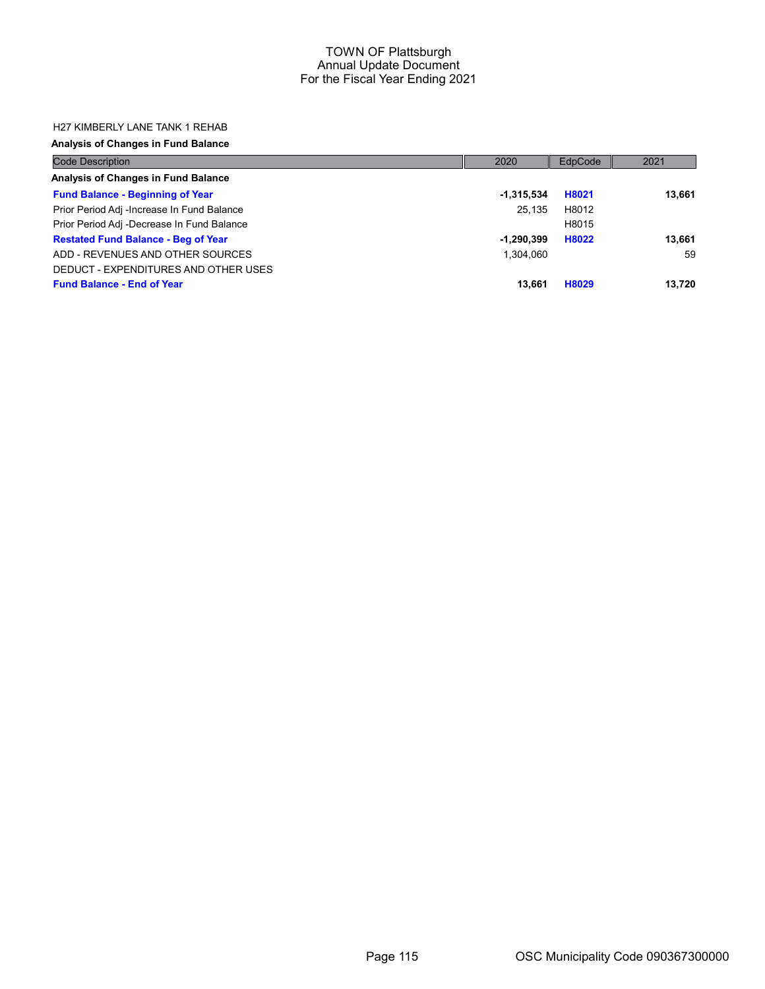## H27 KIMBERLY LANE TANK 1 REHAB

## Analysis of Changes in Fund Balance

| <b>Code Description</b>                    | 2020         | EdpCode | 2021   |
|--------------------------------------------|--------------|---------|--------|
| Analysis of Changes in Fund Balance        |              |         |        |
| <b>Fund Balance - Beginning of Year</b>    | $-1,315,534$ | H8021   | 13,661 |
| Prior Period Adj -Increase In Fund Balance | 25.135       | H8012   |        |
| Prior Period Adj -Decrease In Fund Balance |              | H8015   |        |
| <b>Restated Fund Balance - Beg of Year</b> | $-1,290,399$ | H8022   | 13,661 |
| ADD - REVENUES AND OTHER SOURCES           | 1.304.060    |         | 59     |
| DEDUCT - EXPENDITURES AND OTHER USES       |              |         |        |
| <b>Fund Balance - End of Year</b>          | 13,661       | H8029   | 13.720 |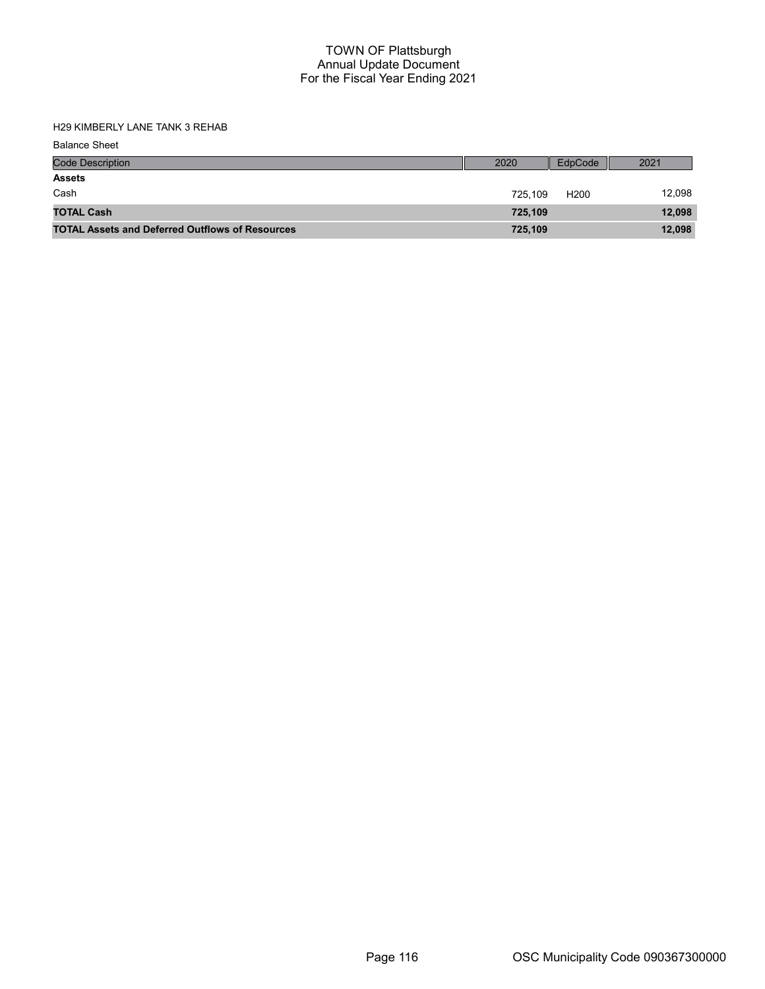H29 KIMBERLY LANE TANK 3 REHAB

| <b>Code Description</b>                                | 2020    | EdpCode          | 2021   |
|--------------------------------------------------------|---------|------------------|--------|
| <b>Assets</b>                                          |         |                  |        |
| Cash                                                   | 725.109 | H <sub>200</sub> | 12,098 |
| <b>TOTAL Cash</b>                                      | 725.109 |                  | 12,098 |
| <b>TOTAL Assets and Deferred Outflows of Resources</b> | 725,109 |                  | 12,098 |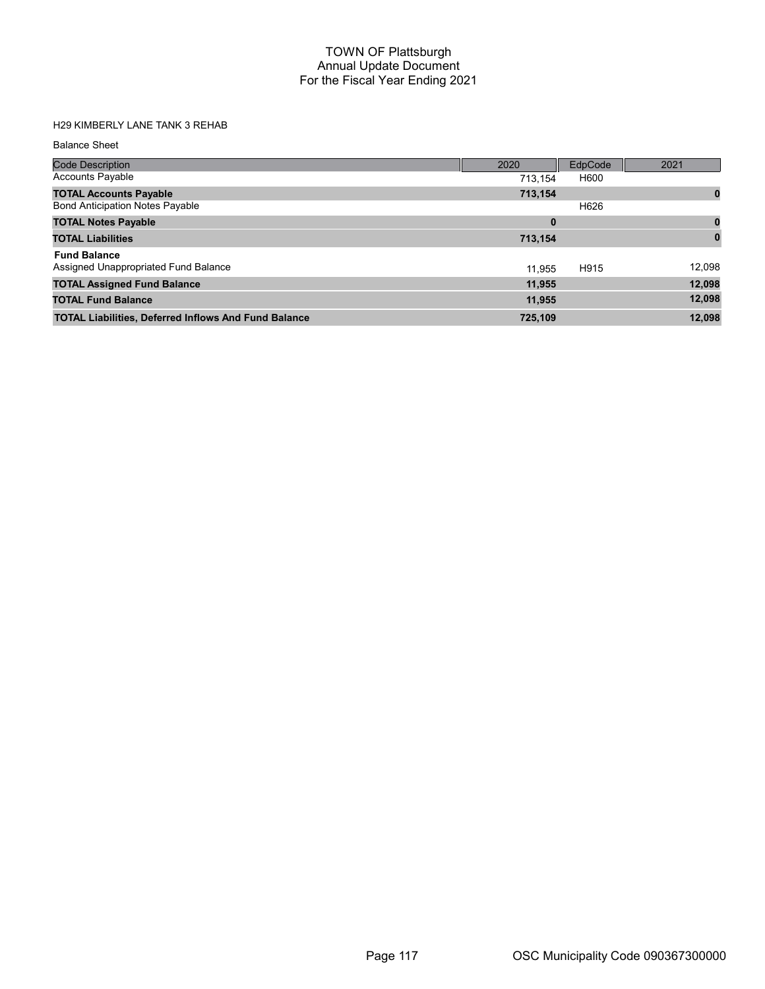# H29 KIMBERLY LANE TANK 3 REHAB

| <b>Code Description</b>                                     | 2020     | EdpCode | 2021     |
|-------------------------------------------------------------|----------|---------|----------|
| <b>Accounts Payable</b>                                     | 713.154  | H600    |          |
| <b>TOTAL Accounts Payable</b>                               | 713,154  |         | 0        |
| <b>Bond Anticipation Notes Payable</b>                      |          | H626    |          |
| <b>TOTAL Notes Payable</b>                                  | $\bf{0}$ |         |          |
| <b>TOTAL Liabilities</b>                                    | 713,154  |         | $\bf{0}$ |
| <b>Fund Balance</b>                                         |          |         |          |
| Assigned Unappropriated Fund Balance                        | 11.955   | H915    | 12,098   |
| <b>TOTAL Assigned Fund Balance</b>                          | 11,955   |         | 12,098   |
| <b>TOTAL Fund Balance</b>                                   | 11,955   |         | 12,098   |
| <b>TOTAL Liabilities, Deferred Inflows And Fund Balance</b> | 725,109  |         | 12.098   |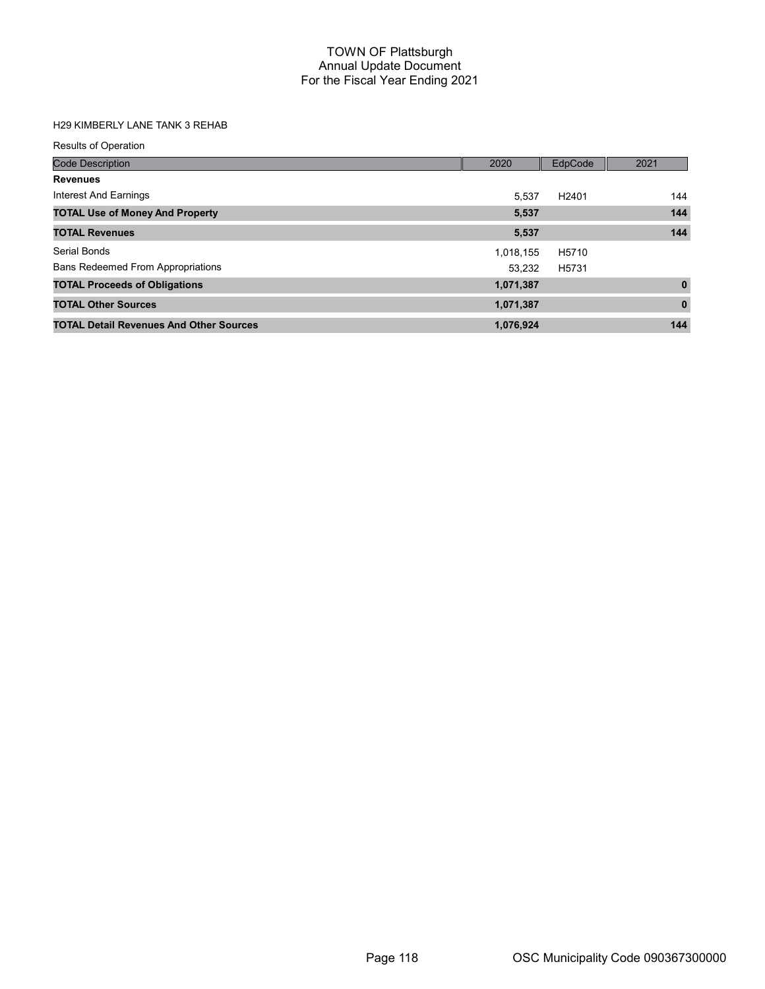# H29 KIMBERLY LANE TANK 3 REHAB

| <b>Results of Operation</b>                    |           |                   |              |
|------------------------------------------------|-----------|-------------------|--------------|
| <b>Code Description</b>                        | 2020      | EdpCode           | 2021         |
| <b>Revenues</b>                                |           |                   |              |
| Interest And Earnings                          | 5.537     | H <sub>2401</sub> | 144          |
| <b>TOTAL Use of Money And Property</b>         | 5,537     |                   | 144          |
| <b>TOTAL Revenues</b>                          | 5,537     |                   | 144          |
| Serial Bonds                                   | 1,018,155 | H5710             |              |
| <b>Bans Redeemed From Appropriations</b>       | 53.232    | H5731             |              |
| <b>TOTAL Proceeds of Obligations</b>           | 1,071,387 |                   | $\mathbf{0}$ |
| <b>TOTAL Other Sources</b>                     | 1,071,387 |                   | $\mathbf 0$  |
| <b>TOTAL Detail Revenues And Other Sources</b> | 1,076,924 |                   | 144          |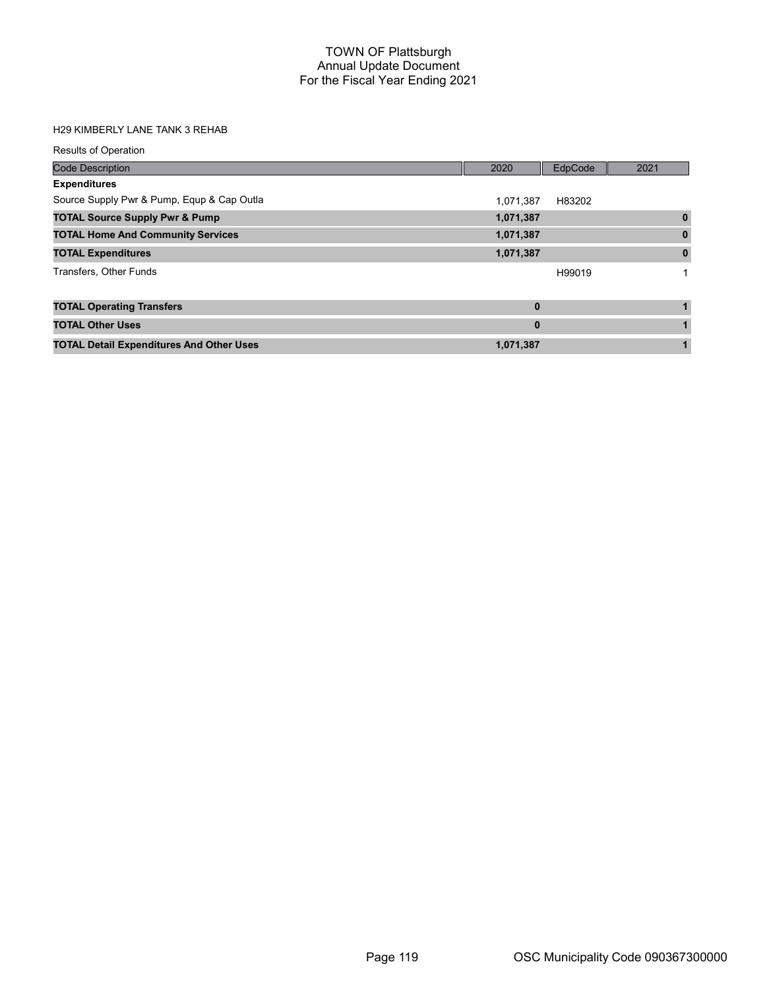### H29 KIMBERLY LANE TANK 3 REHAB

| <b>Results of Operation</b>                     |              |         |             |
|-------------------------------------------------|--------------|---------|-------------|
| <b>Code Description</b>                         | 2020         | EdpCode | 2021        |
| <b>Expenditures</b>                             |              |         |             |
| Source Supply Pwr & Pump, Equp & Cap Outla      | 1.071.387    | H83202  |             |
| <b>TOTAL Source Supply Pwr &amp; Pump</b>       | 1,071,387    |         | $\bf{0}$    |
| <b>TOTAL Home And Community Services</b>        | 1,071,387    |         | 0           |
| <b>TOTAL Expenditures</b>                       | 1,071,387    |         | $\mathbf 0$ |
| Transfers, Other Funds                          |              | H99019  |             |
| <b>TOTAL Operating Transfers</b>                | $\mathbf{0}$ |         |             |
| <b>TOTAL Other Uses</b>                         | $\bf{0}$     |         |             |
| <b>TOTAL Detail Expenditures And Other Uses</b> | 1,071,387    |         | 1           |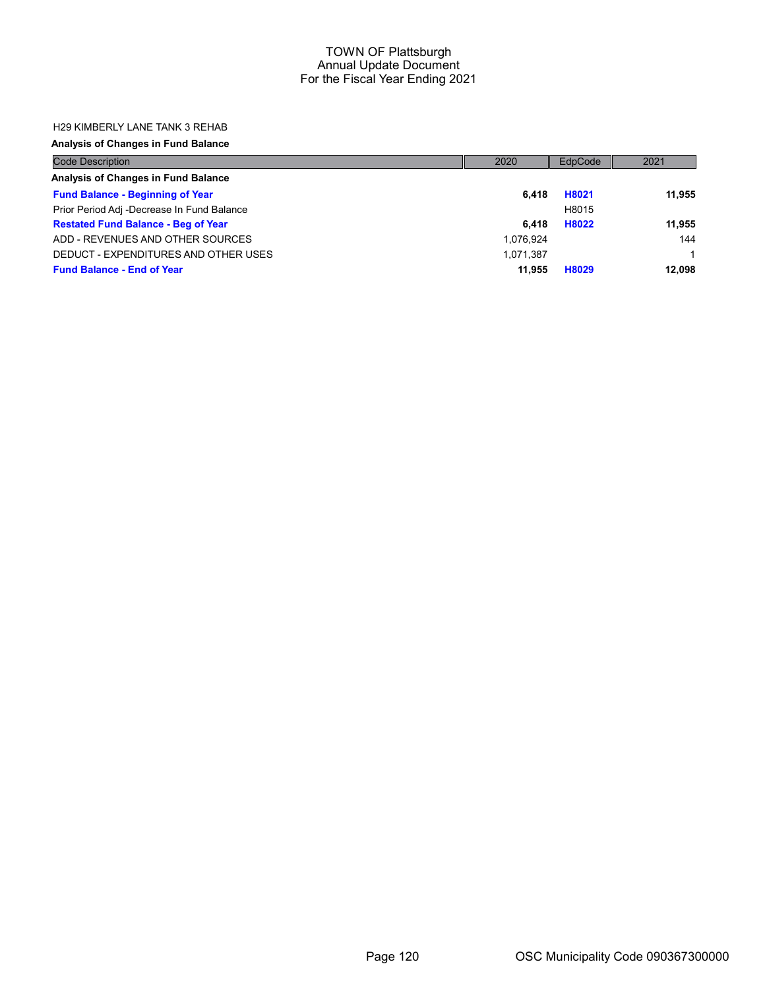#### H29 KIMBERLY LANE TANK 3 REHAB

## Analysis of Changes in Fund Balance

| <b>Code Description</b>                    | 2020      | EdpCode | 2021   |
|--------------------------------------------|-----------|---------|--------|
| Analysis of Changes in Fund Balance        |           |         |        |
| <b>Fund Balance - Beginning of Year</b>    | 6.418     | H8021   | 11.955 |
| Prior Period Adj -Decrease In Fund Balance |           | H8015   |        |
| <b>Restated Fund Balance - Beg of Year</b> | 6.418     | H8022   | 11,955 |
| ADD - REVENUES AND OTHER SOURCES           | 1,076,924 |         | 144    |
| DEDUCT - EXPENDITURES AND OTHER USES       | 1,071,387 |         |        |
| <b>Fund Balance - End of Year</b>          | 11.955    | H8029   | 12.098 |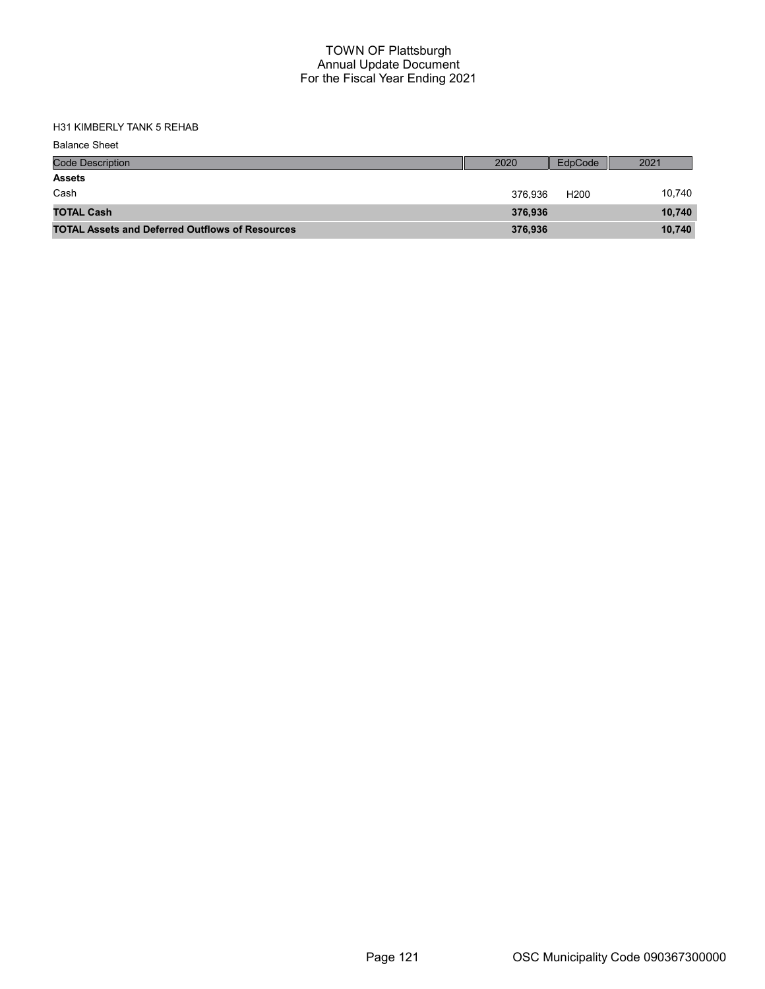H31 KIMBERLY TANK 5 REHAB

| <b>Balance Sheet</b>                                   |         |                  |        |
|--------------------------------------------------------|---------|------------------|--------|
| <b>Code Description</b>                                | 2020    | EdpCode          | 2021   |
| <b>Assets</b>                                          |         |                  |        |
| Cash                                                   | 376.936 | H <sub>200</sub> | 10,740 |
| <b>TOTAL Cash</b>                                      | 376,936 |                  | 10,740 |
| <b>TOTAL Assets and Deferred Outflows of Resources</b> | 376,936 |                  | 10,740 |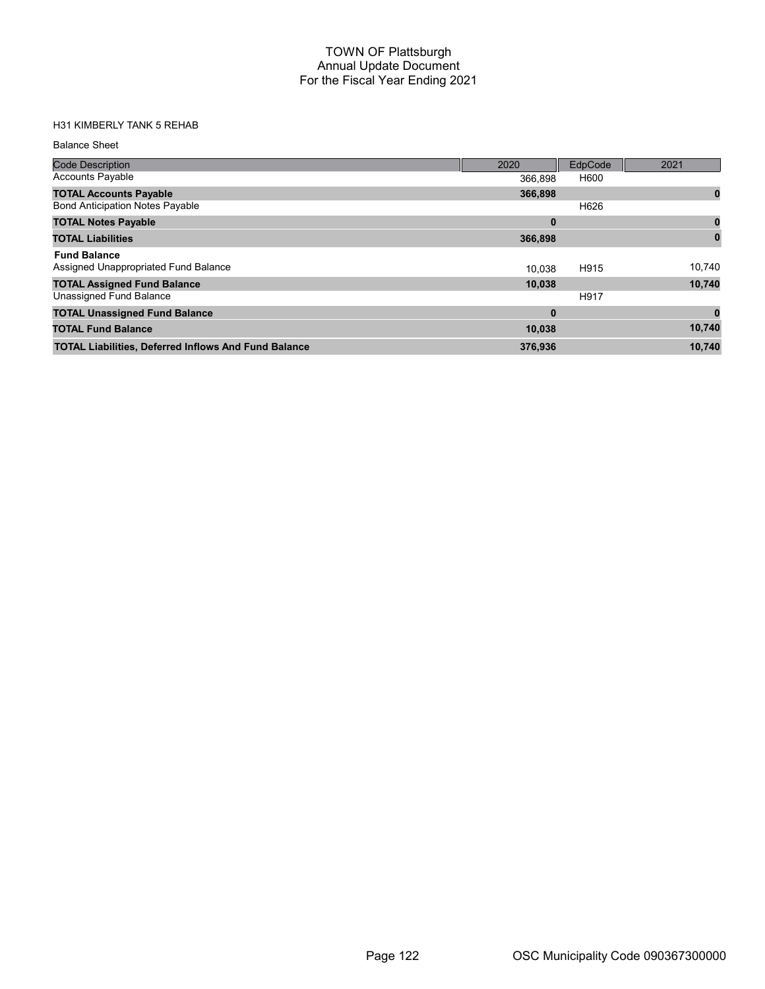## H31 KIMBERLY TANK 5 REHAB

| <b>Code Description</b>                                     | 2020     | EdpCode | 2021   |
|-------------------------------------------------------------|----------|---------|--------|
| <b>Accounts Payable</b>                                     | 366.898  | H600    |        |
| <b>TOTAL Accounts Payable</b>                               | 366,898  |         | 0      |
| <b>Bond Anticipation Notes Payable</b>                      |          | H626    |        |
| <b>TOTAL Notes Payable</b>                                  | $\bf{0}$ |         |        |
| <b>TOTAL Liabilities</b>                                    | 366,898  |         |        |
| <b>Fund Balance</b><br>Assigned Unappropriated Fund Balance | 10.038   | H915    | 10.740 |
| <b>TOTAL Assigned Fund Balance</b>                          | 10,038   |         | 10,740 |
| Unassigned Fund Balance                                     |          | H917    |        |
| <b>TOTAL Unassigned Fund Balance</b>                        | $\bf{0}$ |         |        |
| <b>TOTAL Fund Balance</b>                                   | 10,038   |         | 10,740 |
| <b>TOTAL Liabilities, Deferred Inflows And Fund Balance</b> | 376,936  |         | 10,740 |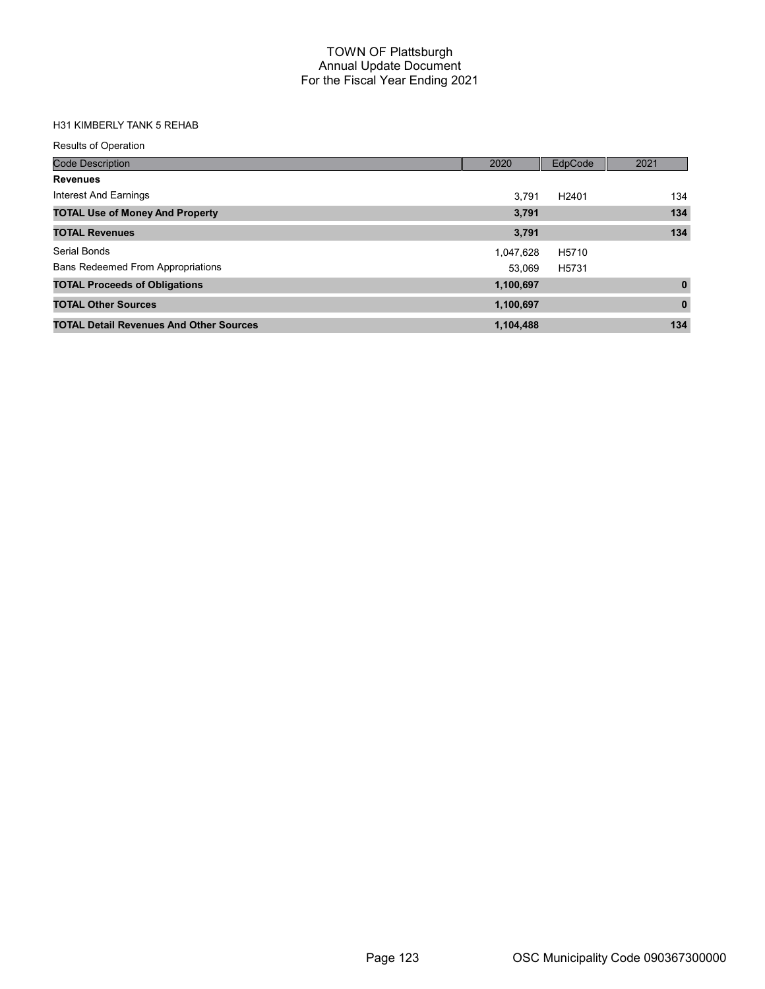## H31 KIMBERLY TANK 5 REHAB

| <b>Results of Operation</b>                    |           |                   |              |
|------------------------------------------------|-----------|-------------------|--------------|
| <b>Code Description</b>                        | 2020      | EdpCode           | 2021         |
| <b>Revenues</b>                                |           |                   |              |
| Interest And Earnings                          | 3.791     | H <sub>2401</sub> | 134          |
| <b>TOTAL Use of Money And Property</b>         | 3,791     |                   | 134          |
| <b>TOTAL Revenues</b>                          | 3,791     |                   | 134          |
| Serial Bonds                                   | 1,047,628 | H5710             |              |
| <b>Bans Redeemed From Appropriations</b>       | 53.069    | H5731             |              |
| <b>TOTAL Proceeds of Obligations</b>           | 1,100,697 |                   | $\mathbf{0}$ |
| <b>TOTAL Other Sources</b>                     | 1,100,697 |                   | $\bf{0}$     |
| <b>TOTAL Detail Revenues And Other Sources</b> | 1,104,488 |                   | 134          |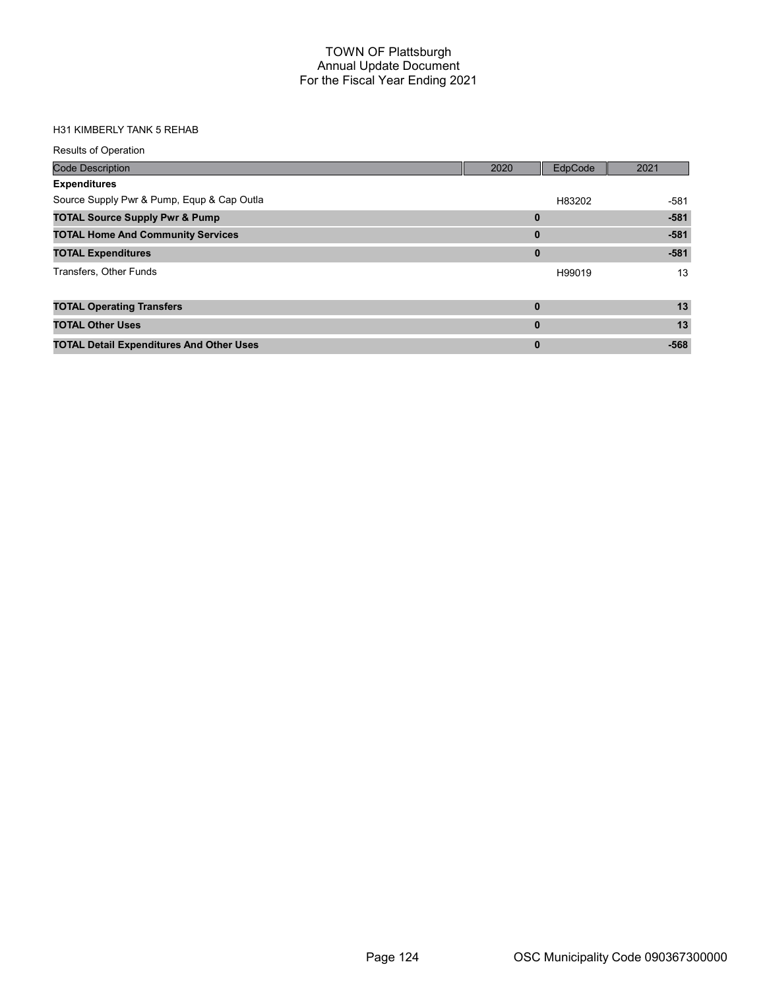#### H31 KIMBERLY TANK 5 REHAB

| <b>Results of Operation</b>                     |          |         |        |
|-------------------------------------------------|----------|---------|--------|
| <b>Code Description</b>                         | 2020     | EdpCode | 2021   |
| <b>Expenditures</b>                             |          |         |        |
| Source Supply Pwr & Pump, Equp & Cap Outla      |          | H83202  | $-581$ |
| <b>TOTAL Source Supply Pwr &amp; Pump</b>       | 0        |         | $-581$ |
| <b>TOTAL Home And Community Services</b>        | $\bf{0}$ |         | $-581$ |
| <b>TOTAL Expenditures</b>                       | $\bf{0}$ |         | $-581$ |
| Transfers, Other Funds                          |          | H99019  | 13     |
|                                                 |          |         |        |
| <b>TOTAL Operating Transfers</b>                | $\bf{0}$ |         | 13     |
| <b>TOTAL Other Uses</b>                         | $\bf{0}$ |         | 13     |
| <b>TOTAL Detail Expenditures And Other Uses</b> | $\bf{0}$ |         | $-568$ |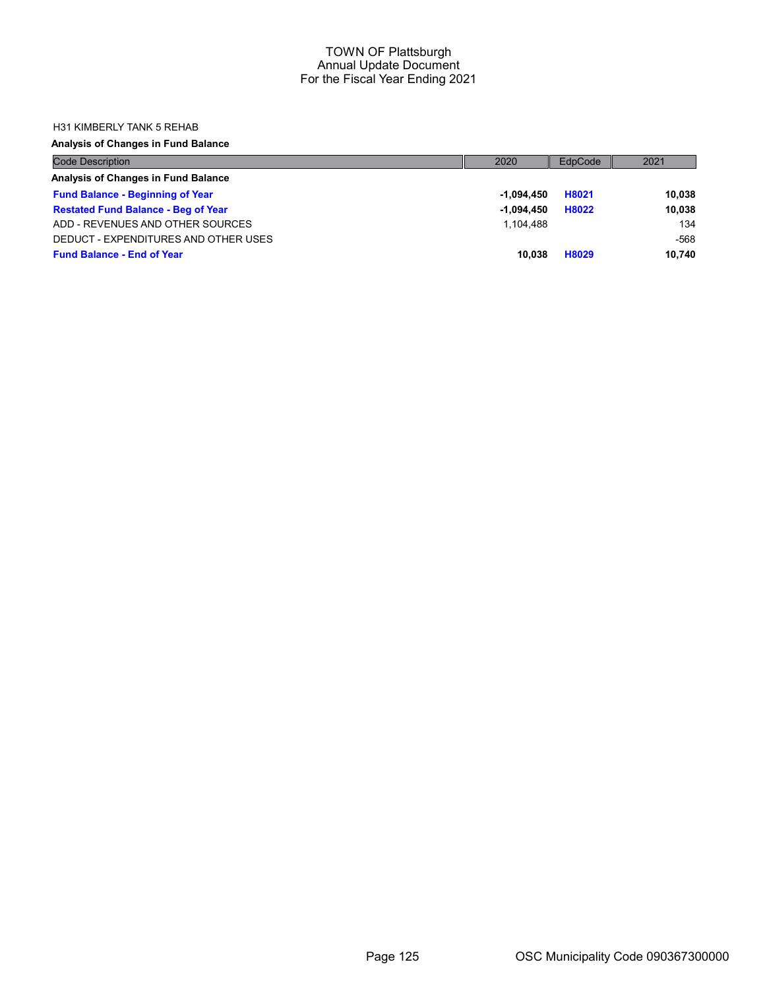#### H31 KIMBERLY TANK 5 REHAB

## Analysis of Changes in Fund Balance

| <b>Code Description</b>                    | 2020         | EdpCode | 2021   |
|--------------------------------------------|--------------|---------|--------|
| Analysis of Changes in Fund Balance        |              |         |        |
| <b>Fund Balance - Beginning of Year</b>    | -1.094.450   | H8021   | 10,038 |
| <b>Restated Fund Balance - Beg of Year</b> | $-1.094.450$ | H8022   | 10,038 |
| ADD - REVENUES AND OTHER SOURCES           | 1.104.488    |         | 134    |
| DEDUCT - EXPENDITURES AND OTHER USES       |              |         | -568   |
| <b>Fund Balance - End of Year</b>          | 10.038       | H8029   | 10.740 |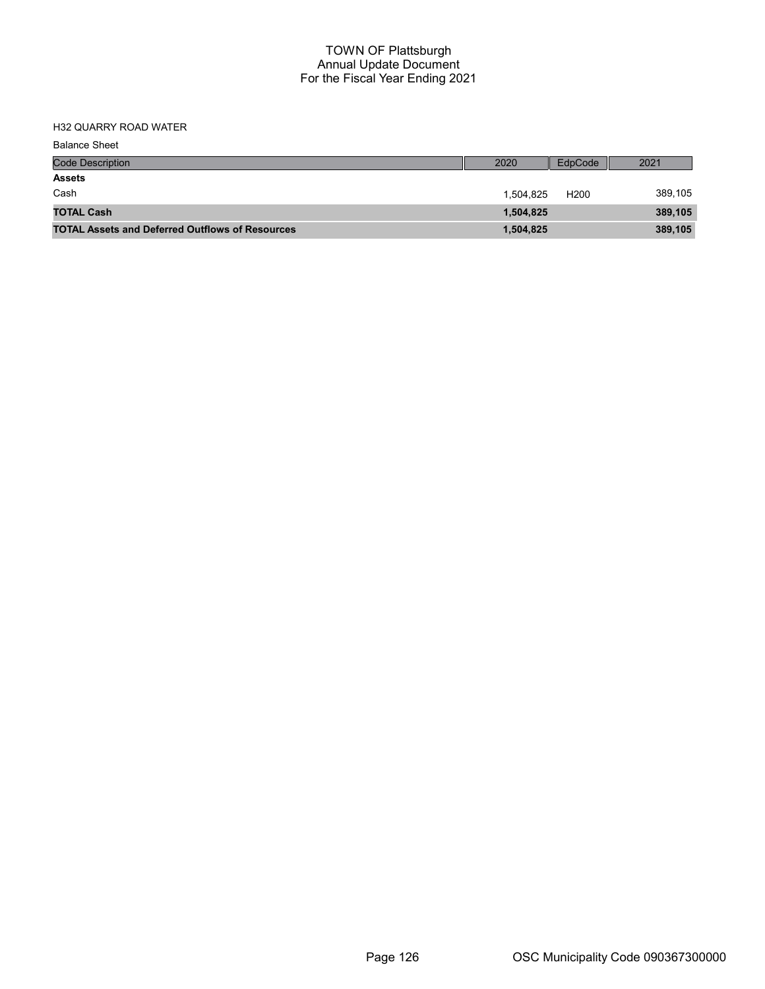## H32 QUARRY ROAD WATER

| <b>Balance Sheet</b>                                   |           |                  |         |
|--------------------------------------------------------|-----------|------------------|---------|
| <b>Code Description</b>                                | 2020      | EdpCode          | 2021    |
| <b>Assets</b>                                          |           |                  |         |
| Cash                                                   | 1,504,825 | H <sub>200</sub> | 389,105 |
| <b>TOTAL Cash</b>                                      | 1,504,825 |                  | 389,105 |
| <b>TOTAL Assets and Deferred Outflows of Resources</b> | 1,504,825 |                  | 389,105 |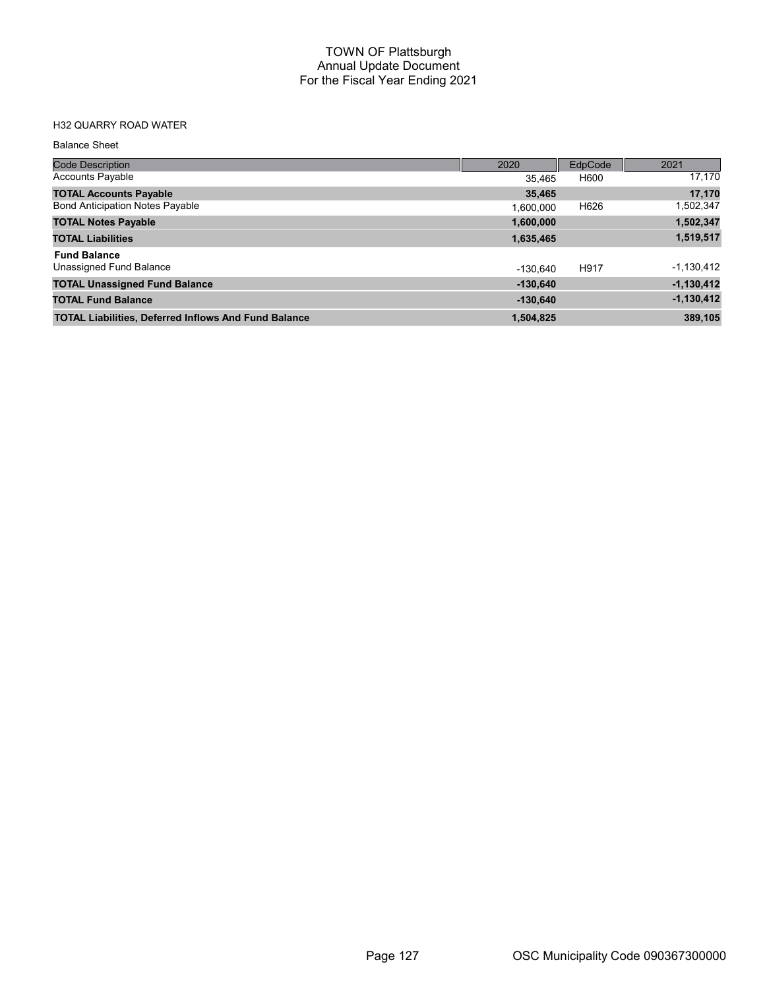## H32 QUARRY ROAD WATER

| <b>Code Description</b>                                     | 2020       | EdpCode | 2021         |
|-------------------------------------------------------------|------------|---------|--------------|
| <b>Accounts Payable</b>                                     | 35.465     | H600    | 17,170       |
| <b>TOTAL Accounts Payable</b>                               | 35,465     |         | 17,170       |
| <b>Bond Anticipation Notes Payable</b>                      | 1.600.000  | H626    | 1,502,347    |
| <b>TOTAL Notes Payable</b>                                  | 1,600,000  |         | 1,502,347    |
| <b>TOTAL Liabilities</b>                                    | 1,635,465  |         | 1,519,517    |
| <b>Fund Balance</b>                                         |            |         |              |
| Unassigned Fund Balance                                     | $-130.640$ | H917    | $-1,130,412$ |
| <b>TOTAL Unassigned Fund Balance</b>                        | $-130.640$ |         | $-1,130,412$ |
| <b>TOTAL Fund Balance</b>                                   | $-130.640$ |         | $-1,130,412$ |
| <b>TOTAL Liabilities, Deferred Inflows And Fund Balance</b> | 1,504,825  |         | 389,105      |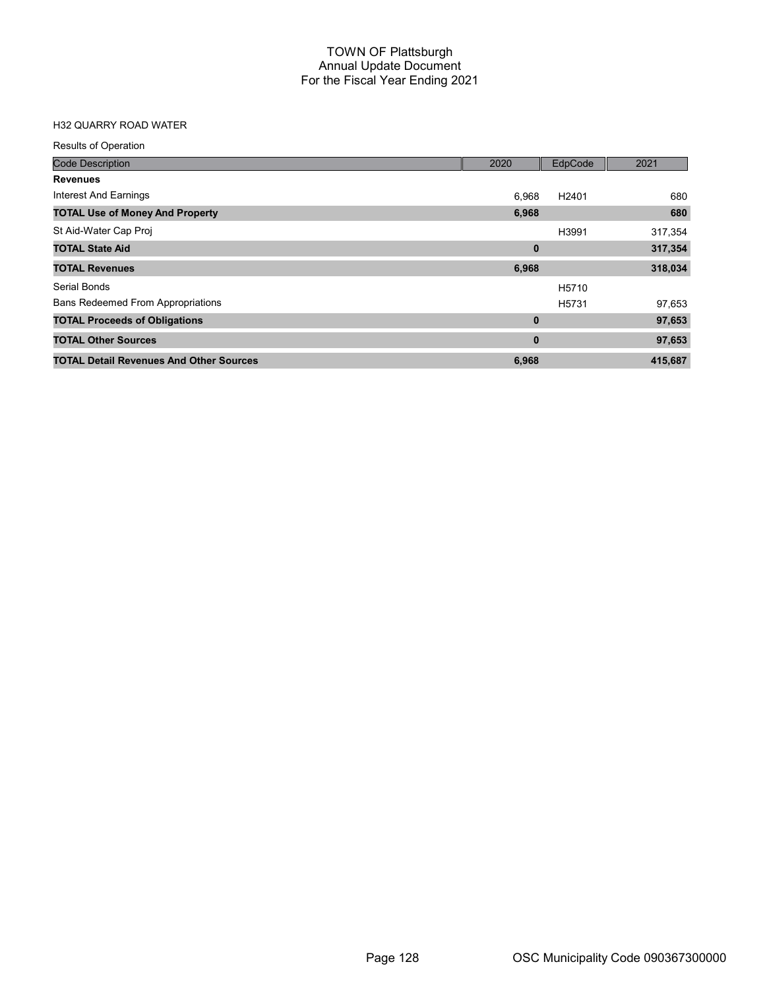## H32 QUARRY ROAD WATER

| <b>Results of Operation</b>                    |             |                   |         |
|------------------------------------------------|-------------|-------------------|---------|
| <b>Code Description</b>                        | 2020        | EdpCode           | 2021    |
| <b>Revenues</b>                                |             |                   |         |
| Interest And Earnings                          | 6.968       | H <sub>2401</sub> | 680     |
| <b>TOTAL Use of Money And Property</b>         | 6,968       |                   | 680     |
| St Aid-Water Cap Proj                          |             | H3991             | 317,354 |
| <b>TOTAL State Aid</b>                         | $\bf{0}$    |                   | 317,354 |
| <b>TOTAL Revenues</b>                          | 6,968       |                   | 318,034 |
| Serial Bonds                                   |             | H5710             |         |
| <b>Bans Redeemed From Appropriations</b>       |             | H <sub>5731</sub> | 97,653  |
| <b>TOTAL Proceeds of Obligations</b>           | $\mathbf 0$ |                   | 97,653  |
| <b>TOTAL Other Sources</b>                     | $\bf{0}$    |                   | 97,653  |
| <b>TOTAL Detail Revenues And Other Sources</b> | 6,968       |                   | 415,687 |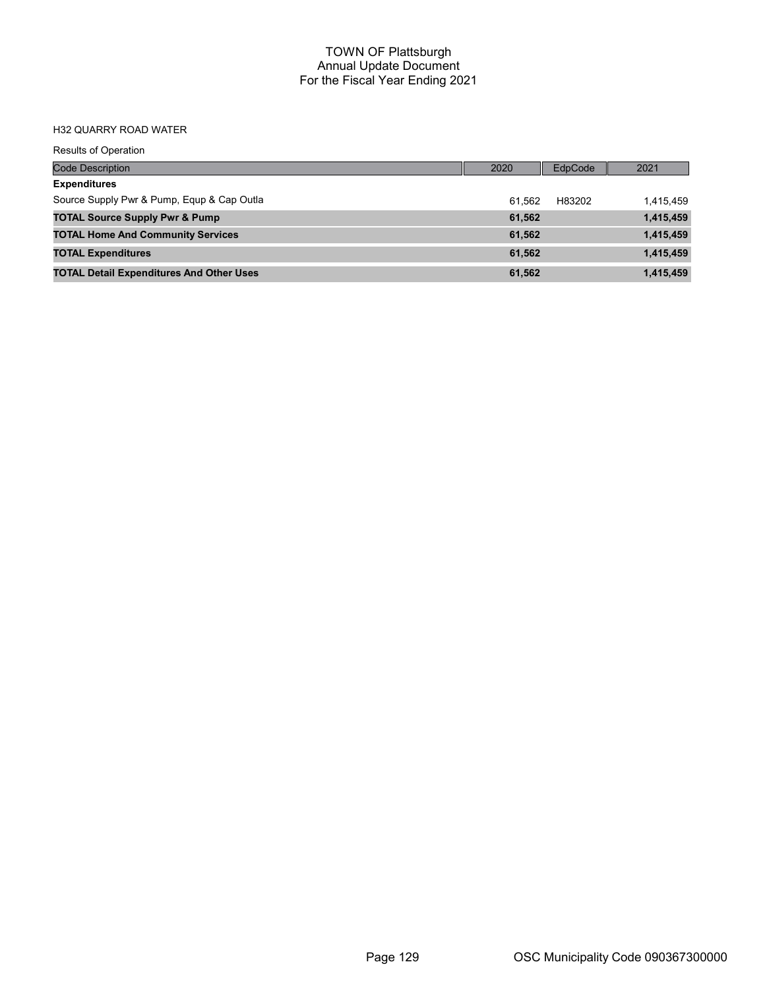#### H32 QUARRY ROAD WATER

| <b>Results of Operation</b>                     |        |         |           |
|-------------------------------------------------|--------|---------|-----------|
| <b>Code Description</b>                         | 2020   | EdpCode | 2021      |
| <b>Expenditures</b>                             |        |         |           |
| Source Supply Pwr & Pump, Equp & Cap Outla      | 61.562 | H83202  | 1,415,459 |
| <b>TOTAL Source Supply Pwr &amp; Pump</b>       | 61,562 |         | 1,415,459 |
| <b>TOTAL Home And Community Services</b>        | 61,562 |         | 1,415,459 |
| <b>TOTAL Expenditures</b>                       | 61,562 |         | 1,415,459 |
| <b>TOTAL Detail Expenditures And Other Uses</b> | 61,562 |         | 1,415,459 |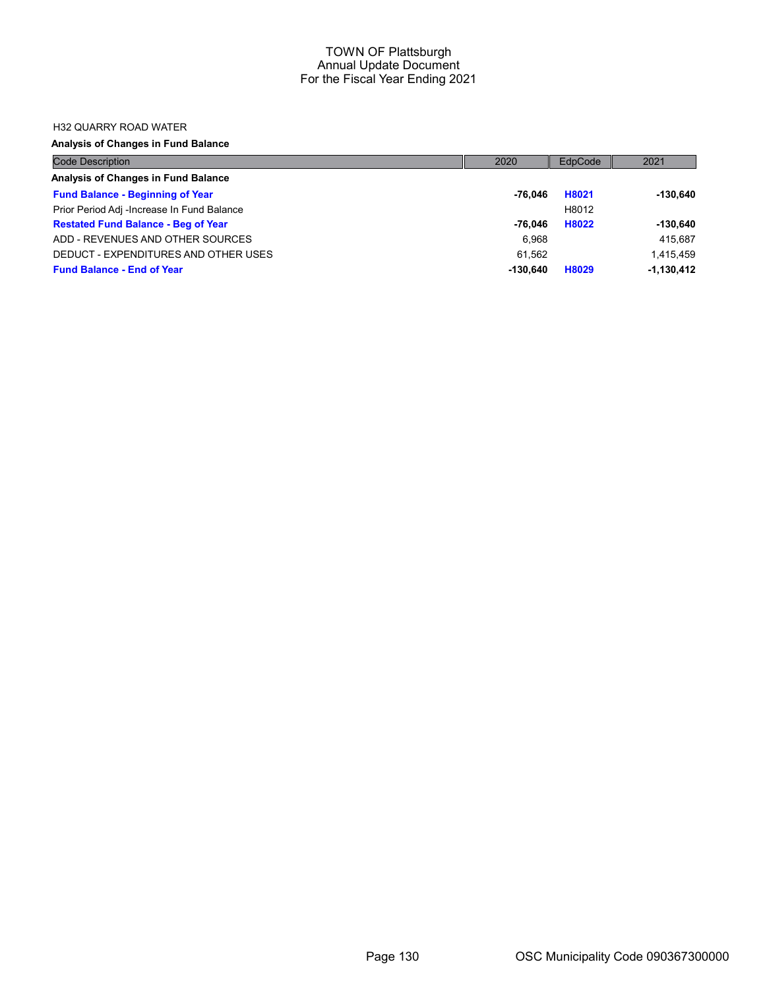#### H32 QUARRY ROAD WATER

## Analysis of Changes in Fund Balance

| <b>Code Description</b>                    | 2020     | EdpCode | 2021         |
|--------------------------------------------|----------|---------|--------------|
| Analysis of Changes in Fund Balance        |          |         |              |
| <b>Fund Balance - Beginning of Year</b>    | -76.046  | H8021   | $-130.640$   |
| Prior Period Adj -Increase In Fund Balance |          | H8012   |              |
| <b>Restated Fund Balance - Beg of Year</b> | -76.046  | H8022   | $-130.640$   |
| ADD - REVENUES AND OTHER SOURCES           | 6.968    |         | 415.687      |
| DEDUCT - EXPENDITURES AND OTHER USES       | 61.562   |         | 1.415.459    |
| <b>Fund Balance - End of Year</b>          | -130.640 | H8029   | $-1,130,412$ |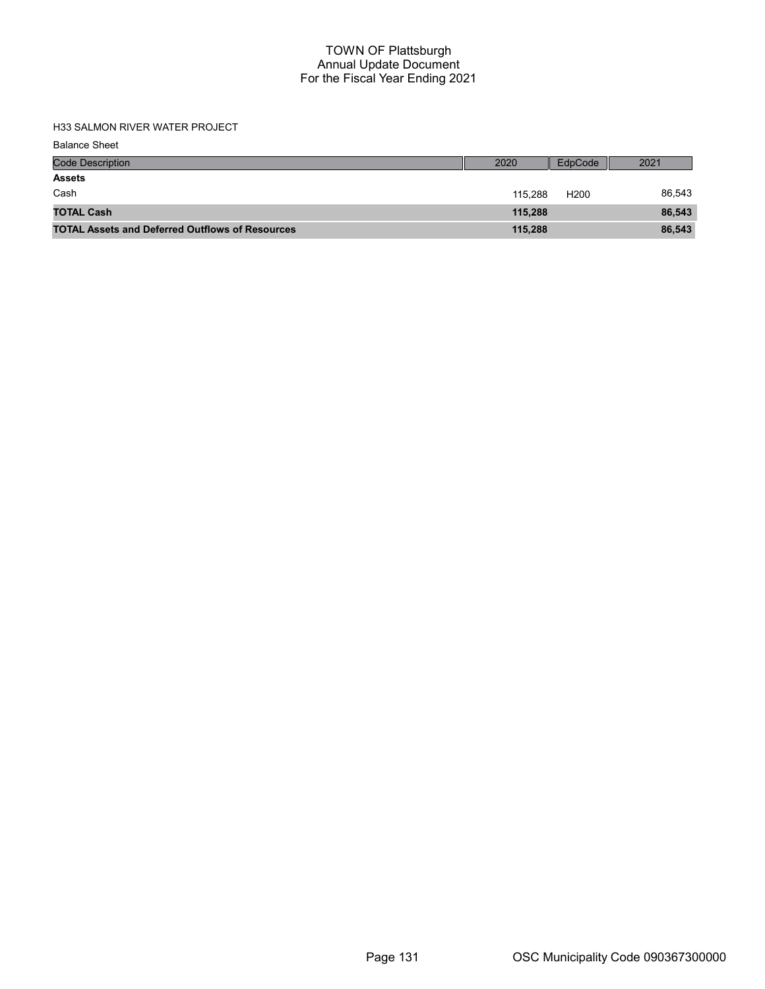### H33 SALMON RIVER WATER PROJECT

| <b>Code Description</b>                                | 2020    | EdpCode          | 2021   |
|--------------------------------------------------------|---------|------------------|--------|
| <b>Assets</b>                                          |         |                  |        |
| Cash                                                   | 115.288 | H <sub>200</sub> | 86,543 |
| <b>TOTAL Cash</b>                                      | 115.288 |                  | 86,543 |
| <b>TOTAL Assets and Deferred Outflows of Resources</b> | 115,288 |                  | 86,543 |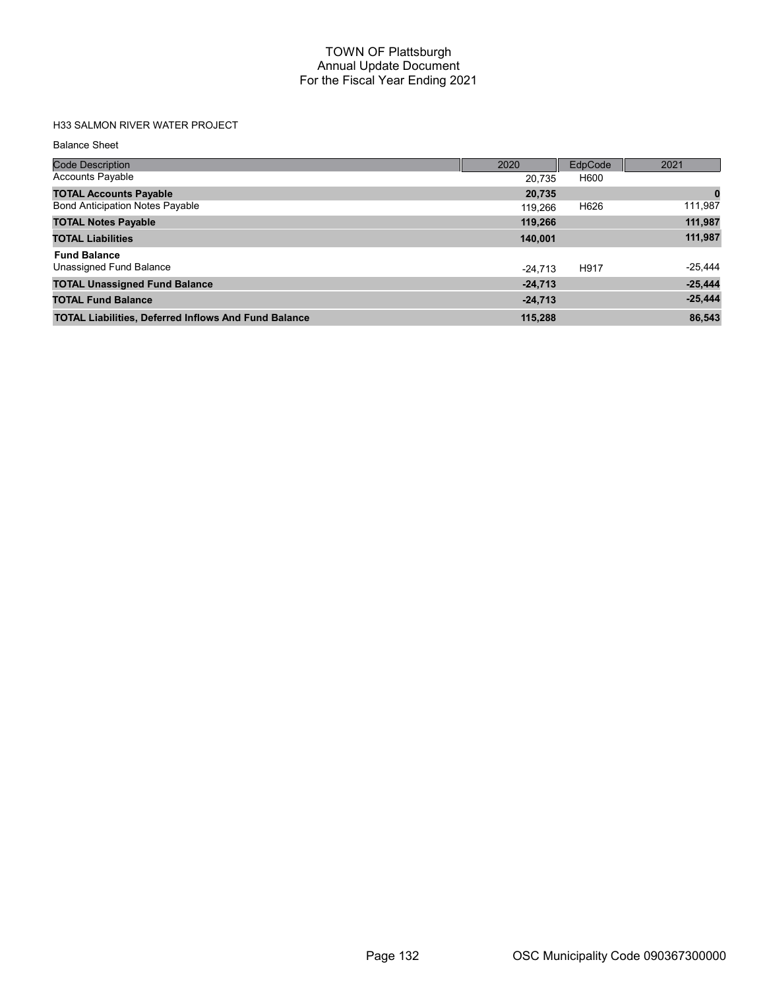# H33 SALMON RIVER WATER PROJECT

| <b>Code Description</b>                                     | 2020      | EdpCode | 2021      |
|-------------------------------------------------------------|-----------|---------|-----------|
| <b>Accounts Payable</b>                                     | 20,735    | H600    |           |
| <b>TOTAL Accounts Payable</b>                               | 20,735    |         | $\bf{0}$  |
| <b>Bond Anticipation Notes Payable</b>                      | 119,266   | H626    | 111,987   |
| <b>TOTAL Notes Payable</b>                                  | 119,266   |         | 111,987   |
| <b>TOTAL Liabilities</b>                                    | 140,001   |         | 111,987   |
| <b>Fund Balance</b>                                         |           |         |           |
| Unassigned Fund Balance                                     | $-24.713$ | H917    | $-25,444$ |
| <b>TOTAL Unassigned Fund Balance</b>                        | $-24,713$ |         | $-25,444$ |
| <b>TOTAL Fund Balance</b>                                   | $-24,713$ |         | $-25,444$ |
| <b>TOTAL Liabilities, Deferred Inflows And Fund Balance</b> | 115.288   |         | 86,543    |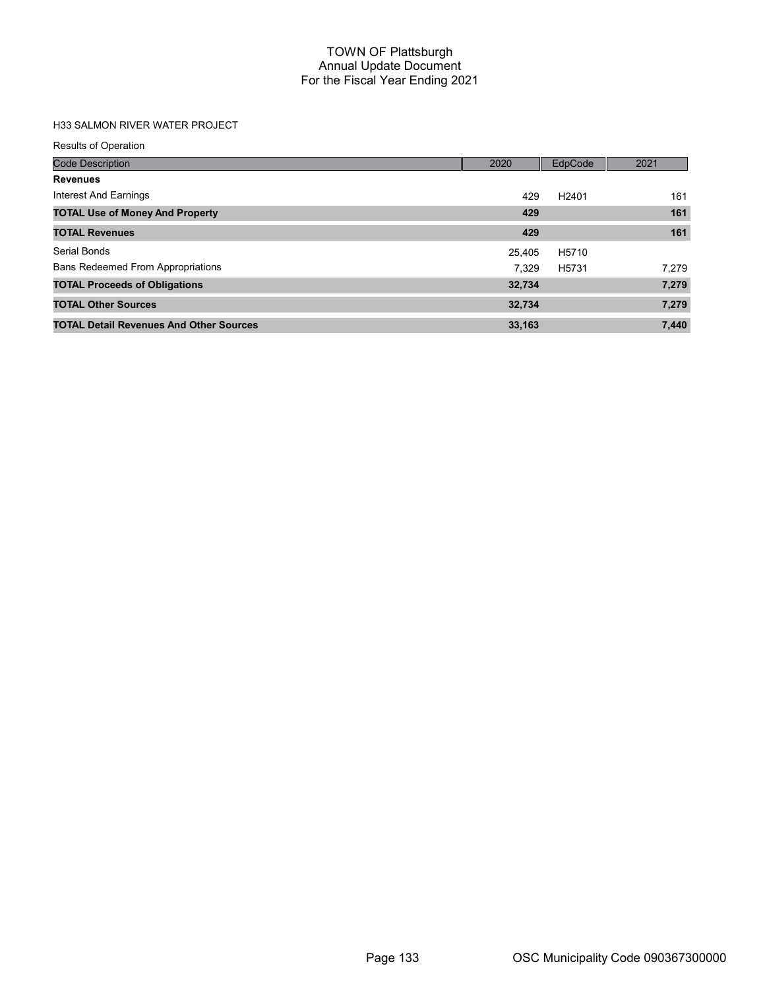## H33 SALMON RIVER WATER PROJECT

| <b>Results of Operation</b>                    |        |                   |       |
|------------------------------------------------|--------|-------------------|-------|
| <b>Code Description</b>                        | 2020   | EdpCode           | 2021  |
| <b>Revenues</b>                                |        |                   |       |
| Interest And Earnings                          | 429    | H <sub>2401</sub> | 161   |
| <b>TOTAL Use of Money And Property</b>         | 429    |                   | 161   |
| <b>TOTAL Revenues</b>                          | 429    |                   | 161   |
| Serial Bonds                                   | 25.405 | H5710             |       |
| <b>Bans Redeemed From Appropriations</b>       | 7.329  | H5731             | 7,279 |
| <b>TOTAL Proceeds of Obligations</b>           | 32,734 |                   | 7,279 |
| <b>TOTAL Other Sources</b>                     | 32,734 |                   | 7,279 |
| <b>TOTAL Detail Revenues And Other Sources</b> | 33,163 |                   | 7,440 |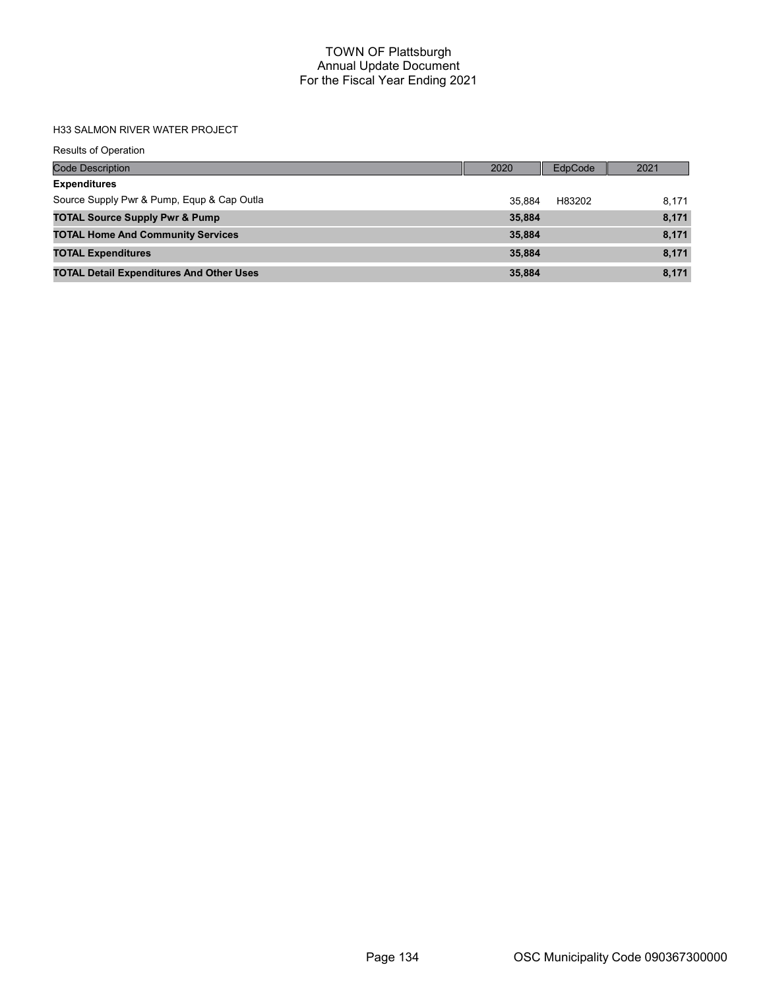#### H33 SALMON RIVER WATER PROJECT

| <b>Results of Operation</b>                     |        |         |       |
|-------------------------------------------------|--------|---------|-------|
| <b>Code Description</b>                         | 2020   | EdpCode | 2021  |
| <b>Expenditures</b>                             |        |         |       |
| Source Supply Pwr & Pump, Equp & Cap Outla      | 35.884 | H83202  | 8,171 |
| <b>TOTAL Source Supply Pwr &amp; Pump</b>       | 35,884 |         | 8,171 |
| <b>TOTAL Home And Community Services</b>        | 35,884 |         | 8,171 |
| <b>TOTAL Expenditures</b>                       | 35,884 |         | 8,171 |
| <b>TOTAL Detail Expenditures And Other Uses</b> | 35,884 |         | 8,171 |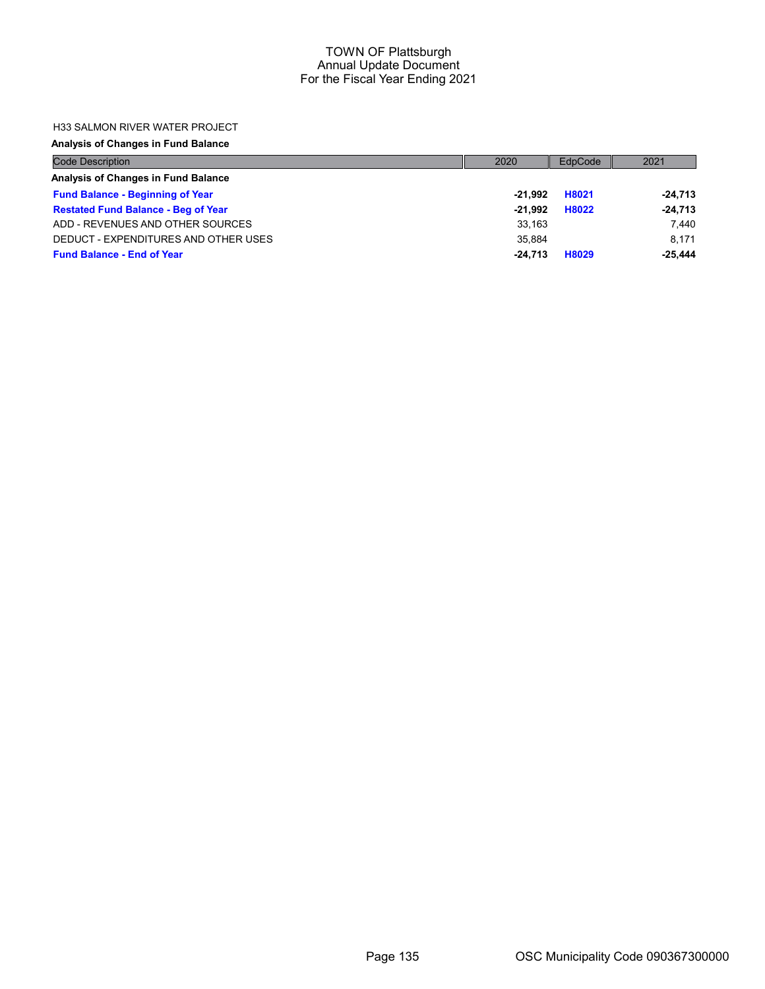#### H33 SALMON RIVER WATER PROJECT

#### Analysis of Changes in Fund Balance

| <b>Code Description</b>                    | 2020      | EdpCode | 2021      |
|--------------------------------------------|-----------|---------|-----------|
| Analysis of Changes in Fund Balance        |           |         |           |
| <b>Fund Balance - Beginning of Year</b>    | -21.992   | H8021   | $-24,713$ |
| <b>Restated Fund Balance - Beg of Year</b> | $-21.992$ | H8022   | $-24,713$ |
| ADD - REVENUES AND OTHER SOURCES           | 33.163    |         | 7.440     |
| DEDUCT - EXPENDITURES AND OTHER USES       | 35.884    |         | 8.171     |
| <b>Fund Balance - End of Year</b>          | $-24.713$ | H8029   | $-25.444$ |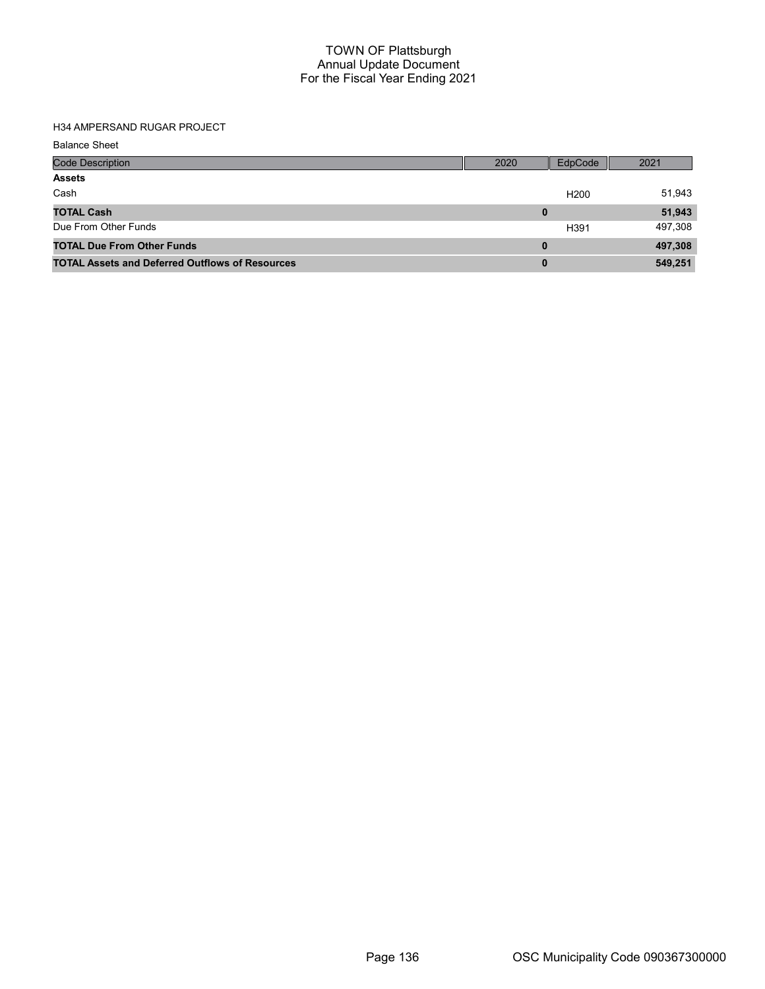## H34 AMPERSAND RUGAR PROJECT

| <b>Balance Sheet</b> |
|----------------------|
|----------------------|

| <b>Code Description</b>                                | 2020     | EdpCode          | 2021    |
|--------------------------------------------------------|----------|------------------|---------|
| <b>Assets</b>                                          |          |                  |         |
| Cash                                                   |          | H <sub>200</sub> | 51,943  |
| <b>TOTAL Cash</b>                                      | 0        |                  | 51,943  |
| Due From Other Funds                                   |          | H391             | 497,308 |
| <b>TOTAL Due From Other Funds</b>                      | 0        |                  | 497,308 |
| <b>TOTAL Assets and Deferred Outflows of Resources</b> | $\bf{0}$ |                  | 549,251 |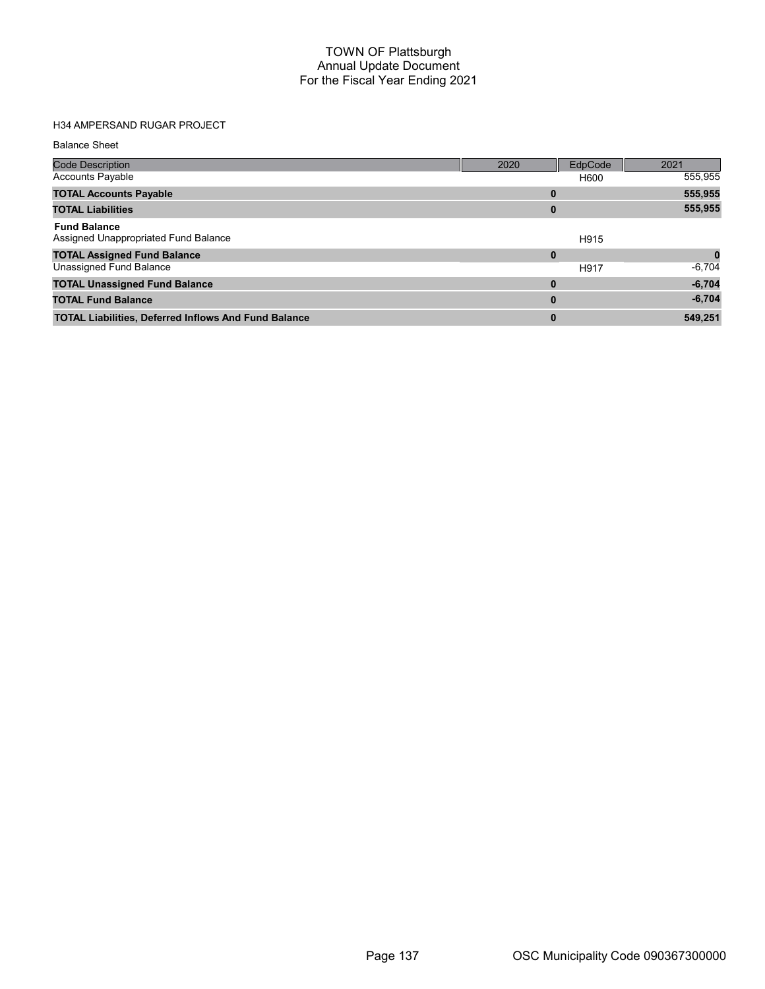## H34 AMPERSAND RUGAR PROJECT

| <b>Code Description</b>                                     | 2020 | EdpCode | 2021     |
|-------------------------------------------------------------|------|---------|----------|
| <b>Accounts Payable</b>                                     |      | H600    | 555,955  |
| <b>TOTAL Accounts Payable</b>                               | 0    |         | 555,955  |
| <b>TOTAL Liabilities</b>                                    | 0    |         | 555,955  |
| <b>Fund Balance</b><br>Assigned Unappropriated Fund Balance |      | H915    |          |
| <b>TOTAL Assigned Fund Balance</b>                          | 0    |         |          |
| Unassigned Fund Balance                                     |      | H917    | $-6,704$ |
| <b>TOTAL Unassigned Fund Balance</b>                        | 0    |         | $-6,704$ |
| <b>TOTAL Fund Balance</b>                                   | 0    |         | $-6,704$ |
| <b>TOTAL Liabilities, Deferred Inflows And Fund Balance</b> | 0    |         | 549,251  |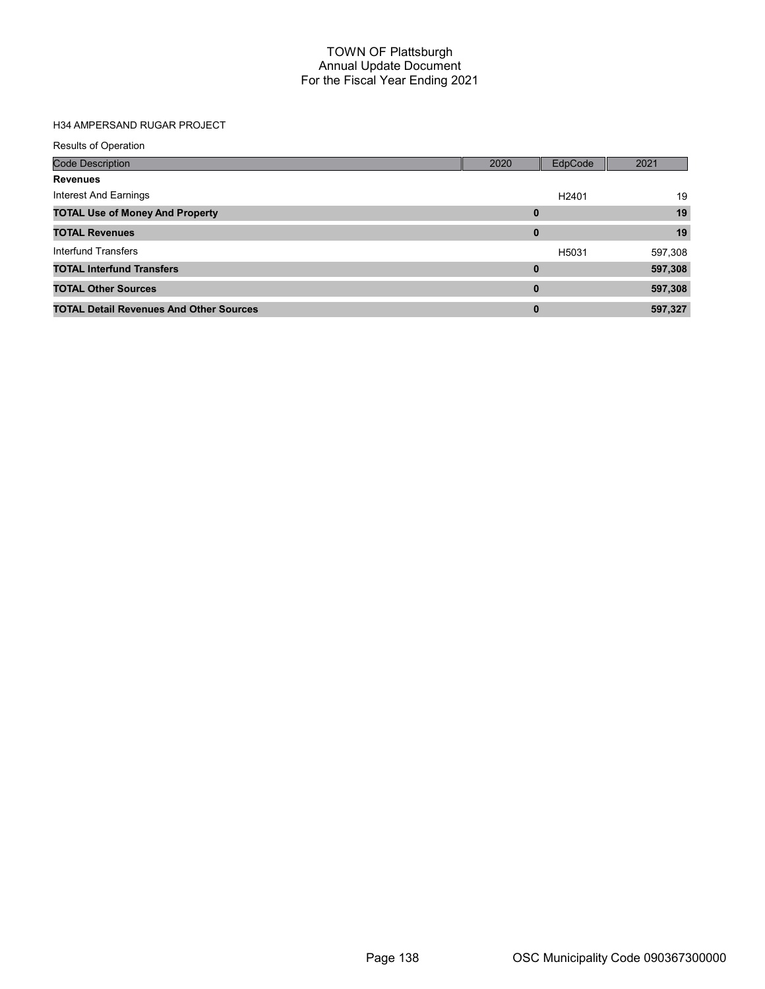## H34 AMPERSAND RUGAR PROJECT

| <b>Results of Operation</b>                    |          |                   |         |
|------------------------------------------------|----------|-------------------|---------|
| Code Description                               | 2020     | EdpCode           | 2021    |
| <b>Revenues</b>                                |          |                   |         |
| Interest And Earnings                          |          | H <sub>2401</sub> | 19      |
| <b>TOTAL Use of Money And Property</b>         | $\bf{0}$ |                   | 19      |
| <b>TOTAL Revenues</b>                          | $\bf{0}$ |                   | 19      |
| Interfund Transfers                            |          | H5031             | 597,308 |
| <b>TOTAL Interfund Transfers</b>               | $\bf{0}$ |                   | 597,308 |
| <b>TOTAL Other Sources</b>                     | $\bf{0}$ |                   | 597,308 |
| <b>TOTAL Detail Revenues And Other Sources</b> | 0        |                   | 597,327 |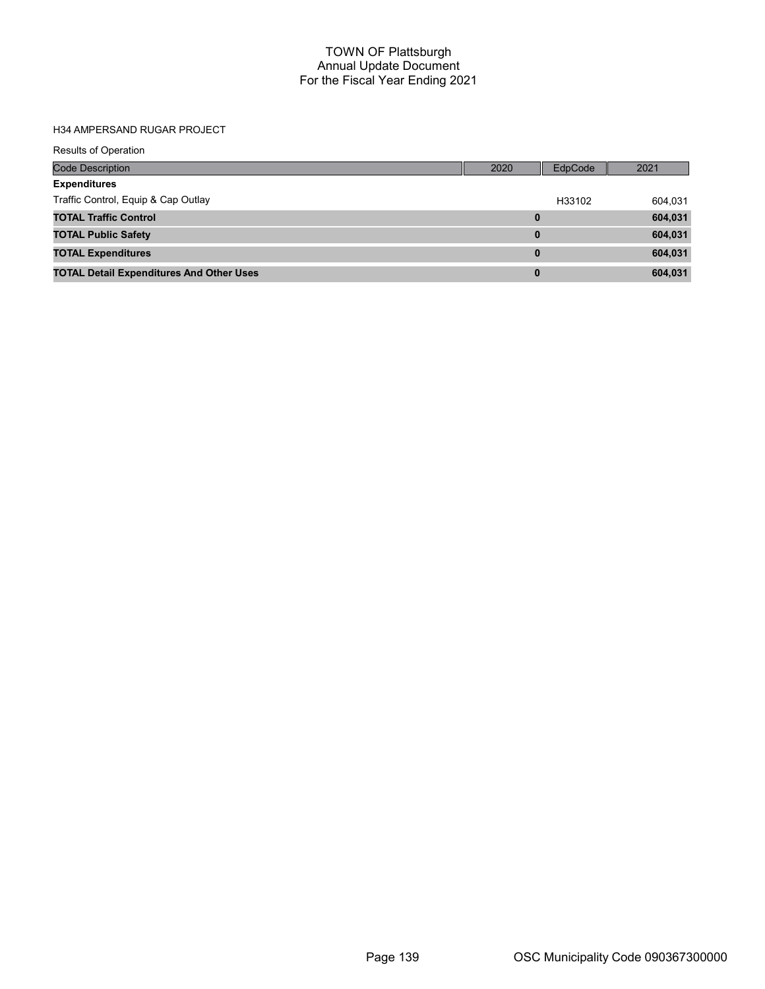## H34 AMPERSAND RUGAR PROJECT

| <b>Results of Operation</b>                     |          |         |         |
|-------------------------------------------------|----------|---------|---------|
| <b>Code Description</b>                         | 2020     | EdpCode | 2021    |
| <b>Expenditures</b>                             |          |         |         |
| Traffic Control, Equip & Cap Outlay             |          | H33102  | 604,031 |
| <b>TOTAL Traffic Control</b>                    | $\bf{0}$ |         | 604,031 |
| <b>TOTAL Public Safety</b>                      | $\bf{0}$ |         | 604,031 |
| <b>TOTAL Expenditures</b>                       | $\bf{0}$ |         | 604,031 |
| <b>TOTAL Detail Expenditures And Other Uses</b> | 0        |         | 604,031 |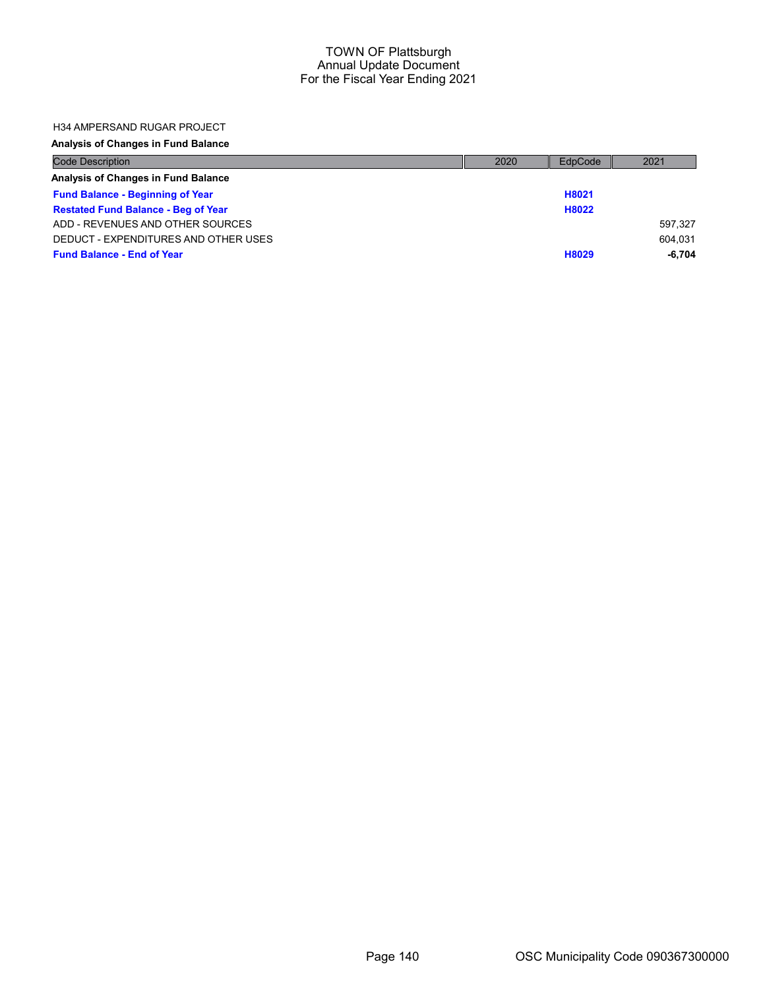#### H34 AMPERSAND RUGAR PROJECT

### Analysis of Changes in Fund Balance

| <b>Code Description</b>                    | 2020 | EdpCode | 2021    |
|--------------------------------------------|------|---------|---------|
| Analysis of Changes in Fund Balance        |      |         |         |
| <b>Fund Balance - Beginning of Year</b>    |      | H8021   |         |
| <b>Restated Fund Balance - Beg of Year</b> |      | H8022   |         |
| ADD - REVENUES AND OTHER SOURCES           |      |         | 597.327 |
| DEDUCT - EXPENDITURES AND OTHER USES       |      |         | 604.031 |
| <b>Fund Balance - End of Year</b>          |      | H8029   | -6.704  |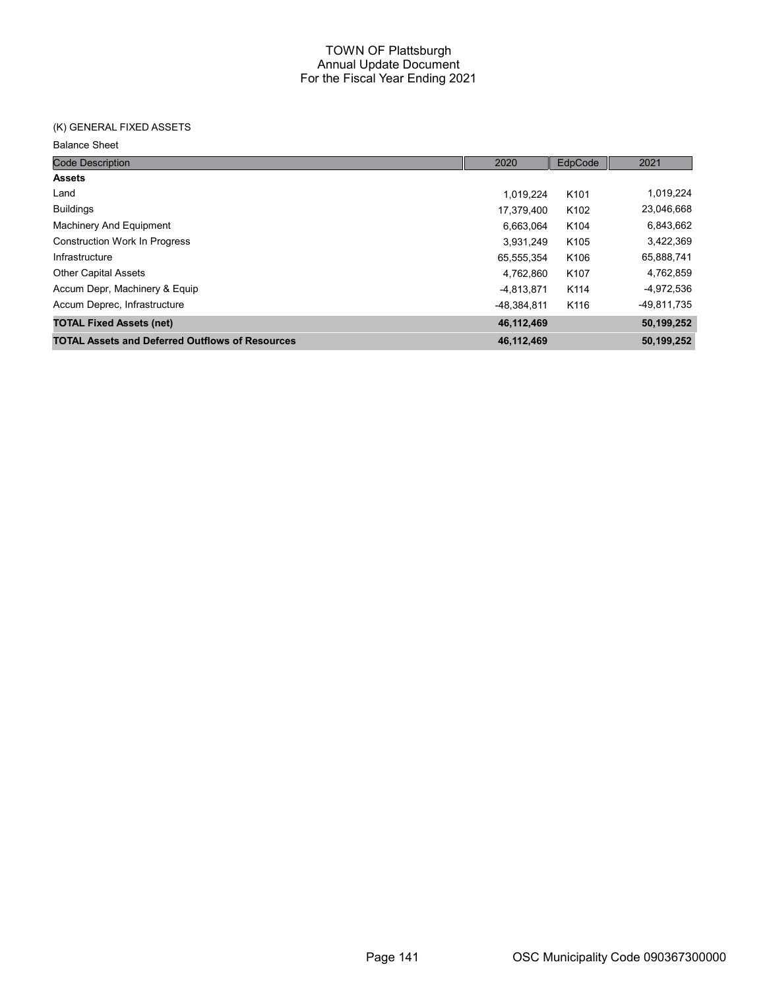## (K) GENERAL FIXED ASSETS

| <b>Code Description</b>                                | 2020        | EdpCode          | 2021        |
|--------------------------------------------------------|-------------|------------------|-------------|
| <b>Assets</b>                                          |             |                  |             |
| Land                                                   | 1.019.224   | K <sub>101</sub> | 1,019,224   |
| <b>Buildings</b>                                       | 17,379,400  | K <sub>102</sub> | 23,046,668  |
| Machinery And Equipment                                | 6,663,064   | K <sub>104</sub> | 6,843,662   |
| <b>Construction Work In Progress</b>                   | 3,931,249   | K <sub>105</sub> | 3,422,369   |
| Infrastructure                                         | 65,555,354  | K <sub>106</sub> | 65,888,741  |
| <b>Other Capital Assets</b>                            | 4.762.860   | K107             | 4,762,859   |
| Accum Depr, Machinery & Equip                          | -4,813,871  | K114             | -4,972,536  |
| Accum Deprec, Infrastructure                           | -48.384.811 | K116             | -49,811,735 |
| <b>TOTAL Fixed Assets (net)</b>                        | 46,112,469  |                  | 50,199,252  |
| <b>TOTAL Assets and Deferred Outflows of Resources</b> | 46,112,469  |                  | 50,199,252  |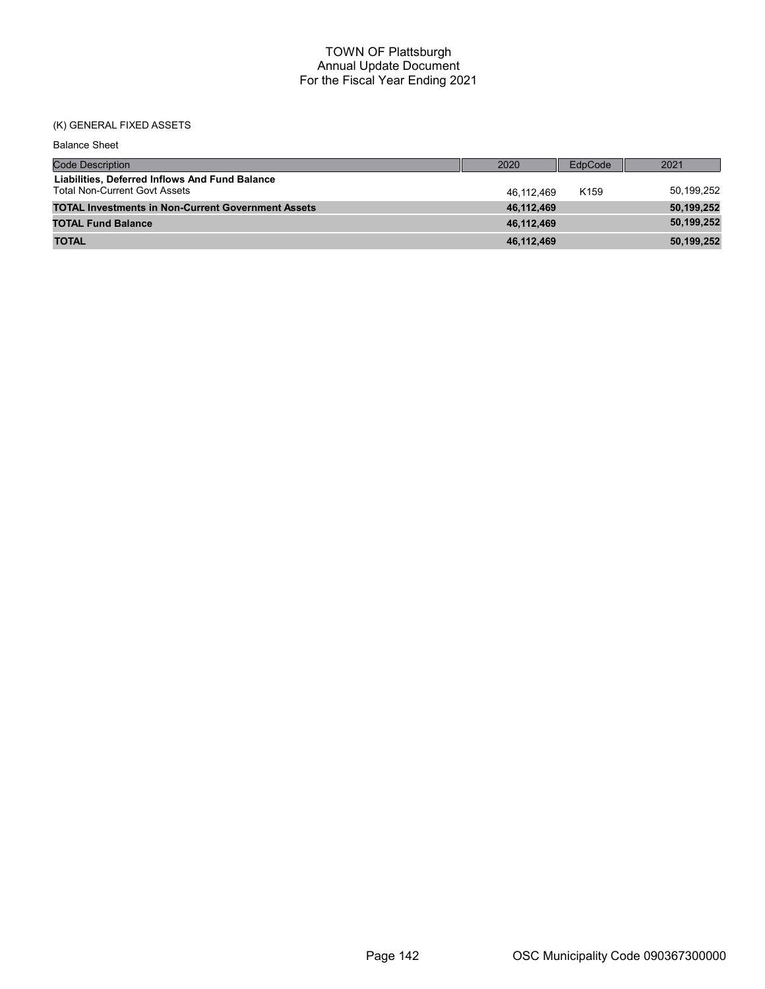## (K) GENERAL FIXED ASSETS

| <b>Balance Sheet</b>                                                                   |            |                  |            |
|----------------------------------------------------------------------------------------|------------|------------------|------------|
| <b>Code Description</b>                                                                | 2020       | EdpCode          | 2021       |
| Liabilities, Deferred Inflows And Fund Balance<br><b>Total Non-Current Govt Assets</b> | 46.112.469 | K <sub>159</sub> | 50,199,252 |
| <b>TOTAL Investments in Non-Current Government Assets</b>                              | 46,112,469 |                  | 50,199,252 |
| <b>TOTAL Fund Balance</b>                                                              | 46,112,469 |                  | 50,199,252 |
| <b>TOTAL</b>                                                                           | 46,112,469 |                  | 50,199,252 |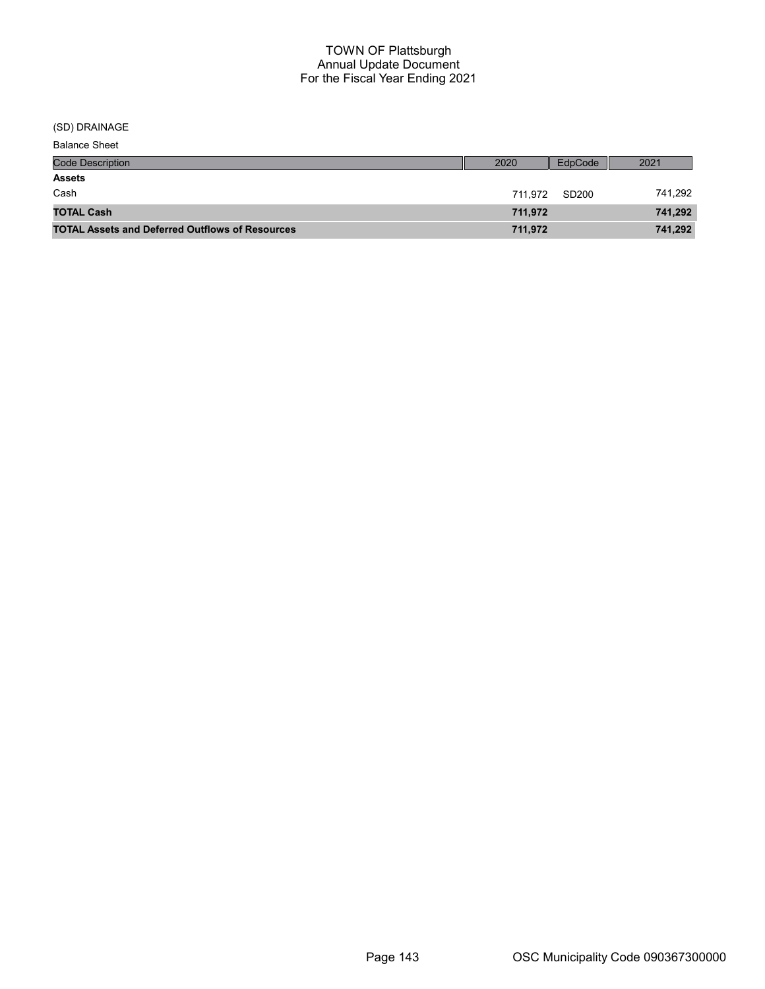(SD) DRAINAGE

| <b>Code Description</b>                                | 2020    | EdpCode | 2021    |
|--------------------------------------------------------|---------|---------|---------|
| <b>Assets</b>                                          |         |         |         |
| Cash                                                   | 711.972 | SD200   | 741,292 |
| <b>TOTAL Cash</b>                                      | 711.972 |         | 741,292 |
| <b>TOTAL Assets and Deferred Outflows of Resources</b> | 711,972 |         | 741,292 |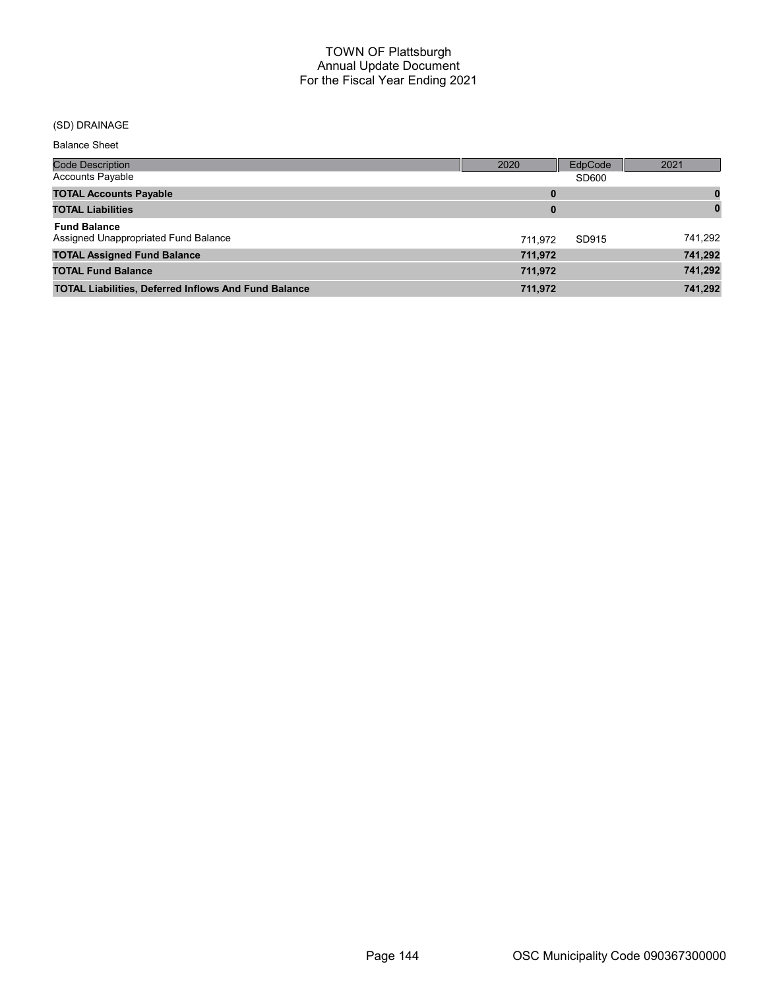## (SD) DRAINAGE

| Code Description                                            | 2020    | EdpCode | 2021     |
|-------------------------------------------------------------|---------|---------|----------|
| <b>Accounts Payable</b>                                     |         | SD600   |          |
| <b>TOTAL Accounts Payable</b>                               | 0       |         |          |
| <b>TOTAL Liabilities</b>                                    | 0       |         | $\bf{0}$ |
| <b>Fund Balance</b><br>Assigned Unappropriated Fund Balance | 711.972 | SD915   | 741,292  |
| <b>TOTAL Assigned Fund Balance</b>                          | 711,972 |         | 741,292  |
| <b>TOTAL Fund Balance</b>                                   | 711,972 |         | 741,292  |
| <b>TOTAL Liabilities, Deferred Inflows And Fund Balance</b> | 711,972 |         | 741,292  |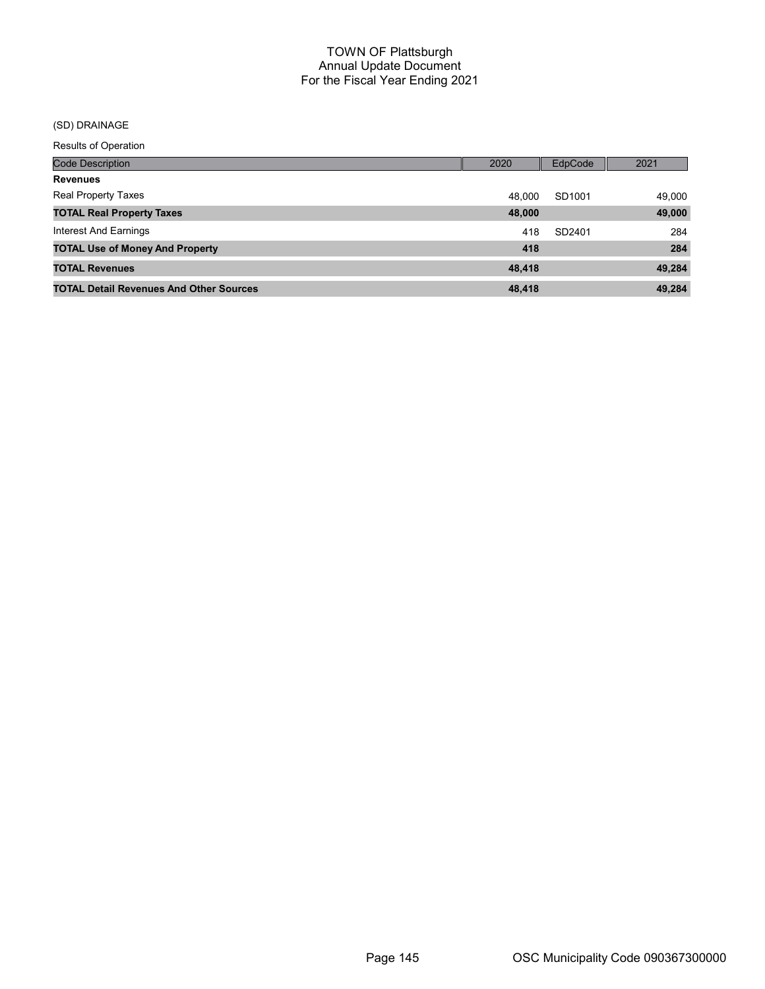# (SD) DRAINAGE

| <b>Code Description</b>                        | 2020   | <b>EdpCode</b> | 2021   |
|------------------------------------------------|--------|----------------|--------|
| <b>Revenues</b>                                |        |                |        |
| <b>Real Property Taxes</b>                     | 48.000 | SD1001         | 49,000 |
| <b>TOTAL Real Property Taxes</b>               | 48,000 |                | 49,000 |
| Interest And Earnings                          | 418    | SD2401         | 284    |
| <b>TOTAL Use of Money And Property</b>         | 418    |                | 284    |
| <b>TOTAL Revenues</b>                          | 48,418 |                | 49.284 |
| <b>TOTAL Detail Revenues And Other Sources</b> | 48,418 |                | 49.284 |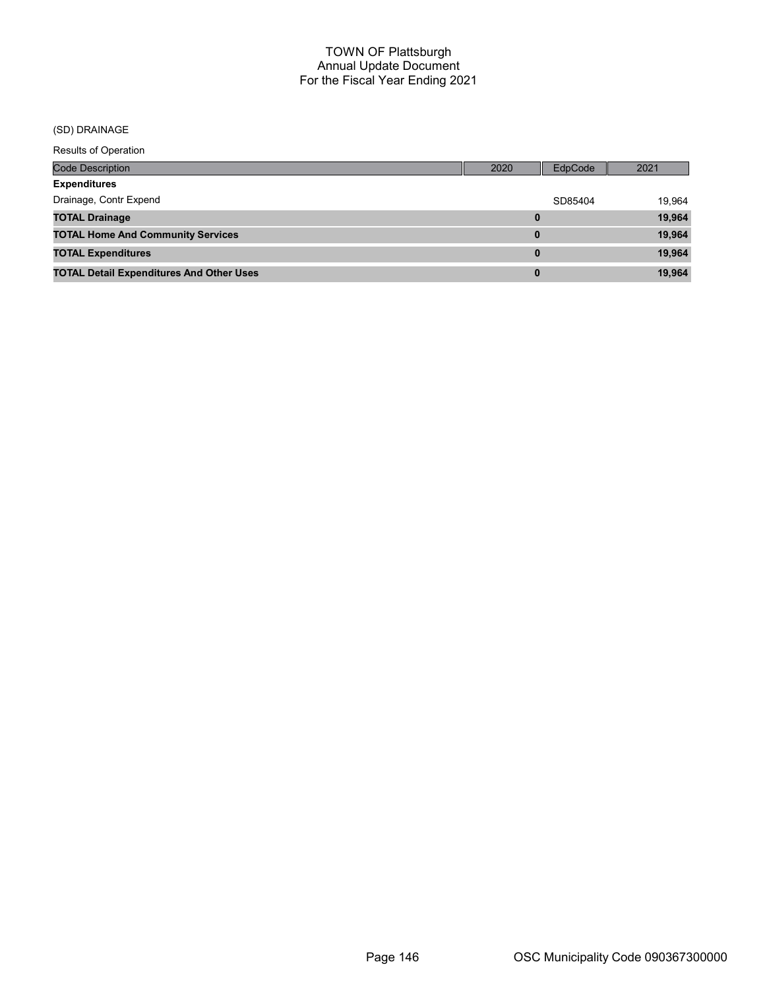### (SD) DRAINAGE

| <b>Code Description</b>                         | 2020     | EdpCode | 2021   |
|-------------------------------------------------|----------|---------|--------|
| <b>Expenditures</b>                             |          |         |        |
| Drainage, Contr Expend                          |          | SD85404 | 19,964 |
| <b>TOTAL Drainage</b>                           | 0        |         | 19,964 |
| <b>TOTAL Home And Community Services</b>        | 0        |         | 19,964 |
| <b>TOTAL Expenditures</b>                       | $\bf{0}$ |         | 19,964 |
| <b>TOTAL Detail Expenditures And Other Uses</b> | $\bf{0}$ |         | 19,964 |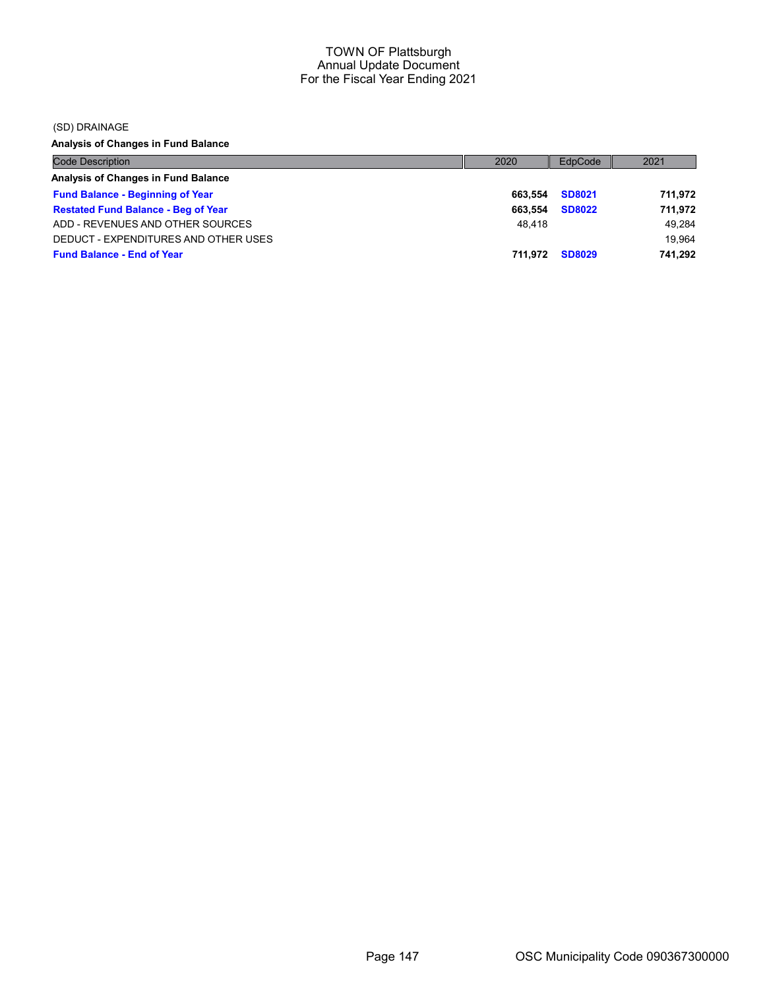(SD) DRAINAGE

Analysis of Changes in Fund Balance

| <b>Code Description</b>                    | 2020    | EdpCode       | 2021    |
|--------------------------------------------|---------|---------------|---------|
| Analysis of Changes in Fund Balance        |         |               |         |
| <b>Fund Balance - Beginning of Year</b>    | 663.554 | <b>SD8021</b> | 711.972 |
| <b>Restated Fund Balance - Beg of Year</b> | 663.554 | <b>SD8022</b> | 711.972 |
| ADD - REVENUES AND OTHER SOURCES           | 48.418  |               | 49.284  |
| DEDUCT - EXPENDITURES AND OTHER USES       |         |               | 19.964  |
| <b>Fund Balance - End of Year</b>          | 711.972 | <b>SD8029</b> | 741.292 |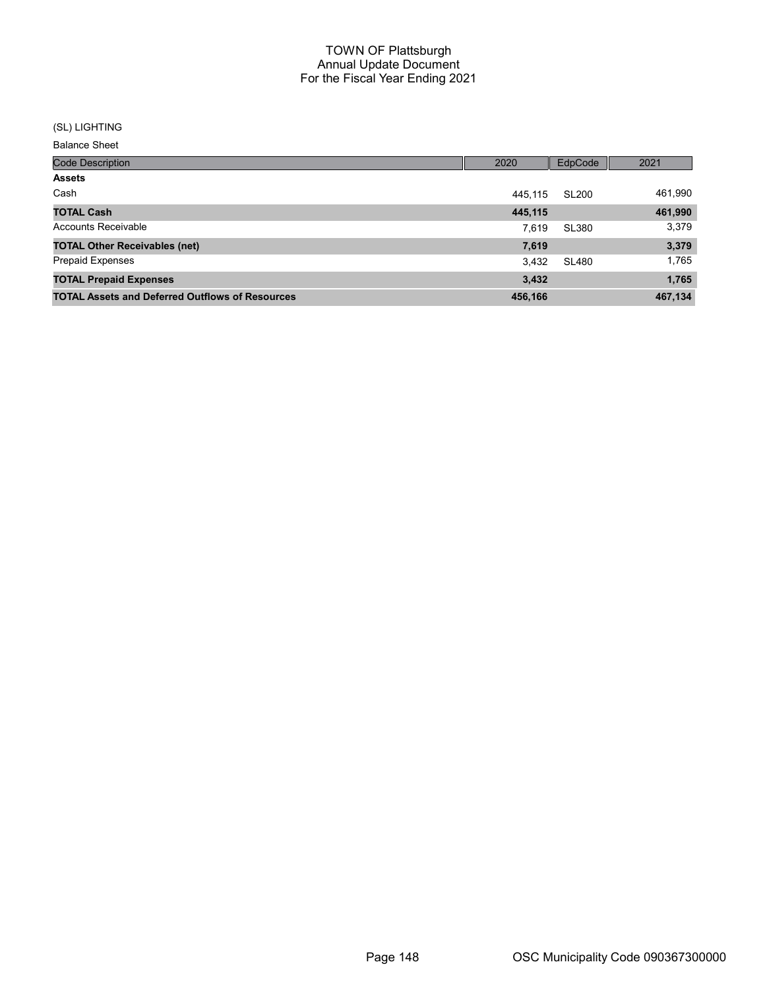#### (SL) LIGHTING

Balance Sheet

| <b>Code Description</b>                                | 2020    | EdpCode      | 2021    |
|--------------------------------------------------------|---------|--------------|---------|
| <b>Assets</b>                                          |         |              |         |
| Cash                                                   | 445.115 | <b>SL200</b> | 461,990 |
| <b>TOTAL Cash</b>                                      | 445,115 |              | 461,990 |
| <b>Accounts Receivable</b>                             | 7.619   | <b>SL380</b> | 3,379   |
| <b>TOTAL Other Receivables (net)</b>                   | 7,619   |              | 3,379   |
| <b>Prepaid Expenses</b>                                | 3,432   | SL480        | 1.765   |
| <b>TOTAL Prepaid Expenses</b>                          | 3,432   |              | 1,765   |
| <b>TOTAL Assets and Deferred Outflows of Resources</b> | 456,166 |              | 467,134 |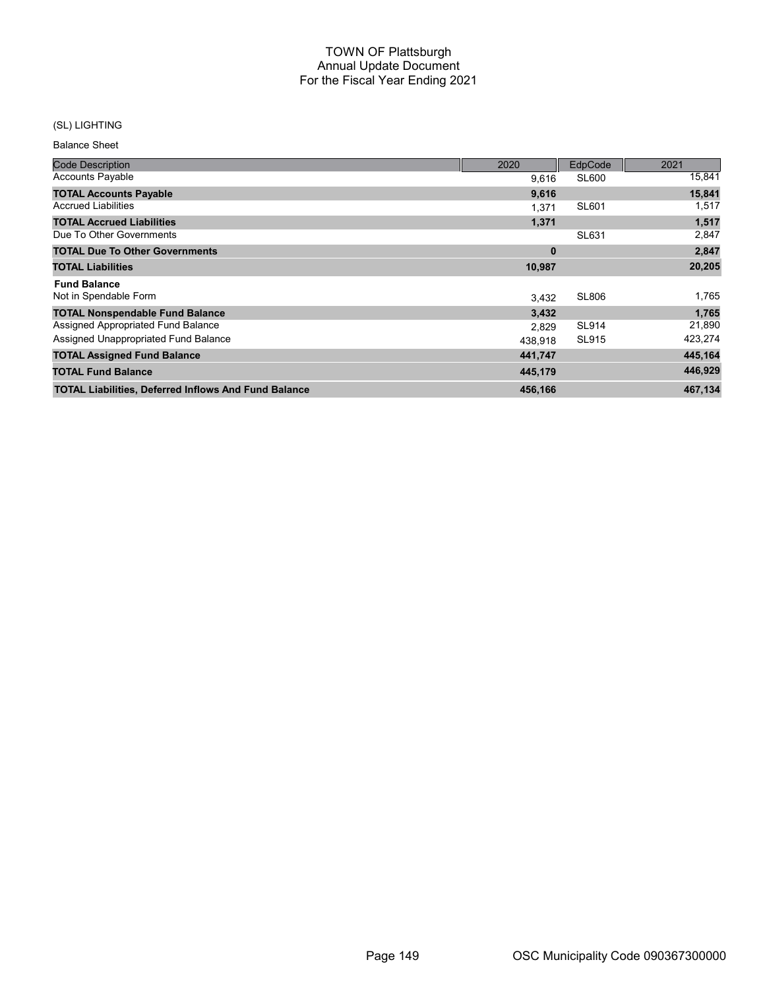# (SL) LIGHTING

Balance Sheet

| <b>Code Description</b>                                     | 2020     | EdpCode      | 2021    |
|-------------------------------------------------------------|----------|--------------|---------|
| <b>Accounts Payable</b>                                     | 9,616    | SL600        | 15,841  |
| <b>TOTAL Accounts Payable</b>                               | 9,616    |              | 15,841  |
| <b>Accrued Liabilities</b>                                  | 1.371    | <b>SL601</b> | 1,517   |
| <b>TOTAL Accrued Liabilities</b>                            | 1,371    |              | 1,517   |
| Due To Other Governments                                    |          | SL631        | 2,847   |
| <b>TOTAL Due To Other Governments</b>                       | $\bf{0}$ |              | 2,847   |
| <b>TOTAL Liabilities</b>                                    | 10,987   |              | 20,205  |
| <b>Fund Balance</b>                                         |          |              |         |
| Not in Spendable Form                                       | 3.432    | <b>SL806</b> | 1,765   |
| <b>TOTAL Nonspendable Fund Balance</b>                      | 3,432    |              | 1,765   |
| Assigned Appropriated Fund Balance                          | 2,829    | <b>SL914</b> | 21,890  |
| Assigned Unappropriated Fund Balance                        | 438,918  | <b>SL915</b> | 423,274 |
| <b>TOTAL Assigned Fund Balance</b>                          | 441,747  |              | 445,164 |
| <b>TOTAL Fund Balance</b>                                   | 445,179  |              | 446,929 |
| <b>TOTAL Liabilities, Deferred Inflows And Fund Balance</b> | 456,166  |              | 467,134 |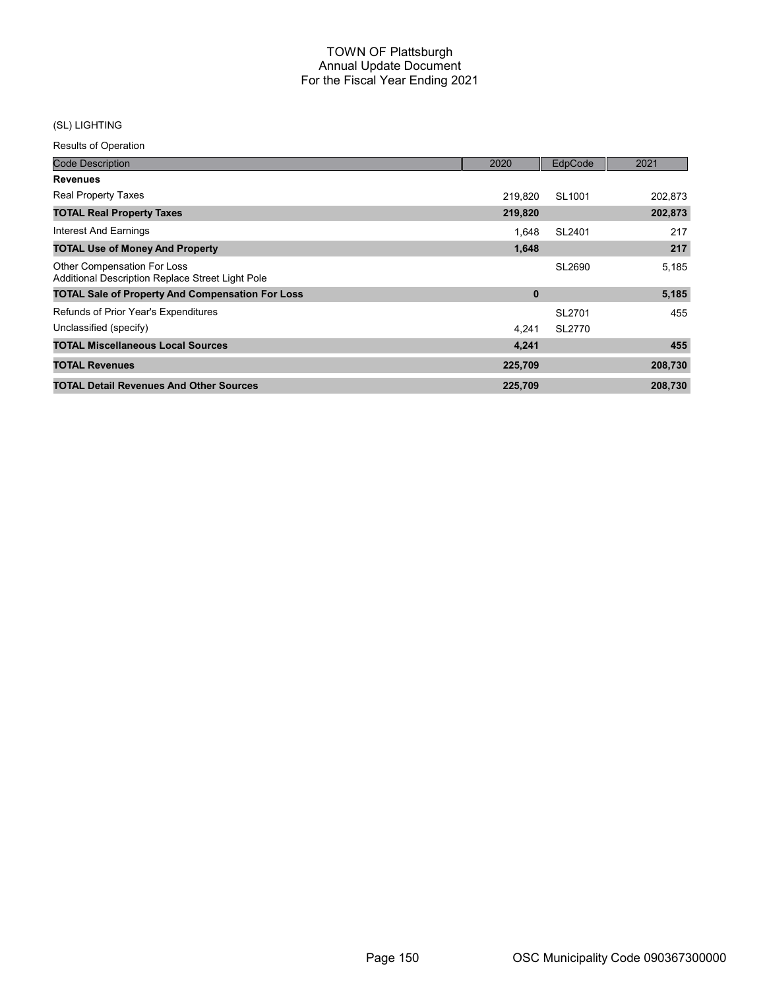# (SL) LIGHTING

| <b>Code Description</b>                                                                | 2020     | EdpCode | 2021    |
|----------------------------------------------------------------------------------------|----------|---------|---------|
| <b>Revenues</b>                                                                        |          |         |         |
| <b>Real Property Taxes</b>                                                             | 219,820  | SL1001  | 202,873 |
| <b>TOTAL Real Property Taxes</b>                                                       | 219,820  |         | 202,873 |
| Interest And Earnings                                                                  | 1.648    | SL2401  | 217     |
| <b>TOTAL Use of Money And Property</b>                                                 | 1,648    |         | 217     |
| <b>Other Compensation For Loss</b><br>Additional Description Replace Street Light Pole |          | SL2690  | 5,185   |
| <b>TOTAL Sale of Property And Compensation For Loss</b>                                | $\bf{0}$ |         | 5,185   |
| Refunds of Prior Year's Expenditures                                                   |          | SL2701  | 455     |
| Unclassified (specify)                                                                 | 4.241    | SL2770  |         |
| <b>TOTAL Miscellaneous Local Sources</b>                                               | 4,241    |         | 455     |
| <b>TOTAL Revenues</b>                                                                  | 225,709  |         | 208,730 |
| <b>TOTAL Detail Revenues And Other Sources</b>                                         | 225,709  |         | 208,730 |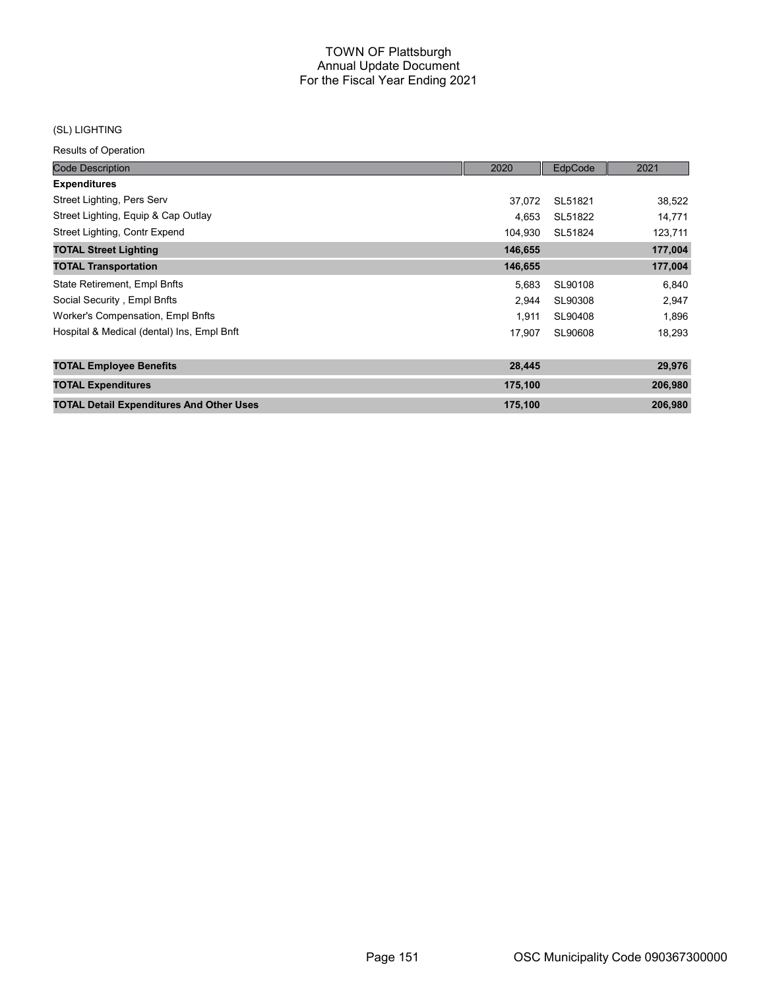### (SL) LIGHTING

| <b>Code Description</b>                         | 2020    | EdpCode | 2021    |
|-------------------------------------------------|---------|---------|---------|
| <b>Expenditures</b>                             |         |         |         |
| Street Lighting, Pers Serv                      | 37,072  | SL51821 | 38,522  |
| Street Lighting, Equip & Cap Outlay             | 4.653   | SL51822 | 14,771  |
| Street Lighting, Contr Expend                   | 104,930 | SL51824 | 123,711 |
| <b>TOTAL Street Lighting</b>                    | 146,655 |         | 177,004 |
| <b>TOTAL Transportation</b>                     | 146,655 |         | 177,004 |
| State Retirement, Empl Bnfts                    | 5,683   | SL90108 | 6,840   |
| Social Security, Empl Bnfts                     | 2,944   | SL90308 | 2,947   |
| Worker's Compensation, Empl Bnfts               | 1.911   | SL90408 | 1,896   |
| Hospital & Medical (dental) Ins, Empl Bnft      | 17,907  | SL90608 | 18,293  |
| <b>TOTAL Employee Benefits</b>                  | 28,445  |         | 29,976  |
| <b>TOTAL Expenditures</b>                       | 175,100 |         | 206,980 |
| <b>TOTAL Detail Expenditures And Other Uses</b> | 175,100 |         | 206,980 |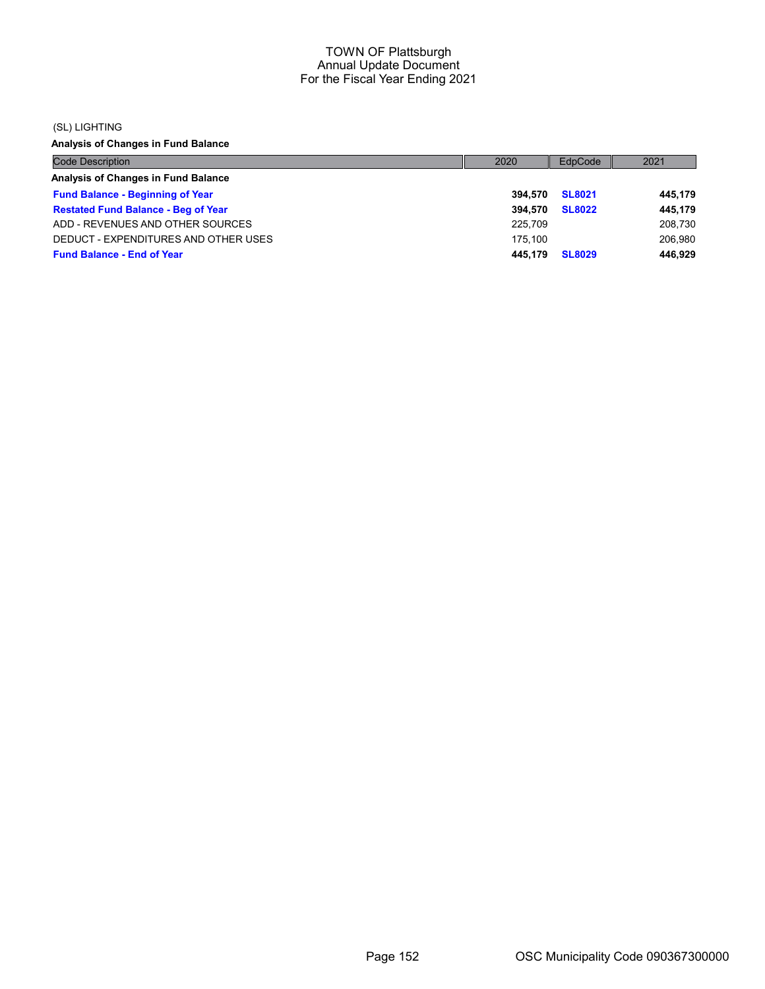#### (SL) LIGHTING

Analysis of Changes in Fund Balance

| <b>Code Description</b>                    | 2020    | EdpCode       | 2021    |
|--------------------------------------------|---------|---------------|---------|
| Analysis of Changes in Fund Balance        |         |               |         |
| <b>Fund Balance - Beginning of Year</b>    | 394.570 | <b>SL8021</b> | 445,179 |
| <b>Restated Fund Balance - Beg of Year</b> | 394.570 | <b>SL8022</b> | 445,179 |
| ADD - REVENUES AND OTHER SOURCES           | 225.709 |               | 208,730 |
| DEDUCT - EXPENDITURES AND OTHER USES       | 175.100 |               | 206.980 |
| <b>Fund Balance - End of Year</b>          | 445.179 | <b>SL8029</b> | 446.929 |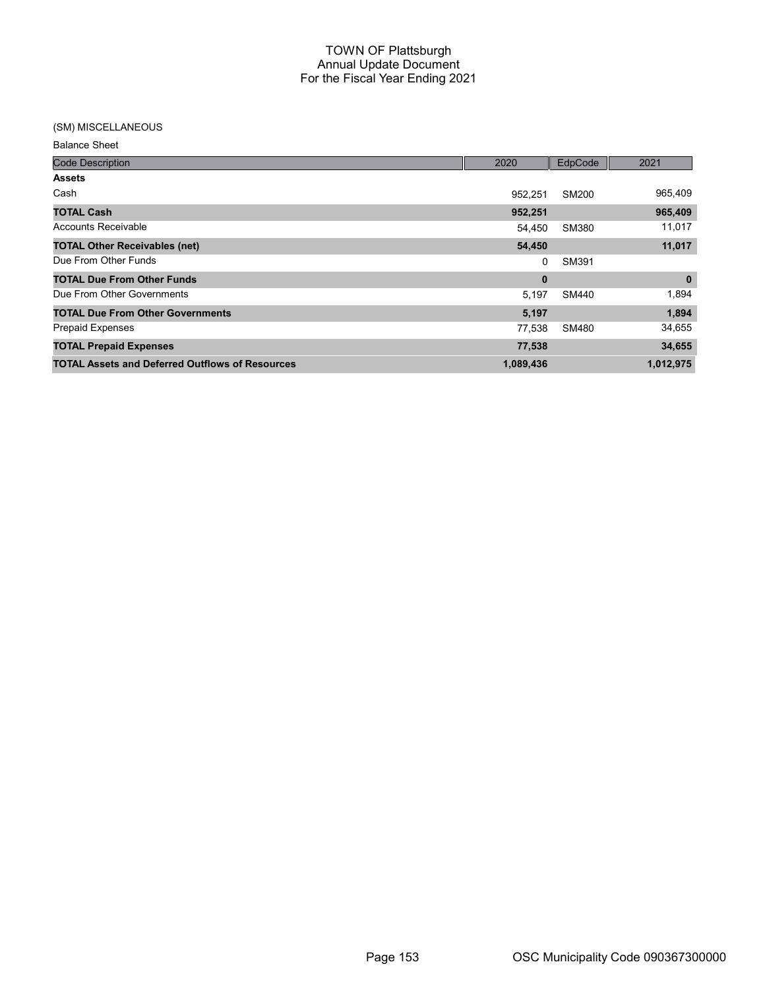### (SM) MISCELLANEOUS

Balance Sheet

| <b>Code Description</b>                                | 2020      | EdpCode | 2021      |
|--------------------------------------------------------|-----------|---------|-----------|
| <b>Assets</b>                                          |           |         |           |
| Cash                                                   | 952.251   | SM200   | 965,409   |
| <b>TOTAL Cash</b>                                      | 952,251   |         | 965,409   |
| <b>Accounts Receivable</b>                             | 54,450    | SM380   | 11,017    |
| <b>TOTAL Other Receivables (net)</b>                   | 54,450    |         | 11,017    |
| Due From Other Funds                                   | 0         | SM391   |           |
| <b>TOTAL Due From Other Funds</b>                      | 0         |         | $\bf{0}$  |
| Due From Other Governments                             | 5,197     | SM440   | 1,894     |
| <b>TOTAL Due From Other Governments</b>                | 5,197     |         | 1,894     |
| <b>Prepaid Expenses</b>                                | 77.538    | SM480   | 34,655    |
| <b>TOTAL Prepaid Expenses</b>                          | 77,538    |         | 34,655    |
| <b>TOTAL Assets and Deferred Outflows of Resources</b> | 1,089,436 |         | 1,012,975 |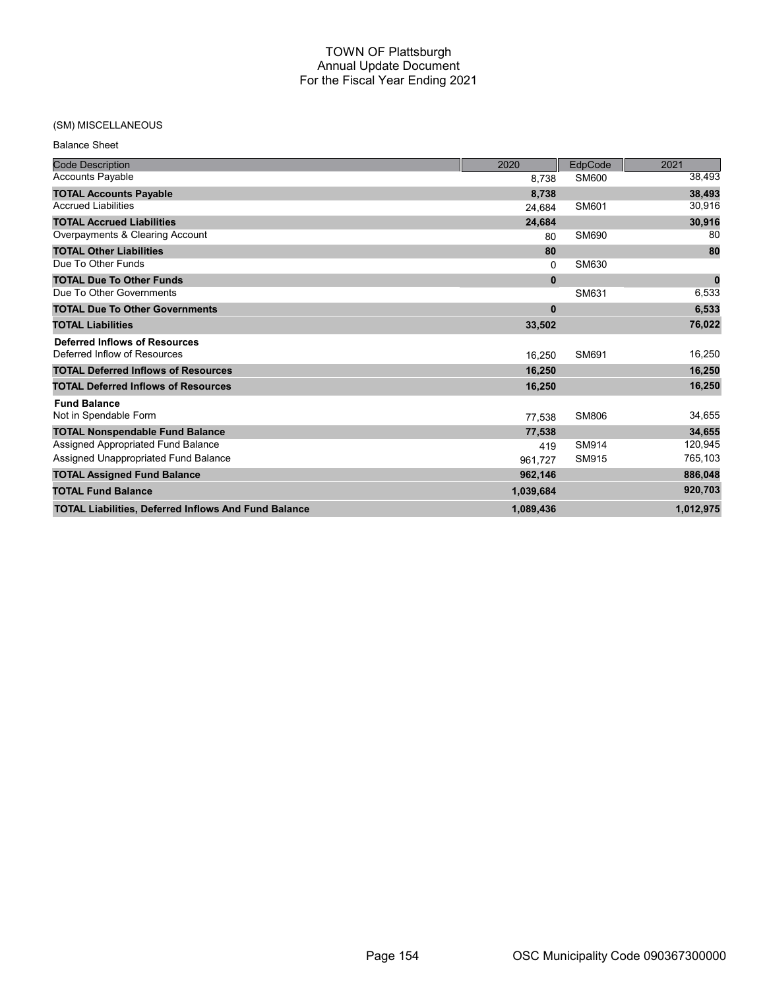# (SM) MISCELLANEOUS

|--|

| <b>Code Description</b>                                     | 2020         | EdpCode      | 2021        |
|-------------------------------------------------------------|--------------|--------------|-------------|
| <b>Accounts Payable</b>                                     | 8,738        | SM600        | 38,493      |
| <b>TOTAL Accounts Payable</b>                               | 8,738        |              | 38,493      |
| <b>Accrued Liabilities</b>                                  | 24.684       | SM601        | 30,916      |
| <b>TOTAL Accrued Liabilities</b>                            | 24,684       |              | 30,916      |
| Overpayments & Clearing Account                             | 80           | SM690        | 80          |
| <b>TOTAL Other Liabilities</b>                              | 80           |              | 80          |
| Due To Other Funds                                          | $\Omega$     | SM630        |             |
| <b>TOTAL Due To Other Funds</b>                             | $\mathbf{0}$ |              | $\mathbf 0$ |
| Due To Other Governments                                    |              | SM631        | 6,533       |
| <b>TOTAL Due To Other Governments</b>                       | $\mathbf 0$  |              | 6,533       |
| <b>TOTAL Liabilities</b>                                    | 33,502       |              | 76,022      |
| <b>Deferred Inflows of Resources</b>                        |              |              |             |
| Deferred Inflow of Resources                                | 16.250       | SM691        | 16,250      |
| <b>TOTAL Deferred Inflows of Resources</b>                  | 16,250       |              | 16,250      |
| <b>TOTAL Deferred Inflows of Resources</b>                  | 16,250       |              | 16,250      |
| <b>Fund Balance</b>                                         |              |              |             |
| Not in Spendable Form                                       | 77,538       | <b>SM806</b> | 34,655      |
| <b>TOTAL Nonspendable Fund Balance</b>                      | 77,538       |              | 34,655      |
| Assigned Appropriated Fund Balance                          | 419          | SM914        | 120,945     |
| Assigned Unappropriated Fund Balance                        | 961.727      | SM915        | 765,103     |
| <b>TOTAL Assigned Fund Balance</b>                          | 962,146      |              | 886,048     |
| <b>TOTAL Fund Balance</b>                                   | 1,039,684    |              | 920,703     |
| <b>TOTAL Liabilities, Deferred Inflows And Fund Balance</b> | 1,089,436    |              | 1,012,975   |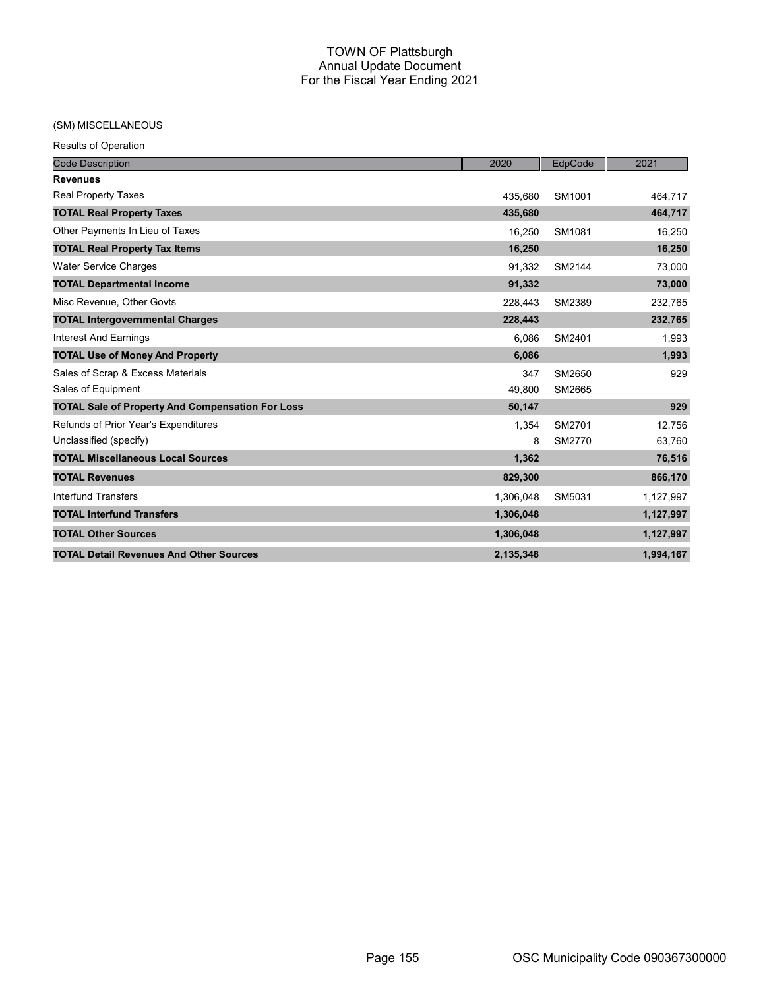# (SM) MISCELLANEOUS

| <b>Code Description</b>                                 | 2020      | EdpCode | 2021      |
|---------------------------------------------------------|-----------|---------|-----------|
| <b>Revenues</b>                                         |           |         |           |
| <b>Real Property Taxes</b>                              | 435,680   | SM1001  | 464,717   |
| <b>TOTAL Real Property Taxes</b>                        | 435,680   |         | 464,717   |
| Other Payments In Lieu of Taxes                         | 16,250    | SM1081  | 16,250    |
| <b>TOTAL Real Property Tax Items</b>                    | 16,250    |         | 16,250    |
| <b>Water Service Charges</b>                            | 91,332    | SM2144  | 73,000    |
| <b>TOTAL Departmental Income</b>                        | 91,332    |         | 73,000    |
| Misc Revenue, Other Govts                               | 228,443   | SM2389  | 232,765   |
| <b>TOTAL Intergovernmental Charges</b>                  | 228,443   |         | 232,765   |
| <b>Interest And Earnings</b>                            | 6,086     | SM2401  | 1,993     |
| <b>TOTAL Use of Money And Property</b>                  | 6,086     |         | 1,993     |
| Sales of Scrap & Excess Materials                       | 347       | SM2650  | 929       |
| Sales of Equipment                                      | 49,800    | SM2665  |           |
| <b>TOTAL Sale of Property And Compensation For Loss</b> | 50,147    |         | 929       |
| Refunds of Prior Year's Expenditures                    | 1,354     | SM2701  | 12.756    |
| Unclassified (specify)                                  | 8         | SM2770  | 63,760    |
| <b>TOTAL Miscellaneous Local Sources</b>                | 1,362     |         | 76,516    |
| <b>TOTAL Revenues</b>                                   | 829,300   |         | 866,170   |
| <b>Interfund Transfers</b>                              | 1,306,048 | SM5031  | 1,127,997 |
| <b>TOTAL Interfund Transfers</b>                        | 1,306,048 |         | 1,127,997 |
| <b>TOTAL Other Sources</b>                              | 1,306,048 |         | 1,127,997 |
| <b>TOTAL Detail Revenues And Other Sources</b>          | 2,135,348 |         | 1,994,167 |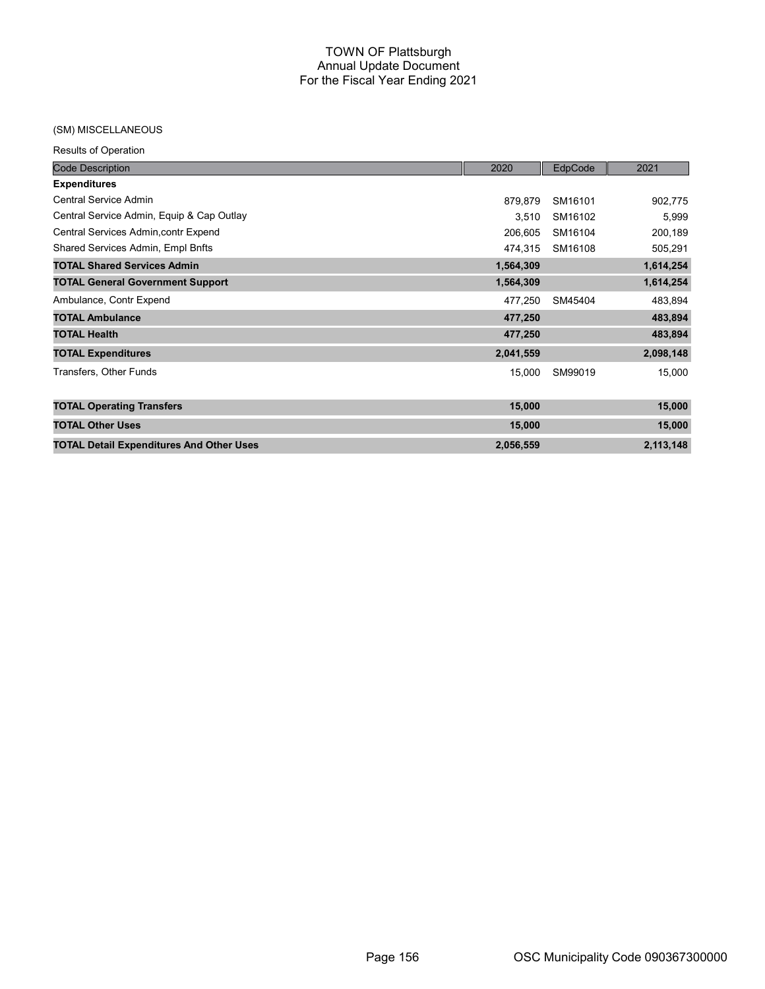### (SM) MISCELLANEOUS

| <b>Code Description</b>                         | 2020      | EdpCode | 2021      |
|-------------------------------------------------|-----------|---------|-----------|
| <b>Expenditures</b>                             |           |         |           |
| Central Service Admin                           | 879,879   | SM16101 | 902,775   |
| Central Service Admin, Equip & Cap Outlay       | 3,510     | SM16102 | 5,999     |
| Central Services Admin, contr Expend            | 206,605   | SM16104 | 200,189   |
| Shared Services Admin, Empl Bnfts               | 474,315   | SM16108 | 505,291   |
| <b>TOTAL Shared Services Admin</b>              | 1,564,309 |         | 1,614,254 |
| <b>TOTAL General Government Support</b>         | 1,564,309 |         | 1,614,254 |
| Ambulance, Contr Expend                         | 477,250   | SM45404 | 483,894   |
| <b>TOTAL Ambulance</b>                          | 477,250   |         | 483,894   |
| <b>TOTAL Health</b>                             | 477,250   |         | 483,894   |
| <b>TOTAL Expenditures</b>                       | 2,041,559 |         | 2,098,148 |
| Transfers, Other Funds                          | 15,000    | SM99019 | 15,000    |
| <b>TOTAL Operating Transfers</b>                | 15,000    |         | 15,000    |
| <b>TOTAL Other Uses</b>                         | 15,000    |         | 15,000    |
| <b>TOTAL Detail Expenditures And Other Uses</b> | 2,056,559 |         | 2,113,148 |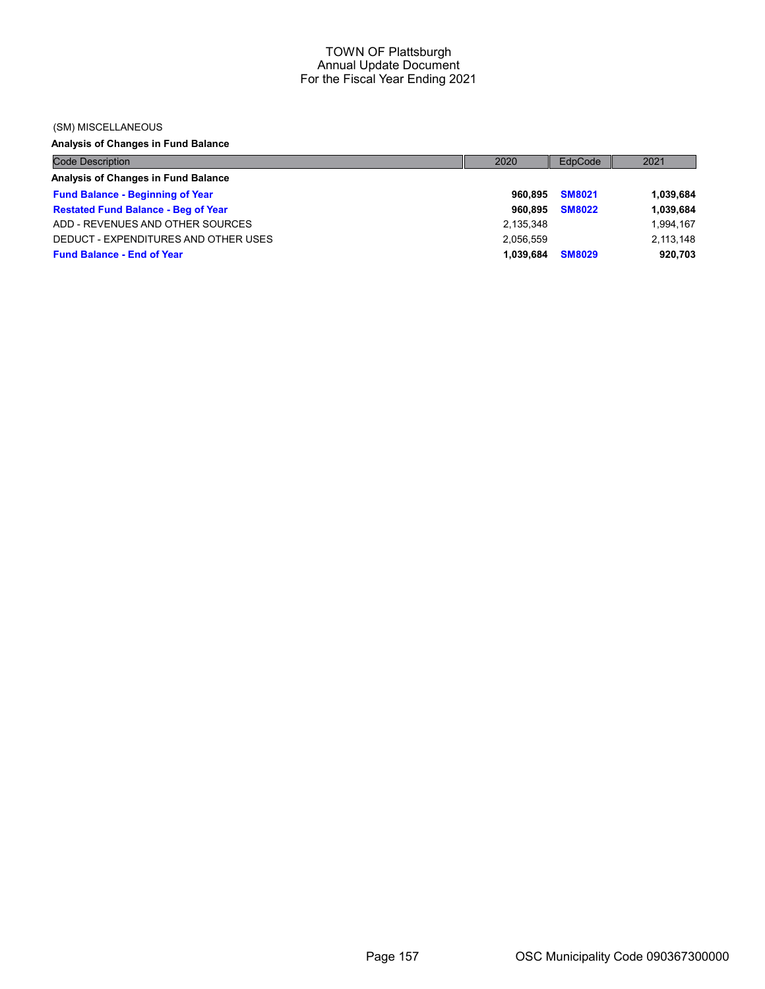#### (SM) MISCELLANEOUS

# Analysis of Changes in Fund Balance

| <b>Code Description</b>                    | 2020      | EdpCode       | 2021      |
|--------------------------------------------|-----------|---------------|-----------|
| Analysis of Changes in Fund Balance        |           |               |           |
| <b>Fund Balance - Beginning of Year</b>    | 960.895   | <b>SM8021</b> | 1,039,684 |
| <b>Restated Fund Balance - Beg of Year</b> | 960.895   | <b>SM8022</b> | 1,039,684 |
| ADD - REVENUES AND OTHER SOURCES           | 2,135,348 |               | 1,994,167 |
| DEDUCT - EXPENDITURES AND OTHER USES       | 2,056,559 |               | 2,113,148 |
| <b>Fund Balance - End of Year</b>          | 1.039.684 | <b>SM8029</b> | 920,703   |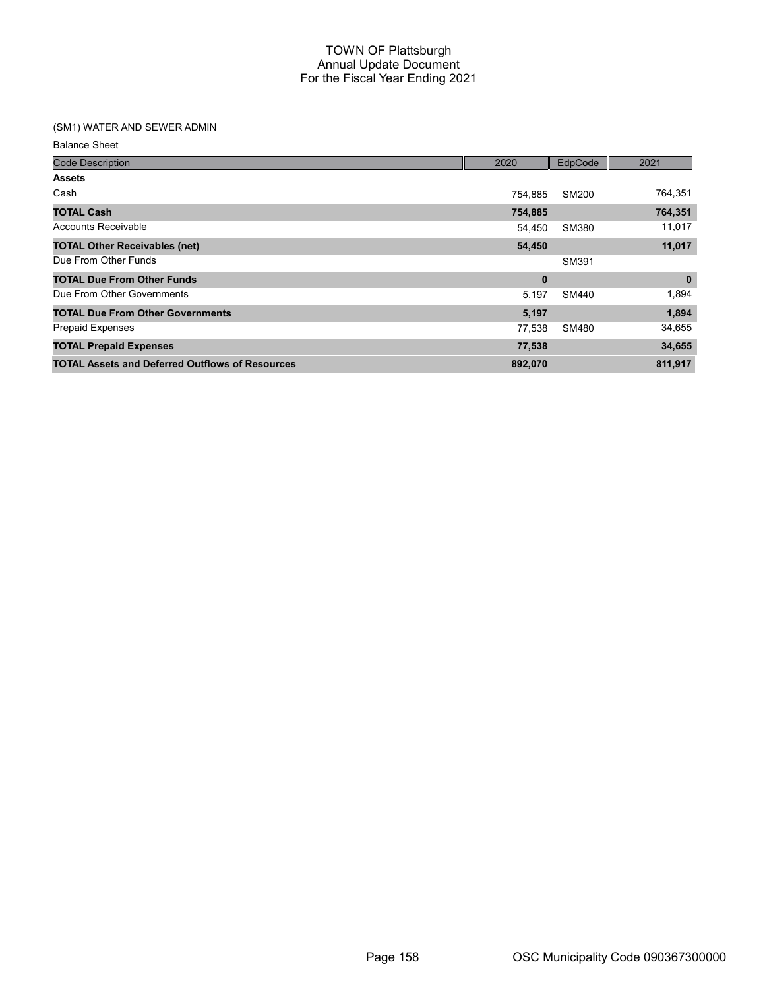# (SM1) WATER AND SEWER ADMIN

Balance Sheet

| <b>Code Description</b>                                | 2020    | EdpCode      | 2021     |
|--------------------------------------------------------|---------|--------------|----------|
| <b>Assets</b>                                          |         |              |          |
| Cash                                                   | 754,885 | SM200        | 764,351  |
| <b>TOTAL Cash</b>                                      | 754,885 |              | 764,351  |
| <b>Accounts Receivable</b>                             | 54,450  | SM380        | 11,017   |
| <b>TOTAL Other Receivables (net)</b>                   | 54,450  |              | 11,017   |
| Due From Other Funds                                   |         | SM391        |          |
| <b>TOTAL Due From Other Funds</b>                      | 0       |              | $\bf{0}$ |
| Due From Other Governments                             | 5,197   | <b>SM440</b> | 1,894    |
| <b>TOTAL Due From Other Governments</b>                | 5,197   |              | 1,894    |
| <b>Prepaid Expenses</b>                                | 77,538  | SM480        | 34,655   |
| <b>TOTAL Prepaid Expenses</b>                          | 77,538  |              | 34,655   |
| <b>TOTAL Assets and Deferred Outflows of Resources</b> | 892,070 |              | 811,917  |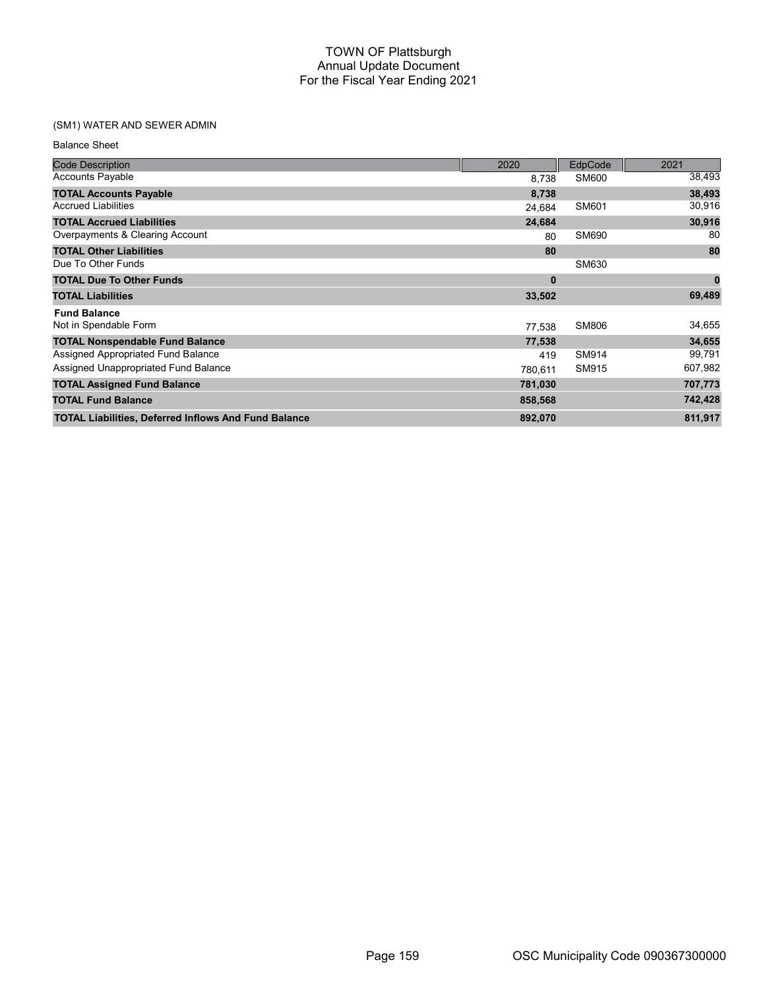# (SM1) WATER AND SEWER ADMIN

| <b>Code Description</b>                                     | 2020     | EdpCode      | 2021     |
|-------------------------------------------------------------|----------|--------------|----------|
| <b>Accounts Payable</b>                                     | 8.738    | SM600        | 38,493   |
| <b>TOTAL Accounts Payable</b>                               | 8,738    |              | 38,493   |
| <b>Accrued Liabilities</b>                                  | 24,684   | SM601        | 30,916   |
| <b>TOTAL Accrued Liabilities</b>                            | 24,684   |              | 30,916   |
| Overpayments & Clearing Account                             | 80       | SM690        | 80       |
| <b>TOTAL Other Liabilities</b>                              | 80       |              | 80       |
| Due To Other Funds                                          |          | SM630        |          |
| <b>TOTAL Due To Other Funds</b>                             | $\bf{0}$ |              | $\bf{0}$ |
| <b>TOTAL Liabilities</b>                                    | 33,502   |              | 69,489   |
| <b>Fund Balance</b>                                         |          |              |          |
| Not in Spendable Form                                       | 77,538   | <b>SM806</b> | 34,655   |
| <b>TOTAL Nonspendable Fund Balance</b>                      | 77,538   |              | 34,655   |
| Assigned Appropriated Fund Balance                          | 419      | SM914        | 99,791   |
| Assigned Unappropriated Fund Balance                        | 780,611  | SM915        | 607,982  |
| <b>TOTAL Assigned Fund Balance</b>                          | 781,030  |              | 707,773  |
| <b>TOTAL Fund Balance</b>                                   | 858,568  |              | 742,428  |
| <b>TOTAL Liabilities, Deferred Inflows And Fund Balance</b> | 892,070  |              | 811,917  |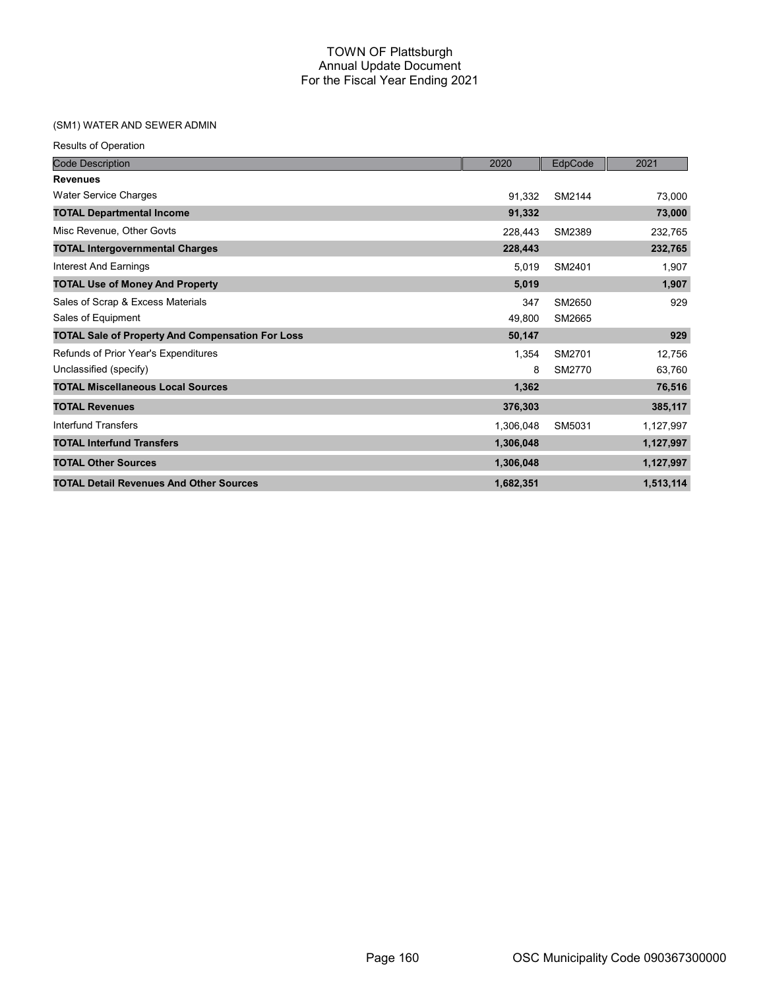# (SM1) WATER AND SEWER ADMIN

|  |  | <b>Results of Operation</b> |
|--|--|-----------------------------|
|--|--|-----------------------------|

| <b>Code Description</b>                                 | 2020      | EdpCode | 2021      |
|---------------------------------------------------------|-----------|---------|-----------|
| <b>Revenues</b>                                         |           |         |           |
| <b>Water Service Charges</b>                            | 91,332    | SM2144  | 73,000    |
| <b>TOTAL Departmental Income</b>                        | 91,332    |         | 73,000    |
| Misc Revenue, Other Govts                               | 228,443   | SM2389  | 232,765   |
| <b>TOTAL Intergovernmental Charges</b>                  | 228,443   |         | 232,765   |
| Interest And Earnings                                   | 5,019     | SM2401  | 1,907     |
| <b>TOTAL Use of Money And Property</b>                  | 5,019     |         | 1,907     |
| Sales of Scrap & Excess Materials                       | 347       | SM2650  | 929       |
| Sales of Equipment                                      | 49,800    | SM2665  |           |
| <b>TOTAL Sale of Property And Compensation For Loss</b> | 50,147    |         | 929       |
| Refunds of Prior Year's Expenditures                    | 1,354     | SM2701  | 12,756    |
| Unclassified (specify)                                  | 8         | SM2770  | 63,760    |
| <b>TOTAL Miscellaneous Local Sources</b>                | 1,362     |         | 76,516    |
| <b>TOTAL Revenues</b>                                   | 376,303   |         | 385,117   |
| Interfund Transfers                                     | 1,306,048 | SM5031  | 1,127,997 |
| <b>TOTAL Interfund Transfers</b>                        | 1,306,048 |         | 1,127,997 |
| <b>TOTAL Other Sources</b>                              | 1,306,048 |         | 1,127,997 |
| <b>TOTAL Detail Revenues And Other Sources</b>          | 1,682,351 |         | 1,513,114 |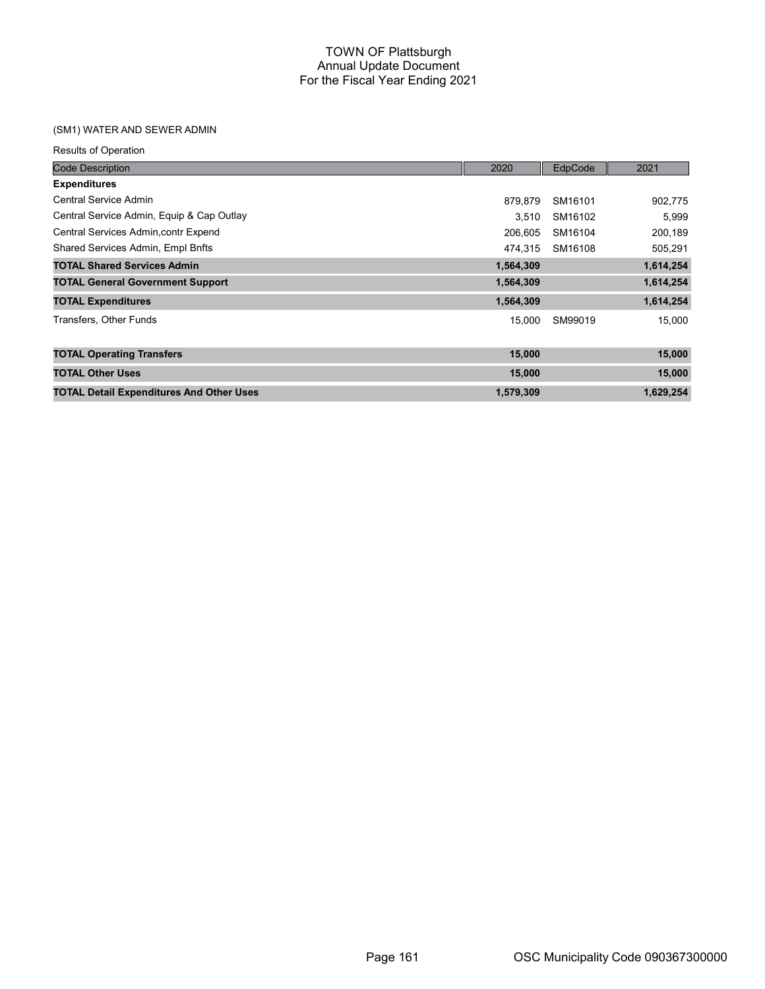# (SM1) WATER AND SEWER ADMIN

| <b>Code Description</b>                         | 2020      | EdpCode | 2021      |
|-------------------------------------------------|-----------|---------|-----------|
| <b>Expenditures</b>                             |           |         |           |
| Central Service Admin                           | 879,879   | SM16101 | 902,775   |
| Central Service Admin, Equip & Cap Outlay       | 3.510     | SM16102 | 5,999     |
| Central Services Admin, contr Expend            | 206,605   | SM16104 | 200,189   |
| Shared Services Admin, Empl Bnfts               | 474.315   | SM16108 | 505,291   |
| <b>TOTAL Shared Services Admin</b>              | 1,564,309 |         | 1,614,254 |
| <b>TOTAL General Government Support</b>         | 1,564,309 |         | 1,614,254 |
| <b>TOTAL Expenditures</b>                       | 1,564,309 |         | 1,614,254 |
| Transfers, Other Funds                          | 15,000    | SM99019 | 15,000    |
| <b>TOTAL Operating Transfers</b>                | 15,000    |         | 15,000    |
| <b>TOTAL Other Uses</b>                         | 15,000    |         | 15,000    |
| <b>TOTAL Detail Expenditures And Other Uses</b> | 1,579,309 |         | 1,629,254 |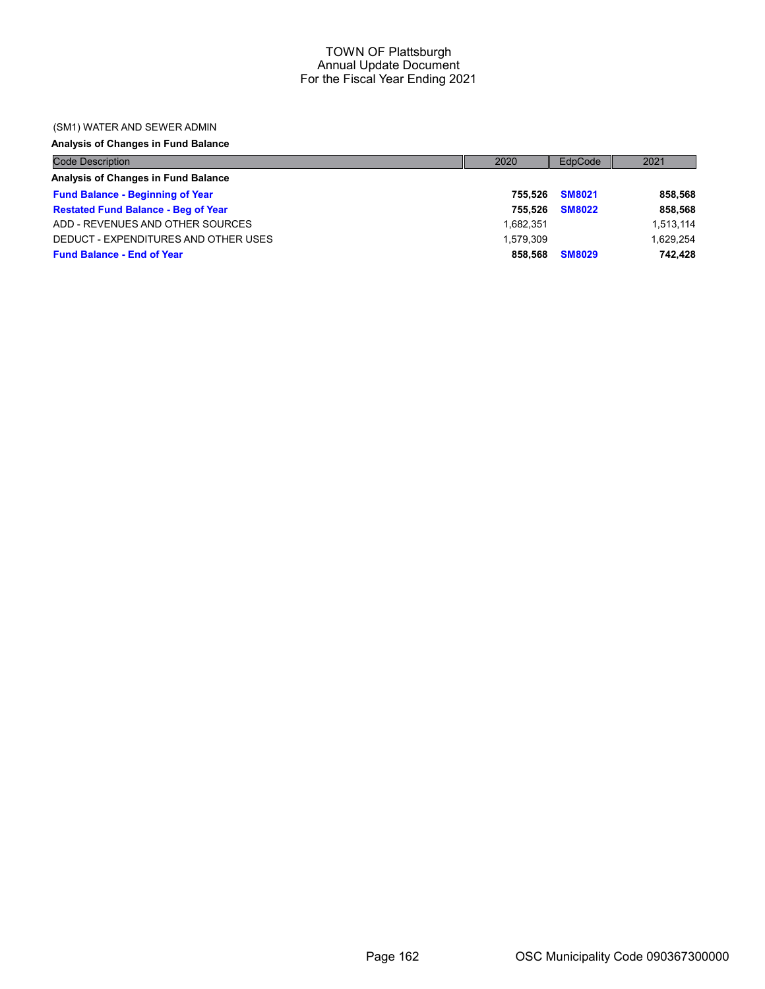## (SM1) WATER AND SEWER ADMIN

# Analysis of Changes in Fund Balance

| <b>Code Description</b>                    | 2020      | EdpCode       | 2021      |
|--------------------------------------------|-----------|---------------|-----------|
| Analysis of Changes in Fund Balance        |           |               |           |
| <b>Fund Balance - Beginning of Year</b>    | 755.526   | <b>SM8021</b> | 858,568   |
| <b>Restated Fund Balance - Beg of Year</b> | 755.526   | <b>SM8022</b> | 858,568   |
| ADD - REVENUES AND OTHER SOURCES           | 1.682.351 |               | 1,513,114 |
| DEDUCT - EXPENDITURES AND OTHER USES       | 1.579.309 |               | 1,629,254 |
| <b>Fund Balance - End of Year</b>          | 858.568   | <b>SM8029</b> | 742.428   |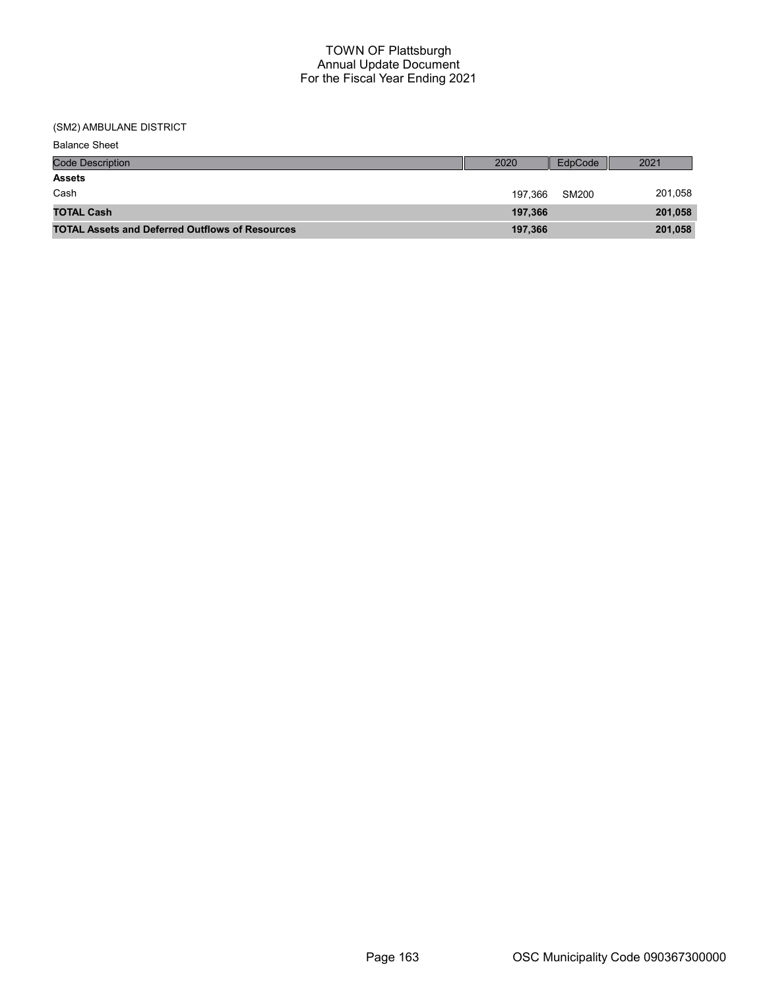| <b>Balance Sheet</b>                                   |         |         |         |
|--------------------------------------------------------|---------|---------|---------|
| <b>Code Description</b>                                | 2020    | EdpCode | 2021    |
| <b>Assets</b>                                          |         |         |         |
| Cash                                                   | 197,366 | SM200   | 201,058 |
| <b>TOTAL Cash</b>                                      | 197,366 |         | 201,058 |
| <b>TOTAL Assets and Deferred Outflows of Resources</b> | 197,366 |         | 201,058 |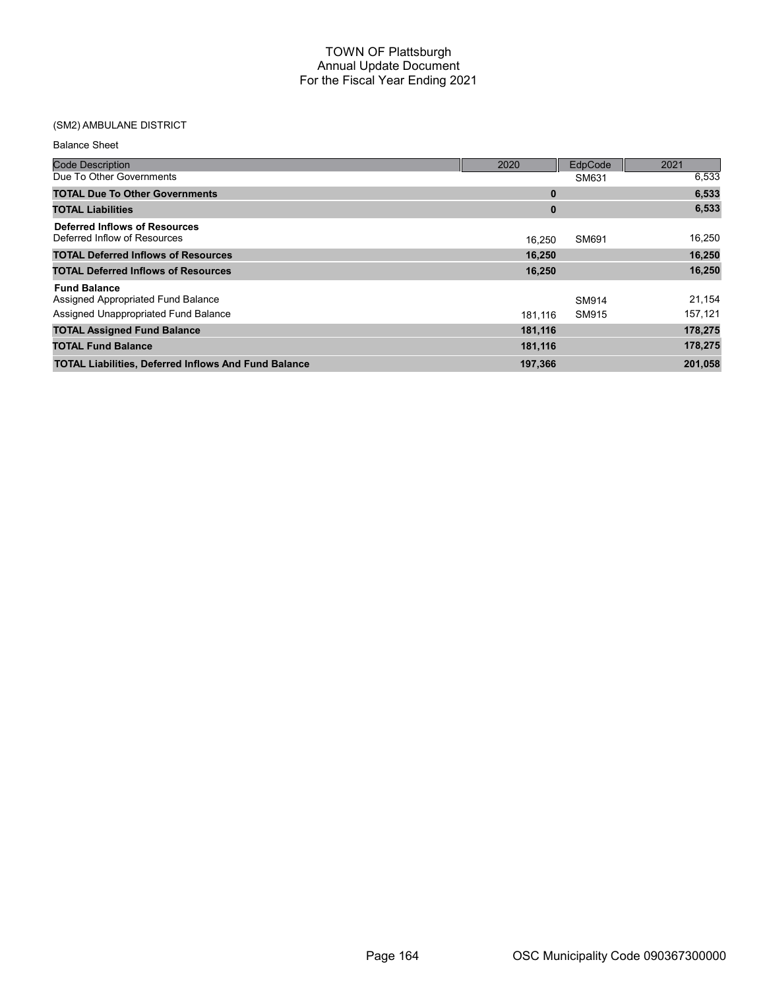| <b>Balance Sheet</b>                                                                              |              |                |                   |
|---------------------------------------------------------------------------------------------------|--------------|----------------|-------------------|
| <b>Code Description</b>                                                                           | 2020         | EdpCode        | 2021              |
| Due To Other Governments                                                                          |              | SM631          | 6,533             |
| <b>TOTAL Due To Other Governments</b>                                                             | $\mathbf{0}$ |                | 6,533             |
| <b>TOTAL Liabilities</b>                                                                          | $\bf{0}$     |                | 6,533             |
| Deferred Inflows of Resources<br>Deferred Inflow of Resources                                     | 16.250       | SM691          | 16,250            |
| <b>TOTAL Deferred Inflows of Resources</b>                                                        | 16,250       |                | 16,250            |
| <b>TOTAL Deferred Inflows of Resources</b>                                                        | 16,250       |                | 16,250            |
| <b>Fund Balance</b><br>Assigned Appropriated Fund Balance<br>Assigned Unappropriated Fund Balance | 181.116      | SM914<br>SM915 | 21,154<br>157,121 |
| <b>TOTAL Assigned Fund Balance</b>                                                                | 181,116      |                | 178,275           |
| <b>TOTAL Fund Balance</b>                                                                         | 181,116      |                | 178,275           |
| <b>TOTAL Liabilities, Deferred Inflows And Fund Balance</b>                                       | 197,366      |                | 201,058           |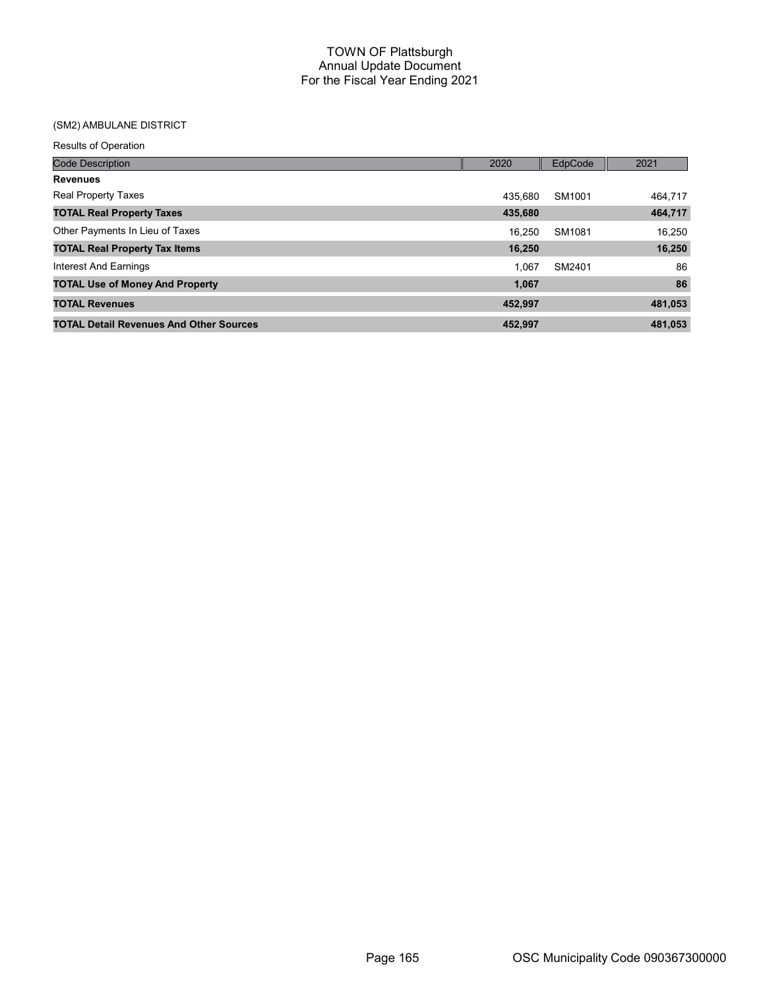| <b>Results of Operation</b>                    |         |         |         |
|------------------------------------------------|---------|---------|---------|
| <b>Code Description</b>                        | 2020    | EdpCode | 2021    |
| <b>Revenues</b>                                |         |         |         |
| <b>Real Property Taxes</b>                     | 435.680 | SM1001  | 464,717 |
| <b>TOTAL Real Property Taxes</b>               | 435,680 |         | 464,717 |
| Other Payments In Lieu of Taxes                | 16.250  | SM1081  | 16.250  |
| <b>TOTAL Real Property Tax Items</b>           | 16,250  |         | 16,250  |
| Interest And Earnings                          | 1.067   | SM2401  | 86      |
| <b>TOTAL Use of Money And Property</b>         | 1,067   |         | 86      |
| <b>TOTAL Revenues</b>                          | 452.997 |         | 481,053 |
| <b>TOTAL Detail Revenues And Other Sources</b> | 452,997 |         | 481,053 |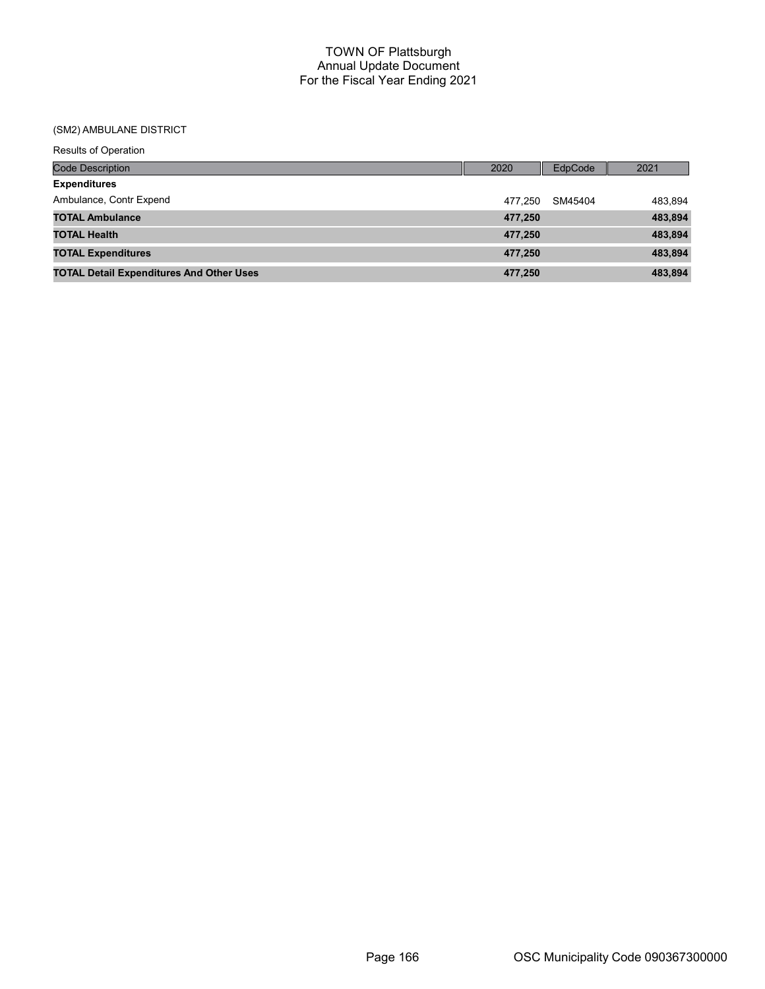| <b>Results of Operation</b>                     |         |         |         |
|-------------------------------------------------|---------|---------|---------|
| <b>Code Description</b>                         | 2020    | EdpCode | 2021    |
| <b>Expenditures</b>                             |         |         |         |
| Ambulance, Contr Expend                         | 477.250 | SM45404 | 483,894 |
| <b>TOTAL Ambulance</b>                          | 477,250 |         | 483,894 |
| <b>TOTAL Health</b>                             | 477,250 |         | 483,894 |
| <b>TOTAL Expenditures</b>                       | 477,250 |         | 483,894 |
| <b>TOTAL Detail Expenditures And Other Uses</b> | 477.250 |         | 483,894 |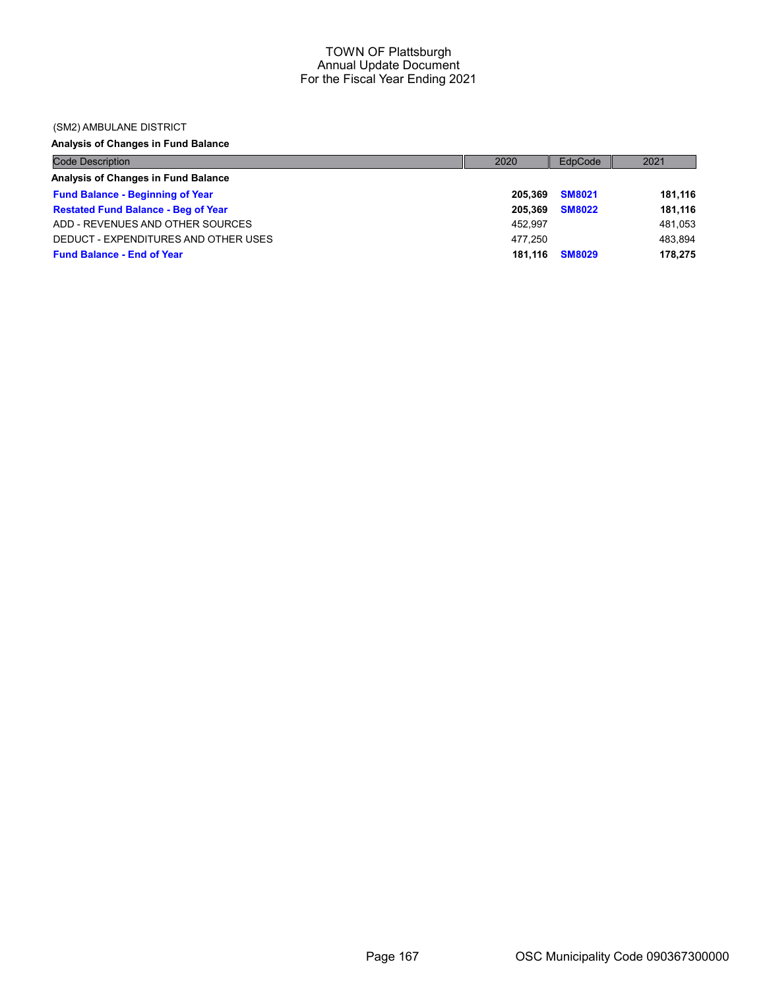### (SM2) AMBULANE DISTRICT

# Analysis of Changes in Fund Balance

| <b>Code Description</b>                    | 2020    | EdpCode       | 2021    |
|--------------------------------------------|---------|---------------|---------|
| Analysis of Changes in Fund Balance        |         |               |         |
| <b>Fund Balance - Beginning of Year</b>    | 205.369 | <b>SM8021</b> | 181,116 |
| <b>Restated Fund Balance - Beg of Year</b> | 205.369 | <b>SM8022</b> | 181,116 |
| ADD - REVENUES AND OTHER SOURCES           | 452.997 |               | 481,053 |
| DEDUCT - EXPENDITURES AND OTHER USES       | 477.250 |               | 483.894 |
| <b>Fund Balance - End of Year</b>          | 181.116 | <b>SM8029</b> | 178,275 |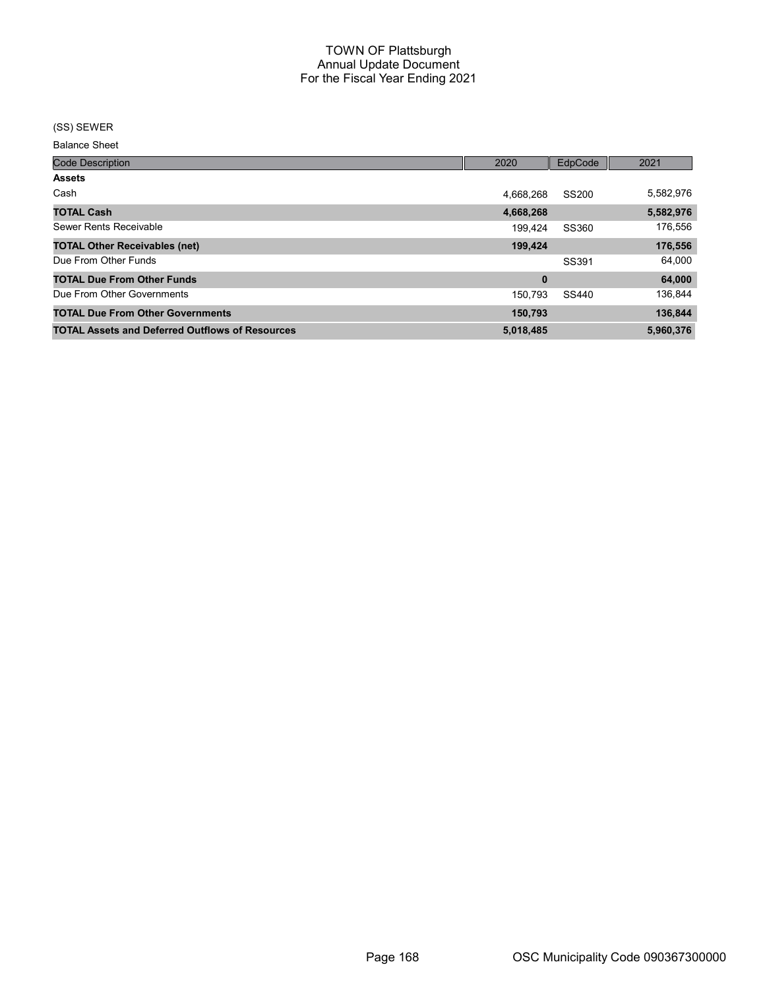### (SS) SEWER

Balance Sheet

| <b>Code Description</b>                                | 2020      | EdpCode      | 2021      |
|--------------------------------------------------------|-----------|--------------|-----------|
| <b>Assets</b>                                          |           |              |           |
| Cash                                                   | 4.668.268 | <b>SS200</b> | 5,582,976 |
| <b>TOTAL Cash</b>                                      | 4,668,268 |              | 5,582,976 |
| Sewer Rents Receivable                                 | 199.424   | SS360        | 176,556   |
| <b>TOTAL Other Receivables (net)</b>                   | 199,424   |              | 176,556   |
| Due From Other Funds                                   |           | SS391        | 64,000    |
| <b>TOTAL Due From Other Funds</b>                      | 0         |              | 64,000    |
| Due From Other Governments                             | 150,793   | SS440        | 136,844   |
| <b>TOTAL Due From Other Governments</b>                | 150,793   |              | 136,844   |
| <b>TOTAL Assets and Deferred Outflows of Resources</b> | 5,018,485 |              | 5.960.376 |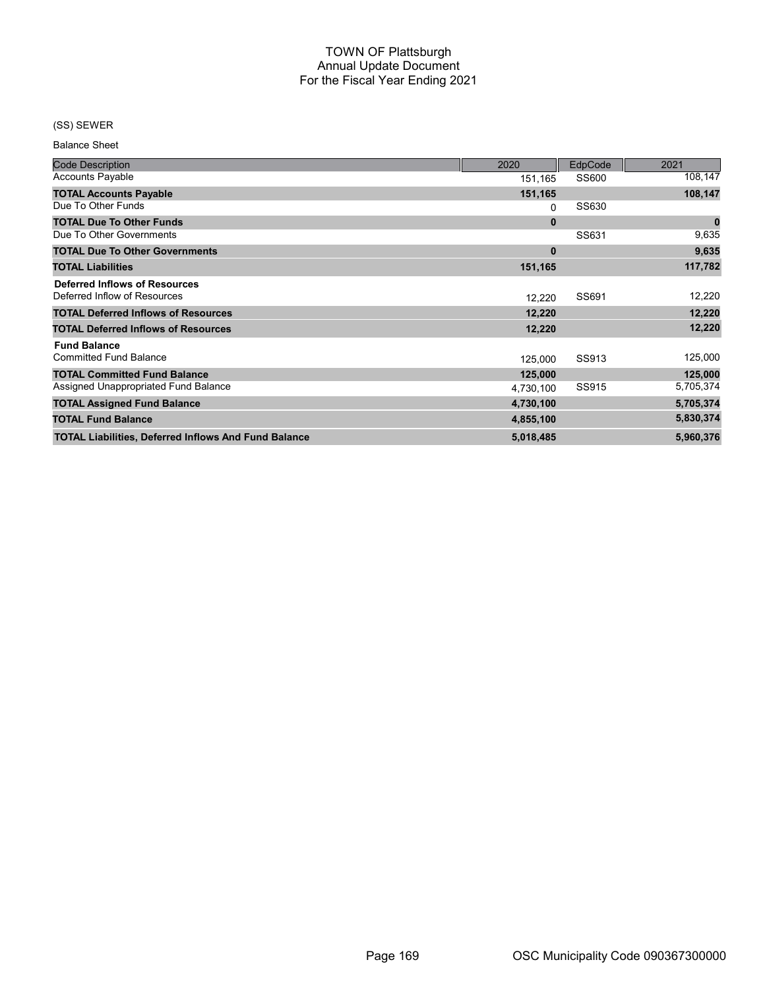## (SS) SEWER

Balance Sheet

| <b>Code Description</b>                                     | 2020      | EdpCode | 2021             |
|-------------------------------------------------------------|-----------|---------|------------------|
| <b>Accounts Payable</b>                                     | 151,165   | SS600   | 108,147          |
| <b>TOTAL Accounts Payable</b>                               | 151,165   |         | 108,147          |
| Due To Other Funds                                          | 0         | SS630   |                  |
| <b>TOTAL Due To Other Funds</b>                             | $\bf{0}$  |         | $\boldsymbol{0}$ |
| Due To Other Governments                                    |           | SS631   | 9,635            |
| <b>TOTAL Due To Other Governments</b>                       | $\bf{0}$  |         | 9,635            |
| <b>TOTAL Liabilities</b>                                    | 151,165   |         | 117,782          |
| <b>Deferred Inflows of Resources</b>                        |           |         |                  |
| Deferred Inflow of Resources                                | 12,220    | SS691   | 12,220           |
| <b>TOTAL Deferred Inflows of Resources</b>                  | 12,220    |         | 12,220           |
| <b>TOTAL Deferred Inflows of Resources</b>                  | 12,220    |         | 12,220           |
| <b>Fund Balance</b>                                         |           |         |                  |
| <b>Committed Fund Balance</b>                               | 125,000   | SS913   | 125,000          |
| <b>TOTAL Committed Fund Balance</b>                         | 125,000   |         | 125,000          |
| Assigned Unappropriated Fund Balance                        | 4,730,100 | SS915   | 5,705,374        |
| <b>TOTAL Assigned Fund Balance</b>                          | 4,730,100 |         | 5,705,374        |
| <b>TOTAL Fund Balance</b>                                   | 4,855,100 |         | 5,830,374        |
| <b>TOTAL Liabilities, Deferred Inflows And Fund Balance</b> | 5,018,485 |         | 5,960,376        |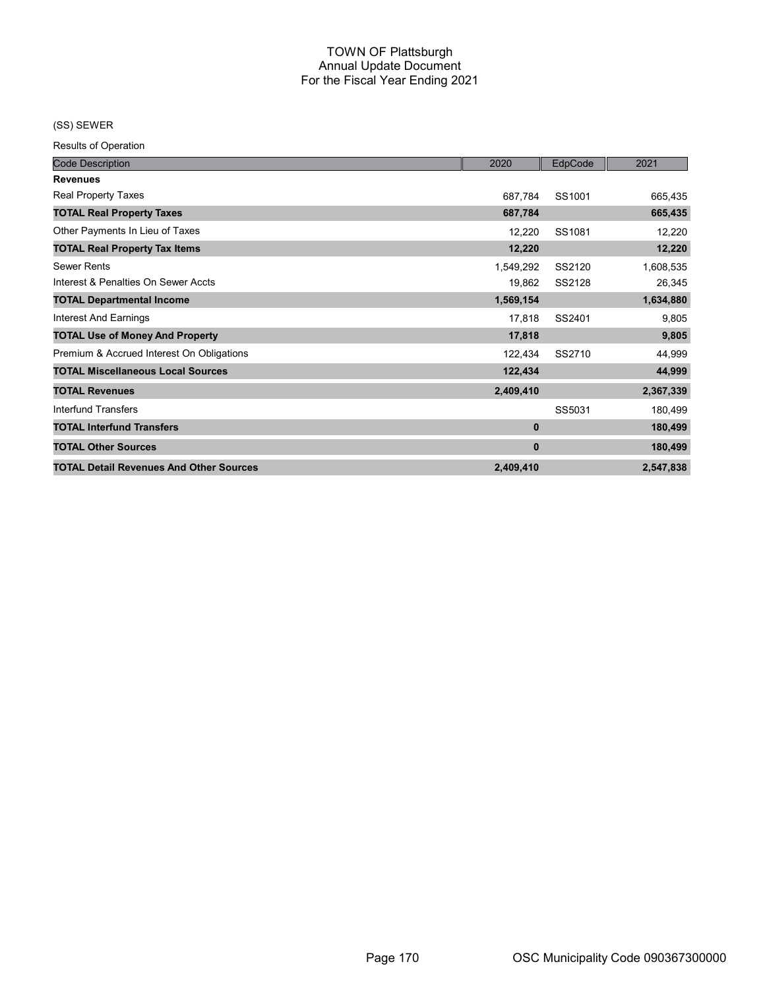(SS) SEWER

| <b>Code Description</b>                        | 2020      | EdpCode | 2021      |
|------------------------------------------------|-----------|---------|-----------|
| <b>Revenues</b>                                |           |         |           |
| <b>Real Property Taxes</b>                     | 687,784   | SS1001  | 665,435   |
| <b>TOTAL Real Property Taxes</b>               | 687,784   |         | 665,435   |
| Other Payments In Lieu of Taxes                | 12,220    | SS1081  | 12,220    |
| <b>TOTAL Real Property Tax Items</b>           | 12,220    |         | 12,220    |
| <b>Sewer Rents</b>                             | 1,549,292 | SS2120  | 1,608,535 |
| Interest & Penalties On Sewer Accts            | 19,862    | SS2128  | 26,345    |
| <b>TOTAL Departmental Income</b>               | 1,569,154 |         | 1,634,880 |
| Interest And Earnings                          | 17,818    | SS2401  | 9,805     |
| <b>TOTAL Use of Money And Property</b>         | 17,818    |         | 9,805     |
| Premium & Accrued Interest On Obligations      | 122,434   | SS2710  | 44,999    |
| <b>TOTAL Miscellaneous Local Sources</b>       | 122,434   |         | 44,999    |
| <b>TOTAL Revenues</b>                          | 2,409,410 |         | 2,367,339 |
| Interfund Transfers                            |           | SS5031  | 180,499   |
| <b>TOTAL Interfund Transfers</b>               | 0         |         | 180,499   |
| <b>TOTAL Other Sources</b>                     | 0         |         | 180,499   |
| <b>TOTAL Detail Revenues And Other Sources</b> | 2,409,410 |         | 2,547,838 |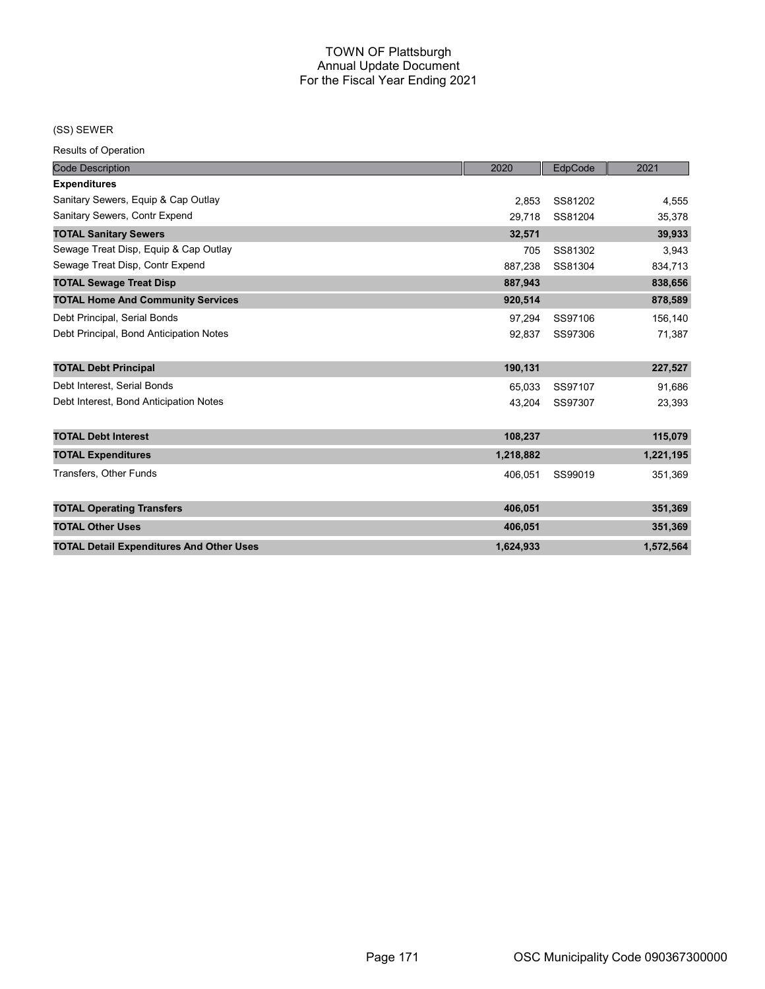### (SS) SEWER

| <b>Code Description</b>                         | 2020      | EdpCode | 2021      |
|-------------------------------------------------|-----------|---------|-----------|
| <b>Expenditures</b>                             |           |         |           |
| Sanitary Sewers, Equip & Cap Outlay             | 2.853     | SS81202 | 4,555     |
| Sanitary Sewers, Contr Expend                   | 29,718    | SS81204 | 35,378    |
| <b>TOTAL Sanitary Sewers</b>                    | 32,571    |         | 39,933    |
| Sewage Treat Disp, Equip & Cap Outlay           | 705       | SS81302 | 3,943     |
| Sewage Treat Disp, Contr Expend                 | 887,238   | SS81304 | 834,713   |
| <b>TOTAL Sewage Treat Disp</b>                  | 887,943   |         | 838,656   |
| <b>TOTAL Home And Community Services</b>        | 920,514   |         | 878,589   |
| Debt Principal, Serial Bonds                    | 97.294    | SS97106 | 156,140   |
| Debt Principal, Bond Anticipation Notes         | 92,837    | SS97306 | 71,387    |
| <b>TOTAL Debt Principal</b>                     | 190,131   |         | 227,527   |
| Debt Interest, Serial Bonds                     | 65,033    | SS97107 | 91,686    |
| Debt Interest, Bond Anticipation Notes          | 43,204    | SS97307 | 23,393    |
| <b>TOTAL Debt Interest</b>                      | 108,237   |         | 115,079   |
| <b>TOTAL Expenditures</b>                       | 1,218,882 |         | 1,221,195 |
| <b>Transfers, Other Funds</b>                   | 406,051   | SS99019 | 351,369   |
| <b>TOTAL Operating Transfers</b>                | 406,051   |         | 351,369   |
| <b>TOTAL Other Uses</b>                         | 406,051   |         | 351,369   |
| <b>TOTAL Detail Expenditures And Other Uses</b> | 1,624,933 |         | 1,572,564 |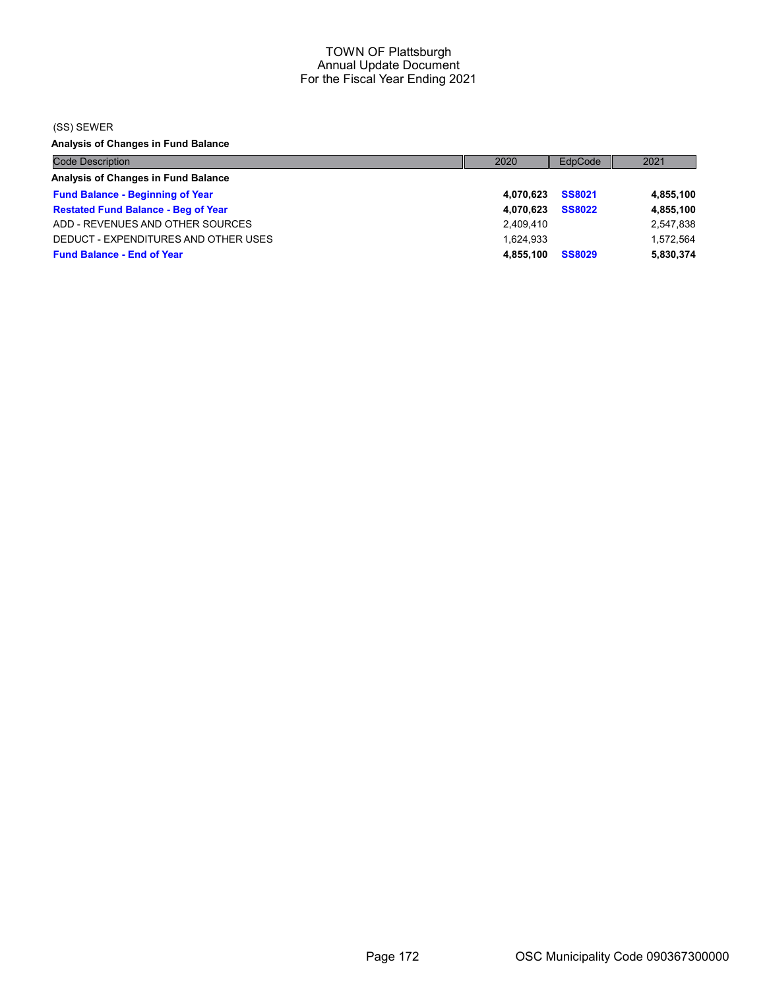(SS) SEWER

Analysis of Changes in Fund Balance

| <b>Code Description</b>                    | 2020      | EdpCode       | 2021      |
|--------------------------------------------|-----------|---------------|-----------|
| Analysis of Changes in Fund Balance        |           |               |           |
| <b>Fund Balance - Beginning of Year</b>    | 4.070.623 | <b>SS8021</b> | 4,855,100 |
| <b>Restated Fund Balance - Beg of Year</b> | 4.070.623 | <b>SS8022</b> | 4,855,100 |
| ADD - REVENUES AND OTHER SOURCES           | 2,409,410 |               | 2,547,838 |
| DEDUCT - EXPENDITURES AND OTHER USES       | 1.624.933 |               | 1,572,564 |
| <b>Fund Balance - End of Year</b>          | 4.855.100 | <b>SS8029</b> | 5,830,374 |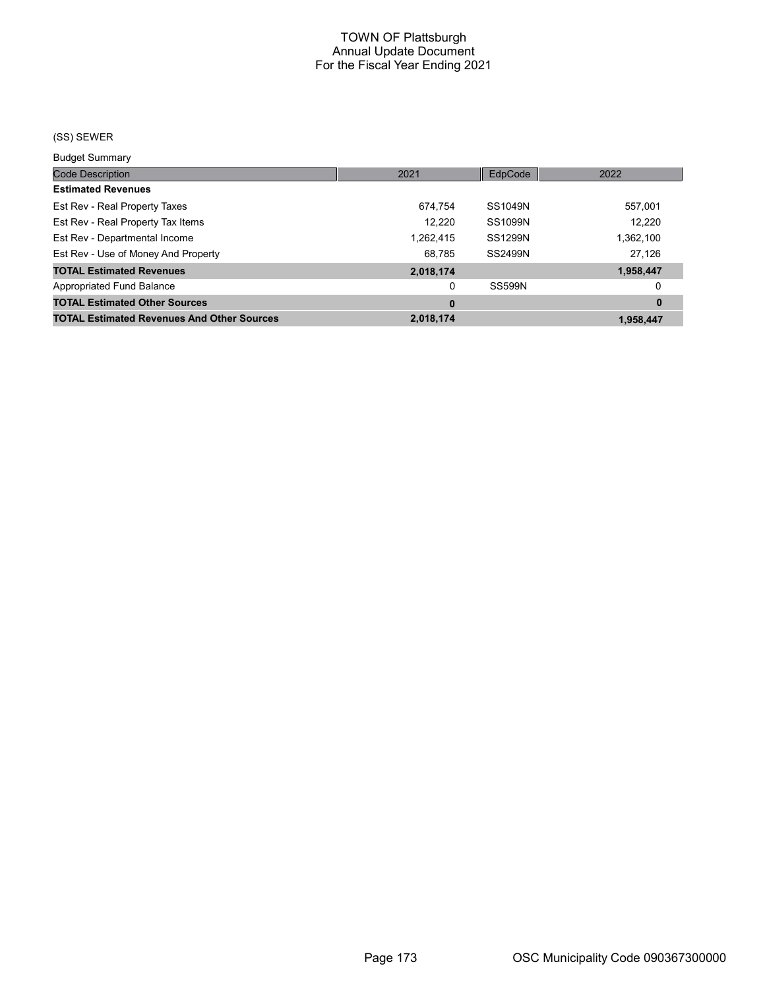# (SS) SEWER

Budget Summary

| 2021      | EdpCode        | 2022      |
|-----------|----------------|-----------|
|           |                |           |
| 674.754   | SS1049N        | 557,001   |
| 12.220    | SS1099N        | 12,220    |
| 1,262,415 | <b>SS1299N</b> | 1,362,100 |
| 68.785    | SS2499N        | 27,126    |
| 2,018,174 |                | 1,958,447 |
| 0         | <b>SS599N</b>  | 0         |
| 0         |                | $\bf{0}$  |
| 2,018,174 |                | 1.958.447 |
|           |                |           |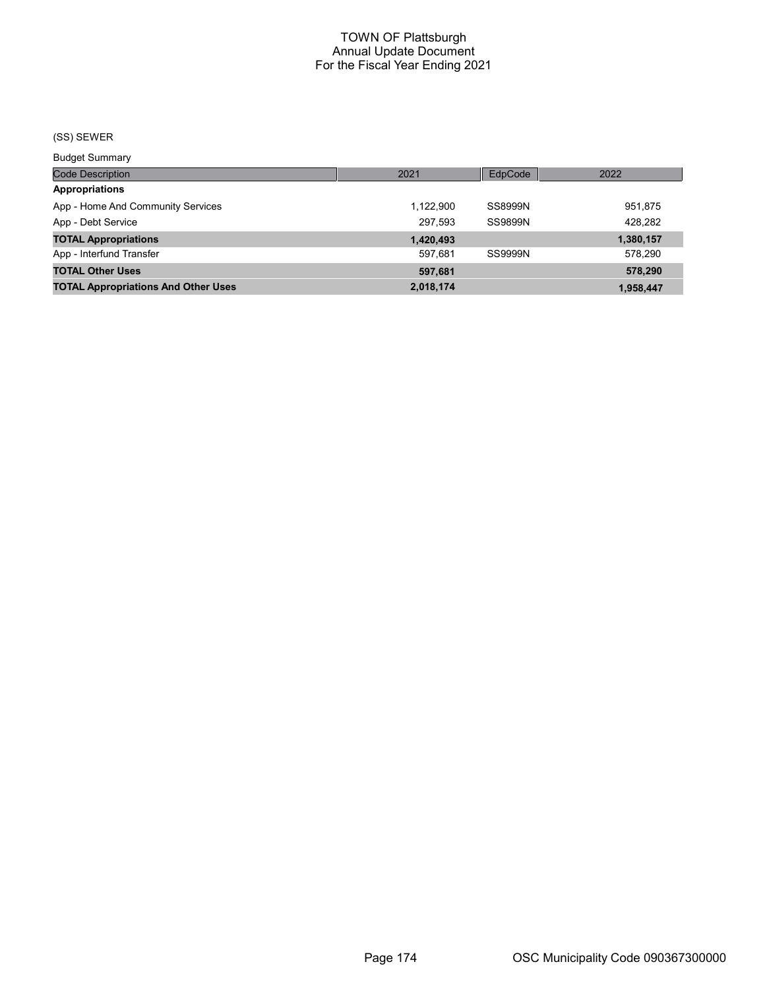# (SS) SEWER

Budget Summary

| Code Description                           | 2021      | EdpCode        | 2022      |
|--------------------------------------------|-----------|----------------|-----------|
| <b>Appropriations</b>                      |           |                |           |
| App - Home And Community Services          | 1,122,900 | SS8999N        | 951,875   |
| App - Debt Service                         | 297.593   | <b>SS9899N</b> | 428,282   |
| <b>TOTAL Appropriations</b>                | 1,420,493 |                | 1,380,157 |
| App - Interfund Transfer                   | 597.681   | SS9999N        | 578,290   |
| <b>TOTAL Other Uses</b>                    | 597,681   |                | 578,290   |
| <b>TOTAL Appropriations And Other Uses</b> | 2,018,174 |                | 1,958,447 |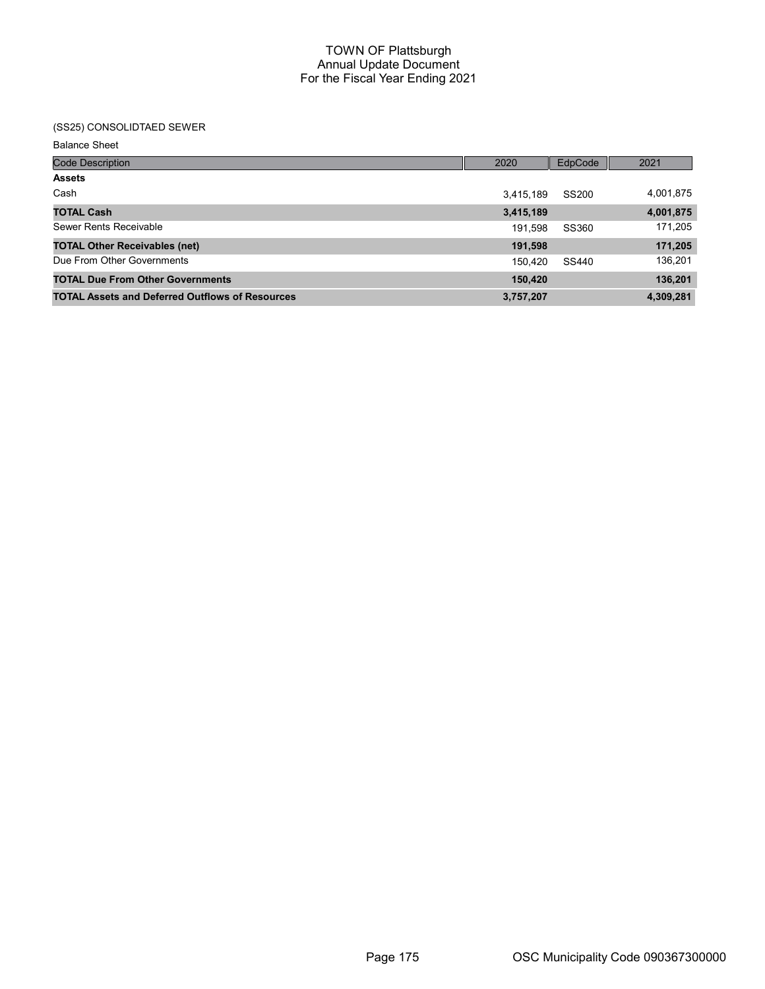# (SS25) CONSOLIDTAED SEWER

Balance Sheet

| <b>Code Description</b>                                | 2020      | EdpCode | 2021      |
|--------------------------------------------------------|-----------|---------|-----------|
| <b>Assets</b>                                          |           |         |           |
| Cash                                                   | 3,415,189 | SS200   | 4,001,875 |
| <b>TOTAL Cash</b>                                      | 3,415,189 |         | 4,001,875 |
| Sewer Rents Receivable                                 | 191,598   | SS360   | 171,205   |
| <b>TOTAL Other Receivables (net)</b>                   | 191,598   |         | 171,205   |
| Due From Other Governments                             | 150,420   | SS440   | 136,201   |
| <b>TOTAL Due From Other Governments</b>                | 150,420   |         | 136,201   |
| <b>TOTAL Assets and Deferred Outflows of Resources</b> | 3,757,207 |         | 4,309,281 |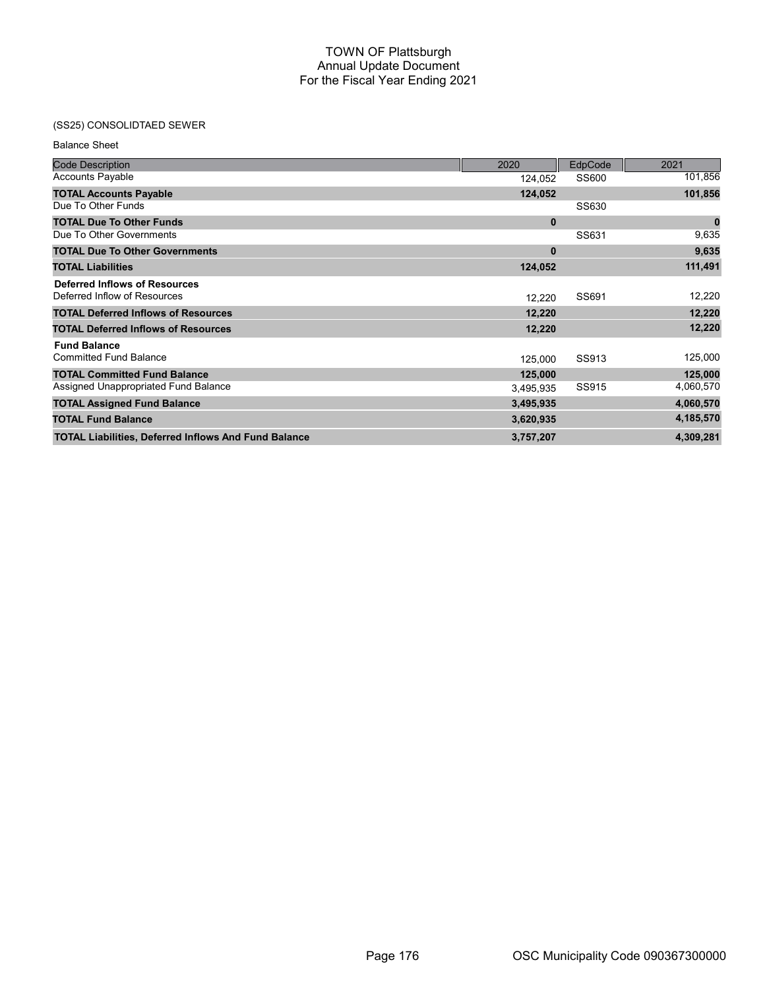# (SS25) CONSOLIDTAED SEWER

| <b>Code Description</b>                                     | 2020      | EdpCode | 2021             |
|-------------------------------------------------------------|-----------|---------|------------------|
| <b>Accounts Payable</b>                                     | 124,052   | SS600   | 101,856          |
| <b>TOTAL Accounts Payable</b>                               | 124,052   |         | 101,856          |
| Due To Other Funds                                          |           | SS630   |                  |
| <b>TOTAL Due To Other Funds</b>                             | $\bf{0}$  |         | $\boldsymbol{0}$ |
| Due To Other Governments                                    |           | SS631   | 9,635            |
| <b>TOTAL Due To Other Governments</b>                       | $\bf{0}$  |         | 9,635            |
| <b>TOTAL Liabilities</b>                                    | 124,052   |         | 111,491          |
| <b>Deferred Inflows of Resources</b>                        |           |         |                  |
| Deferred Inflow of Resources                                | 12,220    | SS691   | 12,220           |
| <b>TOTAL Deferred Inflows of Resources</b>                  | 12,220    |         | 12,220           |
| <b>TOTAL Deferred Inflows of Resources</b>                  | 12,220    |         | 12,220           |
| <b>Fund Balance</b>                                         |           |         |                  |
| <b>Committed Fund Balance</b>                               | 125,000   | SS913   | 125,000          |
| <b>TOTAL Committed Fund Balance</b>                         | 125,000   |         | 125,000          |
| Assigned Unappropriated Fund Balance                        | 3,495,935 | SS915   | 4,060,570        |
| <b>TOTAL Assigned Fund Balance</b>                          | 3,495,935 |         | 4,060,570        |
| <b>TOTAL Fund Balance</b>                                   | 3,620,935 |         | 4,185,570        |
| <b>TOTAL Liabilities, Deferred Inflows And Fund Balance</b> | 3,757,207 |         | 4,309,281        |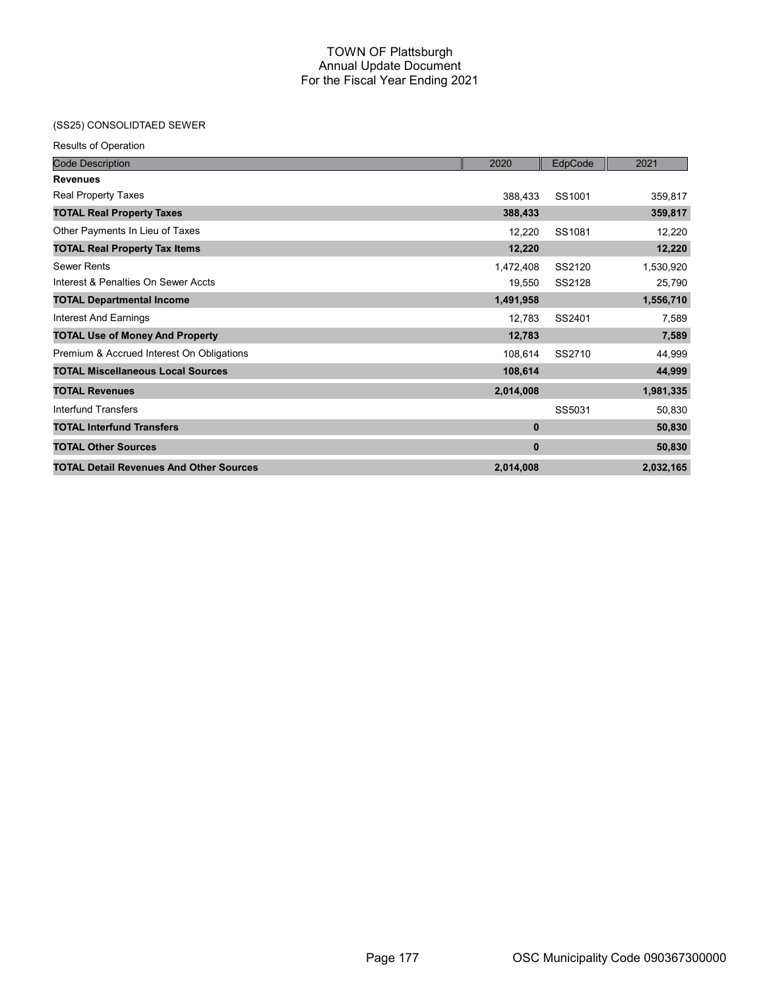# (SS25) CONSOLIDTAED SEWER

| <b>Results of Operation</b>                    |           |         |           |
|------------------------------------------------|-----------|---------|-----------|
| <b>Code Description</b>                        | 2020      | EdpCode | 2021      |
| <b>Revenues</b>                                |           |         |           |
| <b>Real Property Taxes</b>                     | 388,433   | SS1001  | 359,817   |
| <b>TOTAL Real Property Taxes</b>               | 388,433   |         | 359,817   |
| Other Payments In Lieu of Taxes                | 12,220    | SS1081  | 12,220    |
| <b>TOTAL Real Property Tax Items</b>           | 12,220    |         | 12,220    |
| <b>Sewer Rents</b>                             | 1,472,408 | SS2120  | 1,530,920 |
| Interest & Penalties On Sewer Accts            | 19,550    | SS2128  | 25,790    |
| <b>TOTAL Departmental Income</b>               | 1,491,958 |         | 1,556,710 |
| Interest And Earnings                          | 12,783    | SS2401  | 7,589     |
| <b>TOTAL Use of Money And Property</b>         | 12,783    |         | 7,589     |
| Premium & Accrued Interest On Obligations      | 108,614   | SS2710  | 44,999    |
| <b>TOTAL Miscellaneous Local Sources</b>       | 108,614   |         | 44,999    |
| <b>TOTAL Revenues</b>                          | 2,014,008 |         | 1,981,335 |
| Interfund Transfers                            |           | SS5031  | 50,830    |
| <b>TOTAL Interfund Transfers</b>               | $\bf{0}$  |         | 50,830    |
| <b>TOTAL Other Sources</b>                     | $\bf{0}$  |         | 50,830    |
| <b>TOTAL Detail Revenues And Other Sources</b> | 2,014,008 |         | 2,032,165 |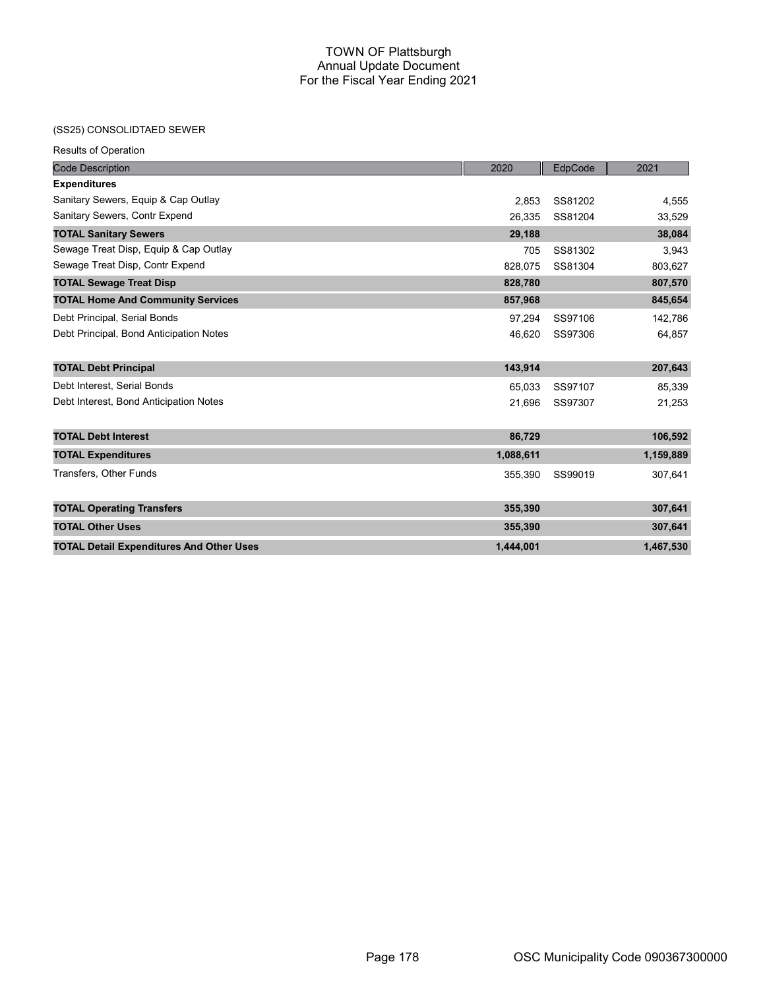# (SS25) CONSOLIDTAED SEWER

| <b>Code Description</b>                         | 2020      | EdpCode | 2021      |
|-------------------------------------------------|-----------|---------|-----------|
| <b>Expenditures</b>                             |           |         |           |
| Sanitary Sewers, Equip & Cap Outlay             | 2.853     | SS81202 | 4,555     |
| Sanitary Sewers, Contr Expend                   | 26,335    | SS81204 | 33,529    |
| <b>TOTAL Sanitary Sewers</b>                    | 29,188    |         | 38,084    |
| Sewage Treat Disp, Equip & Cap Outlay           | 705       | SS81302 | 3,943     |
| Sewage Treat Disp, Contr Expend                 | 828.075   | SS81304 | 803,627   |
| <b>TOTAL Sewage Treat Disp</b>                  | 828,780   |         | 807,570   |
| <b>TOTAL Home And Community Services</b>        | 857,968   |         | 845,654   |
| Debt Principal, Serial Bonds                    | 97.294    | SS97106 | 142,786   |
| Debt Principal, Bond Anticipation Notes         | 46,620    | SS97306 | 64,857    |
| <b>TOTAL Debt Principal</b>                     | 143,914   |         | 207,643   |
| Debt Interest, Serial Bonds                     | 65,033    | SS97107 | 85,339    |
| Debt Interest, Bond Anticipation Notes          | 21,696    | SS97307 | 21,253    |
| <b>TOTAL Debt Interest</b>                      | 86,729    |         | 106,592   |
| <b>TOTAL Expenditures</b>                       | 1,088,611 |         | 1,159,889 |
| Transfers, Other Funds                          | 355,390   | SS99019 | 307,641   |
| <b>TOTAL Operating Transfers</b>                | 355,390   |         | 307,641   |
| <b>TOTAL Other Uses</b>                         | 355,390   |         | 307,641   |
| <b>TOTAL Detail Expenditures And Other Uses</b> | 1.444.001 |         | 1,467,530 |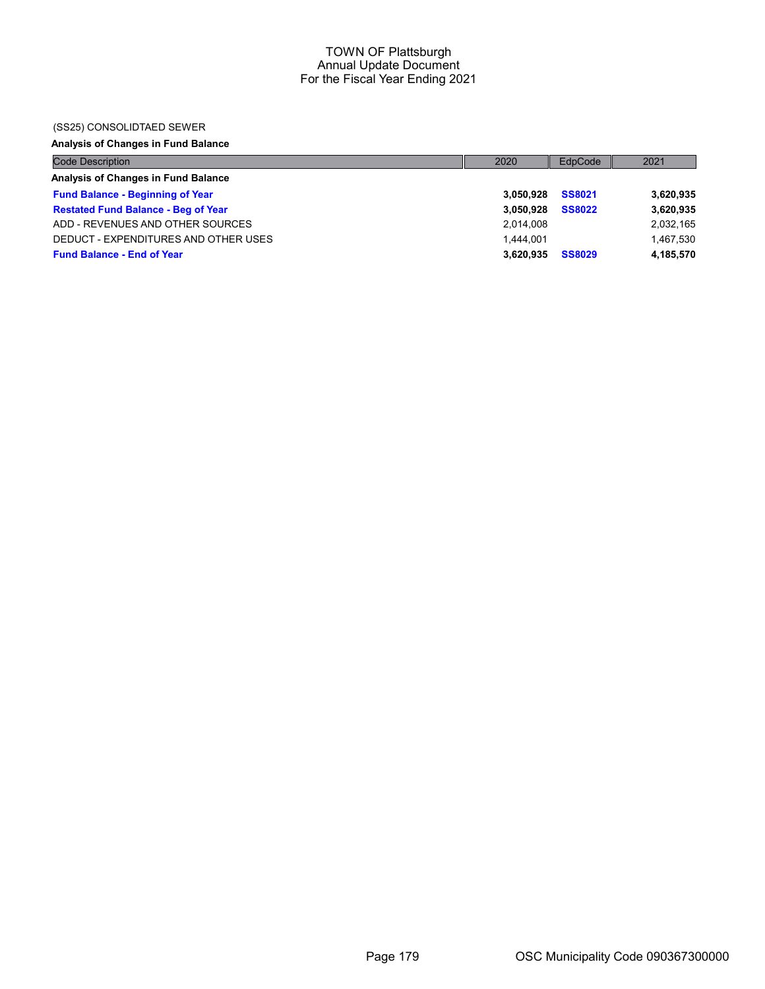## (SS25) CONSOLIDTAED SEWER

# Analysis of Changes in Fund Balance

| <b>Code Description</b>                    | 2020      | EdpCode       | 2021      |
|--------------------------------------------|-----------|---------------|-----------|
| Analysis of Changes in Fund Balance        |           |               |           |
| <b>Fund Balance - Beginning of Year</b>    | 3.050.928 | <b>SS8021</b> | 3,620,935 |
| <b>Restated Fund Balance - Beg of Year</b> | 3.050.928 | <b>SS8022</b> | 3,620,935 |
| ADD - REVENUES AND OTHER SOURCES           | 2,014,008 |               | 2,032,165 |
| DEDUCT - EXPENDITURES AND OTHER USES       | 1.444.001 |               | 1,467,530 |
| <b>Fund Balance - End of Year</b>          | 3.620.935 | <b>SS8029</b> | 4,185,570 |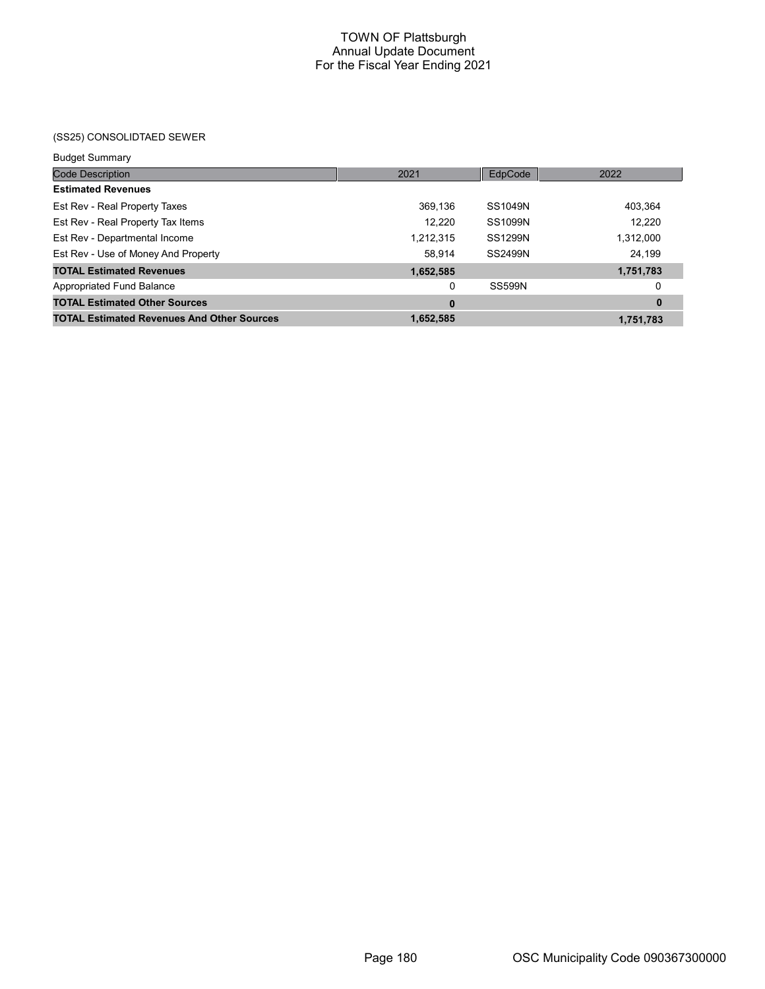# (SS25) CONSOLIDTAED SEWER

| <b>Budget Summary</b> |
|-----------------------|
|                       |

| <b>Code Description</b>                           | 2021      | EdpCode        | 2022        |
|---------------------------------------------------|-----------|----------------|-------------|
| <b>Estimated Revenues</b>                         |           |                |             |
| Est Rev - Real Property Taxes                     | 369,136   | SS1049N        | 403,364     |
| Est Rev - Real Property Tax Items                 | 12,220    | <b>SS1099N</b> | 12,220      |
| Est Rev - Departmental Income                     | 1,212,315 | <b>SS1299N</b> | 1,312,000   |
| Est Rev - Use of Money And Property               | 58,914    | SS2499N        | 24,199      |
| <b>TOTAL Estimated Revenues</b>                   | 1,652,585 |                | 1,751,783   |
| Appropriated Fund Balance                         | 0         | <b>SS599N</b>  | 0           |
| <b>TOTAL Estimated Other Sources</b>              | 0         |                | $\mathbf 0$ |
| <b>TOTAL Estimated Revenues And Other Sources</b> | 1,652,585 |                | 1,751,783   |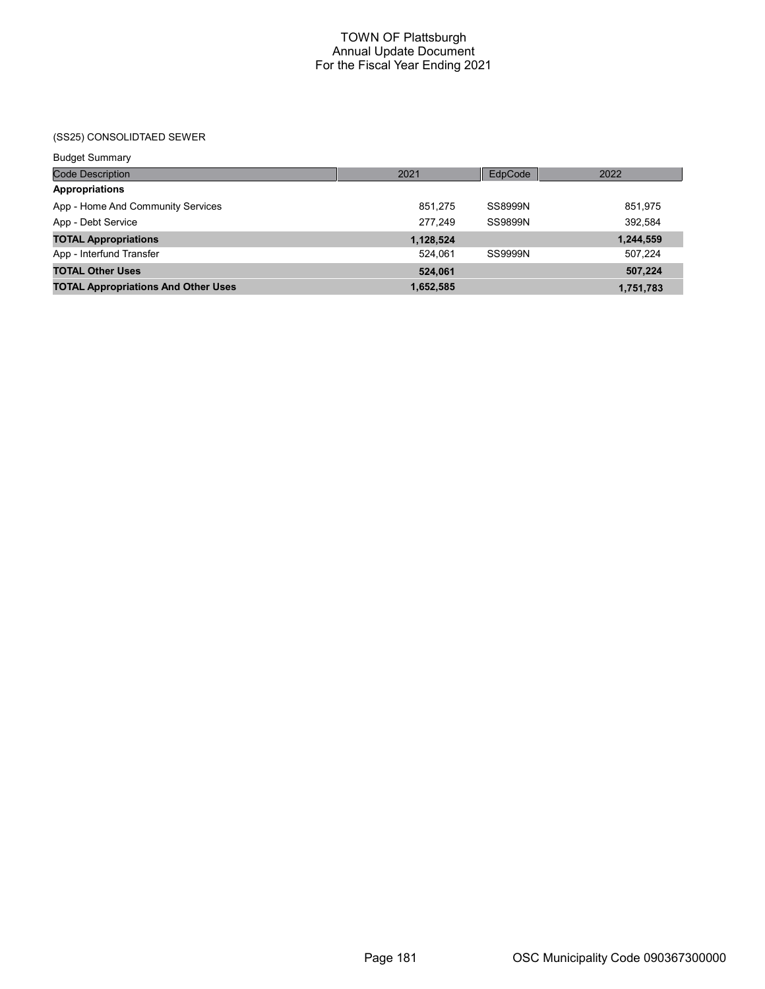(SS25) CONSOLIDTAED SEWER

| <b>Budget Summary</b>                      |           |         |           |
|--------------------------------------------|-----------|---------|-----------|
| Code Description                           | 2021      | EdpCode | 2022      |
| <b>Appropriations</b>                      |           |         |           |
| App - Home And Community Services          | 851,275   | SS8999N | 851,975   |
| App - Debt Service                         | 277.249   | SS9899N | 392,584   |
| <b>TOTAL Appropriations</b>                | 1,128,524 |         | 1,244,559 |
| App - Interfund Transfer                   | 524.061   | SS9999N | 507,224   |
| <b>TOTAL Other Uses</b>                    | 524.061   |         | 507,224   |
| <b>TOTAL Appropriations And Other Uses</b> | 1,652,585 |         | 1,751,783 |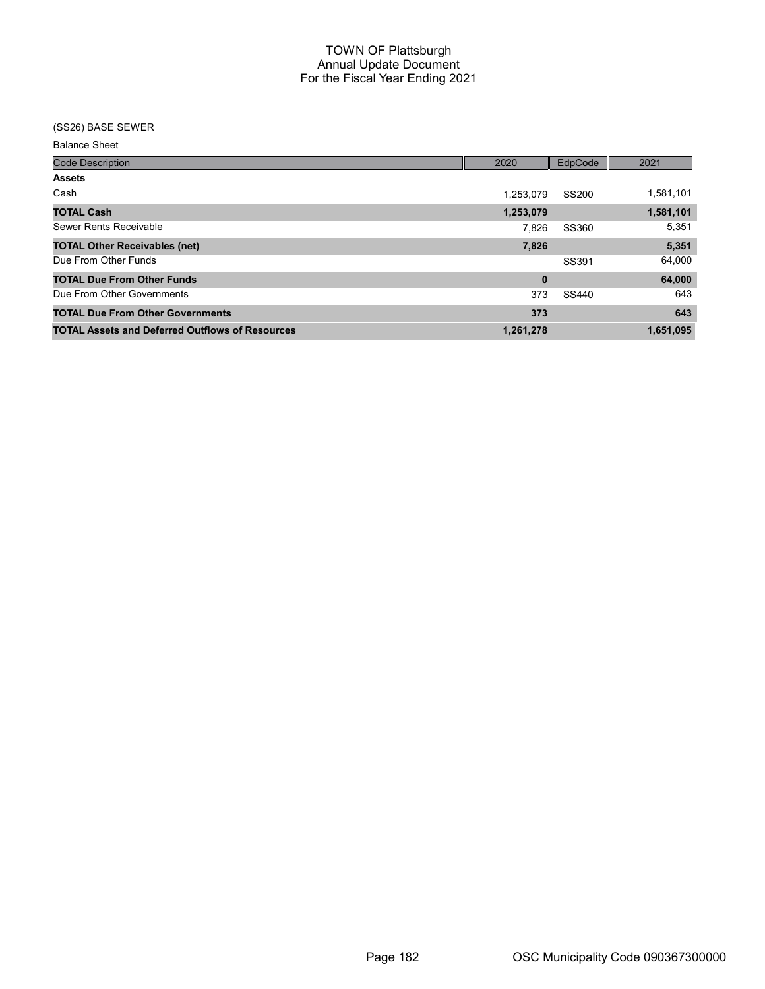## (SS26) BASE SEWER

Balance Sheet

| <b>Code Description</b>                                | 2020      | EdpCode      | 2021      |
|--------------------------------------------------------|-----------|--------------|-----------|
| <b>Assets</b>                                          |           |              |           |
| Cash                                                   | 1,253,079 | <b>SS200</b> | 1,581,101 |
| <b>TOTAL Cash</b>                                      | 1,253,079 |              | 1,581,101 |
| Sewer Rents Receivable                                 | 7.826     | SS360        | 5,351     |
| <b>TOTAL Other Receivables (net)</b>                   | 7,826     |              | 5,351     |
| Due From Other Funds                                   |           | SS391        | 64,000    |
| <b>TOTAL Due From Other Funds</b>                      | 0         |              | 64,000    |
| Due From Other Governments                             | 373       | SS440        | 643       |
| <b>TOTAL Due From Other Governments</b>                | 373       |              | 643       |
| <b>TOTAL Assets and Deferred Outflows of Resources</b> | 1,261,278 |              | 1,651,095 |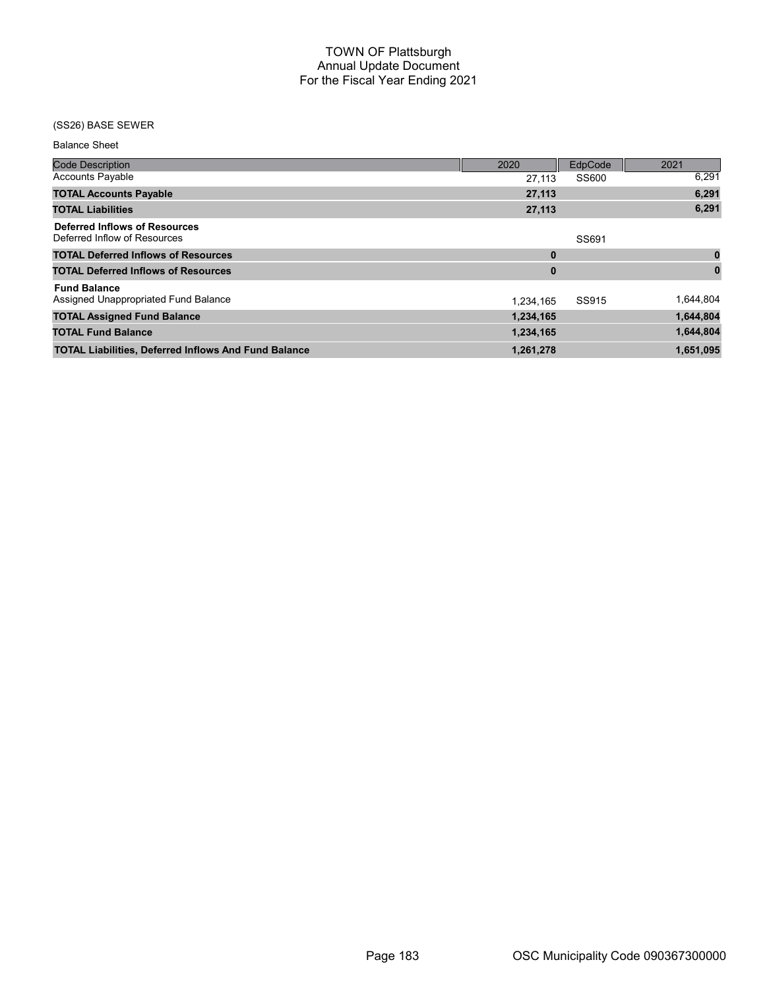# (SS26) BASE SEWER

| <b>Balance Sheet</b>    |
|-------------------------|
| <b>Code Description</b> |
| Accounte Dovable        |

| <b>Code Description</b>                                              | 2020      | EdpCode | 2021      |
|----------------------------------------------------------------------|-----------|---------|-----------|
| <b>Accounts Payable</b>                                              | 27,113    | SS600   | 6,291     |
| <b>TOTAL Accounts Payable</b>                                        | 27,113    |         | 6,291     |
| <b>TOTAL Liabilities</b>                                             | 27,113    |         | 6,291     |
| <b>Deferred Inflows of Resources</b><br>Deferred Inflow of Resources |           | SS691   |           |
| <b>TOTAL Deferred Inflows of Resources</b>                           | $\bf{0}$  |         | $\bf{0}$  |
| <b>TOTAL Deferred Inflows of Resources</b>                           | $\bf{0}$  |         |           |
| <b>Fund Balance</b><br>Assigned Unappropriated Fund Balance          | 1,234,165 | SS915   | 1,644,804 |
| <b>TOTAL Assigned Fund Balance</b>                                   | 1,234,165 |         | 1,644,804 |
| <b>TOTAL Fund Balance</b>                                            | 1,234,165 |         | 1,644,804 |
| <b>TOTAL Liabilities, Deferred Inflows And Fund Balance</b>          | 1,261,278 |         | 1,651,095 |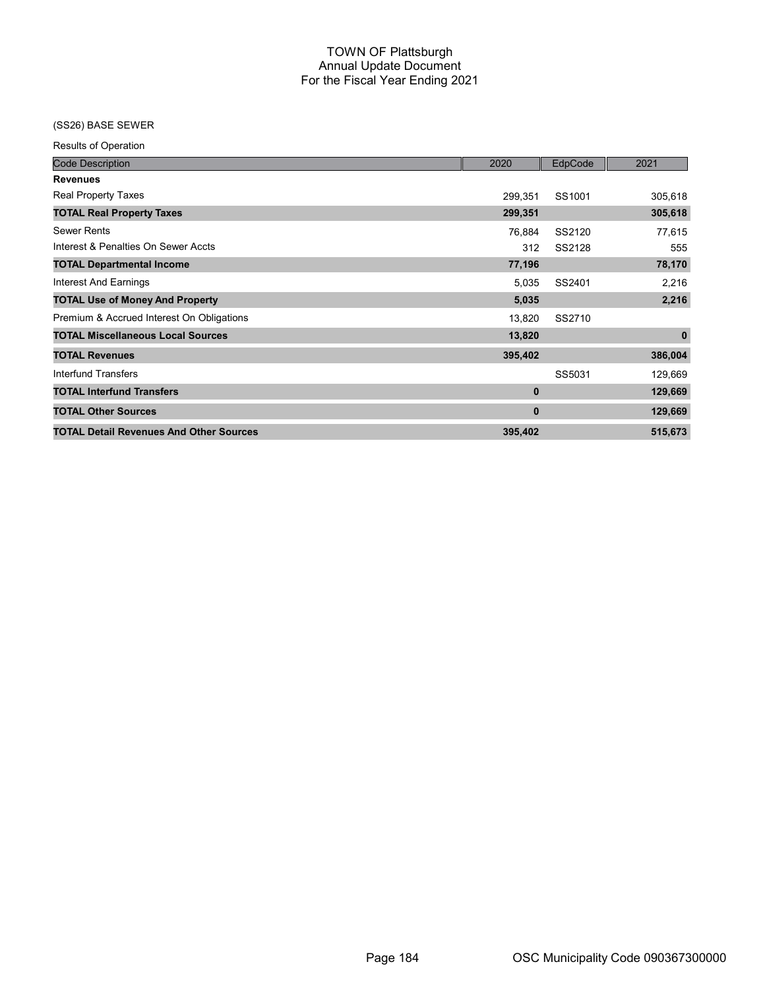# (SS26) BASE SEWER

Results of Operation

| <b>Code Description</b>                        | 2020         | EdpCode | 2021        |
|------------------------------------------------|--------------|---------|-------------|
| <b>Revenues</b>                                |              |         |             |
| Real Property Taxes                            | 299,351      | SS1001  | 305,618     |
| <b>TOTAL Real Property Taxes</b>               | 299,351      |         | 305,618     |
| <b>Sewer Rents</b>                             | 76,884       | SS2120  | 77,615      |
| Interest & Penalties On Sewer Accts            | 312          | SS2128  | 555         |
| <b>TOTAL Departmental Income</b>               | 77,196       |         | 78,170      |
| <b>Interest And Earnings</b>                   | 5,035        | SS2401  | 2,216       |
| <b>TOTAL Use of Money And Property</b>         | 5,035        |         | 2,216       |
| Premium & Accrued Interest On Obligations      | 13,820       | SS2710  |             |
| <b>TOTAL Miscellaneous Local Sources</b>       | 13,820       |         | $\mathbf 0$ |
| <b>TOTAL Revenues</b>                          | 395,402      |         | 386,004     |
| Interfund Transfers                            |              | SS5031  | 129,669     |
| <b>TOTAL Interfund Transfers</b>               | $\bf{0}$     |         | 129,669     |
| <b>TOTAL Other Sources</b>                     | $\mathbf{0}$ |         | 129,669     |
| <b>TOTAL Detail Revenues And Other Sources</b> | 395,402      |         | 515,673     |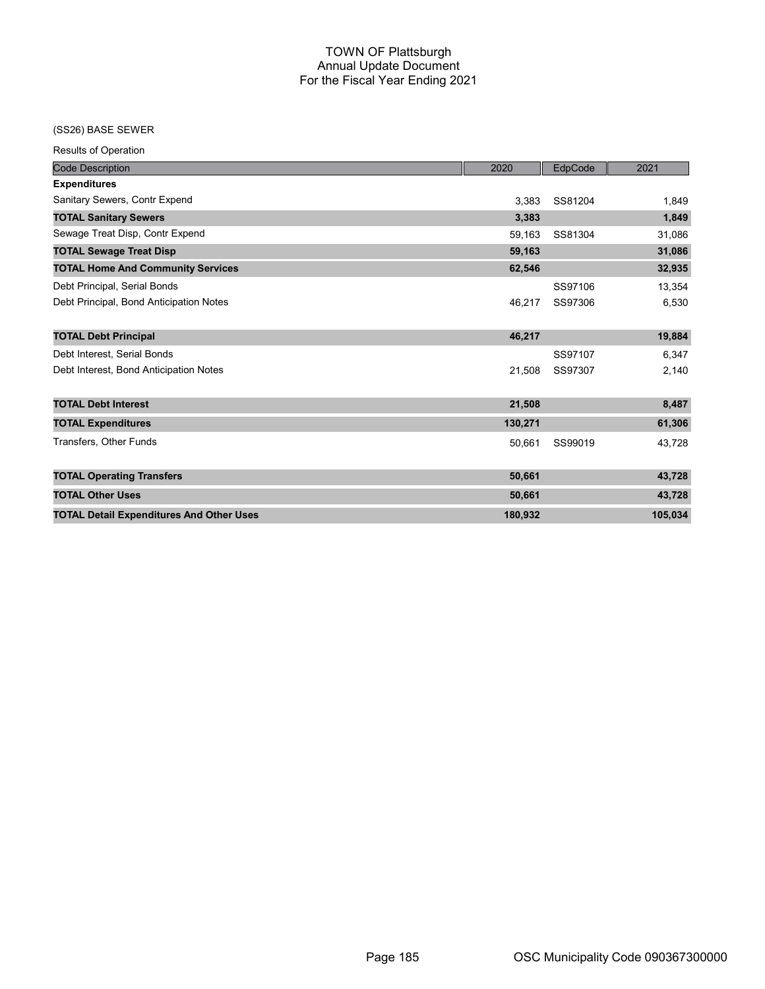### (SS26) BASE SEWER

Results of Operation

| <b>Code Description</b>                         | 2020    | EdpCode | 2021    |
|-------------------------------------------------|---------|---------|---------|
| <b>Expenditures</b>                             |         |         |         |
| Sanitary Sewers, Contr Expend                   | 3.383   | SS81204 | 1,849   |
| <b>TOTAL Sanitary Sewers</b>                    | 3,383   |         | 1,849   |
| Sewage Treat Disp, Contr Expend                 | 59,163  | SS81304 | 31,086  |
| <b>TOTAL Sewage Treat Disp</b>                  | 59,163  |         | 31,086  |
| <b>TOTAL Home And Community Services</b>        | 62,546  |         | 32,935  |
| Debt Principal, Serial Bonds                    |         | SS97106 | 13,354  |
| Debt Principal, Bond Anticipation Notes         | 46,217  | SS97306 | 6,530   |
|                                                 |         |         |         |
| <b>TOTAL Debt Principal</b>                     | 46,217  |         | 19,884  |
| Debt Interest, Serial Bonds                     |         | SS97107 | 6,347   |
| Debt Interest, Bond Anticipation Notes          | 21,508  | SS97307 | 2,140   |
|                                                 |         |         |         |
| <b>TOTAL Debt Interest</b>                      | 21,508  |         | 8,487   |
| <b>TOTAL Expenditures</b>                       | 130,271 |         | 61,306  |
| Transfers, Other Funds                          | 50,661  | SS99019 | 43.728  |
|                                                 |         |         |         |
| <b>TOTAL Operating Transfers</b>                | 50,661  |         | 43,728  |
| <b>TOTAL Other Uses</b>                         | 50,661  |         | 43,728  |
| <b>TOTAL Detail Expenditures And Other Uses</b> | 180,932 |         | 105,034 |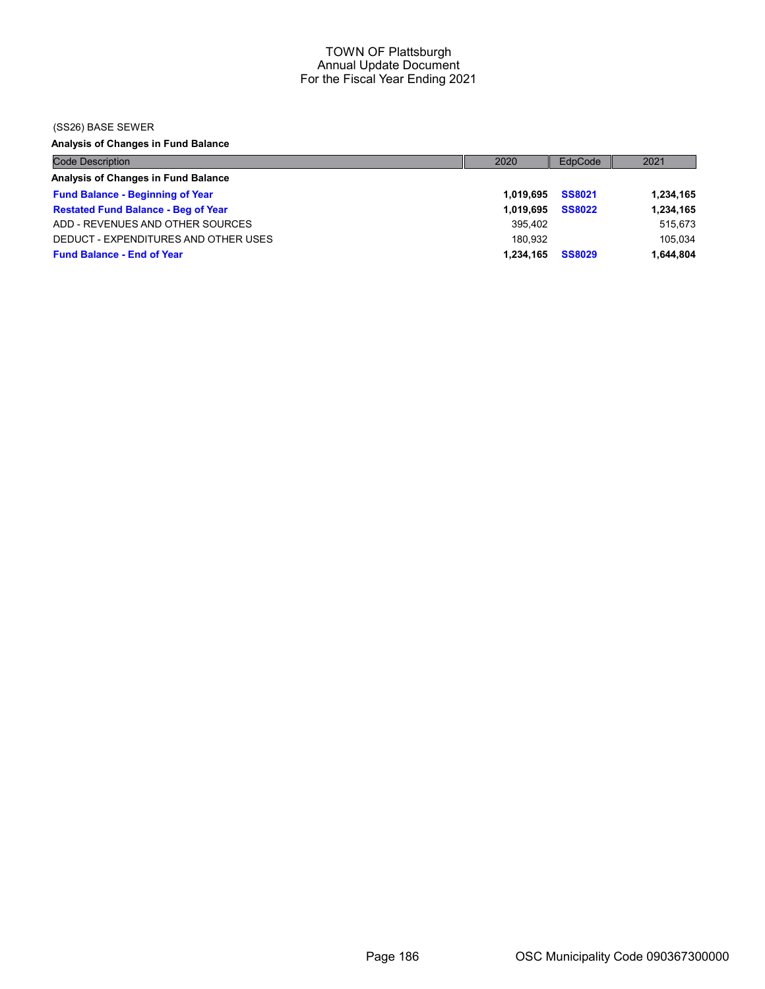### (SS26) BASE SEWER

Analysis of Changes in Fund Balance

| <b>Code Description</b>                    | 2020      | EdpCode       | 2021      |
|--------------------------------------------|-----------|---------------|-----------|
| Analysis of Changes in Fund Balance        |           |               |           |
| <b>Fund Balance - Beginning of Year</b>    | 1.019.695 | <b>SS8021</b> | 1,234,165 |
| <b>Restated Fund Balance - Beg of Year</b> | 1.019.695 | <b>SS8022</b> | 1,234,165 |
| ADD - REVENUES AND OTHER SOURCES           | 395.402   |               | 515,673   |
| DEDUCT - EXPENDITURES AND OTHER USES       | 180.932   |               | 105.034   |
| <b>Fund Balance - End of Year</b>          | 1.234.165 | <b>SS8029</b> | 1,644,804 |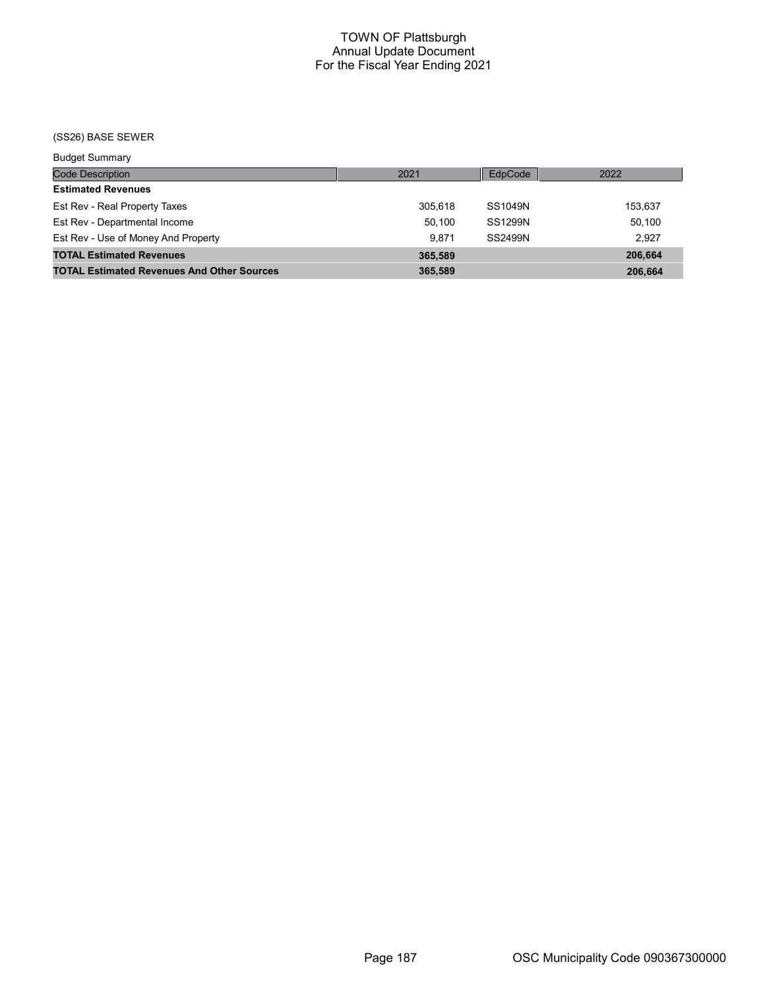# (SS26) BASE SEWER

| <b>Budget Summary</b>                             |         |         |         |
|---------------------------------------------------|---------|---------|---------|
| Code Description                                  | 2021    | EdpCode | 2022    |
| <b>Estimated Revenues</b>                         |         |         |         |
| Est Rev - Real Property Taxes                     | 305.618 | SS1049N | 153,637 |
| Est Rev - Departmental Income                     | 50.100  | SS1299N | 50.100  |
| Est Rev - Use of Money And Property               | 9.871   | SS2499N | 2.927   |
| <b>TOTAL Estimated Revenues</b>                   | 365,589 |         | 206,664 |
| <b>TOTAL Estimated Revenues And Other Sources</b> | 365,589 |         | 206,664 |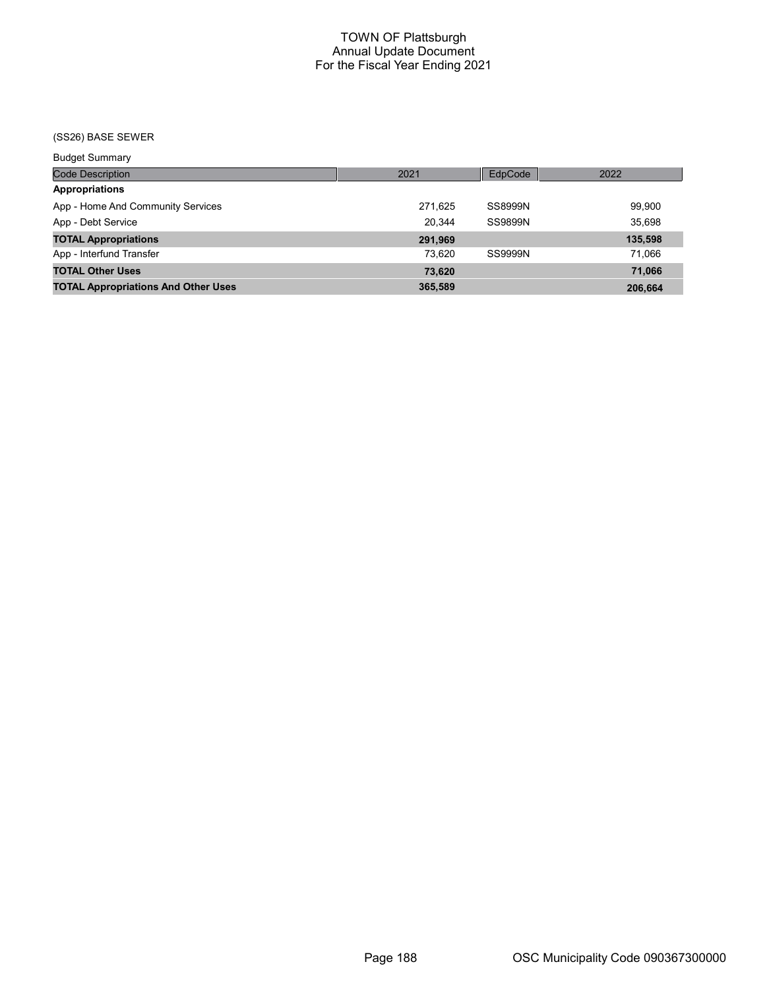# (SS26) BASE SEWER

| <b>Budget Summary</b>                      |         |                |         |
|--------------------------------------------|---------|----------------|---------|
| <b>Code Description</b>                    | 2021    | EdpCode        | 2022    |
| Appropriations                             |         |                |         |
| App - Home And Community Services          | 271,625 | <b>SS8999N</b> | 99,900  |
| App - Debt Service                         | 20.344  | SS9899N        | 35,698  |
| <b>TOTAL Appropriations</b>                | 291,969 |                | 135,598 |
| App - Interfund Transfer                   | 73.620  | SS9999N        | 71.066  |
| <b>TOTAL Other Uses</b>                    | 73.620  |                | 71.066  |
| <b>TOTAL Appropriations And Other Uses</b> | 365,589 |                | 206.664 |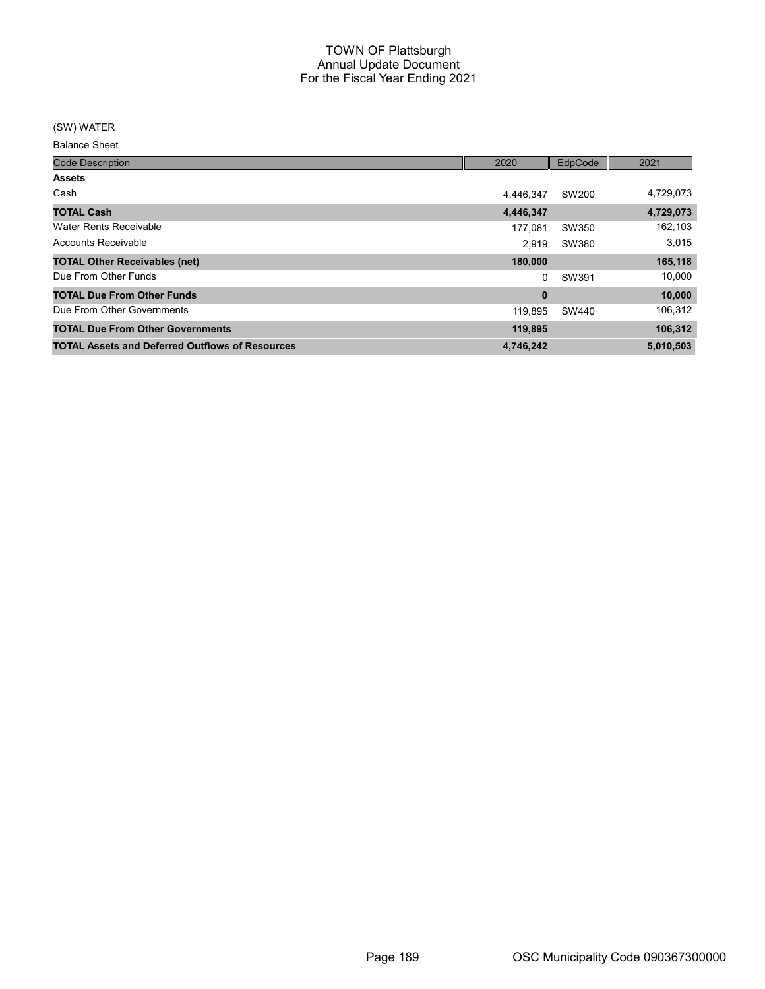### (SW) WATER

Balance Sheet

| <b>Code Description</b>                                | 2020      | EdpCode | 2021      |
|--------------------------------------------------------|-----------|---------|-----------|
| <b>Assets</b>                                          |           |         |           |
| Cash                                                   | 4.446.347 | SW200   | 4,729,073 |
| <b>TOTAL Cash</b>                                      | 4,446,347 |         | 4,729,073 |
| Water Rents Receivable                                 | 177.081   | SW350   | 162,103   |
| Accounts Receivable                                    | 2.919     | SW380   | 3,015     |
| <b>TOTAL Other Receivables (net)</b>                   | 180,000   |         | 165,118   |
| Due From Other Funds                                   | 0         | SW391   | 10,000    |
| <b>TOTAL Due From Other Funds</b>                      | $\bf{0}$  |         | 10,000    |
| Due From Other Governments                             | 119.895   | SW440   | 106,312   |
| <b>TOTAL Due From Other Governments</b>                | 119,895   |         | 106,312   |
| <b>TOTAL Assets and Deferred Outflows of Resources</b> | 4,746,242 |         | 5,010,503 |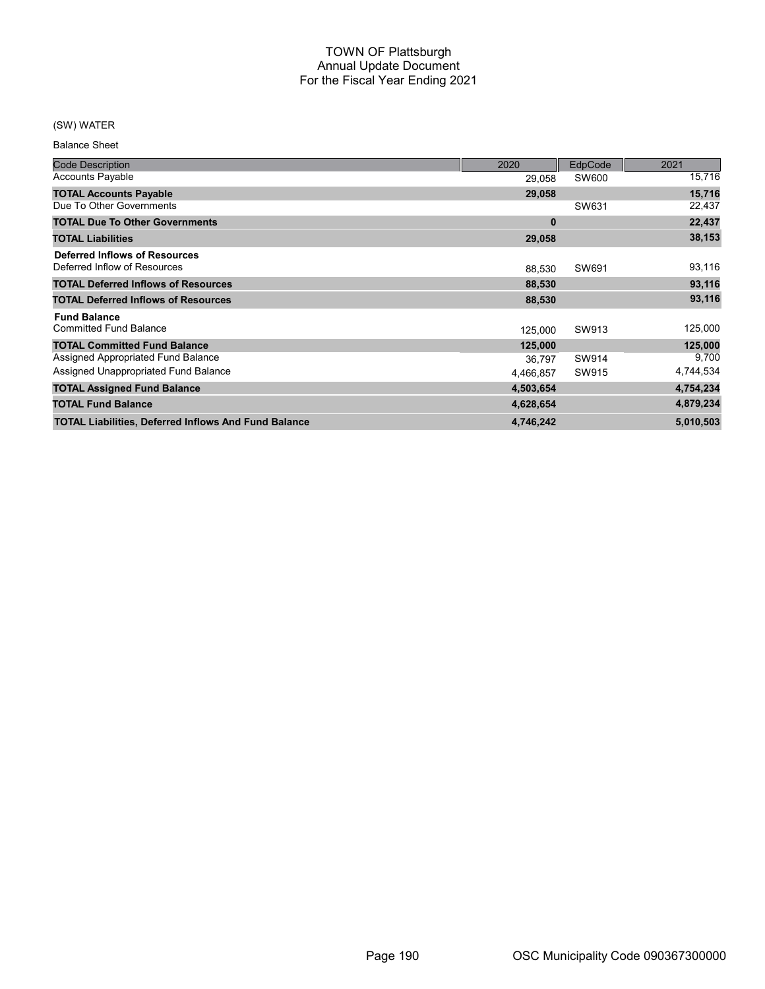# (SW) WATER

Balance Sheet

| <b>Code Description</b>                                       | 2020      | EdpCode | 2021      |
|---------------------------------------------------------------|-----------|---------|-----------|
| <b>Accounts Payable</b>                                       | 29,058    | SW600   | 15,716    |
| <b>TOTAL Accounts Payable</b>                                 | 29,058    |         | 15,716    |
| Due To Other Governments                                      |           | SW631   | 22,437    |
| <b>TOTAL Due To Other Governments</b>                         | 0         |         | 22,437    |
| <b>TOTAL Liabilities</b>                                      | 29,058    |         | 38,153    |
| Deferred Inflows of Resources<br>Deferred Inflow of Resources | 88,530    | SW691   | 93,116    |
| <b>TOTAL Deferred Inflows of Resources</b>                    | 88,530    |         | 93,116    |
| <b>TOTAL Deferred Inflows of Resources</b>                    | 88,530    |         | 93,116    |
| <b>Fund Balance</b>                                           |           |         |           |
| <b>Committed Fund Balance</b>                                 | 125,000   | SW913   | 125,000   |
| <b>TOTAL Committed Fund Balance</b>                           | 125,000   |         | 125,000   |
| Assigned Appropriated Fund Balance                            | 36.797    | SW914   | 9,700     |
| Assigned Unappropriated Fund Balance                          | 4.466.857 | SW915   | 4,744,534 |
| <b>TOTAL Assigned Fund Balance</b>                            | 4,503,654 |         | 4,754,234 |
| <b>TOTAL Fund Balance</b>                                     | 4,628,654 |         | 4,879,234 |
| <b>TOTAL Liabilities, Deferred Inflows And Fund Balance</b>   | 4,746,242 |         | 5,010,503 |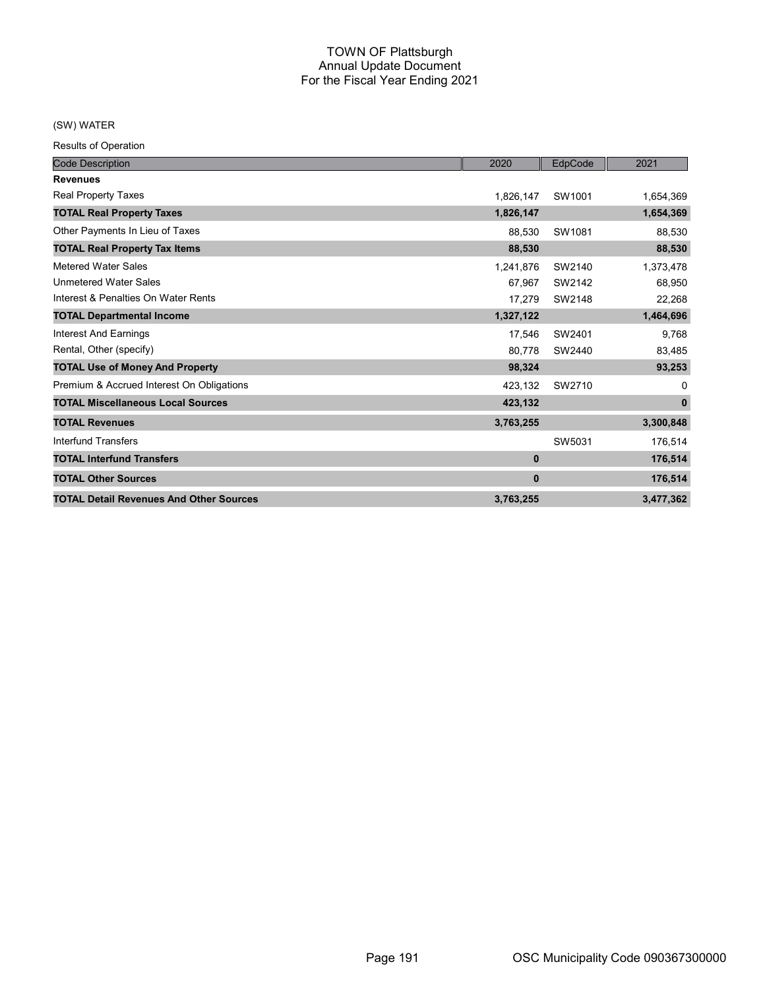# (SW) WATER

Results of Operation

| <b>Code Description</b>                        | 2020        | EdpCode | 2021         |
|------------------------------------------------|-------------|---------|--------------|
| <b>Revenues</b>                                |             |         |              |
| <b>Real Property Taxes</b>                     | 1,826,147   | SW1001  | 1,654,369    |
| <b>TOTAL Real Property Taxes</b>               | 1,826,147   |         | 1,654,369    |
| Other Payments In Lieu of Taxes                | 88,530      | SW1081  | 88,530       |
| <b>TOTAL Real Property Tax Items</b>           | 88,530      |         | 88,530       |
| Metered Water Sales                            | 1,241,876   | SW2140  | 1,373,478    |
| <b>Unmetered Water Sales</b>                   | 67,967      | SW2142  | 68,950       |
| Interest & Penalties On Water Rents            | 17,279      | SW2148  | 22,268       |
| <b>TOTAL Departmental Income</b>               | 1,327,122   |         | 1,464,696    |
| <b>Interest And Earnings</b>                   | 17,546      | SW2401  | 9,768        |
| Rental, Other (specify)                        | 80.778      | SW2440  | 83,485       |
| <b>TOTAL Use of Money And Property</b>         | 98,324      |         | 93,253       |
| Premium & Accrued Interest On Obligations      | 423,132     | SW2710  | $\Omega$     |
| <b>TOTAL Miscellaneous Local Sources</b>       | 423,132     |         | $\mathbf{0}$ |
| <b>TOTAL Revenues</b>                          | 3,763,255   |         | 3,300,848    |
| Interfund Transfers                            |             | SW5031  | 176,514      |
| <b>TOTAL Interfund Transfers</b>               | $\bf{0}$    |         | 176,514      |
| <b>TOTAL Other Sources</b>                     | $\mathbf 0$ |         | 176,514      |
| <b>TOTAL Detail Revenues And Other Sources</b> | 3,763,255   |         | 3,477,362    |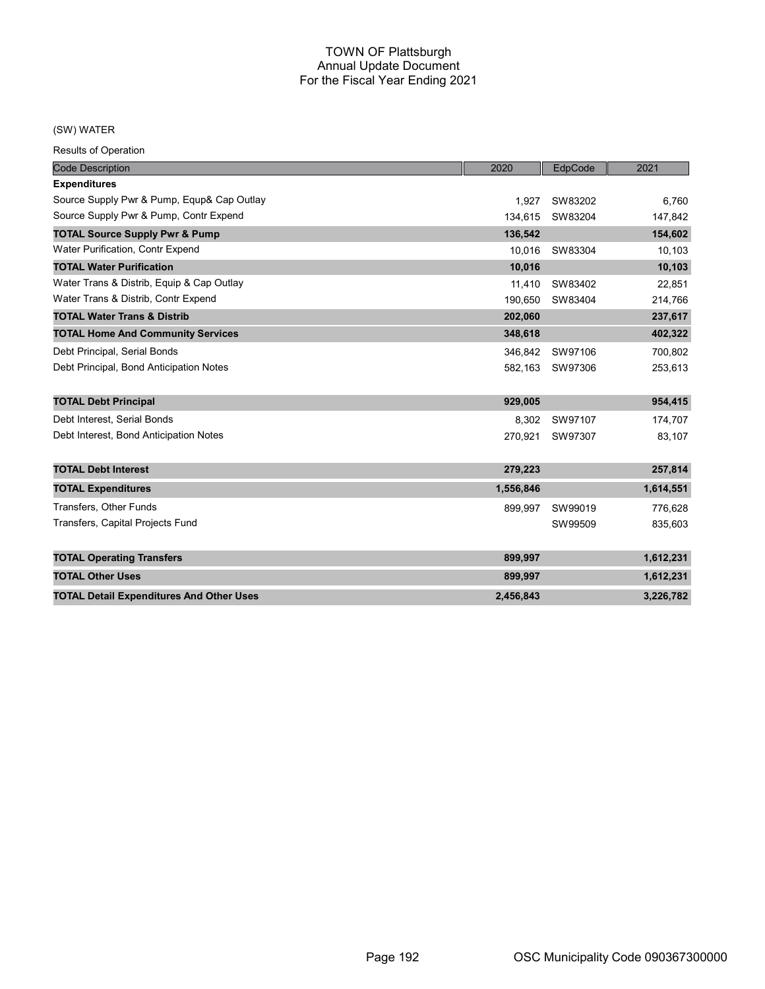### (SW) WATER

Results of Operation

| <b>Code Description</b>                         | 2020      | EdpCode         | 2021              |
|-------------------------------------------------|-----------|-----------------|-------------------|
| <b>Expenditures</b>                             |           |                 |                   |
| Source Supply Pwr & Pump, Equp& Cap Outlay      | 1.927     | SW83202         | 6,760             |
| Source Supply Pwr & Pump, Contr Expend          | 134,615   | SW83204         | 147,842           |
| <b>TOTAL Source Supply Pwr &amp; Pump</b>       | 136.542   |                 | 154,602           |
| Water Purification, Contr Expend                | 10.016    | SW83304         | 10,103            |
| <b>TOTAL Water Purification</b>                 | 10,016    |                 | 10,103            |
| Water Trans & Distrib, Equip & Cap Outlay       | 11,410    | SW83402         | 22,851            |
| Water Trans & Distrib, Contr Expend             | 190.650   | SW83404         | 214,766           |
| <b>TOTAL Water Trans &amp; Distrib</b>          | 202,060   |                 | 237,617           |
| <b>TOTAL Home And Community Services</b>        | 348,618   |                 | 402,322           |
| Debt Principal, Serial Bonds                    | 346.842   | SW97106         | 700,802           |
| Debt Principal, Bond Anticipation Notes         |           | 582.163 SW97306 | 253,613           |
| <b>TOTAL Debt Principal</b>                     | 929,005   |                 | 954,415           |
| Debt Interest. Serial Bonds                     | 8,302     | SW97107         |                   |
| Debt Interest, Bond Anticipation Notes          | 270,921   | SW97307         | 174,707<br>83,107 |
|                                                 |           |                 |                   |
| <b>TOTAL Debt Interest</b>                      | 279,223   |                 | 257,814           |
| <b>TOTAL Expenditures</b>                       | 1,556,846 |                 | 1,614,551         |
| Transfers, Other Funds                          | 899,997   | SW99019         | 776.628           |
| Transfers, Capital Projects Fund                |           | SW99509         | 835,603           |
| <b>TOTAL Operating Transfers</b>                | 899,997   |                 | 1,612,231         |
| <b>TOTAL Other Uses</b>                         | 899,997   |                 | 1,612,231         |
| <b>TOTAL Detail Expenditures And Other Uses</b> | 2,456,843 |                 | 3,226,782         |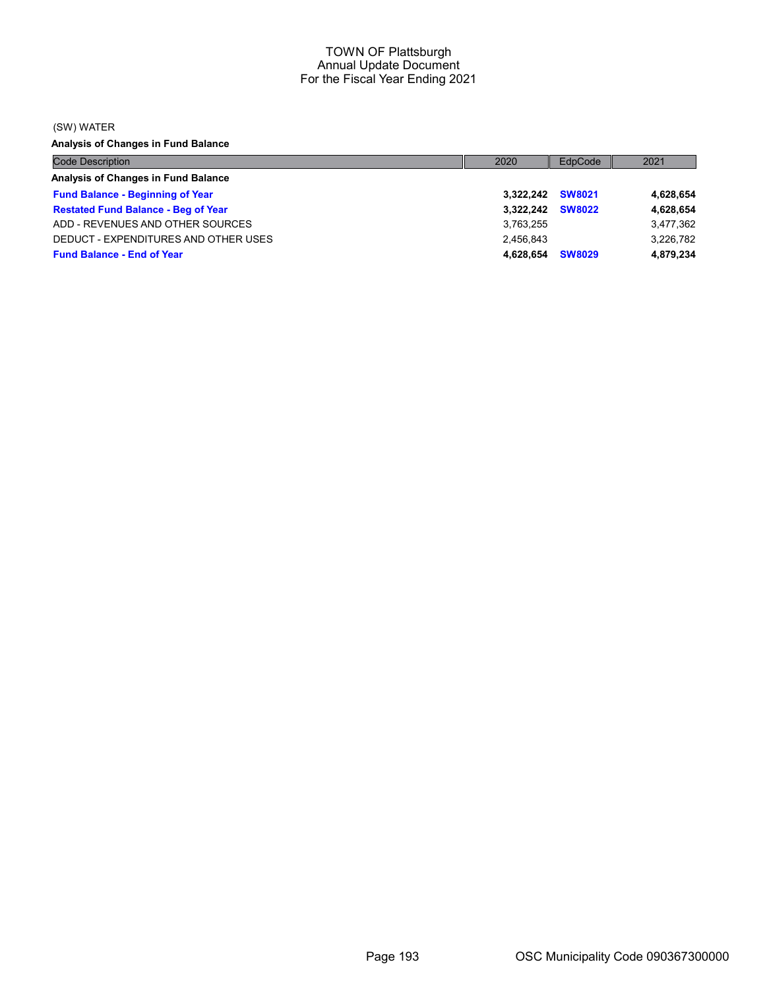(SW) WATER

Analysis of Changes in Fund Balance

| <b>Code Description</b>                    | 2020             | EdpCode       | 2021      |
|--------------------------------------------|------------------|---------------|-----------|
| Analysis of Changes in Fund Balance        |                  |               |           |
| <b>Fund Balance - Beginning of Year</b>    | 3,322,242 SW8021 |               | 4,628,654 |
| <b>Restated Fund Balance - Beg of Year</b> | 3.322.242        | <b>SW8022</b> | 4,628,654 |
| ADD - REVENUES AND OTHER SOURCES           | 3.763.255        |               | 3,477,362 |
| DEDUCT - EXPENDITURES AND OTHER USES       | 2.456.843        |               | 3.226.782 |
| <b>Fund Balance - End of Year</b>          | 4.628.654        | <b>SW8029</b> | 4,879,234 |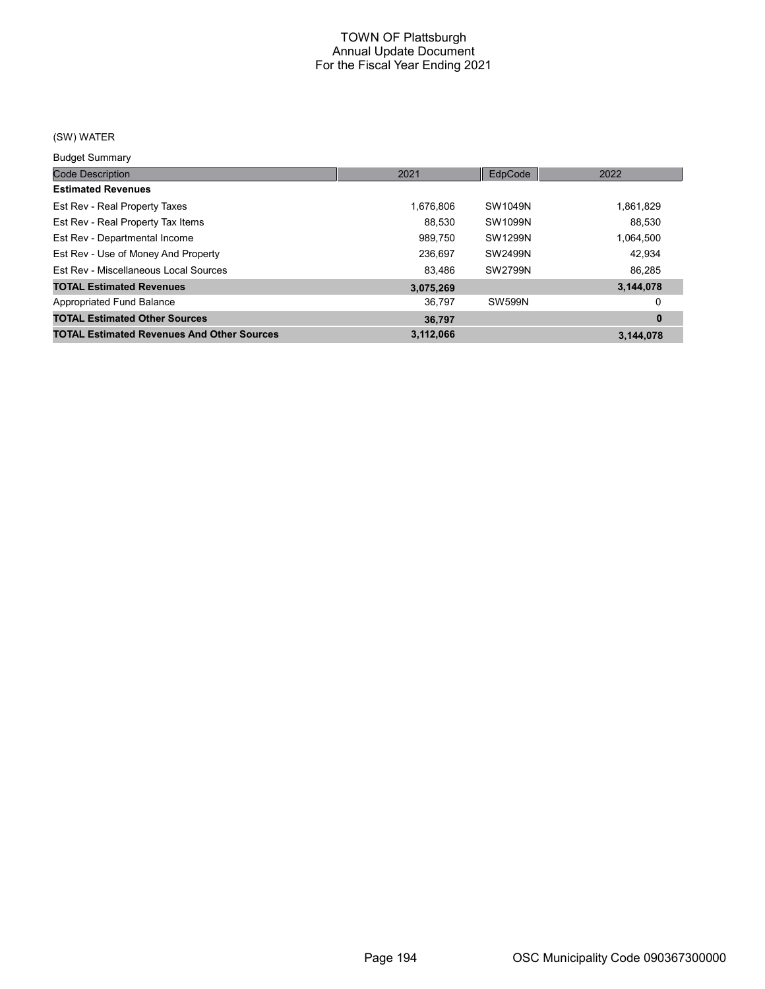# (SW) WATER

Budget Summary

| Duuyot Ourinium y                                 |           |                |           |
|---------------------------------------------------|-----------|----------------|-----------|
| <b>Code Description</b>                           | 2021      | EdpCode        | 2022      |
| <b>Estimated Revenues</b>                         |           |                |           |
| Est Rev - Real Property Taxes                     | 1.676.806 | SW1049N        | 1,861,829 |
| Est Rev - Real Property Tax Items                 | 88.530    | SW1099N        | 88.530    |
| Est Rev - Departmental Income                     | 989,750   | SW1299N        | 1,064,500 |
| Est Rev - Use of Money And Property               | 236,697   | <b>SW2499N</b> | 42.934    |
| Est Rev - Miscellaneous Local Sources             | 83,486    | <b>SW2799N</b> | 86,285    |
| <b>TOTAL Estimated Revenues</b>                   | 3,075,269 |                | 3,144,078 |
| Appropriated Fund Balance                         | 36,797    | <b>SW599N</b>  | 0         |
| <b>TOTAL Estimated Other Sources</b>              | 36.797    |                | $\bf{0}$  |
| <b>TOTAL Estimated Revenues And Other Sources</b> | 3,112,066 |                | 3,144,078 |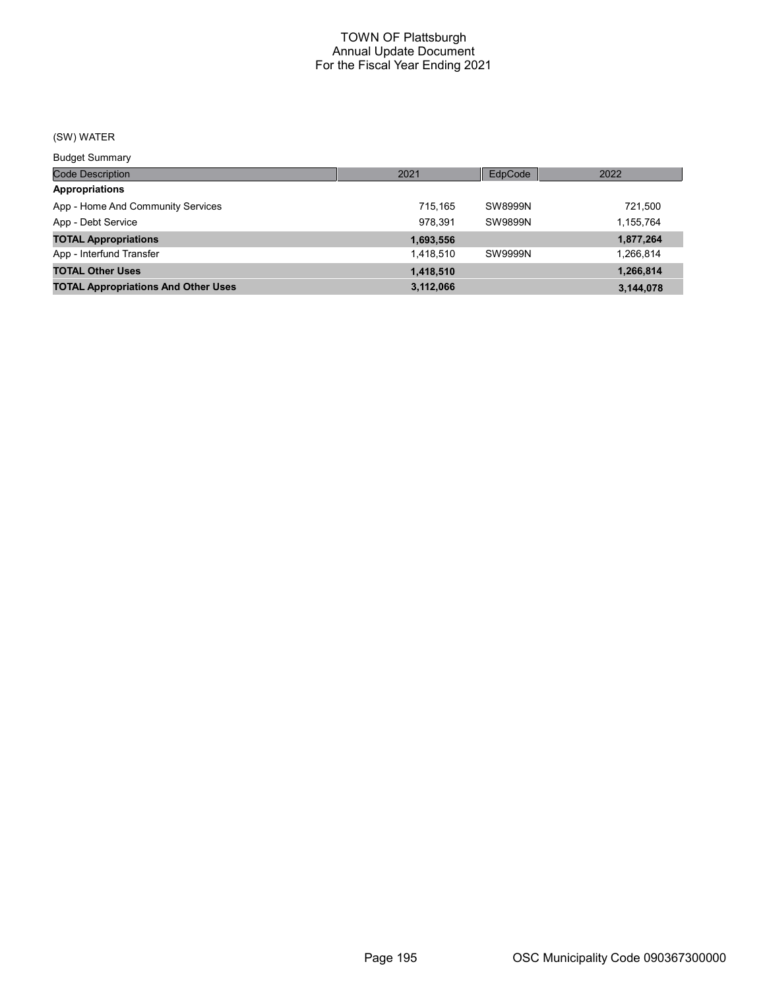# (SW) WATER

Budget Summary

| Code Description                           | 2021      | EdpCode        | 2022      |
|--------------------------------------------|-----------|----------------|-----------|
| <b>Appropriations</b>                      |           |                |           |
| App - Home And Community Services          | 715.165   | SW8999N        | 721.500   |
| App - Debt Service                         | 978.391   | <b>SW9899N</b> | 1,155,764 |
| <b>TOTAL Appropriations</b>                | 1,693,556 |                | 1,877,264 |
| App - Interfund Transfer                   | 1.418.510 | <b>SW9999N</b> | 1,266,814 |
| <b>TOTAL Other Uses</b>                    | 1,418,510 |                | 1,266,814 |
| <b>TOTAL Appropriations And Other Uses</b> | 3,112,066 |                | 3,144,078 |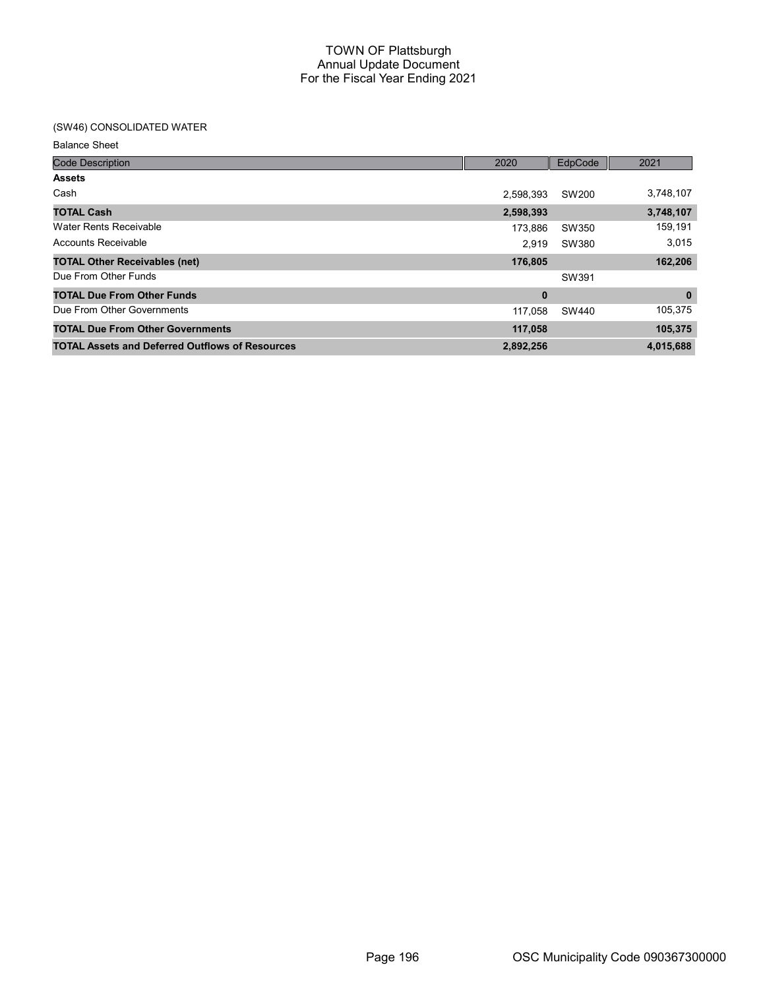# (SW46) CONSOLIDATED WATER

Balance Sheet

| <b>Code Description</b>                                | 2020      | EdpCode | 2021         |
|--------------------------------------------------------|-----------|---------|--------------|
| <b>Assets</b>                                          |           |         |              |
| Cash                                                   | 2.598.393 | SW200   | 3,748,107    |
| <b>TOTAL Cash</b>                                      | 2,598,393 |         | 3,748,107    |
| Water Rents Receivable                                 | 173.886   | SW350   | 159,191      |
| Accounts Receivable                                    | 2.919     | SW380   | 3,015        |
| <b>TOTAL Other Receivables (net)</b>                   | 176,805   |         | 162,206      |
| Due From Other Funds                                   |           | SW391   |              |
| <b>TOTAL Due From Other Funds</b>                      | 0         |         | $\mathbf{0}$ |
| Due From Other Governments                             | 117.058   | SW440   | 105,375      |
| <b>TOTAL Due From Other Governments</b>                | 117,058   |         | 105,375      |
| <b>TOTAL Assets and Deferred Outflows of Resources</b> | 2,892,256 |         | 4,015,688    |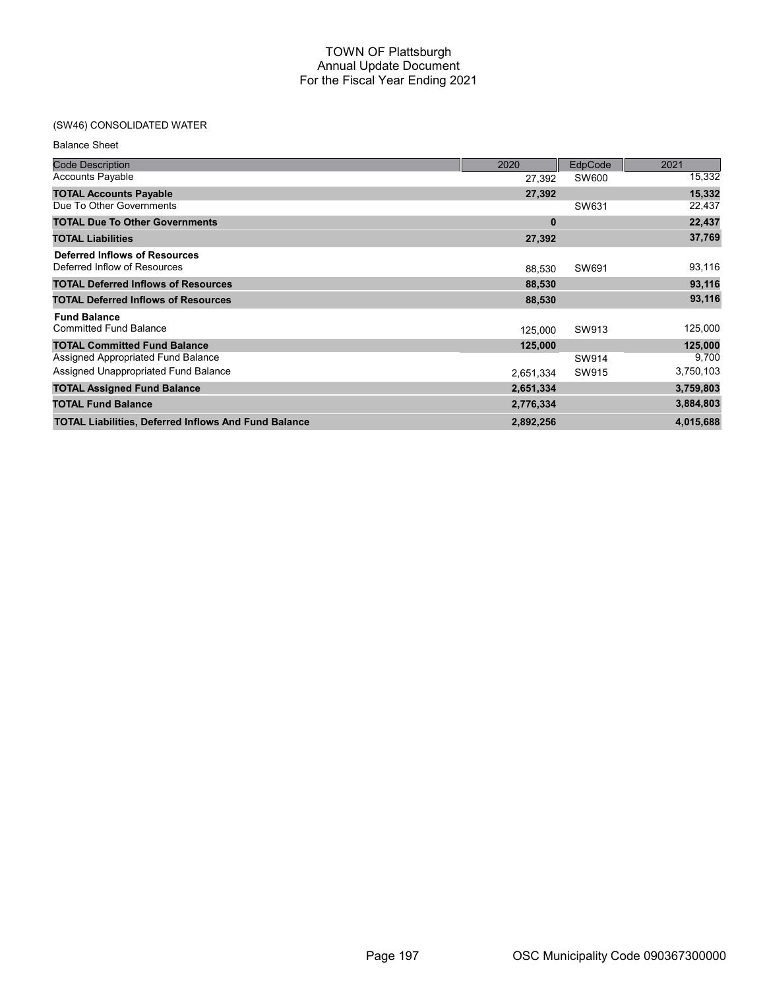# (SW46) CONSOLIDATED WATER

Balance Sheet

| <b>Code Description</b>                                     | 2020      | EdpCode | 2021      |
|-------------------------------------------------------------|-----------|---------|-----------|
| <b>Accounts Payable</b>                                     | 27,392    | SW600   | 15,332    |
| <b>TOTAL Accounts Payable</b>                               | 27,392    |         | 15,332    |
| Due To Other Governments                                    |           | SW631   | 22,437    |
| <b>TOTAL Due To Other Governments</b>                       | 0         |         | 22,437    |
| <b>TOTAL Liabilities</b>                                    | 27,392    |         | 37,769    |
| <b>Deferred Inflows of Resources</b>                        |           |         |           |
| Deferred Inflow of Resources                                | 88,530    | SW691   | 93,116    |
| <b>TOTAL Deferred Inflows of Resources</b>                  | 88,530    |         | 93,116    |
| <b>TOTAL Deferred Inflows of Resources</b>                  | 88,530    |         | 93,116    |
| <b>Fund Balance</b>                                         |           |         |           |
| <b>Committed Fund Balance</b>                               | 125,000   | SW913   | 125,000   |
| <b>TOTAL Committed Fund Balance</b>                         | 125,000   |         | 125,000   |
| Assigned Appropriated Fund Balance                          |           | SW914   | 9,700     |
| Assigned Unappropriated Fund Balance                        | 2,651,334 | SW915   | 3,750,103 |
| <b>TOTAL Assigned Fund Balance</b>                          | 2,651,334 |         | 3,759,803 |
| <b>TOTAL Fund Balance</b>                                   | 2,776,334 |         | 3,884,803 |
| <b>TOTAL Liabilities, Deferred Inflows And Fund Balance</b> | 2,892,256 |         | 4,015,688 |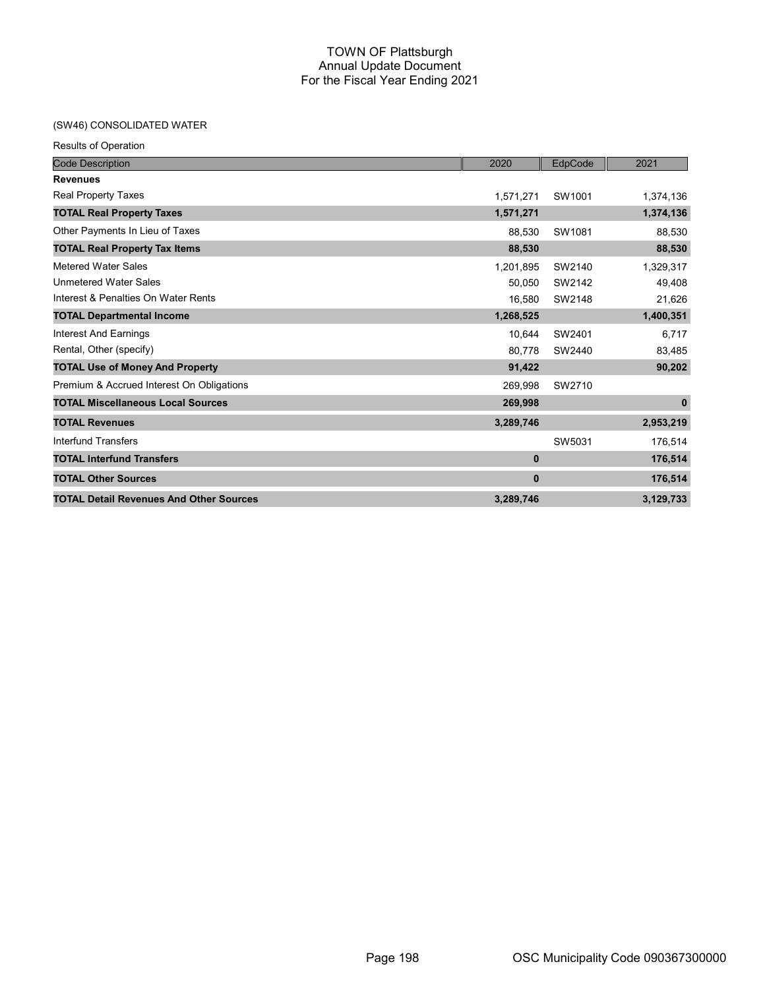# (SW46) CONSOLIDATED WATER

| <b>Results of Operation</b>                    |             |         |           |
|------------------------------------------------|-------------|---------|-----------|
| <b>Code Description</b>                        | 2020        | EdpCode | 2021      |
| <b>Revenues</b>                                |             |         |           |
| Real Property Taxes                            | 1,571,271   | SW1001  | 1,374,136 |
| <b>TOTAL Real Property Taxes</b>               | 1,571,271   |         | 1,374,136 |
| Other Payments In Lieu of Taxes                | 88,530      | SW1081  | 88,530    |
| <b>TOTAL Real Property Tax Items</b>           | 88,530      |         | 88,530    |
| <b>Metered Water Sales</b>                     | 1,201,895   | SW2140  | 1,329,317 |
| <b>Unmetered Water Sales</b>                   | 50.050      | SW2142  | 49,408    |
| Interest & Penalties On Water Rents            | 16,580      | SW2148  | 21,626    |
| <b>TOTAL Departmental Income</b>               | 1,268,525   |         | 1,400,351 |
| Interest And Earnings                          | 10,644      | SW2401  | 6,717     |
| Rental, Other (specify)                        | 80,778      | SW2440  | 83,485    |
| <b>TOTAL Use of Money And Property</b>         | 91,422      |         | 90,202    |
| Premium & Accrued Interest On Obligations      | 269,998     | SW2710  |           |
| <b>TOTAL Miscellaneous Local Sources</b>       | 269,998     |         | $\bf{0}$  |
| <b>TOTAL Revenues</b>                          | 3,289,746   |         | 2,953,219 |
| Interfund Transfers                            |             | SW5031  | 176,514   |
| <b>TOTAL Interfund Transfers</b>               | $\bf{0}$    |         | 176,514   |
| <b>TOTAL Other Sources</b>                     | $\mathbf 0$ |         | 176,514   |
| <b>TOTAL Detail Revenues And Other Sources</b> | 3,289,746   |         | 3,129,733 |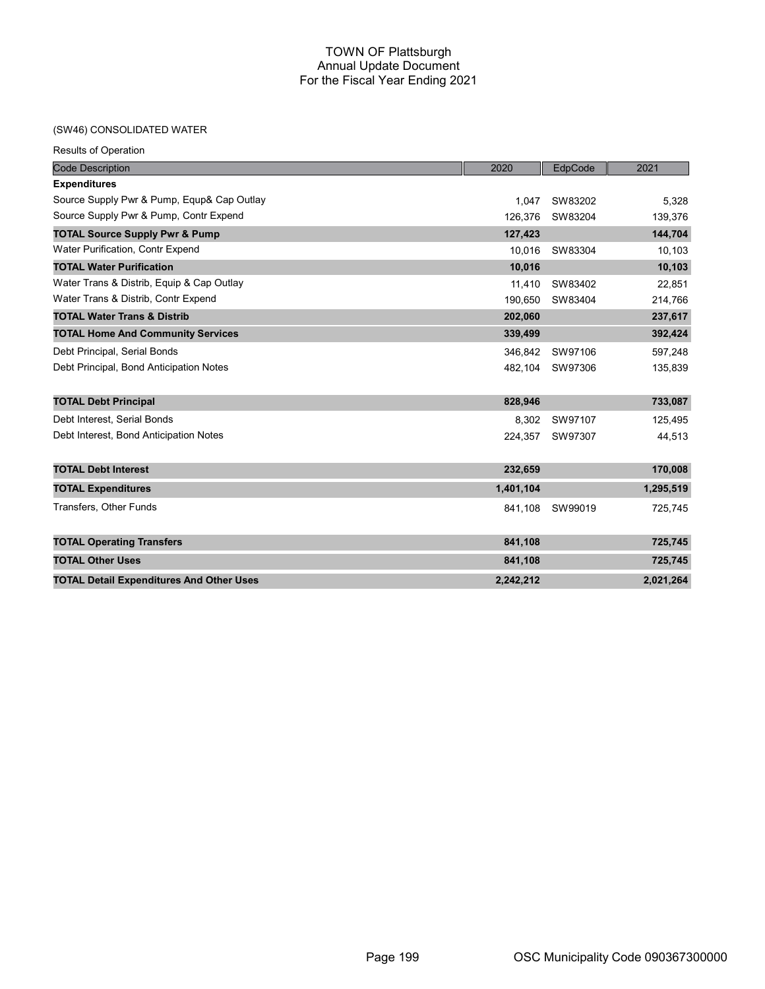# (SW46) CONSOLIDATED WATER

| <b>Code Description</b>                         | 2020      | EdpCode | 2021      |
|-------------------------------------------------|-----------|---------|-----------|
| <b>Expenditures</b>                             |           |         |           |
| Source Supply Pwr & Pump, Equp& Cap Outlay      | 1.047     | SW83202 | 5.328     |
| Source Supply Pwr & Pump, Contr Expend          | 126.376   | SW83204 | 139,376   |
| <b>TOTAL Source Supply Pwr &amp; Pump</b>       | 127,423   |         | 144,704   |
| Water Purification, Contr Expend                | 10.016    | SW83304 | 10,103    |
| <b>TOTAL Water Purification</b>                 | 10,016    |         | 10,103    |
| Water Trans & Distrib, Equip & Cap Outlay       | 11.410    | SW83402 | 22,851    |
| Water Trans & Distrib, Contr Expend             | 190.650   | SW83404 | 214,766   |
| <b>TOTAL Water Trans &amp; Distrib</b>          | 202,060   |         | 237,617   |
| <b>TOTAL Home And Community Services</b>        | 339,499   |         | 392,424   |
| Debt Principal, Serial Bonds                    | 346,842   | SW97106 | 597,248   |
| Debt Principal, Bond Anticipation Notes         | 482,104   | SW97306 | 135,839   |
|                                                 |           |         |           |
| <b>TOTAL Debt Principal</b>                     | 828,946   |         | 733,087   |
| Debt Interest, Serial Bonds                     | 8,302     | SW97107 | 125,495   |
| Debt Interest, Bond Anticipation Notes          | 224.357   | SW97307 | 44,513    |
|                                                 |           |         |           |
| <b>TOTAL Debt Interest</b>                      | 232,659   |         | 170,008   |
| <b>TOTAL Expenditures</b>                       | 1,401,104 |         | 1,295,519 |
| <b>Transfers, Other Funds</b>                   | 841,108   | SW99019 | 725,745   |
|                                                 |           |         |           |
| <b>TOTAL Operating Transfers</b>                | 841,108   |         | 725,745   |
| <b>TOTAL Other Uses</b>                         | 841,108   |         | 725,745   |
| <b>TOTAL Detail Expenditures And Other Uses</b> | 2,242,212 |         | 2,021,264 |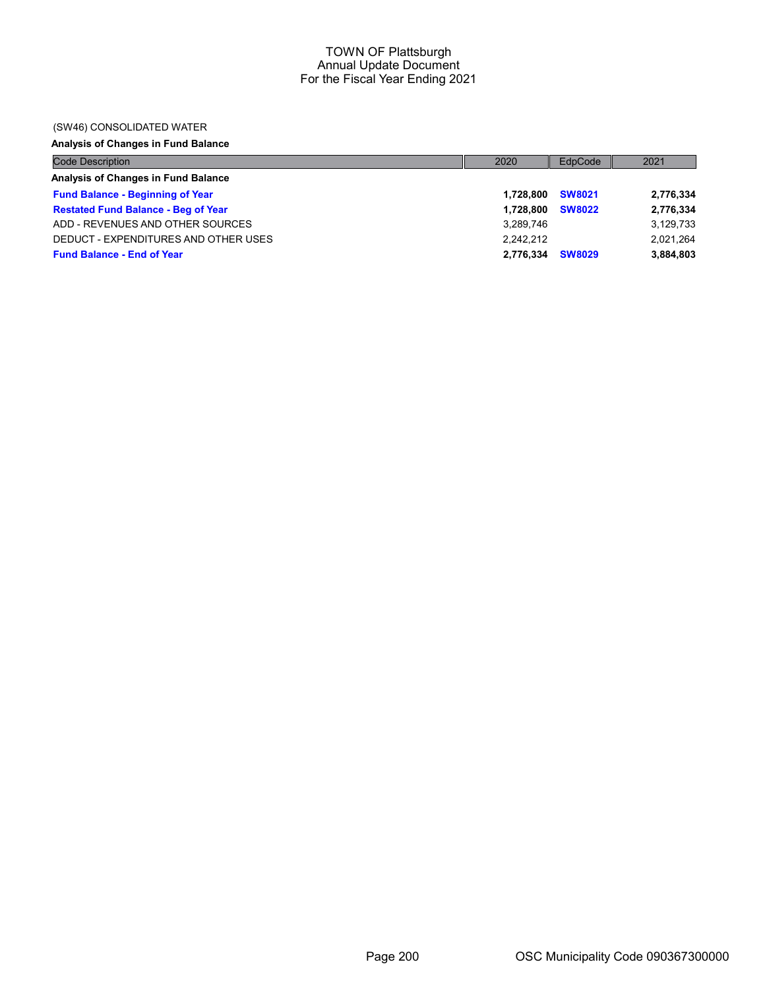## (SW46) CONSOLIDATED WATER

# Analysis of Changes in Fund Balance

| <b>Code Description</b>                    | 2020      | EdpCode       | 2021      |
|--------------------------------------------|-----------|---------------|-----------|
| Analysis of Changes in Fund Balance        |           |               |           |
| <b>Fund Balance - Beginning of Year</b>    | 1.728.800 | <b>SW8021</b> | 2,776,334 |
| <b>Restated Fund Balance - Beg of Year</b> | 1.728.800 | <b>SW8022</b> | 2,776,334 |
| ADD - REVENUES AND OTHER SOURCES           | 3,289,746 |               | 3,129,733 |
| DEDUCT - EXPENDITURES AND OTHER USES       | 2.242.212 |               | 2,021,264 |
| <b>Fund Balance - End of Year</b>          | 2,776,334 | <b>SW8029</b> | 3,884,803 |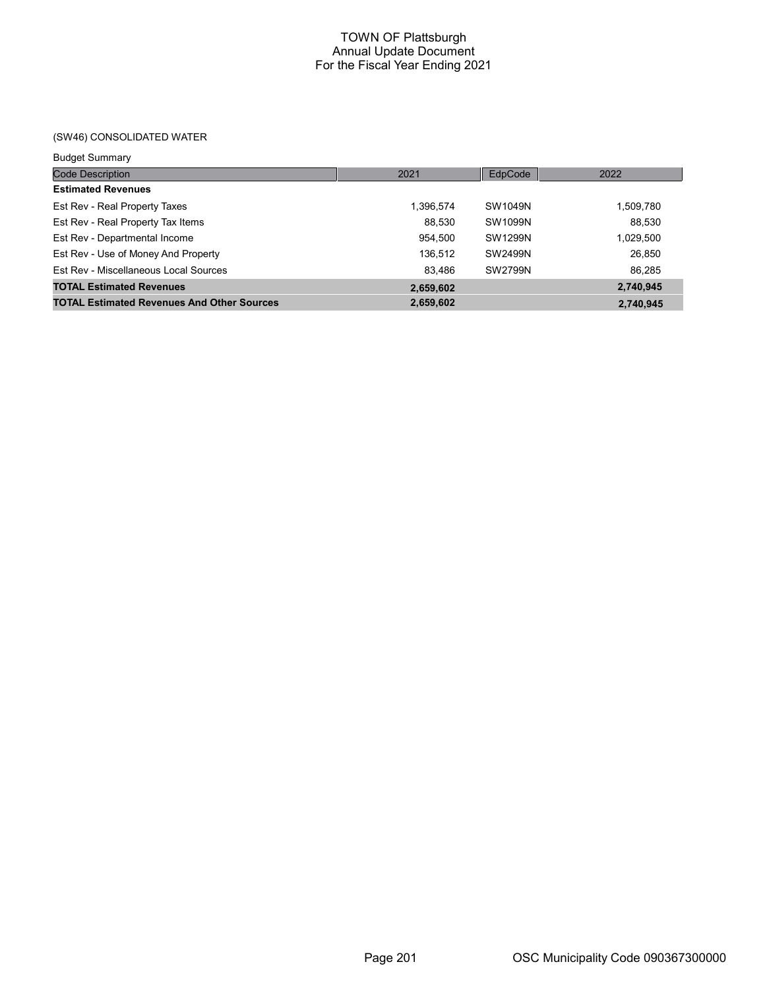# (SW46) CONSOLIDATED WATER

| <b>Budget Summary</b>                             |           |         |           |
|---------------------------------------------------|-----------|---------|-----------|
| <b>Code Description</b>                           | 2021      | EdpCode | 2022      |
| <b>Estimated Revenues</b>                         |           |         |           |
| Est Rev - Real Property Taxes                     | 1,396,574 | SW1049N | 1,509,780 |
| Est Rev - Real Property Tax Items                 | 88,530    | SW1099N | 88.530    |
| Est Rev - Departmental Income                     | 954.500   | SW1299N | 1,029,500 |
| Est Rev - Use of Money And Property               | 136,512   | SW2499N | 26,850    |
| Est Rev - Miscellaneous Local Sources             | 83.486    | SW2799N | 86.285    |
| <b>TOTAL Estimated Revenues</b>                   | 2,659,602 |         | 2,740,945 |
| <b>TOTAL Estimated Revenues And Other Sources</b> | 2,659,602 |         | 2.740.945 |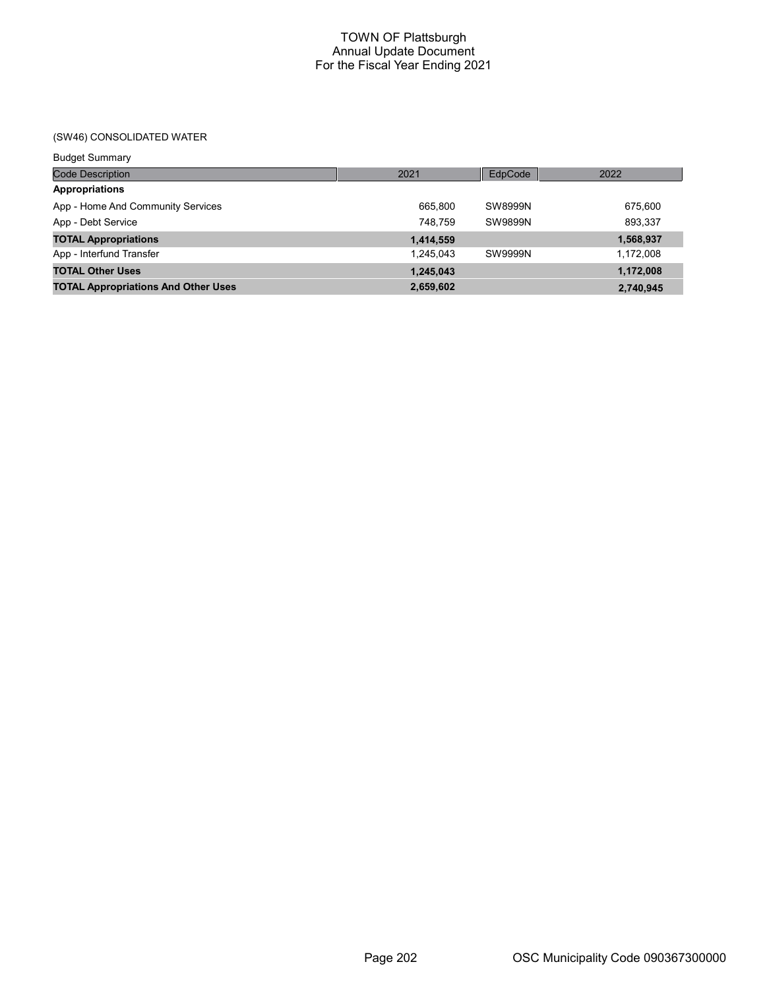# (SW46) CONSOLIDATED WATER

| <b>Budget Summary</b>                      |           |         |           |
|--------------------------------------------|-----------|---------|-----------|
| <b>Code Description</b>                    | 2021      | EdpCode | 2022      |
| <b>Appropriations</b>                      |           |         |           |
| App - Home And Community Services          | 665.800   | SW8999N | 675,600   |
| App - Debt Service                         | 748.759   | SW9899N | 893,337   |
| <b>TOTAL Appropriations</b>                | 1,414,559 |         | 1,568,937 |
| App - Interfund Transfer                   | 1.245.043 | SW9999N | 1,172,008 |
| <b>TOTAL Other Uses</b>                    | 1,245,043 |         | 1,172,008 |
| <b>TOTAL Appropriations And Other Uses</b> | 2,659,602 |         | 2,740,945 |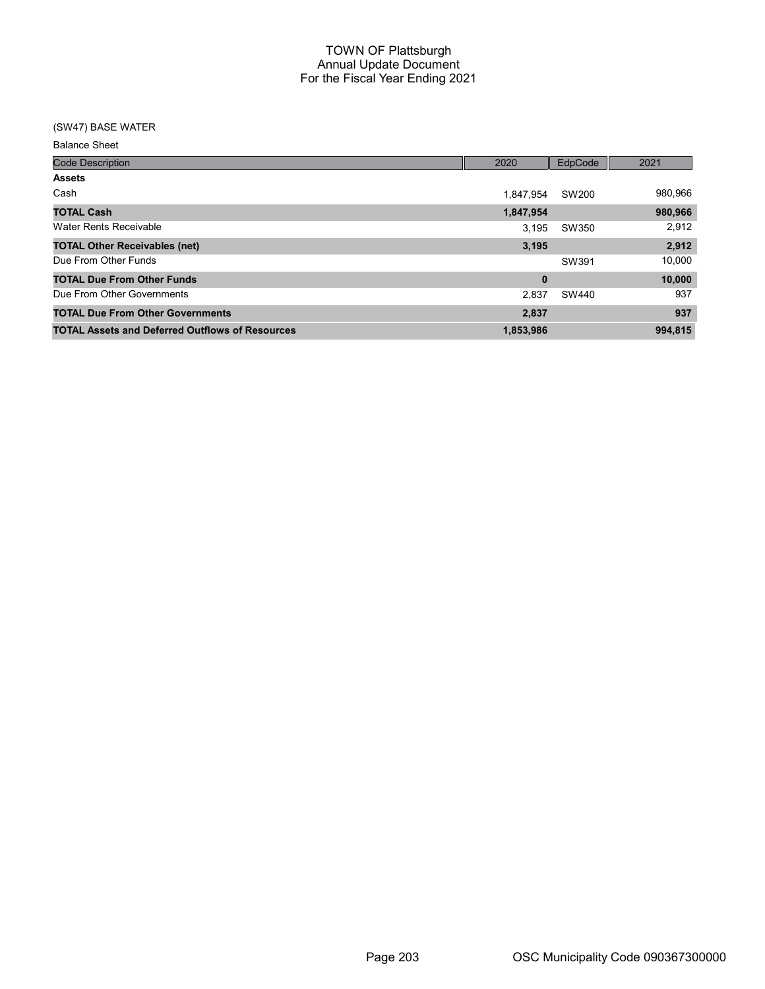## (SW47) BASE WATER

Balance Sheet

| <b>Code Description</b>                                | 2020      | <b>EdpCode</b> | 2021    |
|--------------------------------------------------------|-----------|----------------|---------|
| <b>Assets</b>                                          |           |                |         |
| Cash                                                   | 1.847.954 | SW200          | 980,966 |
| <b>TOTAL Cash</b>                                      | 1,847,954 |                | 980,966 |
| Water Rents Receivable                                 | 3.195     | SW350          | 2,912   |
| <b>TOTAL Other Receivables (net)</b>                   | 3,195     |                | 2,912   |
| Due From Other Funds                                   |           | SW391          | 10,000  |
| <b>TOTAL Due From Other Funds</b>                      | $\bf{0}$  |                | 10,000  |
| Due From Other Governments                             | 2.837     | SW440          | 937     |
| <b>TOTAL Due From Other Governments</b>                | 2,837     |                | 937     |
| <b>TOTAL Assets and Deferred Outflows of Resources</b> | 1,853,986 |                | 994.815 |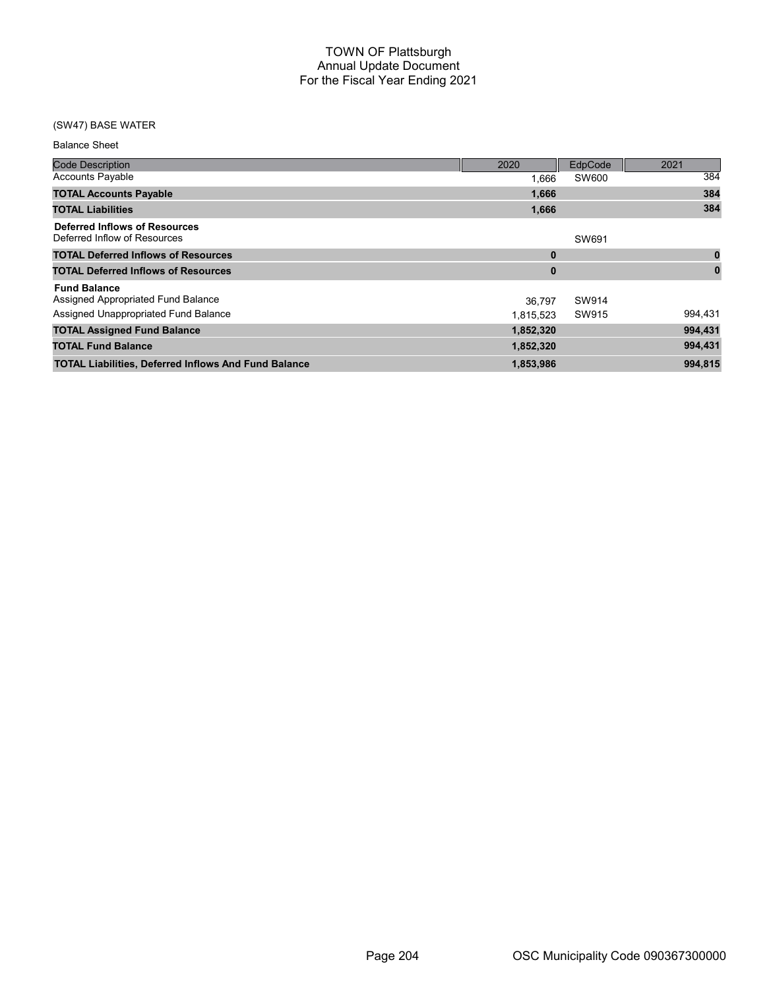# (SW47) BASE WATER

| <b>Balance Sheet</b>                                                                              |                     |                |          |
|---------------------------------------------------------------------------------------------------|---------------------|----------------|----------|
| <b>Code Description</b>                                                                           | 2020                | EdpCode        | 2021     |
| <b>Accounts Payable</b>                                                                           | 1.666               | SW600          | 384      |
| <b>TOTAL Accounts Payable</b>                                                                     | 1,666               |                | 384      |
| <b>TOTAL Liabilities</b>                                                                          | 1,666               |                | 384      |
| <b>Deferred Inflows of Resources</b><br>Deferred Inflow of Resources                              |                     | SW691          |          |
| <b>TOTAL Deferred Inflows of Resources</b>                                                        | $\bf{0}$            |                | 0        |
| <b>TOTAL Deferred Inflows of Resources</b>                                                        | $\bf{0}$            |                | $\bf{0}$ |
| <b>Fund Balance</b><br>Assigned Appropriated Fund Balance<br>Assigned Unappropriated Fund Balance | 36.797<br>1,815,523 | SW914<br>SW915 | 994,431  |
| <b>TOTAL Assigned Fund Balance</b>                                                                | 1,852,320           |                | 994,431  |
| <b>TOTAL Fund Balance</b>                                                                         | 1,852,320           |                | 994,431  |
| <b>TOTAL Liabilities, Deferred Inflows And Fund Balance</b>                                       | 1,853,986           |                | 994,815  |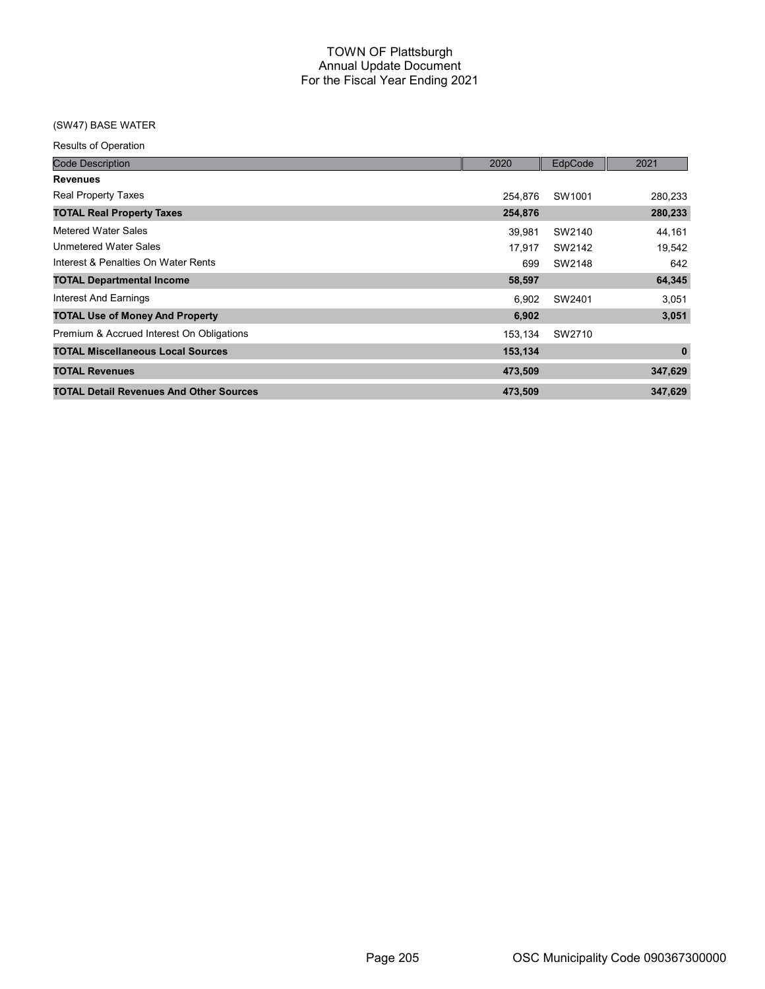# (SW47) BASE WATER

Results of Operation

| <b>Code Description</b>                        | 2020    | EdpCode | 2021        |
|------------------------------------------------|---------|---------|-------------|
| <b>Revenues</b>                                |         |         |             |
| <b>Real Property Taxes</b>                     | 254.876 | SW1001  | 280,233     |
| <b>TOTAL Real Property Taxes</b>               | 254,876 |         | 280,233     |
| Metered Water Sales                            | 39.981  | SW2140  | 44,161      |
| <b>Unmetered Water Sales</b>                   | 17,917  | SW2142  | 19,542      |
| Interest & Penalties On Water Rents            | 699     | SW2148  | 642         |
| <b>TOTAL Departmental Income</b>               | 58,597  |         | 64,345      |
| Interest And Earnings                          | 6,902   | SW2401  | 3,051       |
| <b>TOTAL Use of Money And Property</b>         | 6,902   |         | 3,051       |
| Premium & Accrued Interest On Obligations      | 153.134 | SW2710  |             |
| <b>TOTAL Miscellaneous Local Sources</b>       | 153,134 |         | $\mathbf 0$ |
| <b>TOTAL Revenues</b>                          | 473,509 |         | 347,629     |
| <b>TOTAL Detail Revenues And Other Sources</b> | 473,509 |         | 347,629     |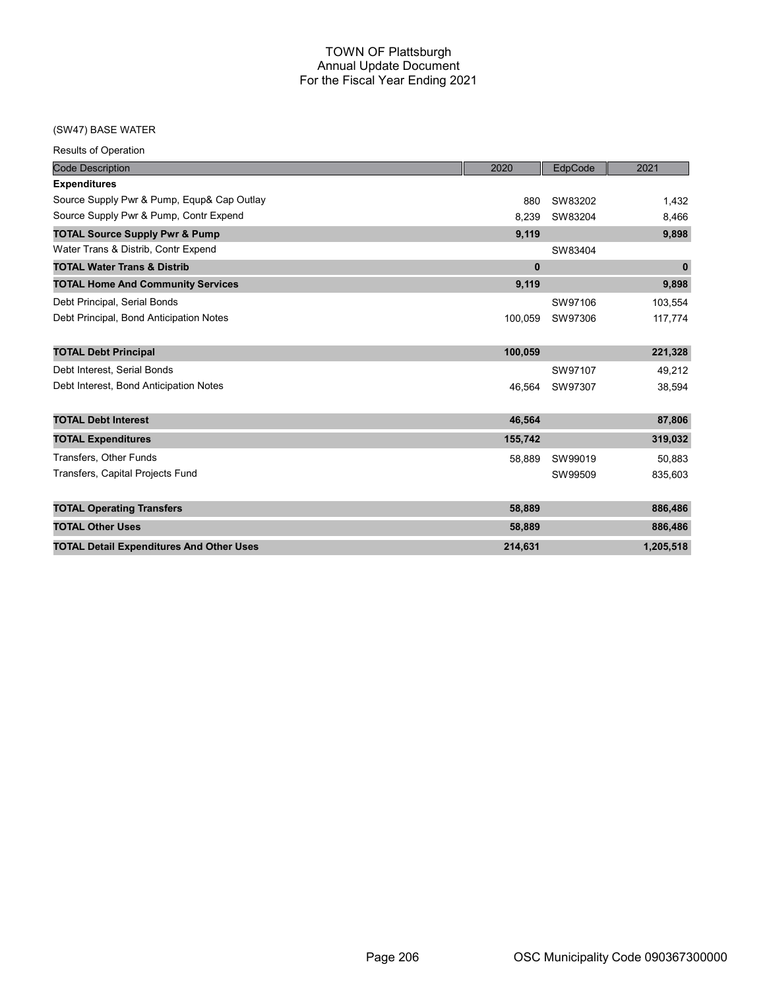### (SW47) BASE WATER

|  | <b>Results of Operation</b> |
|--|-----------------------------|
|  |                             |

| <b>Code Description</b>                         | 2020         | EdpCode | 2021         |
|-------------------------------------------------|--------------|---------|--------------|
| <b>Expenditures</b>                             |              |         |              |
| Source Supply Pwr & Pump, Equp& Cap Outlay      | 880          | SW83202 | 1,432        |
| Source Supply Pwr & Pump, Contr Expend          | 8,239        | SW83204 | 8,466        |
| <b>TOTAL Source Supply Pwr &amp; Pump</b>       | 9,119        |         | 9,898        |
| Water Trans & Distrib, Contr Expend             |              | SW83404 |              |
| <b>TOTAL Water Trans &amp; Distrib</b>          | $\mathbf{0}$ |         | $\mathbf{0}$ |
| <b>TOTAL Home And Community Services</b>        | 9,119        |         | 9,898        |
| Debt Principal, Serial Bonds                    |              | SW97106 | 103,554      |
| Debt Principal, Bond Anticipation Notes         | 100,059      | SW97306 | 117,774      |
| <b>TOTAL Debt Principal</b>                     | 100,059      |         | 221,328      |
| Debt Interest, Serial Bonds                     |              | SW97107 | 49,212       |
| Debt Interest, Bond Anticipation Notes          | 46.564       | SW97307 | 38,594       |
| <b>TOTAL Debt Interest</b>                      | 46,564       |         | 87,806       |
| <b>TOTAL Expenditures</b>                       | 155,742      |         | 319,032      |
| <b>Transfers, Other Funds</b>                   | 58,889       | SW99019 | 50,883       |
| Transfers, Capital Projects Fund                |              | SW99509 | 835,603      |
| <b>TOTAL Operating Transfers</b>                | 58,889       |         | 886,486      |
| <b>TOTAL Other Uses</b>                         | 58,889       |         | 886,486      |
| <b>TOTAL Detail Expenditures And Other Uses</b> | 214,631      |         | 1,205,518    |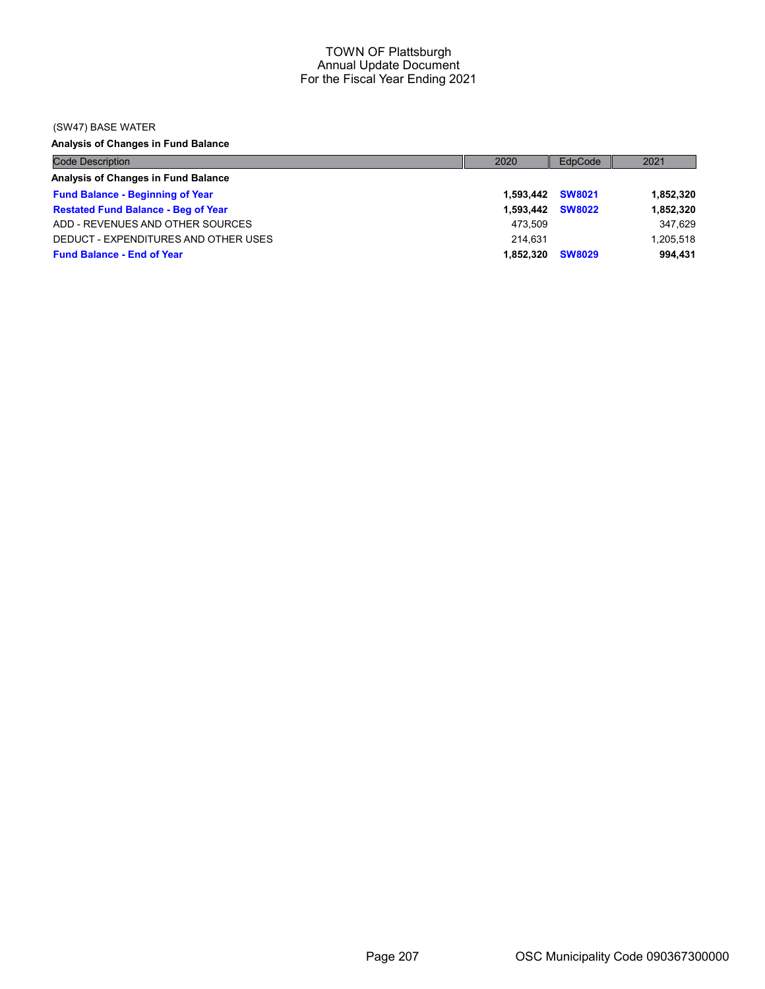## (SW47) BASE WATER

Analysis of Changes in Fund Balance

| <b>Code Description</b>                    | 2020             | EdpCode       | 2021      |
|--------------------------------------------|------------------|---------------|-----------|
| Analysis of Changes in Fund Balance        |                  |               |           |
| <b>Fund Balance - Beginning of Year</b>    | 1.593.442 SW8021 |               | 1,852,320 |
| <b>Restated Fund Balance - Beg of Year</b> | 1.593.442        | <b>SW8022</b> | 1,852,320 |
| ADD - REVENUES AND OTHER SOURCES           | 473.509          |               | 347.629   |
| DEDUCT - EXPENDITURES AND OTHER USES       | 214.631          |               | 1,205,518 |
| <b>Fund Balance - End of Year</b>          | 1.852.320        | <b>SW8029</b> | 994.431   |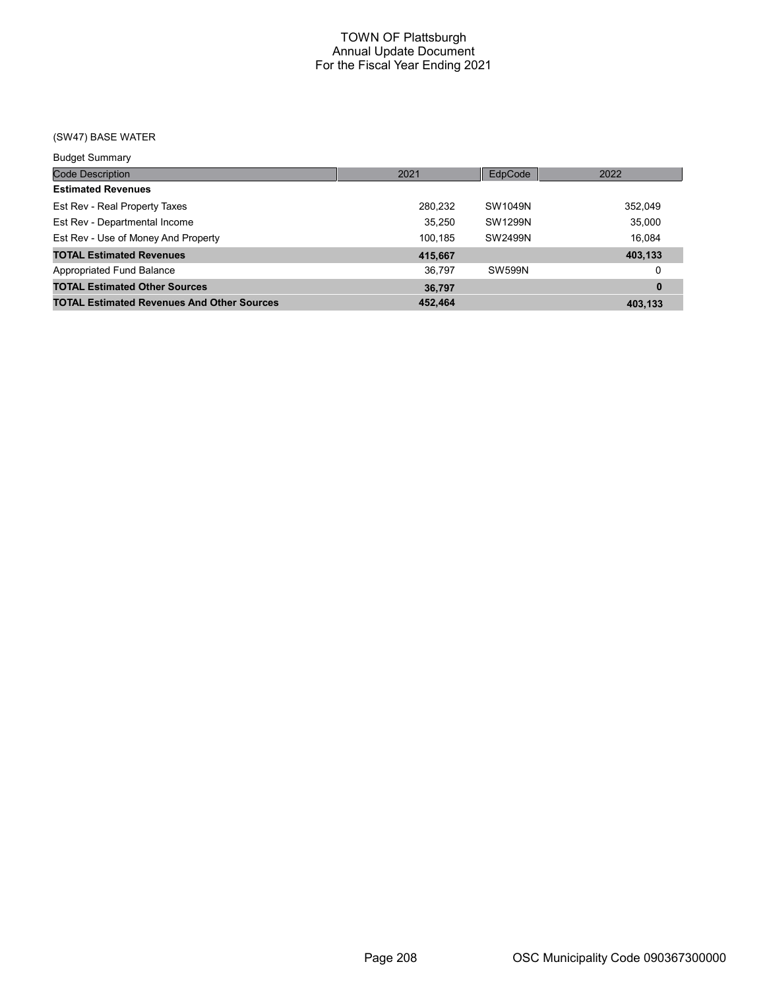# (SW47) BASE WATER

| <b>Budget Summary</b>                             |         |               |          |
|---------------------------------------------------|---------|---------------|----------|
| <b>Code Description</b>                           | 2021    | EdpCode       | 2022     |
| <b>Estimated Revenues</b>                         |         |               |          |
| Est Rev - Real Property Taxes                     | 280,232 | SW1049N       | 352,049  |
| Est Rev - Departmental Income                     | 35,250  | SW1299N       | 35,000   |
| Est Rev - Use of Money And Property               | 100.185 | SW2499N       | 16.084   |
| <b>TOTAL Estimated Revenues</b>                   | 415,667 |               | 403,133  |
| Appropriated Fund Balance                         | 36.797  | <b>SW599N</b> | 0        |
| <b>TOTAL Estimated Other Sources</b>              | 36,797  |               | $\bf{0}$ |
| <b>TOTAL Estimated Revenues And Other Sources</b> | 452.464 |               | 403.133  |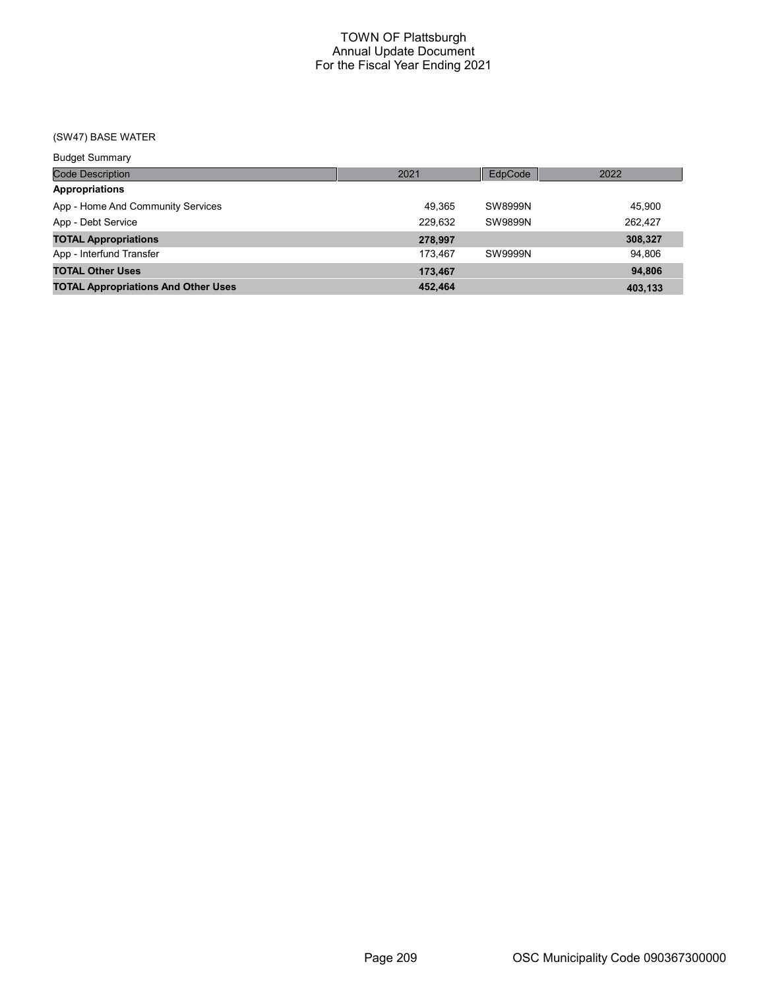# (SW47) BASE WATER

| <b>Budget Summary</b>                      |         |         |         |
|--------------------------------------------|---------|---------|---------|
| <b>Code Description</b>                    | 2021    | EdpCode | 2022    |
| <b>Appropriations</b>                      |         |         |         |
| App - Home And Community Services          | 49.365  | SW8999N | 45,900  |
| App - Debt Service                         | 229,632 | SW9899N | 262,427 |
| <b>TOTAL Appropriations</b>                | 278.997 |         | 308,327 |
| App - Interfund Transfer                   | 173.467 | SW9999N | 94.806  |
| <b>TOTAL Other Uses</b>                    | 173.467 |         | 94.806  |
| <b>TOTAL Appropriations And Other Uses</b> | 452,464 |         | 403.133 |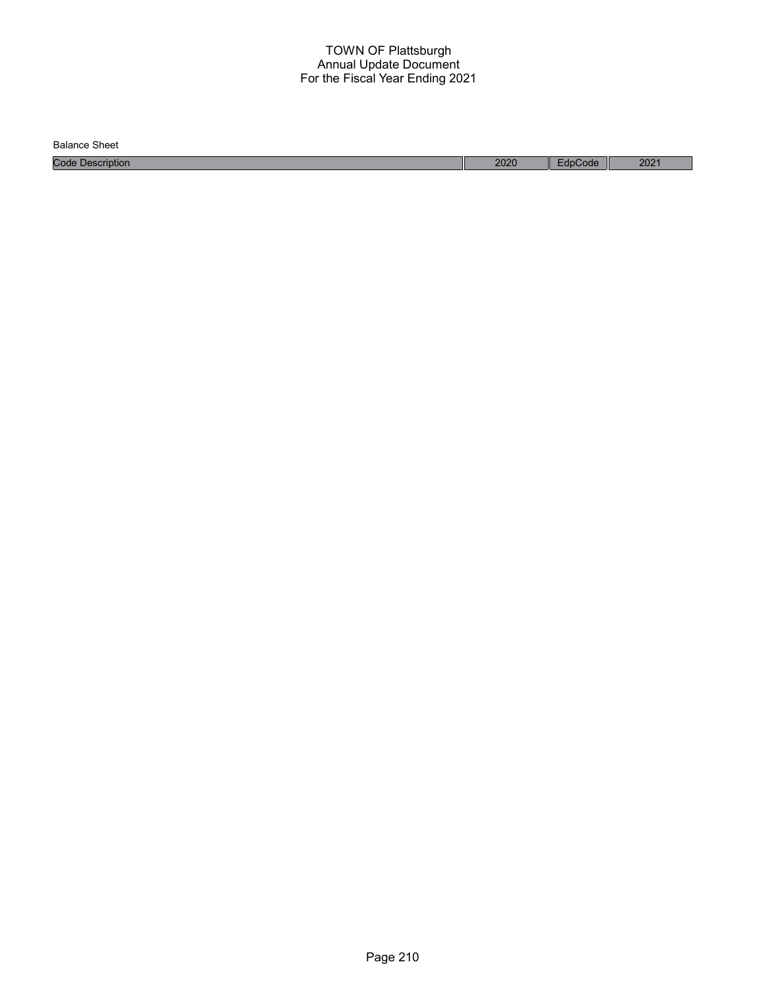Balance Sheet

Code Description 2020 EdpCode 2021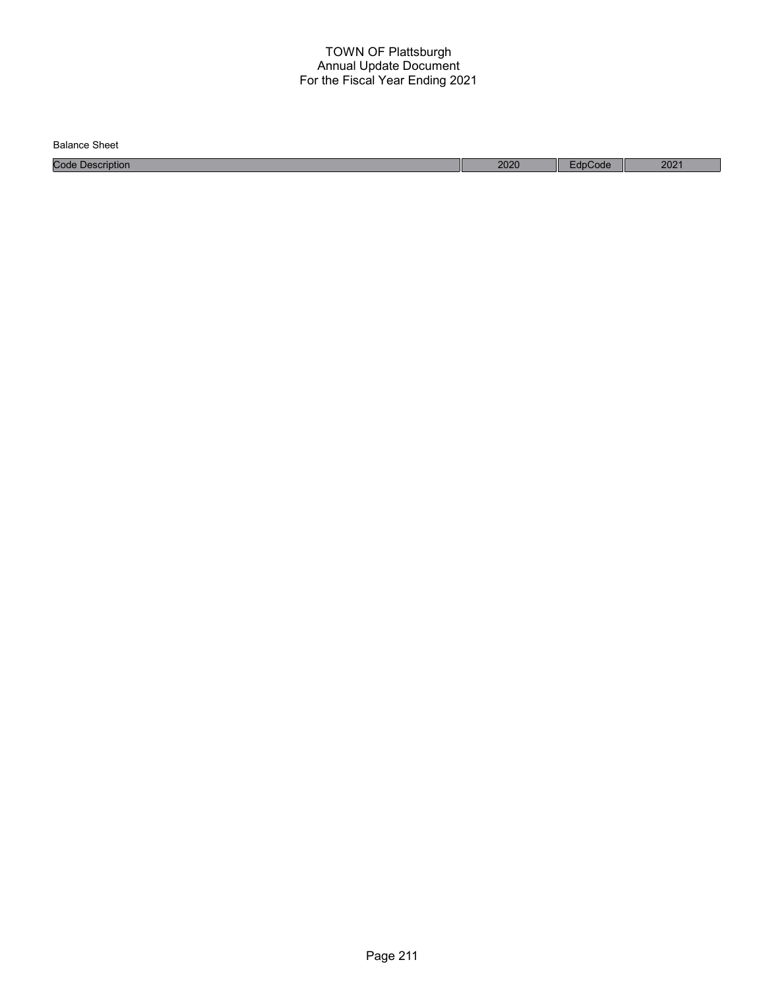| Balance<br>Sheet    |      |     |                           |
|---------------------|------|-----|---------------------------|
| Code<br>Description | 2020 | ode | 202 <sup>1</sup><br>ZUZ I |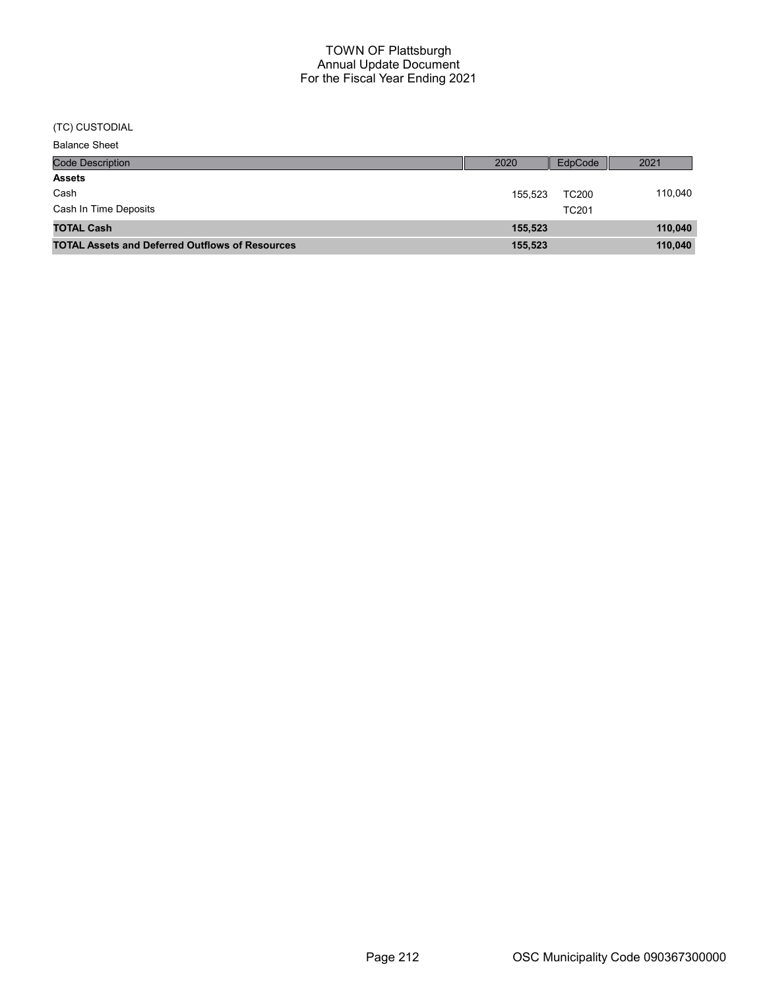## (TC) CUSTODIAL

| <b>Balance Sheet</b>                                   |         |              |         |
|--------------------------------------------------------|---------|--------------|---------|
| Code Description                                       | 2020    | EdpCode      | 2021    |
| <b>Assets</b>                                          |         |              |         |
| Cash                                                   | 155.523 | <b>TC200</b> | 110,040 |
| Cash In Time Deposits                                  |         | <b>TC201</b> |         |
| <b>TOTAL Cash</b>                                      | 155,523 |              | 110,040 |
| <b>TOTAL Assets and Deferred Outflows of Resources</b> | 155,523 |              | 110,040 |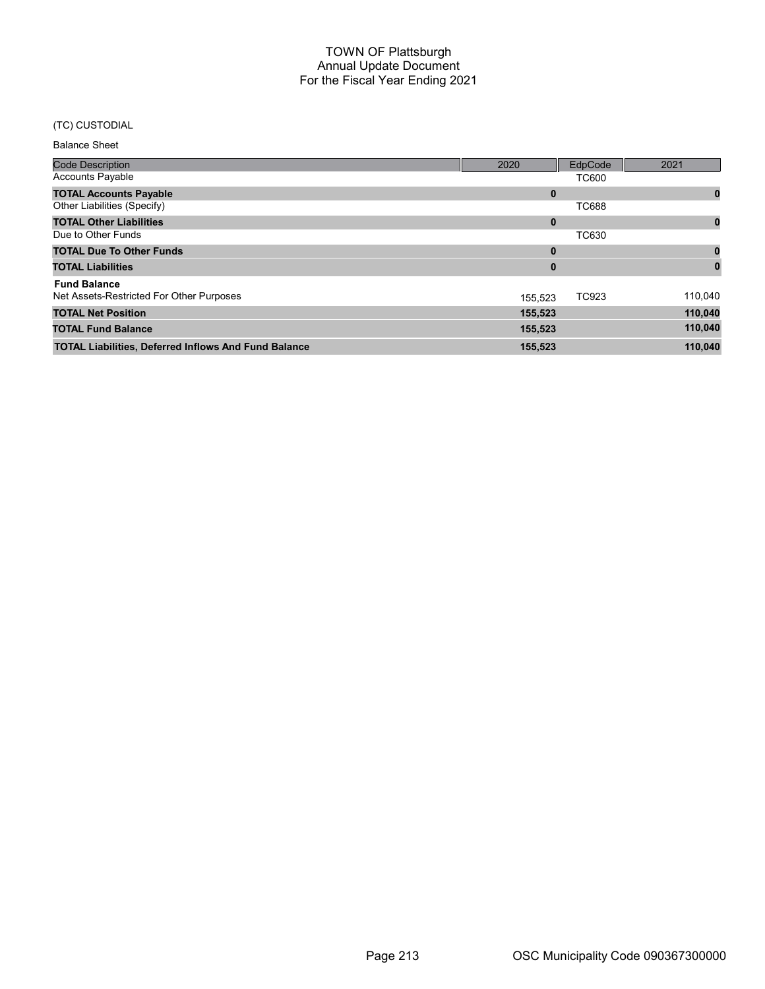# (TC) CUSTODIAL

#### Balance Sheet

| <b>Code Description</b>                                     | 2020     | EdpCode      | 2021    |
|-------------------------------------------------------------|----------|--------------|---------|
| <b>Accounts Payable</b>                                     |          | <b>TC600</b> |         |
| <b>TOTAL Accounts Payable</b>                               | $\bf{0}$ |              | 0       |
| Other Liabilities (Specify)                                 |          | <b>TC688</b> |         |
| <b>TOTAL Other Liabilities</b>                              | $\bf{0}$ |              | 0       |
| Due to Other Funds                                          |          | <b>TC630</b> |         |
| <b>TOTAL Due To Other Funds</b>                             | $\bf{0}$ |              |         |
| <b>TOTAL Liabilities</b>                                    | 0        |              |         |
| <b>Fund Balance</b>                                         |          |              |         |
| Net Assets-Restricted For Other Purposes                    | 155.523  | TC923        | 110,040 |
| <b>TOTAL Net Position</b>                                   | 155,523  |              | 110,040 |
| <b>TOTAL Fund Balance</b>                                   | 155,523  |              | 110,040 |
| <b>TOTAL Liabilities, Deferred Inflows And Fund Balance</b> | 155,523  |              | 110.040 |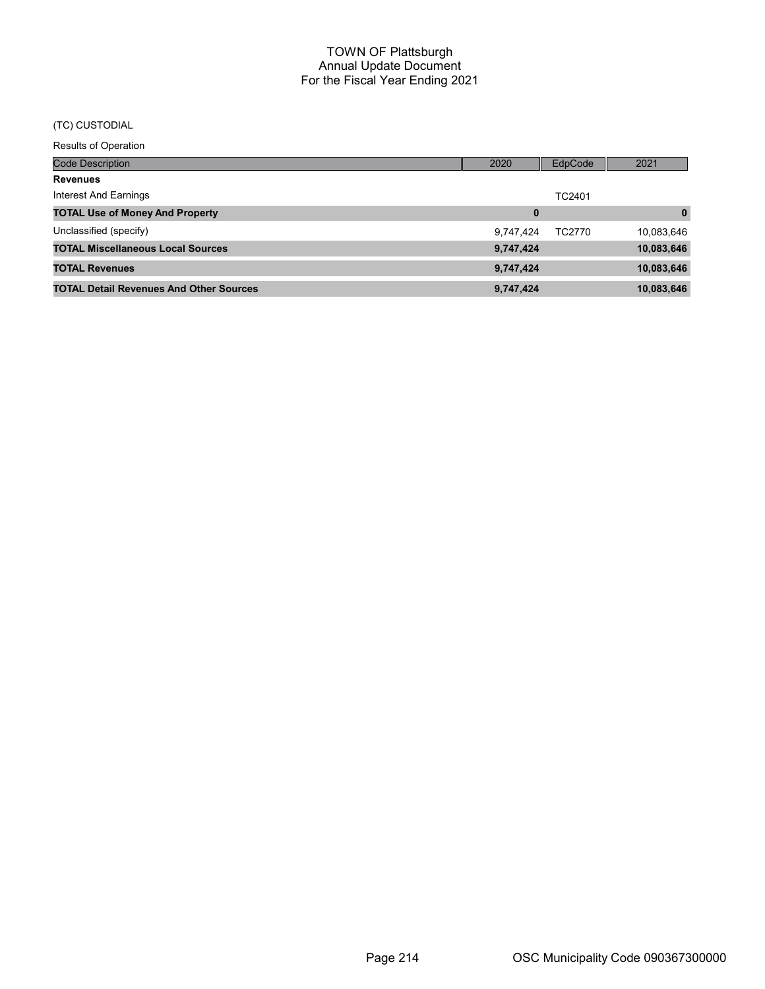# (TC) CUSTODIAL

| <b>Results of Operation</b>                    |           |         |              |
|------------------------------------------------|-----------|---------|--------------|
| <b>Code Description</b>                        | 2020      | EdpCode | 2021         |
| <b>Revenues</b>                                |           |         |              |
| Interest And Earnings                          |           | TC2401  |              |
| <b>TOTAL Use of Money And Property</b>         | $\bf{0}$  |         | $\mathbf{0}$ |
| Unclassified (specify)                         | 9,747,424 | TC2770  | 10,083,646   |
| <b>TOTAL Miscellaneous Local Sources</b>       | 9,747,424 |         | 10,083,646   |
| <b>TOTAL Revenues</b>                          | 9,747,424 |         | 10,083,646   |
| <b>TOTAL Detail Revenues And Other Sources</b> | 9,747,424 |         | 10,083,646   |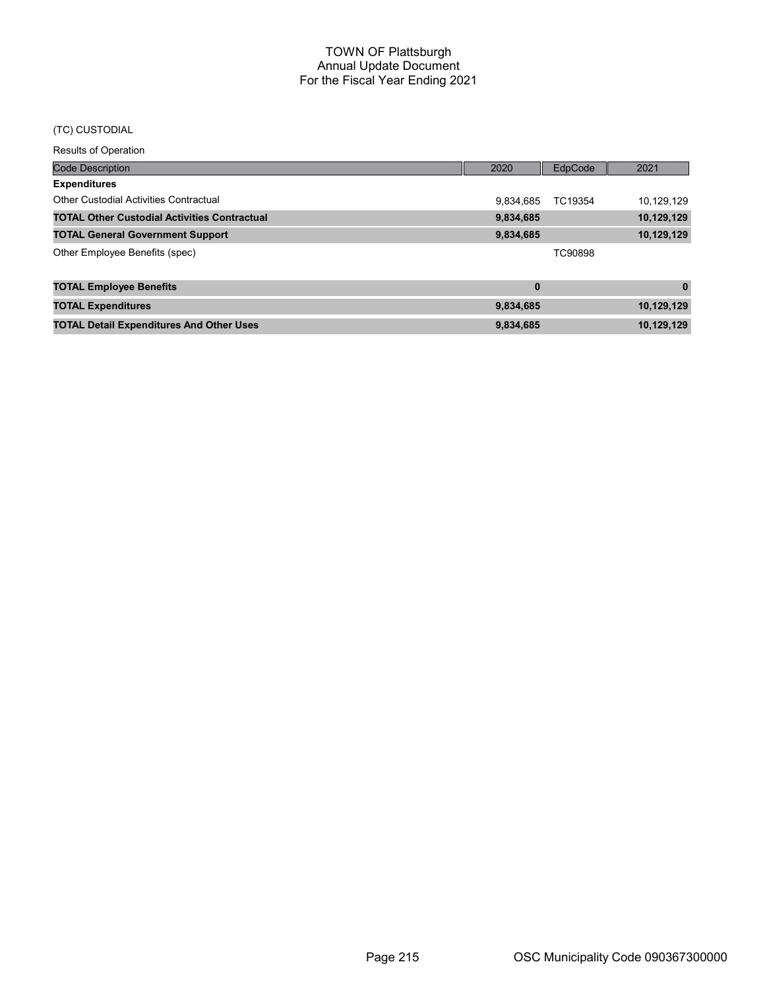### (TC) CUSTODIAL

Results of Operation

| <b>Code Description</b>                             | 2020      | EdpCode | 2021         |
|-----------------------------------------------------|-----------|---------|--------------|
| <b>Expenditures</b>                                 |           |         |              |
| <b>Other Custodial Activities Contractual</b>       | 9,834,685 | TC19354 | 10,129,129   |
| <b>TOTAL Other Custodial Activities Contractual</b> | 9,834,685 |         | 10,129,129   |
| <b>TOTAL General Government Support</b>             | 9,834,685 |         | 10,129,129   |
| Other Employee Benefits (spec)                      |           | TC90898 |              |
| <b>TOTAL Employee Benefits</b>                      | $\bf{0}$  |         | $\mathbf{0}$ |
| <b>TOTAL Expenditures</b>                           | 9,834,685 |         | 10,129,129   |
| <b>TOTAL Detail Expenditures And Other Uses</b>     | 9,834,685 |         | 10,129,129   |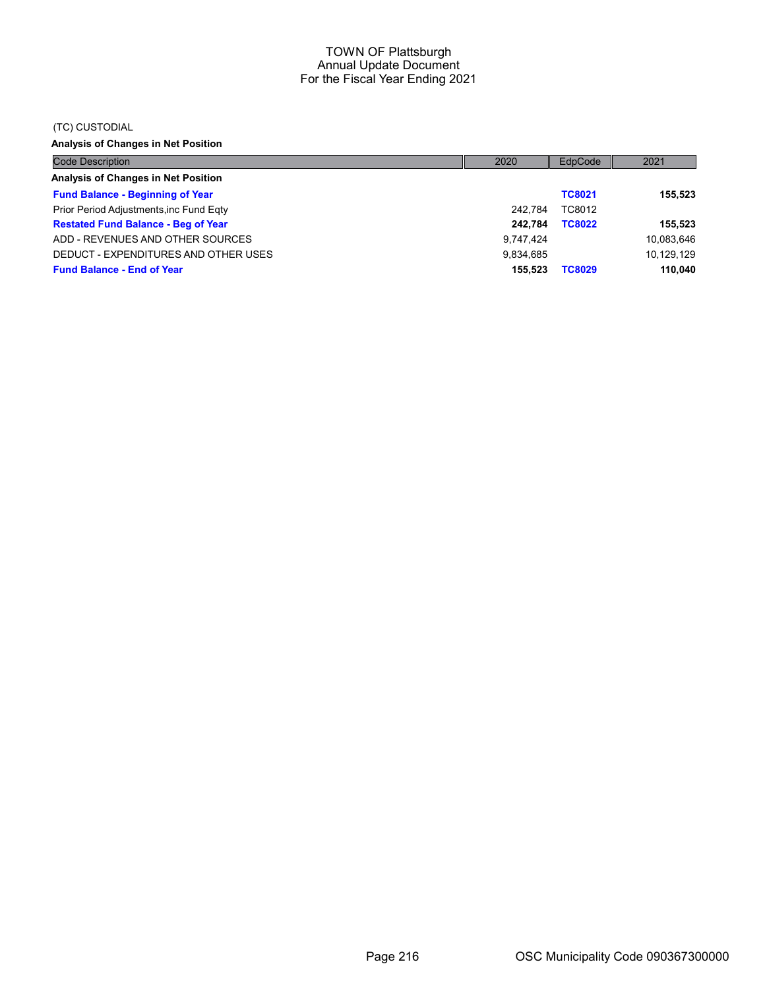#### (TC) CUSTODIAL

Analysis of Changes in Net Position

| <b>Code Description</b>                    | 2020      | EdpCode       | 2021       |
|--------------------------------------------|-----------|---------------|------------|
| Analysis of Changes in Net Position        |           |               |            |
| <b>Fund Balance - Beginning of Year</b>    |           | <b>TC8021</b> | 155.523    |
| Prior Period Adjustments, inc Fund Eqty    | 242.784   | TC8012        |            |
| <b>Restated Fund Balance - Beg of Year</b> | 242.784   | <b>TC8022</b> | 155.523    |
| ADD - REVENUES AND OTHER SOURCES           | 9.747.424 |               | 10,083,646 |
| DEDUCT - EXPENDITURES AND OTHER USES       | 9.834.685 |               | 10.129.129 |
| <b>Fund Balance - End of Year</b>          | 155.523   | <b>TC8029</b> | 110.040    |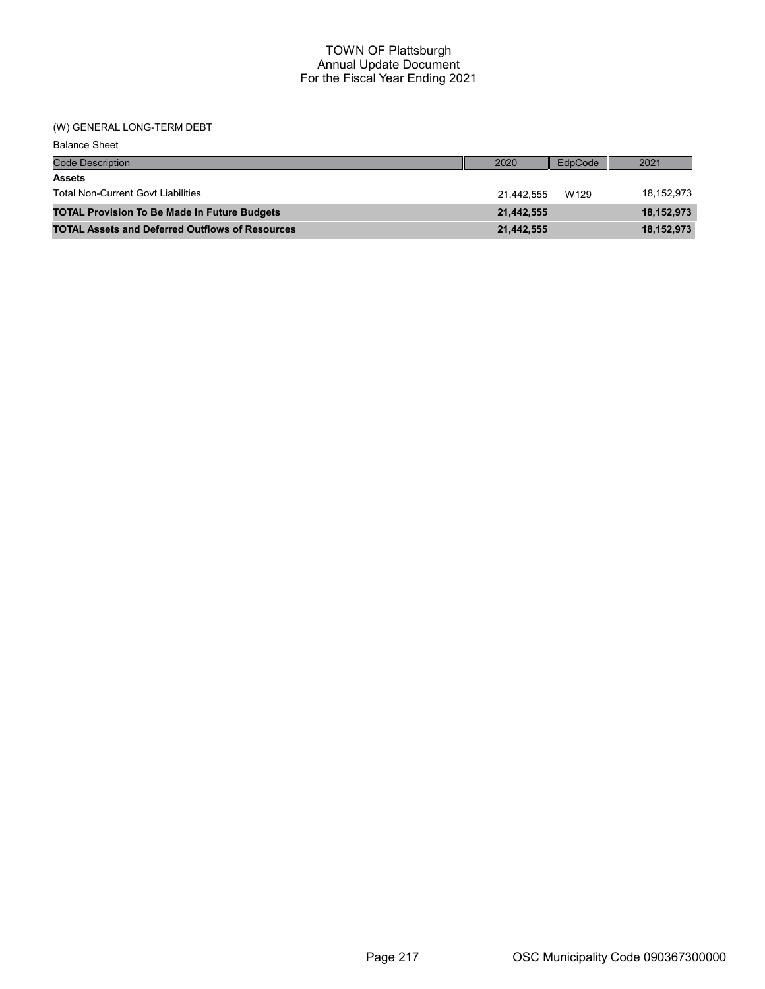#### TOWN OF Plattsburgh Annual Update Document For the Fiscal Year Ending 2021

### (W) GENERAL LONG-TERM DEBT

| <b>Balance Sheet</b>                                   |            |         |              |
|--------------------------------------------------------|------------|---------|--------------|
| <b>Code Description</b>                                | 2020       | EdpCode | 2021         |
| <b>Assets</b>                                          |            |         |              |
| <b>Total Non-Current Govt Liabilities</b>              | 21.442.555 | W129    | 18,152,973   |
| <b>TOTAL Provision To Be Made In Future Budgets</b>    | 21,442,555 |         | 18,152,973   |
| <b>TOTAL Assets and Deferred Outflows of Resources</b> | 21,442,555 |         | 18, 152, 973 |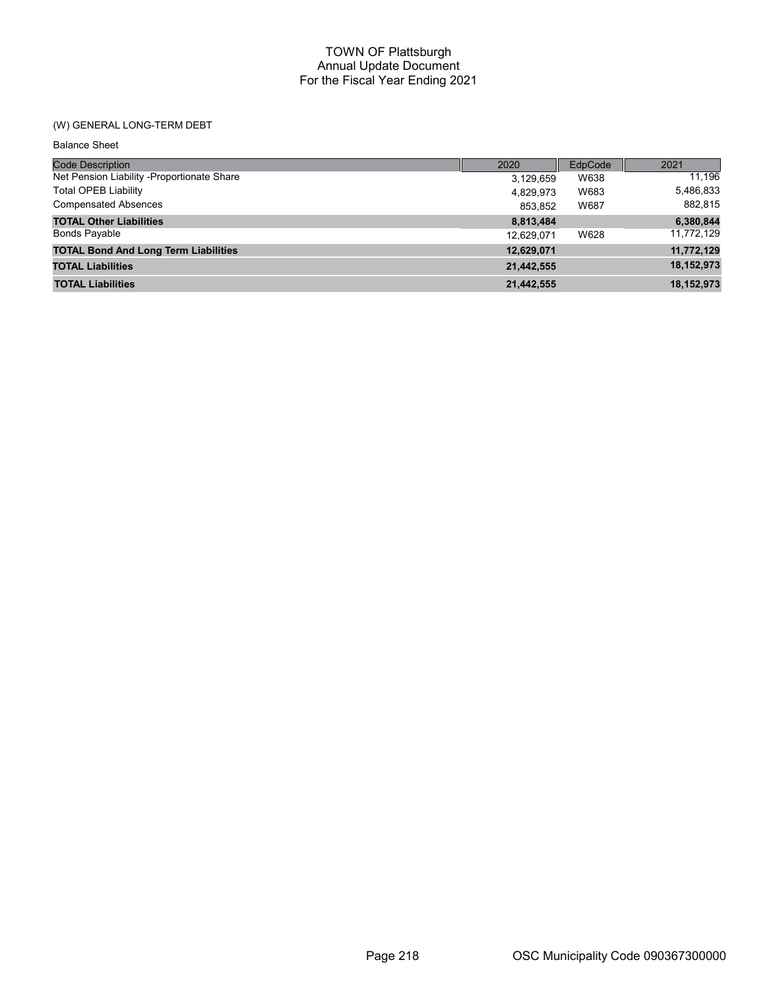### TOWN OF Plattsburgh Annual Update Document For the Fiscal Year Ending 2021

## (W) GENERAL LONG-TERM DEBT

Balance Sheet

| <b>Code Description</b>                     | 2020       | EdpCode | 2021       |
|---------------------------------------------|------------|---------|------------|
| Net Pension Liability -Proportionate Share  | 3,129,659  | W638    | 11,196     |
| <b>Total OPEB Liability</b>                 | 4,829,973  | W683    | 5,486,833  |
| <b>Compensated Absences</b>                 | 853,852    | W687    | 882,815    |
| <b>TOTAL Other Liabilities</b>              | 8,813,484  |         | 6,380,844  |
| <b>Bonds Payable</b>                        | 12,629,071 | W628    | 11,772,129 |
| <b>TOTAL Bond And Long Term Liabilities</b> | 12,629,071 |         | 11,772,129 |
| <b>TOTAL Liabilities</b>                    | 21,442,555 |         | 18,152,973 |
| <b>TOTAL Liabilities</b>                    | 21,442,555 |         | 18,152,973 |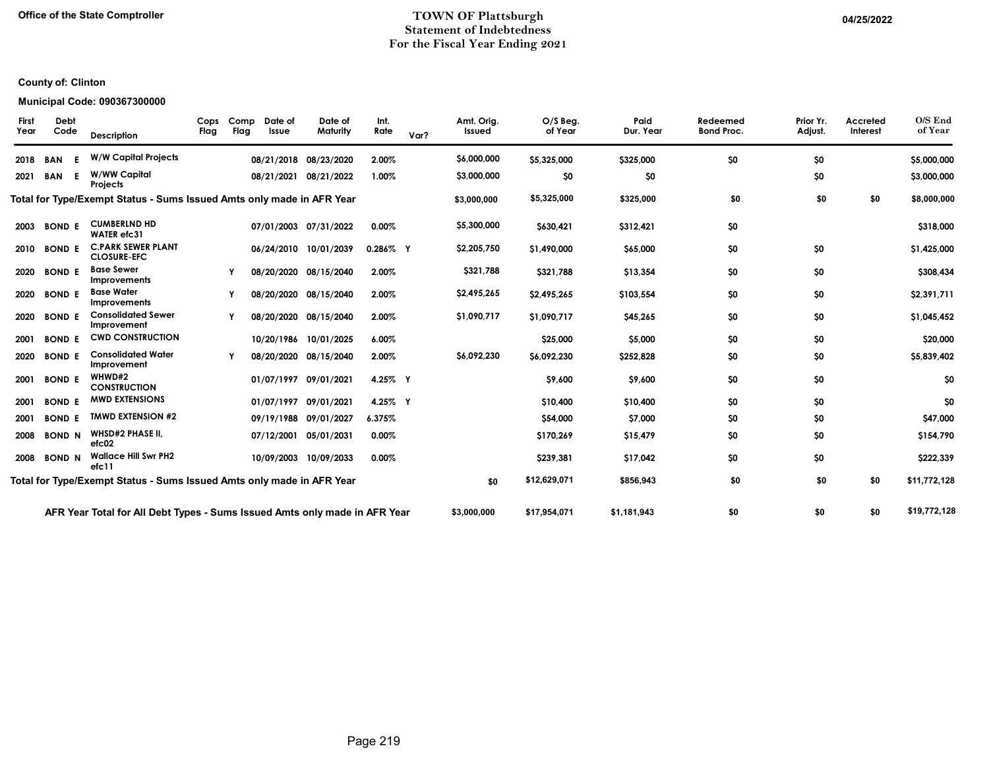#### Office of the State Comptroller **COMPUTE 1998** TOWN OF Plattsburgh **COMPUTE 1998** 04/25/2022 Statement of Indebtedness For the Fiscal Year Ending 2021

# County of: Clinton

#### Municipal Code: 090367300000

| O/S End<br>of Year | Accreted<br>Interest | Prior Yr.<br>Adjust. | Redeemed<br><b>Bond Proc.</b> | Paid<br>Dur. Year | O/S Beg.<br>of Year | Amt. Orig.<br>Issued | Var? | Int.<br>Rate | Date of<br>Maturity   | Date of<br>Issue | Comp<br>Flag | Cops<br>Flag | Description                                                                | <b>Debt</b><br>Code | <b>First</b><br>Year |
|--------------------|----------------------|----------------------|-------------------------------|-------------------|---------------------|----------------------|------|--------------|-----------------------|------------------|--------------|--------------|----------------------------------------------------------------------------|---------------------|----------------------|
| \$5,000,000        |                      | \$0                  | \$0                           | \$325,000         | \$5,325,000         | \$6,000,000          |      | 2.00%        | 08/21/2018 08/23/2020 |                  |              |              | <b>W/W Capital Projects</b>                                                | <b>BAN</b>          | 2018                 |
| \$3,000,000        |                      | \$0                  |                               | \$0               | \$0                 | \$3,000,000          |      | 1.00%        | 08/21/2021 08/21/2022 |                  |              |              | W/WW Capital<br>Projects                                                   | <b>BAN</b><br>Е     | 2021                 |
| \$8,000,000        | \$0                  | \$0                  | \$0                           | \$325,000         | \$5,325,000         | \$3,000,000          |      |              |                       |                  |              |              | Total for Type/Exempt Status - Sums Issued Amts only made in AFR Year      |                     |                      |
| \$318,000          |                      |                      | \$0                           | \$312,421         | \$630,421           | \$5,300,000          |      | $0.00\%$     | 07/01/2003 07/31/2022 |                  |              |              | <b>CUMBERLND HD</b><br><b>WATER</b> efc31                                  | <b>BOND E</b>       | 2003                 |
| \$1,425,000        |                      | \$0                  | \$0                           | \$65,000          | \$1,490,000         | \$2,205,750          |      | $0.286\%$ Y  | 06/24/2010 10/01/2039 |                  |              |              | <b>C.PARK SEWER PLANT</b><br><b>CLOSURE-EFC</b>                            | <b>BOND E</b>       | 2010                 |
| \$308,434          |                      | \$0                  | \$0                           | \$13,354          | \$321,788           | \$321,788            |      | 2.00%        | 08/20/2020 08/15/2040 |                  |              |              | <b>Base Sewer</b><br><b>Improvements</b>                                   | <b>BOND E</b>       | 2020                 |
| \$2,391,711        |                      | \$0                  | \$0                           | \$103,554         | \$2,495,265         | \$2,495,265          |      | 2.00%        | 08/20/2020 08/15/2040 |                  |              |              | <b>Base Water</b><br>Improvements                                          | <b>BOND E</b>       | 2020                 |
| \$1,045,452        |                      | \$0                  | \$0                           | \$45,265          | \$1,090.717         | \$1,090,717          |      | 2.00%        | 08/20/2020 08/15/2040 |                  | Y            |              | <b>Consolidated Sewer</b><br>Improvement                                   | <b>BOND E</b>       | 2020                 |
| \$20,000           |                      | \$0                  | \$0                           | \$5,000           | \$25,000            |                      |      | 6.00%        | 10/20/1986 10/01/2025 |                  |              |              | <b>CWD CONSTRUCTION</b>                                                    | <b>BOND E</b>       | 2001                 |
| \$5,839,402        |                      | \$0                  | \$0                           | \$252,828         | \$6,092,230         | \$6,092,230          |      | 2.00%        | 08/20/2020 08/15/2040 |                  |              |              | <b>Consolidated Water</b><br>Improvement                                   | <b>BOND E</b>       | 2020                 |
| \$0                |                      | \$0                  | \$0                           | \$9,600           | \$9,600             |                      |      | 4.25% Y      | 01/07/1997 09/01/2021 |                  |              |              | WHWD#2<br><b>CONSTRUCTION</b>                                              | <b>BOND E</b>       | 2001                 |
| \$0                |                      | \$0                  | \$0                           | \$10,400          | \$10,400            |                      |      | 4.25% Y      | 01/07/1997 09/01/2021 |                  |              |              | <b>MWD EXTENSIONS</b>                                                      | <b>BOND E</b>       | 2001                 |
| \$47,000           |                      | \$0                  | \$0                           | \$7,000           | \$54,000            |                      |      | 6.375%       | 09/19/1988 09/01/2027 |                  |              |              | <b>TMWD EXTENSION #2</b>                                                   | <b>BOND E</b>       | 2001                 |
| \$154,790          |                      | \$0                  | \$0                           | \$15,479          | \$170,269           |                      |      | 0.00%        | 07/12/2001 05/01/2031 |                  |              |              | <b>WHSD#2 PHASE II,</b><br>etc02                                           | <b>BOND N</b>       | 2008                 |
| \$222,339          |                      | \$0                  | \$0                           | \$17,042          | \$239,381           |                      |      | 0.00%        | 10/09/2003 10/09/2033 |                  |              |              | <b>Wallace Hill Swr PH2</b><br>efc11                                       | <b>BOND N</b>       | 2008                 |
| \$11,772,128       | \$0                  | \$0                  | \$0                           | \$856,943         | \$12,629,071        | \$0                  |      |              |                       |                  |              |              | Total for Type/Exempt Status - Sums Issued Amts only made in AFR Year      |                     |                      |
| \$19,772,128       | \$0                  | \$0                  | \$0                           | \$1,181,943       | \$17,954,071        | \$3,000,000          |      |              |                       |                  |              |              | AFR Year Total for All Debt Types - Sums Issued Amts only made in AFR Year |                     |                      |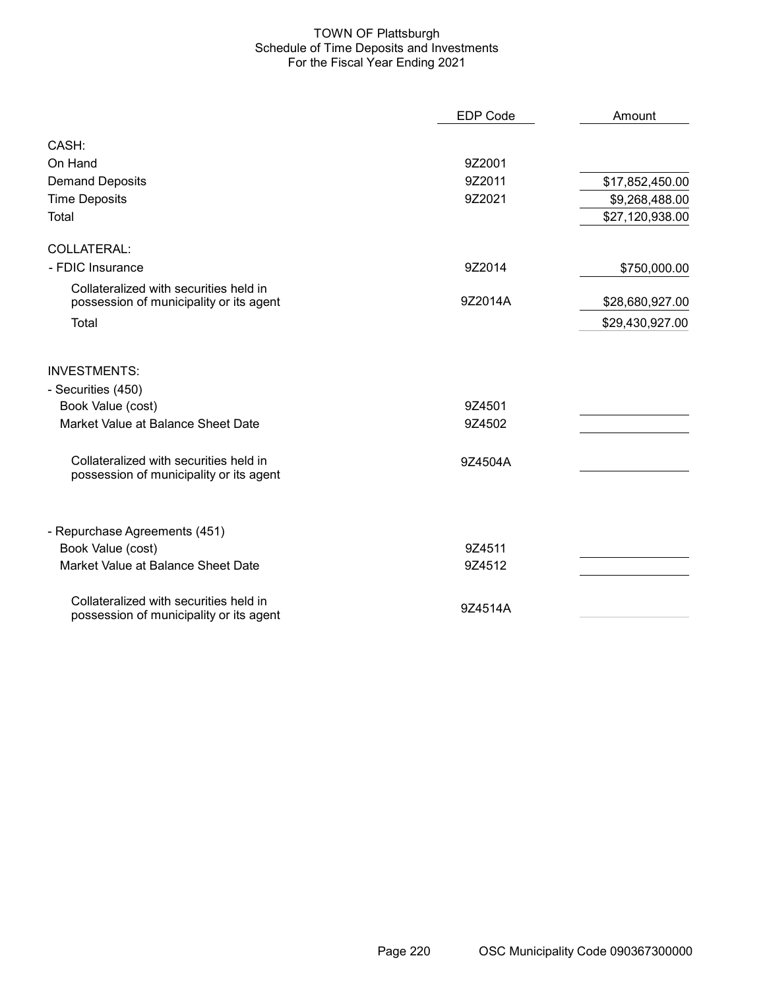#### TOWN OF Plattsburgh Schedule of Time Deposits and Investments For the Fiscal Year Ending 2021

|                                                                                   | <b>EDP Code</b> | Amount          |
|-----------------------------------------------------------------------------------|-----------------|-----------------|
| CASH:                                                                             |                 |                 |
| On Hand                                                                           | 9Z2001          |                 |
| <b>Demand Deposits</b>                                                            | 9Z2011          | \$17,852,450.00 |
| <b>Time Deposits</b>                                                              | 9Z2021          | \$9,268,488.00  |
| Total                                                                             |                 | \$27,120,938.00 |
| <b>COLLATERAL:</b>                                                                |                 |                 |
| - FDIC Insurance                                                                  | 9Z2014          | \$750,000.00    |
| Collateralized with securities held in<br>possession of municipality or its agent | 9Z2014A         | \$28,680,927.00 |
| Total                                                                             |                 | \$29,430,927.00 |
| <b>INVESTMENTS:</b>                                                               |                 |                 |
| - Securities (450)                                                                |                 |                 |
| Book Value (cost)                                                                 | 9Z4501          |                 |
| Market Value at Balance Sheet Date                                                | 9Z4502          |                 |
| Collateralized with securities held in<br>possession of municipality or its agent | 9Z4504A         |                 |
| - Repurchase Agreements (451)                                                     |                 |                 |
| Book Value (cost)                                                                 | 9Z4511          |                 |
| Market Value at Balance Sheet Date                                                | 9Z4512          |                 |
| Collateralized with securities held in<br>possession of municipality or its agent | 9Z4514A         |                 |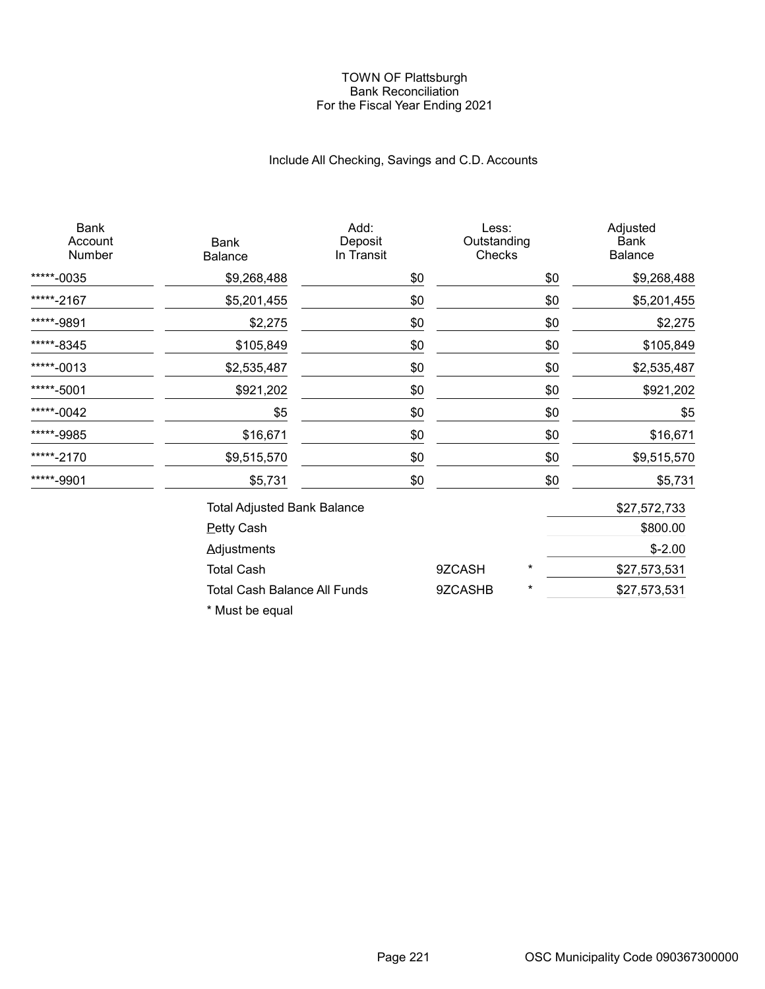#### TOWN OF Plattsburgh Bank Reconciliation For the Fiscal Year Ending 2021

# Include All Checking, Savings and C.D. Accounts

| Bank<br>Account<br>Number | <b>Bank</b><br>Balance             | Add:<br>Deposit<br>In Transit | Less:<br>Outstanding<br>Checks |          | Adjusted<br>Bank<br>Balance |
|---------------------------|------------------------------------|-------------------------------|--------------------------------|----------|-----------------------------|
| *****-0035                | \$9,268,488                        | \$0                           |                                | \$0      | \$9,268,488                 |
| *****-2167                | \$5,201,455                        | \$0                           |                                | \$0      | \$5,201,455                 |
| *****-9891                | \$2,275                            | \$0                           |                                | \$0      | \$2,275                     |
| *****-8345                | \$105,849                          | \$0                           |                                | \$0      | \$105,849                   |
| *****-0013                | \$2,535,487                        | \$0                           |                                | \$0      | \$2,535,487                 |
| *****-5001                | \$921,202                          | \$0                           |                                | \$0      | \$921,202                   |
| *****-0042                | \$5                                | \$0                           |                                | \$0      | \$5                         |
| *****-9985                | \$16,671                           | \$0                           |                                | \$0      | \$16,671                    |
| *****-2170                | \$9,515,570                        | \$0                           |                                | \$0      | \$9,515,570                 |
| *****-9901                | \$5,731                            | \$0                           |                                | \$0      | \$5,731                     |
|                           | <b>Total Adjusted Bank Balance</b> |                               |                                |          | \$27,572,733                |
|                           | <b>Petty Cash</b>                  |                               |                                |          | \$800.00                    |
|                           | <b>Adjustments</b>                 |                               |                                |          | $$-2.00$                    |
|                           | <b>Total Cash</b>                  |                               | 9ZCASH                         | $^\star$ | \$27,573,531                |
|                           | Total Cash Balance All Funds       |                               | 9ZCASHB                        | $^\star$ | \$27,573,531                |

\* Must be equal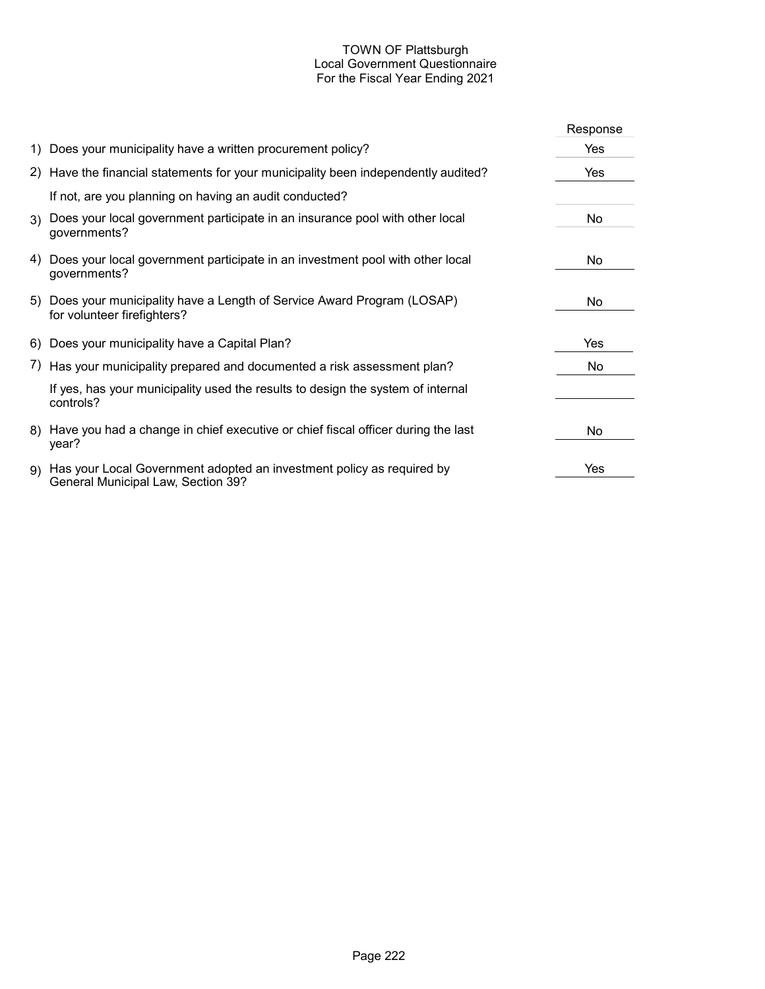### TOWN OF Plattsburgh Local Government Questionnaire For the Fiscal Year Ending 2021

|                                                                                                                | Response |
|----------------------------------------------------------------------------------------------------------------|----------|
| 1) Does your municipality have a written procurement policy?                                                   | Yes      |
| 2) Have the financial statements for your municipality been independently audited?                             | Yes      |
| If not, are you planning on having an audit conducted?                                                         |          |
| 3) Does your local government participate in an insurance pool with other local<br>governments?                | No.      |
| 4) Does your local government participate in an investment pool with other local<br>governments?               | No.      |
| 5) Does your municipality have a Length of Service Award Program (LOSAP)<br>for volunteer firefighters?        | No       |
| 6) Does your municipality have a Capital Plan?                                                                 | Yes      |
| 7) Has your municipality prepared and documented a risk assessment plan?                                       | No.      |
| If yes, has your municipality used the results to design the system of internal<br>controls?                   |          |
| 8) Have you had a change in chief executive or chief fiscal officer during the last<br>year?                   | No.      |
| 9) Has your Local Government adopted an investment policy as required by<br>General Municipal Law, Section 39? | Yes      |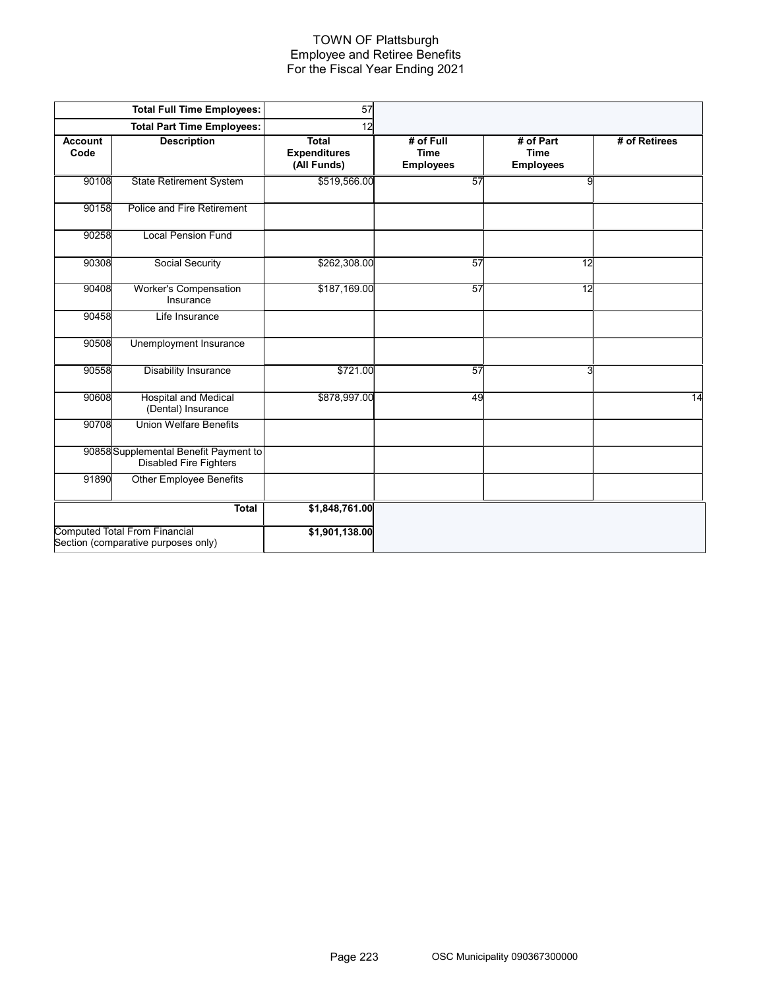#### TOWN OF Plattsburgh Employee and Retiree Benefits For the Fiscal Year Ending 2021

|                        | <b>Total Full Time Employees:</b>                                           | 57                                                 |                                              |                                              |               |
|------------------------|-----------------------------------------------------------------------------|----------------------------------------------------|----------------------------------------------|----------------------------------------------|---------------|
|                        | <b>Total Part Time Employees:</b>                                           | 12                                                 |                                              |                                              |               |
| <b>Account</b><br>Code | <b>Description</b>                                                          | <b>Total</b><br><b>Expenditures</b><br>(All Funds) | # of Full<br><b>Time</b><br><b>Employees</b> | # of Part<br><b>Time</b><br><b>Employees</b> | # of Retirees |
| 90108                  | <b>State Retirement System</b>                                              | \$519,566.00                                       | 57                                           | 9                                            |               |
| 90158                  | Police and Fire Retirement                                                  |                                                    |                                              |                                              |               |
| 90258                  | <b>Local Pension Fund</b>                                                   |                                                    |                                              |                                              |               |
| 90308                  | <b>Social Security</b>                                                      | \$262,308.00                                       | 57                                           | $\overline{12}$                              |               |
| 90408                  | <b>Worker's Compensation</b><br>Insurance                                   | \$187,169.00                                       | 57                                           | 12                                           |               |
| 90458                  | Life Insurance                                                              |                                                    |                                              |                                              |               |
| 90508                  | Unemployment Insurance                                                      |                                                    |                                              |                                              |               |
| 90558                  | <b>Disability Insurance</b>                                                 | \$721.00                                           | 57                                           | 3                                            |               |
| 90608                  | <b>Hospital and Medical</b><br>(Dental) Insurance                           | \$878,997.00                                       | 49                                           |                                              | 14            |
| 90708                  | <b>Union Welfare Benefits</b>                                               |                                                    |                                              |                                              |               |
|                        | 90858 Supplemental Benefit Payment to<br><b>Disabled Fire Fighters</b>      |                                                    |                                              |                                              |               |
| 91890                  | <b>Other Employee Benefits</b>                                              |                                                    |                                              |                                              |               |
|                        | <b>Total</b>                                                                | \$1,848,761.00                                     |                                              |                                              |               |
|                        | <b>Computed Total From Financial</b><br>Section (comparative purposes only) | \$1,901,138.00                                     |                                              |                                              |               |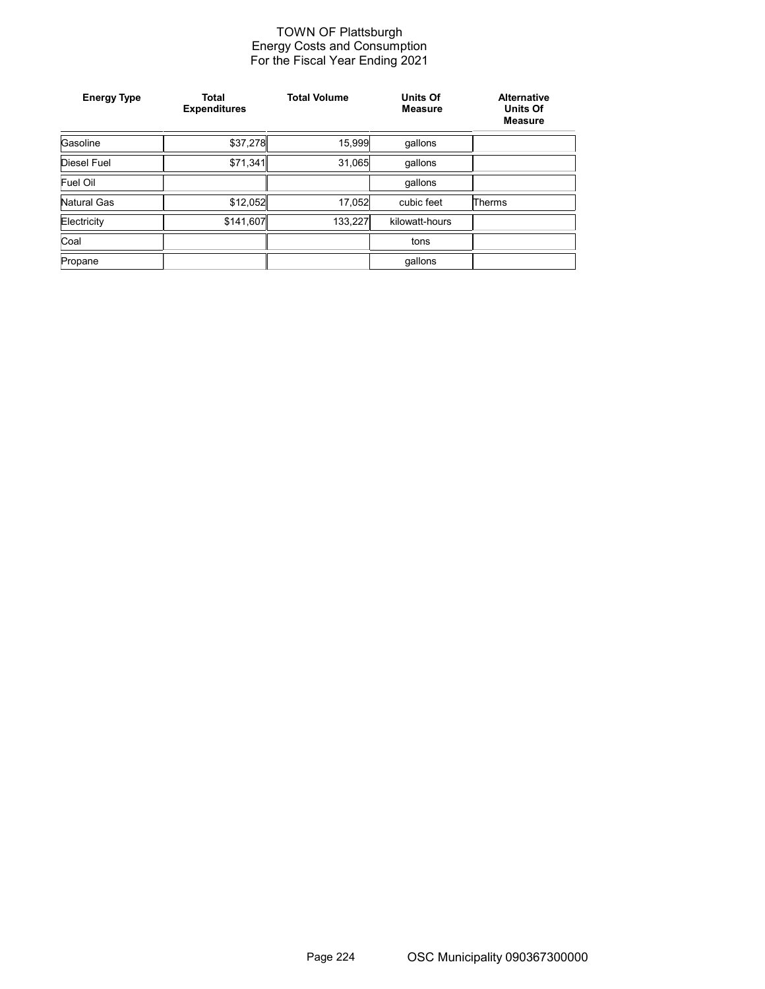#### TOWN OF Plattsburgh Energy Costs and Consumption For the Fiscal Year Ending 2021

| <b>Energy Type</b> | <b>Total</b><br><b>Expenditures</b> | <b>Total Volume</b> | <b>Units Of</b><br><b>Measure</b> | <b>Alternative</b><br><b>Units Of</b><br><b>Measure</b> |
|--------------------|-------------------------------------|---------------------|-----------------------------------|---------------------------------------------------------|
| Gasoline           | \$37,278                            | 15,999              | qallons                           |                                                         |
| Diesel Fuel        | \$71,341                            | 31,065              | qallons                           |                                                         |
| Fuel Oil           |                                     |                     | qallons                           |                                                         |
| Natural Gas        | \$12,052                            | 17,052              | cubic feet                        | <b>Therms</b>                                           |
| Electricity        | \$141,607                           | 133,227             | kilowatt-hours                    |                                                         |
| Coal               |                                     |                     | tons                              |                                                         |
| Propane            |                                     |                     | gallons                           |                                                         |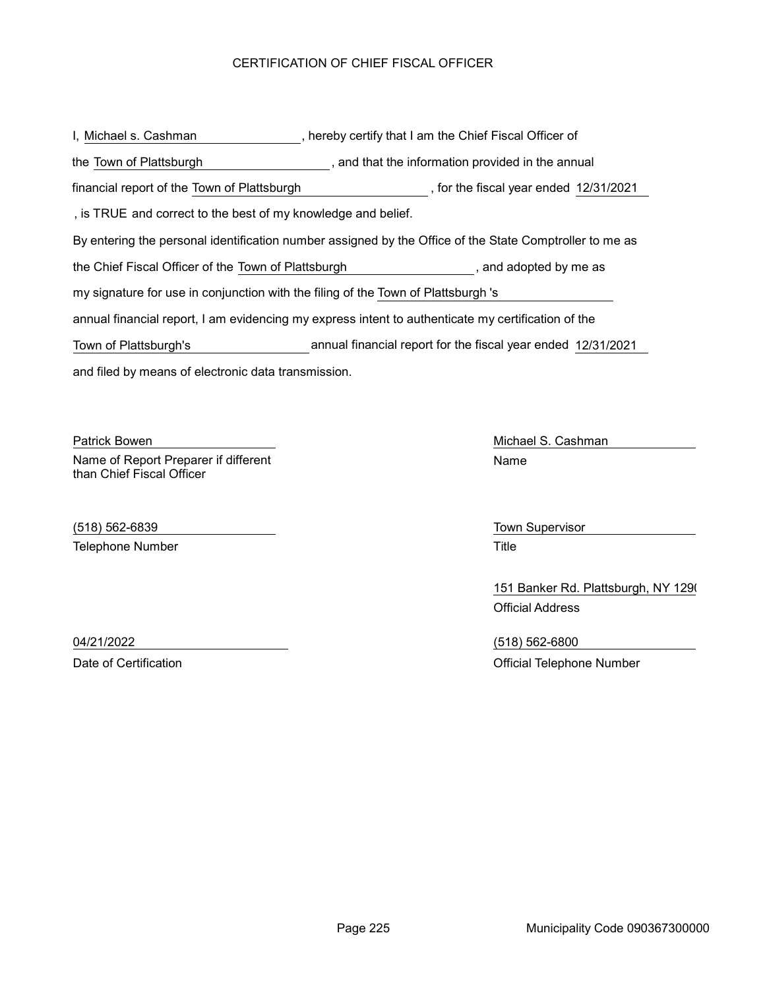## CERTIFICATION OF CHIEF FISCAL OFFICER

and filed by means of electronic data transmission. I, Michael s. Cashman The Muslim Cashman Theory certify that I am the Chief Fiscal Officer of By entering the personal identification number assigned by the Office of the State Comptroller to me as the Town of Plattsburgh **the information provided in the annual** the Chief Fiscal Officer of the Town of Plattsburgh , and adopted by me as annual financial report, I am evidencing my express intent to authenticate my certification of the my signature for use in conjunction with the filing of the Town of Plattsburgh 's , is TRUE and correct to the best of my knowledge and belief. financial report of the Town of Plattsburgh (in the fiscal year ended 12/31/2021) Town of Plattsburgh's annual financial report for the fiscal year ended 12/31/2021

Patrick Bowen **Michael S. Cashman** Name of Report Preparer if different than Chief Fiscal Officer

(518) 562-6839 Town Supervisor Telephone Number **Title** 

Name

151 Banker Rd. Plattsburgh, NY 1290 Official Address

04/21/2022 (518) 562-6800 Date of Certification **Date of Certification** Official Telephone Number